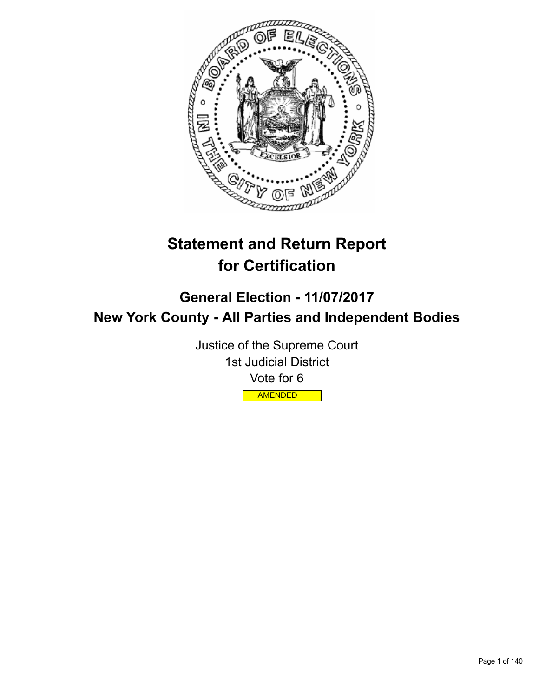

# **Statement and Return Report for Certification**

## **General Election - 11/07/2017 New York County - All Parties and Independent Bodies**

Justice of the Supreme Court 1st Judicial District Vote for 6 AMENDED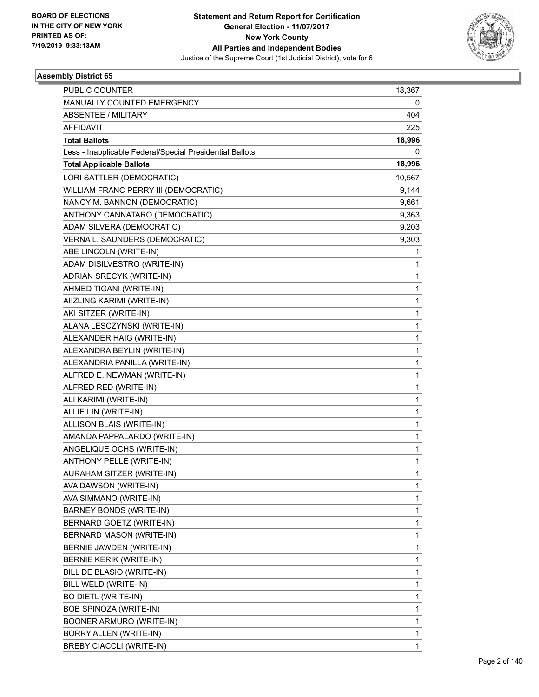

| PUBLIC COUNTER                                           | 18,367 |
|----------------------------------------------------------|--------|
| MANUALLY COUNTED EMERGENCY                               | 0      |
| <b>ABSENTEE / MILITARY</b>                               | 404    |
| <b>AFFIDAVIT</b>                                         | 225    |
| <b>Total Ballots</b>                                     | 18,996 |
| Less - Inapplicable Federal/Special Presidential Ballots | 0      |
| <b>Total Applicable Ballots</b>                          | 18,996 |
| LORI SATTLER (DEMOCRATIC)                                | 10,567 |
| WILLIAM FRANC PERRY III (DEMOCRATIC)                     | 9,144  |
| NANCY M. BANNON (DEMOCRATIC)                             | 9,661  |
| ANTHONY CANNATARO (DEMOCRATIC)                           | 9,363  |
| ADAM SILVERA (DEMOCRATIC)                                | 9,203  |
| VERNA L. SAUNDERS (DEMOCRATIC)                           | 9,303  |
| ABE LINCOLN (WRITE-IN)                                   | 1      |
| ADAM DISILVESTRO (WRITE-IN)                              | 1      |
| ADRIAN SRECYK (WRITE-IN)                                 | 1      |
| AHMED TIGANI (WRITE-IN)                                  | 1      |
| AIIZLING KARIMI (WRITE-IN)                               | 1      |
| AKI SITZER (WRITE-IN)                                    | 1      |
| ALANA LESCZYNSKI (WRITE-IN)                              | 1      |
| ALEXANDER HAIG (WRITE-IN)                                | 1      |
| ALEXANDRA BEYLIN (WRITE-IN)                              | 1      |
| ALEXANDRIA PANILLA (WRITE-IN)                            | 1      |
| ALFRED E. NEWMAN (WRITE-IN)                              | 1      |
| ALFRED RED (WRITE-IN)                                    | 1      |
| ALI KARIMI (WRITE-IN)                                    | 1      |
| ALLIE LIN (WRITE-IN)                                     | 1      |
| ALLISON BLAIS (WRITE-IN)                                 | 1      |
| AMANDA PAPPALARDO (WRITE-IN)                             | 1      |
| ANGELIQUE OCHS (WRITE-IN)                                | 1      |
| <b>ANTHONY PELLE (WRITE-IN)</b>                          | 1      |
| AURAHAM SITZER (WRITE-IN)                                | 1      |
| AVA DAWSON (WRITE-IN)                                    | 1      |
| AVA SIMMANO (WRITE-IN)                                   | 1      |
| BARNEY BONDS (WRITE-IN)                                  | 1      |
| BERNARD GOETZ (WRITE-IN)                                 | 1      |
| <b>BERNARD MASON (WRITE-IN)</b>                          | 1      |
| BERNIE JAWDEN (WRITE-IN)                                 | 1      |
| <b>BERNIE KERIK (WRITE-IN)</b>                           | 1      |
| BILL DE BLASIO (WRITE-IN)                                | 1      |
| BILL WELD (WRITE-IN)                                     | 1      |
| <b>BO DIETL (WRITE-IN)</b>                               | 1      |
| BOB SPINOZA (WRITE-IN)                                   | 1      |
| BOONER ARMURO (WRITE-IN)                                 | 1      |
| BORRY ALLEN (WRITE-IN)                                   | 1      |
| <b>BREBY CIACCLI (WRITE-IN)</b>                          | 1      |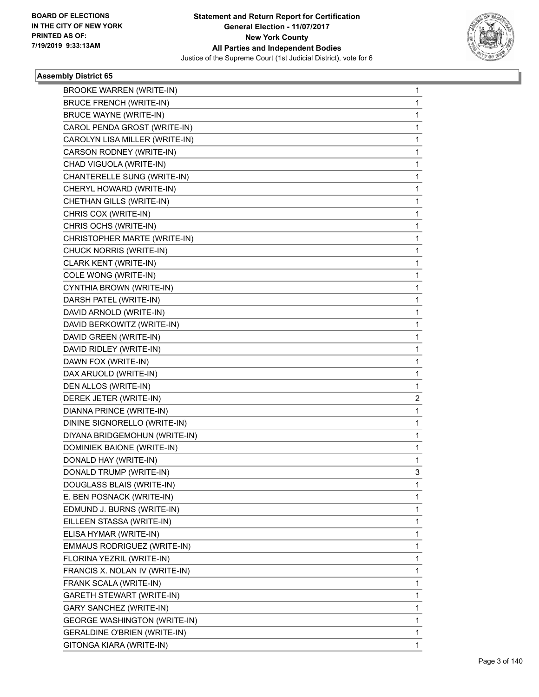

| <b>BROOKE WARREN (WRITE-IN)</b>     | 1           |
|-------------------------------------|-------------|
| <b>BRUCE FRENCH (WRITE-IN)</b>      | 1           |
| <b>BRUCE WAYNE (WRITE-IN)</b>       | 1           |
| CAROL PENDA GROST (WRITE-IN)        | 1           |
| CAROLYN LISA MILLER (WRITE-IN)      | 1           |
| CARSON RODNEY (WRITE-IN)            | 1           |
| CHAD VIGUOLA (WRITE-IN)             | 1           |
| CHANTERELLE SUNG (WRITE-IN)         | 1           |
| CHERYL HOWARD (WRITE-IN)            | 1           |
| CHETHAN GILLS (WRITE-IN)            | 1           |
| CHRIS COX (WRITE-IN)                | 1           |
| CHRIS OCHS (WRITE-IN)               | 1           |
| CHRISTOPHER MARTE (WRITE-IN)        | 1           |
| CHUCK NORRIS (WRITE-IN)             | 1           |
| CLARK KENT (WRITE-IN)               | 1           |
| COLE WONG (WRITE-IN)                | 1           |
| CYNTHIA BROWN (WRITE-IN)            | 1           |
| DARSH PATEL (WRITE-IN)              | 1           |
| DAVID ARNOLD (WRITE-IN)             | 1           |
| DAVID BERKOWITZ (WRITE-IN)          | 1           |
| DAVID GREEN (WRITE-IN)              | 1           |
| DAVID RIDLEY (WRITE-IN)             | 1           |
| DAWN FOX (WRITE-IN)                 | 1           |
| DAX ARUOLD (WRITE-IN)               | 1           |
| DEN ALLOS (WRITE-IN)                | 1           |
| DEREK JETER (WRITE-IN)              | 2           |
| DIANNA PRINCE (WRITE-IN)            | $\mathbf 1$ |
| DININE SIGNORELLO (WRITE-IN)        | 1           |
| DIYANA BRIDGEMOHUN (WRITE-IN)       | 1           |
| DOMINIEK BAIONE (WRITE-IN)          | 1           |
| DONALD HAY (WRITE-IN)               | 1           |
| DONALD TRUMP (WRITE-IN)             | 3           |
| DOUGLASS BLAIS (WRITE-IN)           | 1           |
| E. BEN POSNACK (WRITE-IN)           | 1           |
| EDMUND J. BURNS (WRITE-IN)          | 1           |
| EILLEEN STASSA (WRITE-IN)           | 1           |
| ELISA HYMAR (WRITE-IN)              | 1           |
| EMMAUS RODRIGUEZ (WRITE-IN)         | 1           |
| FLORINA YEZRIL (WRITE-IN)           | 1           |
| FRANCIS X. NOLAN IV (WRITE-IN)      | 1           |
| FRANK SCALA (WRITE-IN)              | 1           |
| GARETH STEWART (WRITE-IN)           | 1           |
| GARY SANCHEZ (WRITE-IN)             | 1           |
| <b>GEORGE WASHINGTON (WRITE-IN)</b> | 1           |
| <b>GERALDINE O'BRIEN (WRITE-IN)</b> | 1           |
| GITONGA KIARA (WRITE-IN)            | 1           |
|                                     |             |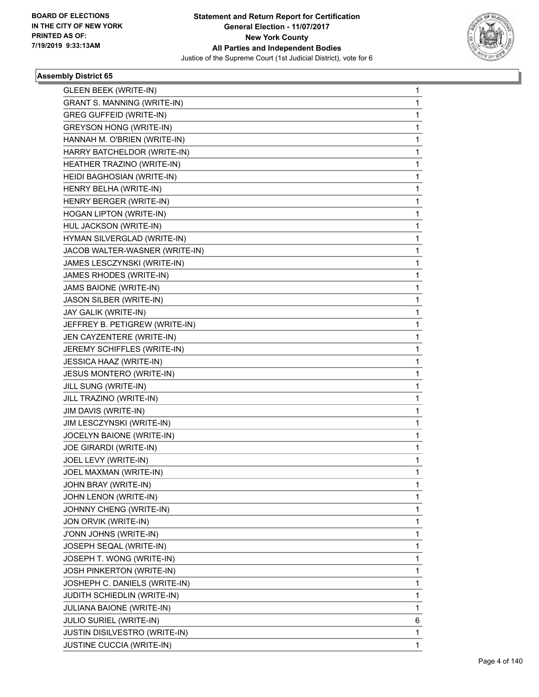

| <b>GLEEN BEEK (WRITE-IN)</b>         | $\mathbf{1}$ |
|--------------------------------------|--------------|
| <b>GRANT S. MANNING (WRITE-IN)</b>   | 1            |
| <b>GREG GUFFEID (WRITE-IN)</b>       | 1            |
| <b>GREYSON HONG (WRITE-IN)</b>       | 1            |
| HANNAH M. O'BRIEN (WRITE-IN)         | 1            |
| HARRY BATCHELDOR (WRITE-IN)          | 1            |
| HEATHER TRAZINO (WRITE-IN)           | 1            |
| HEIDI BAGHOSIAN (WRITE-IN)           | 1            |
| HENRY BELHA (WRITE-IN)               | 1            |
| HENRY BERGER (WRITE-IN)              | 1            |
| HOGAN LIPTON (WRITE-IN)              | 1            |
| HUL JACKSON (WRITE-IN)               | 1            |
| HYMAN SILVERGLAD (WRITE-IN)          | 1            |
| JACOB WALTER-WASNER (WRITE-IN)       | 1            |
| JAMES LESCZYNSKI (WRITE-IN)          | 1            |
| JAMES RHODES (WRITE-IN)              | 1            |
| JAMS BAIONE (WRITE-IN)               | 1            |
| JASON SILBER (WRITE-IN)              | 1            |
| JAY GALIK (WRITE-IN)                 | 1            |
| JEFFREY B. PETIGREW (WRITE-IN)       | 1            |
| JEN CAYZENTERE (WRITE-IN)            | 1            |
| JEREMY SCHIFFLES (WRITE-IN)          | 1            |
| JESSICA HAAZ (WRITE-IN)              | 1            |
| <b>JESUS MONTERO (WRITE-IN)</b>      | 1            |
| JILL SUNG (WRITE-IN)                 | 1            |
| JILL TRAZINO (WRITE-IN)              | 1            |
| JIM DAVIS (WRITE-IN)                 | 1            |
| JIM LESCZYNSKI (WRITE-IN)            | 1            |
| JOCELYN BAIONE (WRITE-IN)            | 1            |
| JOE GIRARDI (WRITE-IN)               | 1            |
| JOEL LEVY (WRITE-IN)                 | 1            |
| JOEL MAXMAN (WRITE-IN)               | 1            |
| JOHN BRAY (WRITE-IN)                 | 1            |
| JOHN LENON (WRITE-IN)                | 1            |
| JOHNNY CHENG (WRITE-IN)              | 1            |
| JON ORVIK (WRITE-IN)                 | 1            |
| J'ONN JOHNS (WRITE-IN)               | 1            |
| JOSEPH SEQAL (WRITE-IN)              | 1            |
| JOSEPH T. WONG (WRITE-IN)            | 1            |
| JOSH PINKERTON (WRITE-IN)            | 1            |
| JOSHEPH C. DANIELS (WRITE-IN)        | 1            |
| JUDITH SCHIEDLIN (WRITE-IN)          | 1            |
| JULIANA BAIONE (WRITE-IN)            | 1            |
| JULIO SURIEL (WRITE-IN)              | 6            |
| <b>JUSTIN DISILVESTRO (WRITE-IN)</b> | 1            |
| JUSTINE CUCCIA (WRITE-IN)            | $\mathbf{1}$ |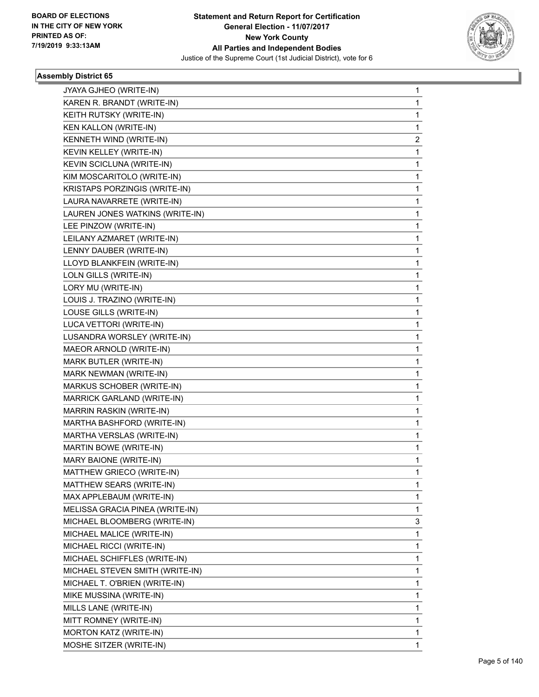

| JYAYA GJHEO (WRITE-IN)          | 1 |
|---------------------------------|---|
| KAREN R. BRANDT (WRITE-IN)      | 1 |
| KEITH RUTSKY (WRITE-IN)         | 1 |
| KEN KALLON (WRITE-IN)           | 1 |
| KENNETH WIND (WRITE-IN)         | 2 |
| KEVIN KELLEY (WRITE-IN)         | 1 |
| KEVIN SCICLUNA (WRITE-IN)       | 1 |
| KIM MOSCARITOLO (WRITE-IN)      | 1 |
| KRISTAPS PORZINGIS (WRITE-IN)   | 1 |
| LAURA NAVARRETE (WRITE-IN)      | 1 |
| LAUREN JONES WATKINS (WRITE-IN) | 1 |
| LEE PINZOW (WRITE-IN)           | 1 |
| LEILANY AZMARET (WRITE-IN)      | 1 |
| LENNY DAUBER (WRITE-IN)         | 1 |
| LLOYD BLANKFEIN (WRITE-IN)      | 1 |
| LOLN GILLS (WRITE-IN)           | 1 |
| LORY MU (WRITE-IN)              | 1 |
| LOUIS J. TRAZINO (WRITE-IN)     | 1 |
| LOUSE GILLS (WRITE-IN)          | 1 |
| LUCA VETTORI (WRITE-IN)         | 1 |
| LUSANDRA WORSLEY (WRITE-IN)     | 1 |
| MAEOR ARNOLD (WRITE-IN)         | 1 |
| MARK BUTLER (WRITE-IN)          | 1 |
| MARK NEWMAN (WRITE-IN)          | 1 |
| MARKUS SCHOBER (WRITE-IN)       | 1 |
| MARRICK GARLAND (WRITE-IN)      | 1 |
| MARRIN RASKIN (WRITE-IN)        | 1 |
| MARTHA BASHFORD (WRITE-IN)      | 1 |
| MARTHA VERSLAS (WRITE-IN)       | 1 |
| MARTIN BOWE (WRITE-IN)          | 1 |
| MARY BAIONE (WRITE-IN)          | 1 |
| MATTHEW GRIECO (WRITE-IN)       | 1 |
| MATTHEW SEARS (WRITE-IN)        | 1 |
| MAX APPLEBAUM (WRITE-IN)        | 1 |
| MELISSA GRACIA PINEA (WRITE-IN) | 1 |
| MICHAEL BLOOMBERG (WRITE-IN)    | 3 |
| MICHAEL MALICE (WRITE-IN)       | 1 |
| MICHAEL RICCI (WRITE-IN)        | 1 |
| MICHAEL SCHIFFLES (WRITE-IN)    | 1 |
| MICHAEL STEVEN SMITH (WRITE-IN) | 1 |
| MICHAEL T. O'BRIEN (WRITE-IN)   | 1 |
| MIKE MUSSINA (WRITE-IN)         | 1 |
| MILLS LANE (WRITE-IN)           | 1 |
| MITT ROMNEY (WRITE-IN)          | 1 |
| <b>MORTON KATZ (WRITE-IN)</b>   | 1 |
| MOSHE SITZER (WRITE-IN)         | 1 |
|                                 |   |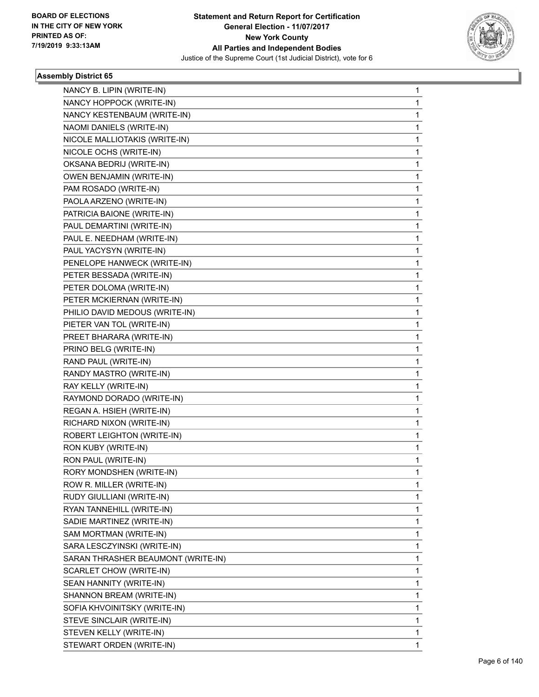

| NANCY B. LIPIN (WRITE-IN)          | $\mathbf{1}$ |
|------------------------------------|--------------|
| NANCY HOPPOCK (WRITE-IN)           | 1            |
| NANCY KESTENBAUM (WRITE-IN)        | 1            |
| NAOMI DANIELS (WRITE-IN)           | 1            |
| NICOLE MALLIOTAKIS (WRITE-IN)      | 1            |
| NICOLE OCHS (WRITE-IN)             | 1            |
| OKSANA BEDRIJ (WRITE-IN)           | 1            |
| OWEN BENJAMIN (WRITE-IN)           | 1            |
| PAM ROSADO (WRITE-IN)              | 1            |
| PAOLA ARZENO (WRITE-IN)            | 1            |
| PATRICIA BAIONE (WRITE-IN)         | 1            |
| PAUL DEMARTINI (WRITE-IN)          | 1            |
| PAUL E. NEEDHAM (WRITE-IN)         | 1            |
| PAUL YACYSYN (WRITE-IN)            | 1            |
| PENELOPE HANWECK (WRITE-IN)        | 1            |
| PETER BESSADA (WRITE-IN)           | 1            |
| PETER DOLOMA (WRITE-IN)            | 1            |
| PETER MCKIERNAN (WRITE-IN)         | 1            |
| PHILIO DAVID MEDOUS (WRITE-IN)     | 1            |
| PIETER VAN TOL (WRITE-IN)          | 1            |
| PREET BHARARA (WRITE-IN)           | 1            |
| PRINO BELG (WRITE-IN)              | 1            |
| RAND PAUL (WRITE-IN)               | 1            |
| RANDY MASTRO (WRITE-IN)            | 1            |
| RAY KELLY (WRITE-IN)               | 1            |
| RAYMOND DORADO (WRITE-IN)          | 1            |
| REGAN A. HSIEH (WRITE-IN)          | 1            |
| RICHARD NIXON (WRITE-IN)           | 1            |
| ROBERT LEIGHTON (WRITE-IN)         | 1            |
| RON KUBY (WRITE-IN)                | 1            |
| RON PAUL (WRITE-IN)                | 1            |
| RORY MONDSHEN (WRITE-IN)           | 1            |
| ROW R. MILLER (WRITE-IN)           | 1            |
| RUDY GIULLIANI (WRITE-IN)          | 1            |
| RYAN TANNEHILL (WRITE-IN)          | 1            |
| SADIE MARTINEZ (WRITE-IN)          | 1            |
| SAM MORTMAN (WRITE-IN)             | 1            |
| SARA LESCZYINSKI (WRITE-IN)        | 1            |
| SARAN THRASHER BEAUMONT (WRITE-IN) | 1            |
| SCARLET CHOW (WRITE-IN)            | $\mathbf 1$  |
| SEAN HANNITY (WRITE-IN)            | 1            |
| SHANNON BREAM (WRITE-IN)           | 1            |
| SOFIA KHVOINITSKY (WRITE-IN)       | 1            |
| STEVE SINCLAIR (WRITE-IN)          | 1            |
| STEVEN KELLY (WRITE-IN)            | 1            |
| STEWART ORDEN (WRITE-IN)           | $\mathbf{1}$ |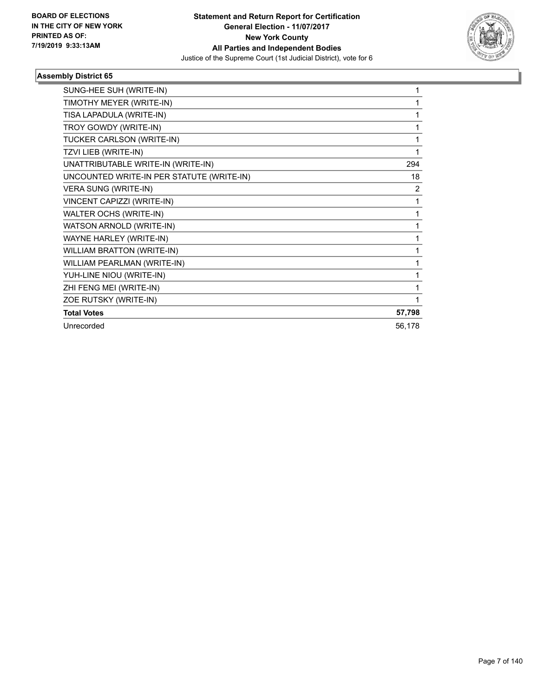

| SUNG-HEE SUH (WRITE-IN)                   | 1      |
|-------------------------------------------|--------|
| TIMOTHY MEYER (WRITE-IN)                  | 1      |
| TISA LAPADULA (WRITE-IN)                  | 1      |
| TROY GOWDY (WRITE-IN)                     | 1      |
| TUCKER CARLSON (WRITE-IN)                 | 1      |
| TZVI LIEB (WRITE-IN)                      | 1      |
| UNATTRIBUTABLE WRITE-IN (WRITE-IN)        | 294    |
| UNCOUNTED WRITE-IN PER STATUTE (WRITE-IN) | 18     |
| VERA SUNG (WRITE-IN)                      | 2      |
| VINCENT CAPIZZI (WRITE-IN)                | 1      |
| WALTER OCHS (WRITE-IN)                    | 1      |
| WATSON ARNOLD (WRITE-IN)                  | 1      |
| WAYNE HARLEY (WRITE-IN)                   | 1      |
| <b>WILLIAM BRATTON (WRITE-IN)</b>         | 1      |
| WILLIAM PEARLMAN (WRITE-IN)               | 1      |
| YUH-LINE NIOU (WRITE-IN)                  | 1      |
| ZHI FENG MEI (WRITE-IN)                   | 1      |
| ZOE RUTSKY (WRITE-IN)                     | 1      |
| <b>Total Votes</b>                        | 57,798 |
| Unrecorded                                | 56,178 |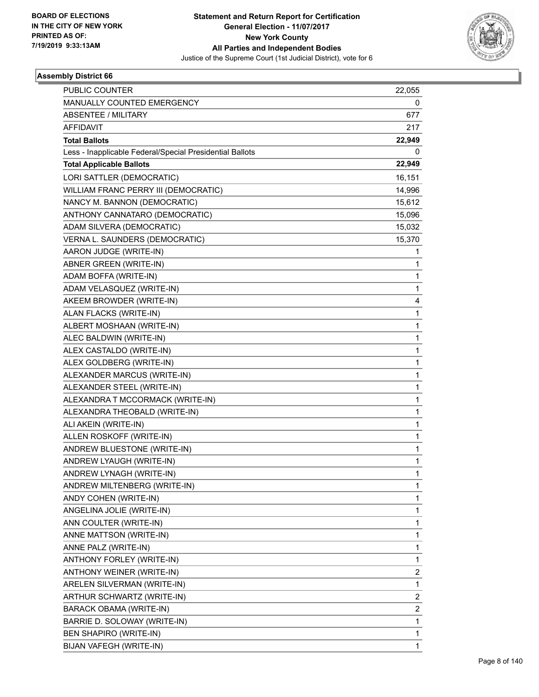

| PUBLIC COUNTER                                           | 22,055                  |
|----------------------------------------------------------|-------------------------|
| MANUALLY COUNTED EMERGENCY                               | 0                       |
| <b>ABSENTEE / MILITARY</b>                               | 677                     |
| <b>AFFIDAVIT</b>                                         | 217                     |
| <b>Total Ballots</b>                                     | 22,949                  |
| Less - Inapplicable Federal/Special Presidential Ballots | 0                       |
| <b>Total Applicable Ballots</b>                          | 22,949                  |
| LORI SATTLER (DEMOCRATIC)                                | 16,151                  |
| WILLIAM FRANC PERRY III (DEMOCRATIC)                     | 14,996                  |
| NANCY M. BANNON (DEMOCRATIC)                             | 15,612                  |
| ANTHONY CANNATARO (DEMOCRATIC)                           | 15,096                  |
| ADAM SILVERA (DEMOCRATIC)                                | 15,032                  |
| VERNA L. SAUNDERS (DEMOCRATIC)                           | 15,370                  |
| AARON JUDGE (WRITE-IN)                                   | 1                       |
| ABNER GREEN (WRITE-IN)                                   | 1                       |
| ADAM BOFFA (WRITE-IN)                                    | 1                       |
| ADAM VELASQUEZ (WRITE-IN)                                | $\mathbf{1}$            |
| AKEEM BROWDER (WRITE-IN)                                 | 4                       |
| ALAN FLACKS (WRITE-IN)                                   | $\mathbf{1}$            |
| ALBERT MOSHAAN (WRITE-IN)                                | $\mathbf{1}$            |
| ALEC BALDWIN (WRITE-IN)                                  | 1                       |
| ALEX CASTALDO (WRITE-IN)                                 | $\mathbf{1}$            |
| ALEX GOLDBERG (WRITE-IN)                                 | $\mathbf{1}$            |
| ALEXANDER MARCUS (WRITE-IN)                              | 1                       |
| ALEXANDER STEEL (WRITE-IN)                               | $\mathbf{1}$            |
| ALEXANDRA T MCCORMACK (WRITE-IN)                         | $\mathbf{1}$            |
| ALEXANDRA THEOBALD (WRITE-IN)                            | 1                       |
| ALI AKEIN (WRITE-IN)                                     | $\mathbf{1}$            |
| ALLEN ROSKOFF (WRITE-IN)                                 | $\mathbf{1}$            |
| ANDREW BLUESTONE (WRITE-IN)                              | 1                       |
| ANDREW LYAUGH (WRITE-IN)                                 | 1                       |
| ANDREW LYNAGH (WRITE-IN)                                 | 1                       |
| ANDREW MILTENBERG (WRITE-IN)                             | 1                       |
| ANDY COHEN (WRITE-IN)                                    | $\mathbf{1}$            |
| ANGELINA JOLIE (WRITE-IN)                                | $\mathbf{1}$            |
| ANN COULTER (WRITE-IN)                                   | 1                       |
| ANNE MATTSON (WRITE-IN)                                  | $\mathbf{1}$            |
| ANNE PALZ (WRITE-IN)                                     | 1                       |
| ANTHONY FORLEY (WRITE-IN)                                | 1                       |
| ANTHONY WEINER (WRITE-IN)                                | 2                       |
| ARELEN SILVERMAN (WRITE-IN)                              | $\mathbf{1}$            |
| ARTHUR SCHWARTZ (WRITE-IN)                               | 2                       |
| BARACK OBAMA (WRITE-IN)                                  | $\overline{\mathbf{c}}$ |
| BARRIE D. SOLOWAY (WRITE-IN)                             | $\mathbf{1}$            |
| BEN SHAPIRO (WRITE-IN)                                   | 1                       |
| BIJAN VAFEGH (WRITE-IN)                                  | $\mathbf{1}$            |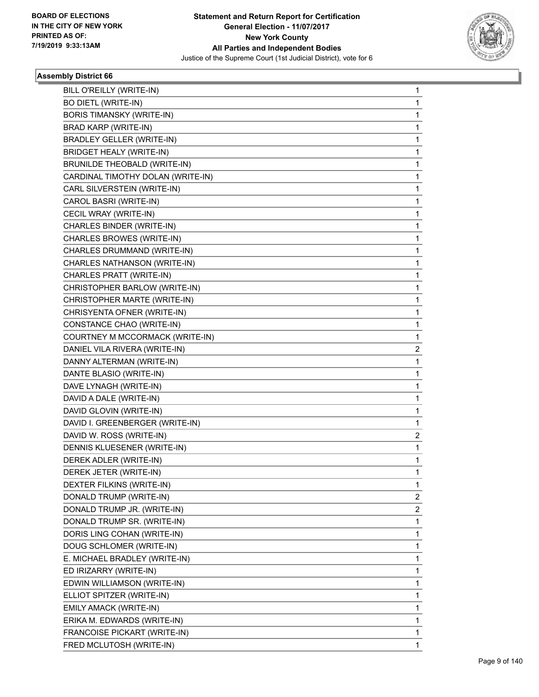

| BILL O'REILLY (WRITE-IN)          | 1 |
|-----------------------------------|---|
| <b>BO DIETL (WRITE-IN)</b>        | 1 |
| <b>BORIS TIMANSKY (WRITE-IN)</b>  | 1 |
| BRAD KARP (WRITE-IN)              | 1 |
| <b>BRADLEY GELLER (WRITE-IN)</b>  | 1 |
| <b>BRIDGET HEALY (WRITE-IN)</b>   | 1 |
| BRUNILDE THEOBALD (WRITE-IN)      | 1 |
| CARDINAL TIMOTHY DOLAN (WRITE-IN) | 1 |
| CARL SILVERSTEIN (WRITE-IN)       | 1 |
| CAROL BASRI (WRITE-IN)            | 1 |
| CECIL WRAY (WRITE-IN)             | 1 |
| CHARLES BINDER (WRITE-IN)         | 1 |
| CHARLES BROWES (WRITE-IN)         | 1 |
| CHARLES DRUMMAND (WRITE-IN)       | 1 |
| CHARLES NATHANSON (WRITE-IN)      | 1 |
| CHARLES PRATT (WRITE-IN)          | 1 |
| CHRISTOPHER BARLOW (WRITE-IN)     | 1 |
| CHRISTOPHER MARTE (WRITE-IN)      | 1 |
| CHRISYENTA OFNER (WRITE-IN)       | 1 |
| CONSTANCE CHAO (WRITE-IN)         | 1 |
| COURTNEY M MCCORMACK (WRITE-IN)   | 1 |
| DANIEL VILA RIVERA (WRITE-IN)     | 2 |
| DANNY ALTERMAN (WRITE-IN)         | 1 |
| DANTE BLASIO (WRITE-IN)           | 1 |
| DAVE LYNAGH (WRITE-IN)            | 1 |
| DAVID A DALE (WRITE-IN)           | 1 |
| DAVID GLOVIN (WRITE-IN)           | 1 |
| DAVID I. GREENBERGER (WRITE-IN)   | 1 |
| DAVID W. ROSS (WRITE-IN)          | 2 |
| DENNIS KLUESENER (WRITE-IN)       | 1 |
| DEREK ADLER (WRITE-IN)            | 1 |
| DEREK JETER (WRITE-IN)            | 1 |
| DEXTER FILKINS (WRITE-IN)         | 1 |
| DONALD TRUMP (WRITE-IN)           | 2 |
| DONALD TRUMP JR. (WRITE-IN)       | 2 |
| DONALD TRUMP SR. (WRITE-IN)       | 1 |
| DORIS LING COHAN (WRITE-IN)       | 1 |
| DOUG SCHLOMER (WRITE-IN)          | 1 |
| E. MICHAEL BRADLEY (WRITE-IN)     | 1 |
| ED IRIZARRY (WRITE-IN)            | 1 |
| EDWIN WILLIAMSON (WRITE-IN)       | 1 |
| ELLIOT SPITZER (WRITE-IN)         | 1 |
| EMILY AMACK (WRITE-IN)            | 1 |
| ERIKA M. EDWARDS (WRITE-IN)       | 1 |
| FRANCOISE PICKART (WRITE-IN)      | 1 |
| FRED MCLUTOSH (WRITE-IN)          | 1 |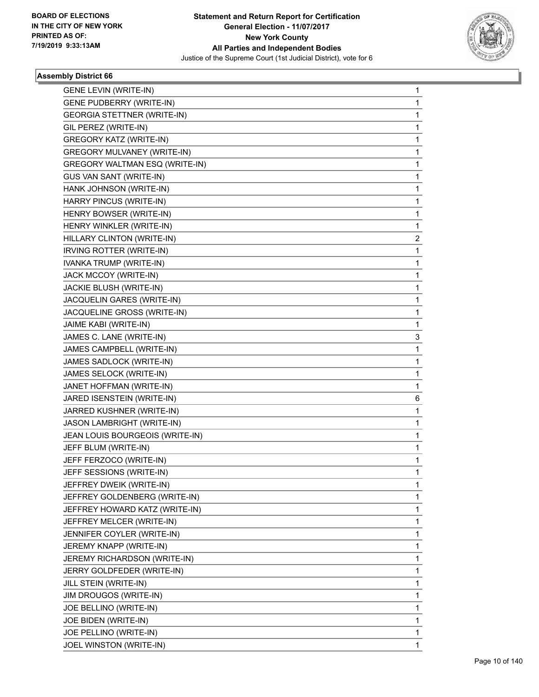

| <b>GENE LEVIN (WRITE-IN)</b>       | 1            |
|------------------------------------|--------------|
| <b>GENE PUDBERRY (WRITE-IN)</b>    | 1            |
| <b>GEORGIA STETTNER (WRITE-IN)</b> | 1            |
| GIL PEREZ (WRITE-IN)               | 1            |
| <b>GREGORY KATZ (WRITE-IN)</b>     | 1            |
| <b>GREGORY MULVANEY (WRITE-IN)</b> | 1            |
| GREGORY WALTMAN ESQ (WRITE-IN)     | 1            |
| GUS VAN SANT (WRITE-IN)            | 1            |
| HANK JOHNSON (WRITE-IN)            | 1            |
| HARRY PINCUS (WRITE-IN)            | 1            |
| HENRY BOWSER (WRITE-IN)            | 1            |
| HENRY WINKLER (WRITE-IN)           | 1            |
| HILLARY CLINTON (WRITE-IN)         | 2            |
| IRVING ROTTER (WRITE-IN)           | 1            |
| IVANKA TRUMP (WRITE-IN)            | 1            |
| JACK MCCOY (WRITE-IN)              | 1            |
| JACKIE BLUSH (WRITE-IN)            | 1            |
| JACQUELIN GARES (WRITE-IN)         | 1            |
| JACQUELINE GROSS (WRITE-IN)        | 1            |
| JAIME KABI (WRITE-IN)              | 1            |
| JAMES C. LANE (WRITE-IN)           | 3            |
| JAMES CAMPBELL (WRITE-IN)          | 1            |
| JAMES SADLOCK (WRITE-IN)           | 1            |
| JAMES SELOCK (WRITE-IN)            | 1            |
| JANET HOFFMAN (WRITE-IN)           | 1            |
| JARED ISENSTEIN (WRITE-IN)         | 6            |
| JARRED KUSHNER (WRITE-IN)          | 1            |
| JASON LAMBRIGHT (WRITE-IN)         | 1            |
| JEAN LOUIS BOURGEOIS (WRITE-IN)    | 1            |
| JEFF BLUM (WRITE-IN)               | 1            |
| JEFF FERZOCO (WRITE-IN)            | 1            |
| JEFF SESSIONS (WRITE-IN)           | 1            |
| JEFFREY DWEIK (WRITE-IN)           | 1            |
| JEFFREY GOLDENBERG (WRITE-IN)      | 1            |
| JEFFREY HOWARD KATZ (WRITE-IN)     | 1            |
| JEFFREY MELCER (WRITE-IN)          | 1            |
| JENNIFER COYLER (WRITE-IN)         | 1            |
| JEREMY KNAPP (WRITE-IN)            | 1            |
| JEREMY RICHARDSON (WRITE-IN)       | 1            |
| JERRY GOLDFEDER (WRITE-IN)         | 1            |
| JILL STEIN (WRITE-IN)              | 1            |
| JIM DROUGOS (WRITE-IN)             | 1            |
| JOE BELLINO (WRITE-IN)             | 1            |
| JOE BIDEN (WRITE-IN)               | 1            |
| JOE PELLINO (WRITE-IN)             | 1            |
| JOEL WINSTON (WRITE-IN)            | $\mathbf{1}$ |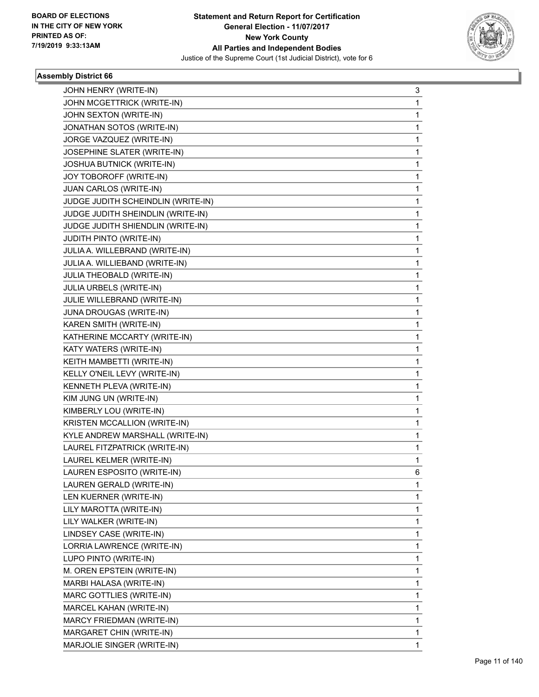

| JOHN HENRY (WRITE-IN)              | 3 |
|------------------------------------|---|
| JOHN MCGETTRICK (WRITE-IN)         | 1 |
| JOHN SEXTON (WRITE-IN)             | 1 |
| JONATHAN SOTOS (WRITE-IN)          | 1 |
| JORGE VAZQUEZ (WRITE-IN)           | 1 |
| JOSEPHINE SLATER (WRITE-IN)        | 1 |
| JOSHUA BUTNICK (WRITE-IN)          | 1 |
| JOY TOBOROFF (WRITE-IN)            | 1 |
| JUAN CARLOS (WRITE-IN)             | 1 |
| JUDGE JUDITH SCHEINDLIN (WRITE-IN) | 1 |
| JUDGE JUDITH SHEINDLIN (WRITE-IN)  | 1 |
| JUDGE JUDITH SHIENDLIN (WRITE-IN)  | 1 |
| JUDITH PINTO (WRITE-IN)            | 1 |
| JULIA A. WILLEBRAND (WRITE-IN)     | 1 |
| JULIA A. WILLIEBAND (WRITE-IN)     | 1 |
| JULIA THEOBALD (WRITE-IN)          | 1 |
| JULIA URBELS (WRITE-IN)            | 1 |
| JULIE WILLEBRAND (WRITE-IN)        | 1 |
| JUNA DROUGAS (WRITE-IN)            | 1 |
| KAREN SMITH (WRITE-IN)             | 1 |
| KATHERINE MCCARTY (WRITE-IN)       | 1 |
| KATY WATERS (WRITE-IN)             | 1 |
| KEITH MAMBETTI (WRITE-IN)          | 1 |
| KELLY O'NEIL LEVY (WRITE-IN)       | 1 |
| KENNETH PLEVA (WRITE-IN)           | 1 |
| KIM JUNG UN (WRITE-IN)             | 1 |
| KIMBERLY LOU (WRITE-IN)            | 1 |
| KRISTEN MCCALLION (WRITE-IN)       | 1 |
| KYLE ANDREW MARSHALL (WRITE-IN)    | 1 |
| LAUREL FITZPATRICK (WRITE-IN)      | 1 |
| LAUREL KELMER (WRITE-IN)           | 1 |
| LAUREN ESPOSITO (WRITE-IN)         | 6 |
| LAUREN GERALD (WRITE-IN)           | 1 |
| LEN KUERNER (WRITE-IN)             | 1 |
| LILY MAROTTA (WRITE-IN)            | 1 |
| LILY WALKER (WRITE-IN)             | 1 |
| LINDSEY CASE (WRITE-IN)            | 1 |
| LORRIA LAWRENCE (WRITE-IN)         | 1 |
| LUPO PINTO (WRITE-IN)              | 1 |
| M. OREN EPSTEIN (WRITE-IN)         | 1 |
| MARBI HALASA (WRITE-IN)            | 1 |
| MARC GOTTLIES (WRITE-IN)           | 1 |
| MARCEL KAHAN (WRITE-IN)            | 1 |
| MARCY FRIEDMAN (WRITE-IN)          | 1 |
| MARGARET CHIN (WRITE-IN)           | 1 |
| MARJOLIE SINGER (WRITE-IN)         | 1 |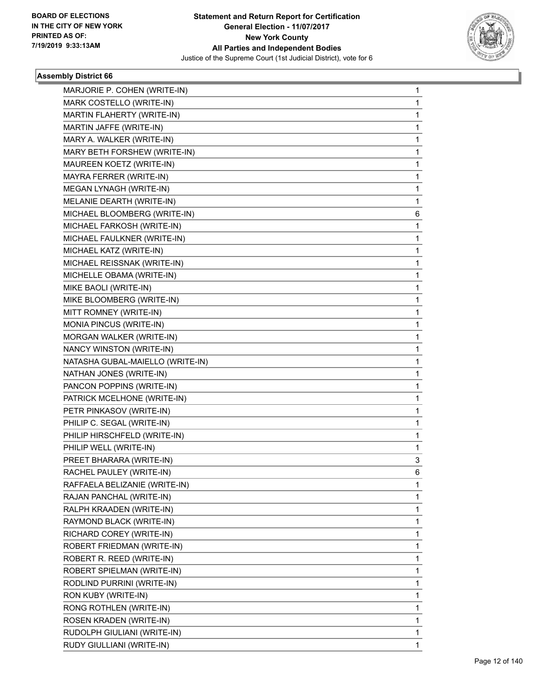

| MARJORIE P. COHEN (WRITE-IN)     | $\mathbf{1}$ |
|----------------------------------|--------------|
| MARK COSTELLO (WRITE-IN)         | $\mathbf{1}$ |
| MARTIN FLAHERTY (WRITE-IN)       | 1            |
| MARTIN JAFFE (WRITE-IN)          | 1            |
| MARY A. WALKER (WRITE-IN)        | 1            |
| MARY BETH FORSHEW (WRITE-IN)     | 1            |
| MAUREEN KOETZ (WRITE-IN)         | $\mathbf 1$  |
| MAYRA FERRER (WRITE-IN)          | 1            |
| MEGAN LYNAGH (WRITE-IN)          | 1            |
| MELANIE DEARTH (WRITE-IN)        | $\mathbf 1$  |
| MICHAEL BLOOMBERG (WRITE-IN)     | 6            |
| MICHAEL FARKOSH (WRITE-IN)       | 1            |
| MICHAEL FAULKNER (WRITE-IN)      | $\mathbf 1$  |
| MICHAEL KATZ (WRITE-IN)          | 1            |
| MICHAEL REISSNAK (WRITE-IN)      | 1            |
| MICHELLE OBAMA (WRITE-IN)        | 1            |
| MIKE BAOLI (WRITE-IN)            | $\mathbf 1$  |
| MIKE BLOOMBERG (WRITE-IN)        | 1            |
| MITT ROMNEY (WRITE-IN)           | $\mathbf 1$  |
| MONIA PINCUS (WRITE-IN)          | 1            |
| MORGAN WALKER (WRITE-IN)         | 1            |
| NANCY WINSTON (WRITE-IN)         | 1            |
| NATASHA GUBAL-MAIELLO (WRITE-IN) | 1            |
| NATHAN JONES (WRITE-IN)          | 1            |
| PANCON POPPINS (WRITE-IN)        | $\mathbf 1$  |
| PATRICK MCELHONE (WRITE-IN)      | 1            |
| PETR PINKASOV (WRITE-IN)         | 1            |
| PHILIP C. SEGAL (WRITE-IN)       | 1            |
| PHILIP HIRSCHFELD (WRITE-IN)     | $\mathbf 1$  |
| PHILIP WELL (WRITE-IN)           | 1            |
| PREET BHARARA (WRITE-IN)         | 3            |
| RACHEL PAULEY (WRITE-IN)         | 6            |
| RAFFAELA BELIZANIE (WRITE-IN)    | 1            |
| RAJAN PANCHAL (WRITE-IN)         | 1            |
| RALPH KRAADEN (WRITE-IN)         | 1            |
| RAYMOND BLACK (WRITE-IN)         | 1            |
| RICHARD COREY (WRITE-IN)         | 1            |
| ROBERT FRIEDMAN (WRITE-IN)       | 1            |
| ROBERT R. REED (WRITE-IN)        | 1            |
| ROBERT SPIELMAN (WRITE-IN)       | 1            |
| RODLIND PURRINI (WRITE-IN)       | 1            |
| RON KUBY (WRITE-IN)              | 1            |
| RONG ROTHLEN (WRITE-IN)          | 1            |
| ROSEN KRADEN (WRITE-IN)          | 1            |
| RUDOLPH GIULIANI (WRITE-IN)      | 1            |
| RUDY GIULLIANI (WRITE-IN)        | $\mathbf{1}$ |
|                                  |              |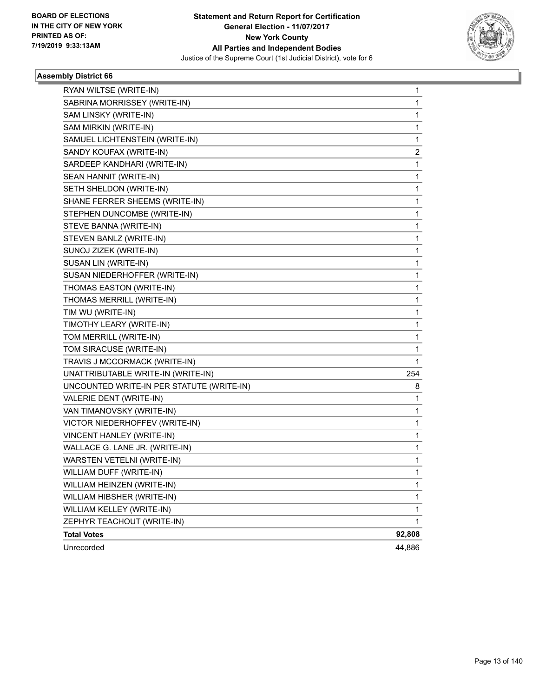

| RYAN WILTSE (WRITE-IN)                    | 1      |
|-------------------------------------------|--------|
| SABRINA MORRISSEY (WRITE-IN)              | 1      |
| SAM LINSKY (WRITE-IN)                     | 1      |
| SAM MIRKIN (WRITE-IN)                     | 1      |
| SAMUEL LICHTENSTEIN (WRITE-IN)            | 1      |
| SANDY KOUFAX (WRITE-IN)                   | 2      |
| SARDEEP KANDHARI (WRITE-IN)               | 1      |
| SEAN HANNIT (WRITE-IN)                    | 1      |
| SETH SHELDON (WRITE-IN)                   | 1      |
| SHANE FERRER SHEEMS (WRITE-IN)            | 1      |
| STEPHEN DUNCOMBE (WRITE-IN)               | 1      |
| STEVE BANNA (WRITE-IN)                    | 1      |
| STEVEN BANLZ (WRITE-IN)                   | 1      |
| SUNOJ ZIZEK (WRITE-IN)                    | 1      |
| SUSAN LIN (WRITE-IN)                      | 1      |
| SUSAN NIEDERHOFFER (WRITE-IN)             | 1      |
| THOMAS EASTON (WRITE-IN)                  | 1      |
| THOMAS MERRILL (WRITE-IN)                 | 1      |
| TIM WU (WRITE-IN)                         | 1      |
| TIMOTHY LEARY (WRITE-IN)                  | 1      |
| TOM MERRILL (WRITE-IN)                    | 1      |
| TOM SIRACUSE (WRITE-IN)                   | 1      |
| TRAVIS J MCCORMACK (WRITE-IN)             | 1      |
| UNATTRIBUTABLE WRITE-IN (WRITE-IN)        | 254    |
| UNCOUNTED WRITE-IN PER STATUTE (WRITE-IN) | 8      |
| VALERIE DENT (WRITE-IN)                   | 1      |
| VAN TIMANOVSKY (WRITE-IN)                 | 1      |
| VICTOR NIEDERHOFFEV (WRITE-IN)            | 1      |
| VINCENT HANLEY (WRITE-IN)                 | 1      |
| WALLACE G. LANE JR. (WRITE-IN)            | 1      |
| WARSTEN VETELNI (WRITE-IN)                | 1      |
| WILLIAM DUFF (WRITE-IN)                   | 1      |
| WILLIAM HEINZEN (WRITE-IN)                | 1      |
| WILLIAM HIBSHER (WRITE-IN)                | 1      |
| WILLIAM KELLEY (WRITE-IN)                 | 1      |
| ZEPHYR TEACHOUT (WRITE-IN)                | 1      |
| <b>Total Votes</b>                        | 92,808 |
| Unrecorded                                | 44,886 |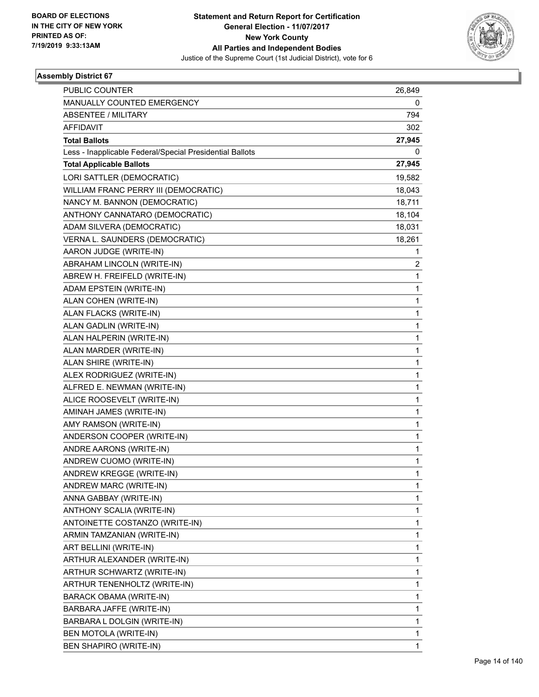

| PUBLIC COUNTER                                           | 26,849 |
|----------------------------------------------------------|--------|
| MANUALLY COUNTED EMERGENCY                               | 0      |
| <b>ABSENTEE / MILITARY</b>                               | 794    |
| <b>AFFIDAVIT</b>                                         | 302    |
| <b>Total Ballots</b>                                     | 27,945 |
| Less - Inapplicable Federal/Special Presidential Ballots | 0      |
| <b>Total Applicable Ballots</b>                          | 27,945 |
| LORI SATTLER (DEMOCRATIC)                                | 19,582 |
| WILLIAM FRANC PERRY III (DEMOCRATIC)                     | 18,043 |
| NANCY M. BANNON (DEMOCRATIC)                             | 18,711 |
| ANTHONY CANNATARO (DEMOCRATIC)                           | 18,104 |
| ADAM SILVERA (DEMOCRATIC)                                | 18,031 |
| VERNA L. SAUNDERS (DEMOCRATIC)                           | 18,261 |
| AARON JUDGE (WRITE-IN)                                   | 1      |
| ABRAHAM LINCOLN (WRITE-IN)                               | 2      |
| ABREW H. FREIFELD (WRITE-IN)                             | 1      |
| ADAM EPSTEIN (WRITE-IN)                                  | 1      |
| ALAN COHEN (WRITE-IN)                                    | 1      |
| ALAN FLACKS (WRITE-IN)                                   | 1      |
| ALAN GADLIN (WRITE-IN)                                   | 1      |
| ALAN HALPERIN (WRITE-IN)                                 | 1      |
| ALAN MARDER (WRITE-IN)                                   | 1      |
| ALAN SHIRE (WRITE-IN)                                    | 1      |
| ALEX RODRIGUEZ (WRITE-IN)                                | 1      |
| ALFRED E. NEWMAN (WRITE-IN)                              | 1      |
| ALICE ROOSEVELT (WRITE-IN)                               | 1      |
| AMINAH JAMES (WRITE-IN)                                  | 1      |
| AMY RAMSON (WRITE-IN)                                    | 1      |
| ANDERSON COOPER (WRITE-IN)                               | 1      |
| ANDRE AARONS (WRITE-IN)                                  | 1      |
| ANDREW CUOMO (WRITE-IN)                                  | 1      |
| ANDREW KREGGE (WRITE-IN)                                 | 1      |
| ANDREW MARC (WRITE-IN)                                   | 1      |
| ANNA GABBAY (WRITE-IN)                                   | 1      |
| ANTHONY SCALIA (WRITE-IN)                                | 1      |
| ANTOINETTE COSTANZO (WRITE-IN)                           | 1      |
| ARMIN TAMZANIAN (WRITE-IN)                               | 1      |
| ART BELLINI (WRITE-IN)                                   | 1      |
| ARTHUR ALEXANDER (WRITE-IN)                              | 1      |
| ARTHUR SCHWARTZ (WRITE-IN)                               | 1      |
| ARTHUR TENENHOLTZ (WRITE-IN)                             | 1      |
| BARACK OBAMA (WRITE-IN)                                  | 1      |
| BARBARA JAFFE (WRITE-IN)                                 | 1      |
| BARBARA L DOLGIN (WRITE-IN)                              | 1      |
| BEN MOTOLA (WRITE-IN)                                    | 1      |
| BEN SHAPIRO (WRITE-IN)                                   | 1      |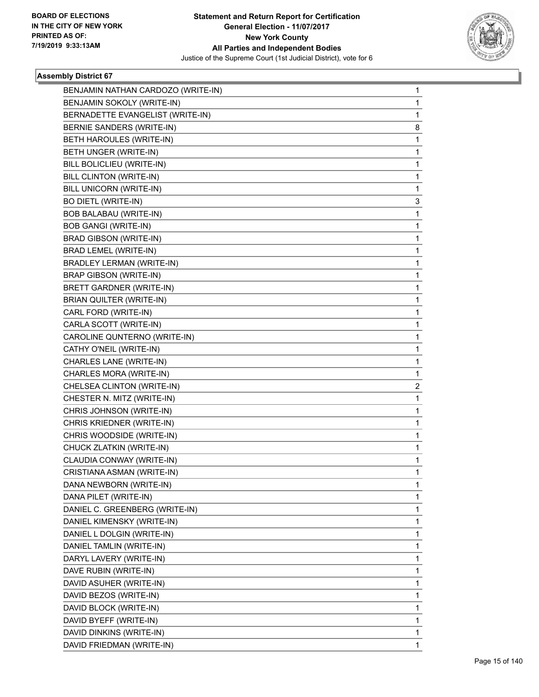

| BENJAMIN NATHAN CARDOZO (WRITE-IN) | 1 |
|------------------------------------|---|
| BENJAMIN SOKOLY (WRITE-IN)         | 1 |
| BERNADETTE EVANGELIST (WRITE-IN)   | 1 |
| BERNIE SANDERS (WRITE-IN)          | 8 |
| BETH HAROULES (WRITE-IN)           | 1 |
| BETH UNGER (WRITE-IN)              | 1 |
| BILL BOLICLIEU (WRITE-IN)          | 1 |
| BILL CLINTON (WRITE-IN)            | 1 |
| BILL UNICORN (WRITE-IN)            | 1 |
| <b>BO DIETL (WRITE-IN)</b>         | 3 |
| BOB BALABAU (WRITE-IN)             | 1 |
| <b>BOB GANGI (WRITE-IN)</b>        | 1 |
| <b>BRAD GIBSON (WRITE-IN)</b>      | 1 |
| <b>BRAD LEMEL (WRITE-IN)</b>       | 1 |
| <b>BRADLEY LERMAN (WRITE-IN)</b>   | 1 |
| <b>BRAP GIBSON (WRITE-IN)</b>      | 1 |
| <b>BRETT GARDNER (WRITE-IN)</b>    | 1 |
| BRIAN QUILTER (WRITE-IN)           | 1 |
| CARL FORD (WRITE-IN)               | 1 |
| CARLA SCOTT (WRITE-IN)             | 1 |
| CAROLINE QUNTERNO (WRITE-IN)       | 1 |
| CATHY O'NEIL (WRITE-IN)            | 1 |
| CHARLES LANE (WRITE-IN)            | 1 |
| CHARLES MORA (WRITE-IN)            | 1 |
| CHELSEA CLINTON (WRITE-IN)         | 2 |
| CHESTER N. MITZ (WRITE-IN)         | 1 |
| CHRIS JOHNSON (WRITE-IN)           | 1 |
| CHRIS KRIEDNER (WRITE-IN)          | 1 |
| CHRIS WOODSIDE (WRITE-IN)          | 1 |
| CHUCK ZLATKIN (WRITE-IN)           | 1 |
| CLAUDIA CONWAY (WRITE-IN)          | 1 |
| CRISTIANA ASMAN (WRITE-IN)         | 1 |
| DANA NEWBORN (WRITE-IN)            | 1 |
| DANA PILET (WRITE-IN)              | 1 |
| DANIEL C. GREENBERG (WRITE-IN)     | 1 |
| DANIEL KIMENSKY (WRITE-IN)         | 1 |
| DANIEL L DOLGIN (WRITE-IN)         | 1 |
| DANIEL TAMLIN (WRITE-IN)           | 1 |
| DARYL LAVERY (WRITE-IN)            | 1 |
| DAVE RUBIN (WRITE-IN)              | 1 |
| DAVID ASUHER (WRITE-IN)            | 1 |
| DAVID BEZOS (WRITE-IN)             | 1 |
| DAVID BLOCK (WRITE-IN)             | 1 |
| DAVID BYEFF (WRITE-IN)             | 1 |
| DAVID DINKINS (WRITE-IN)           | 1 |
| DAVID FRIEDMAN (WRITE-IN)          | 1 |
|                                    |   |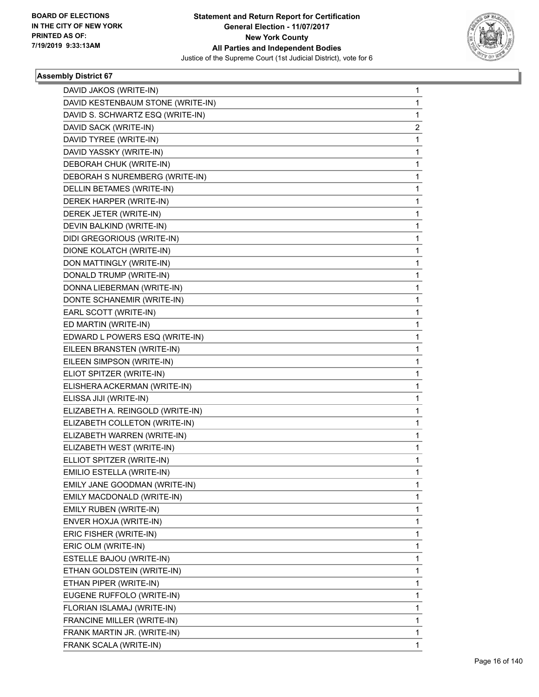

| DAVID JAKOS (WRITE-IN)            | 1 |
|-----------------------------------|---|
| DAVID KESTENBAUM STONE (WRITE-IN) | 1 |
| DAVID S. SCHWARTZ ESQ (WRITE-IN)  | 1 |
| DAVID SACK (WRITE-IN)             | 2 |
| DAVID TYREE (WRITE-IN)            | 1 |
| DAVID YASSKY (WRITE-IN)           | 1 |
| DEBORAH CHUK (WRITE-IN)           | 1 |
| DEBORAH S NUREMBERG (WRITE-IN)    | 1 |
| DELLIN BETAMES (WRITE-IN)         | 1 |
| DEREK HARPER (WRITE-IN)           | 1 |
| DEREK JETER (WRITE-IN)            | 1 |
| DEVIN BALKIND (WRITE-IN)          | 1 |
| DIDI GREGORIOUS (WRITE-IN)        | 1 |
| DIONE KOLATCH (WRITE-IN)          | 1 |
| DON MATTINGLY (WRITE-IN)          | 1 |
| DONALD TRUMP (WRITE-IN)           | 1 |
| DONNA LIEBERMAN (WRITE-IN)        | 1 |
| DONTE SCHANEMIR (WRITE-IN)        | 1 |
| EARL SCOTT (WRITE-IN)             | 1 |
| ED MARTIN (WRITE-IN)              | 1 |
| EDWARD L POWERS ESQ (WRITE-IN)    | 1 |
| EILEEN BRANSTEN (WRITE-IN)        | 1 |
| EILEEN SIMPSON (WRITE-IN)         | 1 |
| ELIOT SPITZER (WRITE-IN)          | 1 |
| ELISHERA ACKERMAN (WRITE-IN)      | 1 |
| ELISSA JIJI (WRITE-IN)            | 1 |
| ELIZABETH A. REINGOLD (WRITE-IN)  | 1 |
| ELIZABETH COLLETON (WRITE-IN)     | 1 |
| ELIZABETH WARREN (WRITE-IN)       | 1 |
| ELIZABETH WEST (WRITE-IN)         | 1 |
| ELLIOT SPITZER (WRITE-IN)         | 1 |
| EMILIO ESTELLA (WRITE-IN)         | 1 |
| EMILY JANE GOODMAN (WRITE-IN)     | 1 |
| EMILY MACDONALD (WRITE-IN)        | 1 |
| EMILY RUBEN (WRITE-IN)            | 1 |
| ENVER HOXJA (WRITE-IN)            | 1 |
| ERIC FISHER (WRITE-IN)            | 1 |
| ERIC OLM (WRITE-IN)               | 1 |
| ESTELLE BAJOU (WRITE-IN)          | 1 |
| ETHAN GOLDSTEIN (WRITE-IN)        | 1 |
| ETHAN PIPER (WRITE-IN)            | 1 |
| EUGENE RUFFOLO (WRITE-IN)         | 1 |
| FLORIAN ISLAMAJ (WRITE-IN)        | 1 |
| FRANCINE MILLER (WRITE-IN)        | 1 |
| FRANK MARTIN JR. (WRITE-IN)       | 1 |
| FRANK SCALA (WRITE-IN)            | 1 |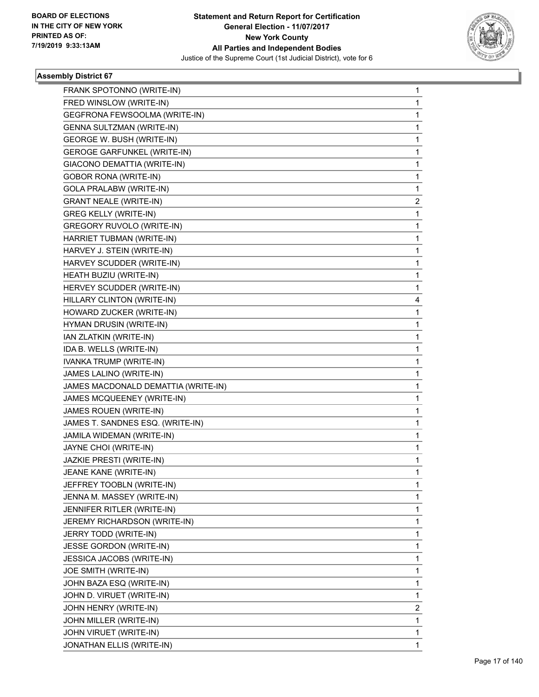

| FRANK SPOTONNO (WRITE-IN)           | 1 |
|-------------------------------------|---|
| FRED WINSLOW (WRITE-IN)             | 1 |
| GEGFRONA FEWSOOLMA (WRITE-IN)       | 1 |
| <b>GENNA SULTZMAN (WRITE-IN)</b>    | 1 |
| GEORGE W. BUSH (WRITE-IN)           | 1 |
| <b>GEROGE GARFUNKEL (WRITE-IN)</b>  | 1 |
| GIACONO DEMATTIA (WRITE-IN)         | 1 |
| <b>GOBOR RONA (WRITE-IN)</b>        | 1 |
| GOLA PRALABW (WRITE-IN)             | 1 |
| <b>GRANT NEALE (WRITE-IN)</b>       | 2 |
| <b>GREG KELLY (WRITE-IN)</b>        | 1 |
| <b>GREGORY RUVOLO (WRITE-IN)</b>    | 1 |
| HARRIET TUBMAN (WRITE-IN)           | 1 |
| HARVEY J. STEIN (WRITE-IN)          | 1 |
| HARVEY SCUDDER (WRITE-IN)           | 1 |
| HEATH BUZIU (WRITE-IN)              | 1 |
| HERVEY SCUDDER (WRITE-IN)           | 1 |
| HILLARY CLINTON (WRITE-IN)          | 4 |
| HOWARD ZUCKER (WRITE-IN)            | 1 |
| HYMAN DRUSIN (WRITE-IN)             | 1 |
| IAN ZLATKIN (WRITE-IN)              | 1 |
| IDA B. WELLS (WRITE-IN)             | 1 |
| IVANKA TRUMP (WRITE-IN)             | 1 |
| JAMES LALINO (WRITE-IN)             | 1 |
| JAMES MACDONALD DEMATTIA (WRITE-IN) | 1 |
| JAMES MCQUEENEY (WRITE-IN)          | 1 |
| JAMES ROUEN (WRITE-IN)              | 1 |
| JAMES T. SANDNES ESQ. (WRITE-IN)    | 1 |
| JAMILA WIDEMAN (WRITE-IN)           | 1 |
| JAYNE CHOI (WRITE-IN)               | 1 |
| JAZKIE PRESTI (WRITE-IN)            | 1 |
| JEANE KANE (WRITE-IN)               | 1 |
| JEFFREY TOOBLN (WRITE-IN)           | 1 |
| JENNA M. MASSEY (WRITE-IN)          | 1 |
| JENNIFER RITLER (WRITE-IN)          | 1 |
| JEREMY RICHARDSON (WRITE-IN)        | 1 |
| JERRY TODD (WRITE-IN)               | 1 |
| JESSE GORDON (WRITE-IN)             | 1 |
| JESSICA JACOBS (WRITE-IN)           | 1 |
| JOE SMITH (WRITE-IN)                | 1 |
| JOHN BAZA ESQ (WRITE-IN)            | 1 |
| JOHN D. VIRUET (WRITE-IN)           | 1 |
| JOHN HENRY (WRITE-IN)               | 2 |
| JOHN MILLER (WRITE-IN)              | 1 |
| JOHN VIRUET (WRITE-IN)              | 1 |
| JONATHAN ELLIS (WRITE-IN)           | 1 |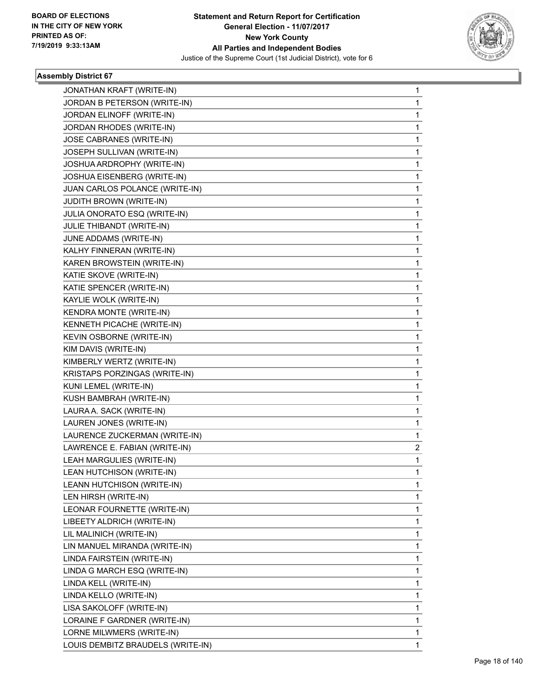

٠

| JONATHAN KRAFT (WRITE-IN)         | 1 |
|-----------------------------------|---|
| JORDAN B PETERSON (WRITE-IN)      | 1 |
| JORDAN ELINOFF (WRITE-IN)         | 1 |
| JORDAN RHODES (WRITE-IN)          | 1 |
| JOSE CABRANES (WRITE-IN)          | 1 |
| JOSEPH SULLIVAN (WRITE-IN)        | 1 |
| JOSHUA ARDROPHY (WRITE-IN)        | 1 |
| JOSHUA EISENBERG (WRITE-IN)       | 1 |
| JUAN CARLOS POLANCE (WRITE-IN)    | 1 |
| JUDITH BROWN (WRITE-IN)           | 1 |
| JULIA ONORATO ESQ (WRITE-IN)      | 1 |
| JULIE THIBANDT (WRITE-IN)         | 1 |
| JUNE ADDAMS (WRITE-IN)            | 1 |
| KALHY FINNERAN (WRITE-IN)         | 1 |
| KAREN BROWSTEIN (WRITE-IN)        | 1 |
| KATIE SKOVE (WRITE-IN)            | 1 |
| KATIE SPENCER (WRITE-IN)          | 1 |
| KAYLIE WOLK (WRITE-IN)            | 1 |
| KENDRA MONTE (WRITE-IN)           | 1 |
| KENNETH PICACHE (WRITE-IN)        | 1 |
| KEVIN OSBORNE (WRITE-IN)          | 1 |
| KIM DAVIS (WRITE-IN)              | 1 |
| KIMBERLY WERTZ (WRITE-IN)         | 1 |
| KRISTAPS PORZINGAS (WRITE-IN)     | 1 |
| KUNI LEMEL (WRITE-IN)             | 1 |
| KUSH BAMBRAH (WRITE-IN)           | 1 |
| LAURA A. SACK (WRITE-IN)          | 1 |
| LAUREN JONES (WRITE-IN)           | 1 |
| LAURENCE ZUCKERMAN (WRITE-IN)     | 1 |
| LAWRENCE E. FABIAN (WRITE-IN)     | 2 |
| LEAH MARGULIES (WRITE-IN)         | 1 |
| LEAN HUTCHISON (WRITE-IN)         | 1 |
| LEANN HUTCHISON (WRITE-IN)        | 1 |
| LEN HIRSH (WRITE-IN)              | 1 |
| LEONAR FOURNETTE (WRITE-IN)       | 1 |
| LIBEETY ALDRICH (WRITE-IN)        | 1 |
| LIL MALINICH (WRITE-IN)           | 1 |
| LIN MANUEL MIRANDA (WRITE-IN)     | 1 |
| LINDA FAIRSTEIN (WRITE-IN)        | 1 |
| LINDA G MARCH ESQ (WRITE-IN)      | 1 |
| LINDA KELL (WRITE-IN)             | 1 |
| LINDA KELLO (WRITE-IN)            | 1 |
| LISA SAKOLOFF (WRITE-IN)          | 1 |
| LORAINE F GARDNER (WRITE-IN)      | 1 |
| LORNE MILWMERS (WRITE-IN)         | 1 |
| LOUIS DEMBITZ BRAUDELS (WRITE-IN) | 1 |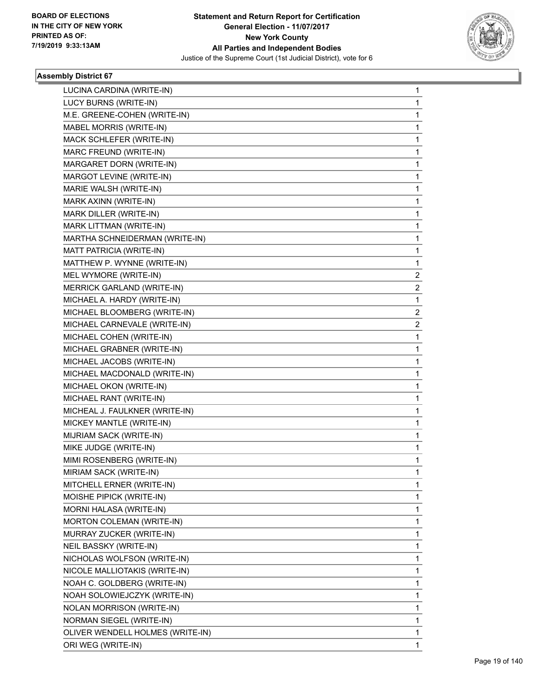

| LUCINA CARDINA (WRITE-IN)        | 1           |
|----------------------------------|-------------|
| LUCY BURNS (WRITE-IN)            | 1           |
| M.E. GREENE-COHEN (WRITE-IN)     | 1           |
| MABEL MORRIS (WRITE-IN)          | 1           |
| MACK SCHLEFER (WRITE-IN)         | 1           |
| MARC FREUND (WRITE-IN)           | 1           |
| MARGARET DORN (WRITE-IN)         | 1           |
| MARGOT LEVINE (WRITE-IN)         | 1           |
| MARIE WALSH (WRITE-IN)           | 1           |
| MARK AXINN (WRITE-IN)            | 1           |
| MARK DILLER (WRITE-IN)           | 1           |
| MARK LITTMAN (WRITE-IN)          | 1           |
| MARTHA SCHNEIDERMAN (WRITE-IN)   | 1           |
| MATT PATRICIA (WRITE-IN)         | 1           |
| MATTHEW P. WYNNE (WRITE-IN)      | 1           |
| MEL WYMORE (WRITE-IN)            | 2           |
| MERRICK GARLAND (WRITE-IN)       | 2           |
| MICHAEL A. HARDY (WRITE-IN)      | 1           |
| MICHAEL BLOOMBERG (WRITE-IN)     | 2           |
| MICHAEL CARNEVALE (WRITE-IN)     | 2           |
| MICHAEL COHEN (WRITE-IN)         | $\mathbf 1$ |
| MICHAEL GRABNER (WRITE-IN)       | 1           |
| MICHAEL JACOBS (WRITE-IN)        | 1           |
| MICHAEL MACDONALD (WRITE-IN)     | 1           |
| MICHAEL OKON (WRITE-IN)          | 1           |
| MICHAEL RANT (WRITE-IN)          | 1           |
| MICHEAL J. FAULKNER (WRITE-IN)   | 1           |
| MICKEY MANTLE (WRITE-IN)         | 1           |
| MIJRIAM SACK (WRITE-IN)          | 1           |
| MIKE JUDGE (WRITE-IN)            | 1           |
| MIMI ROSENBERG (WRITE-IN)        | 1           |
| MIRIAM SACK (WRITE-IN)           | 1           |
| MITCHELL ERNER (WRITE-IN)        | 1           |
| MOISHE PIPICK (WRITE-IN)         | 1           |
| MORNI HALASA (WRITE-IN)          | 1           |
| MORTON COLEMAN (WRITE-IN)        | 1           |
| MURRAY ZUCKER (WRITE-IN)         | 1           |
| NEIL BASSKY (WRITE-IN)           | 1           |
| NICHOLAS WOLFSON (WRITE-IN)      | 1           |
| NICOLE MALLIOTAKIS (WRITE-IN)    | 1           |
| NOAH C. GOLDBERG (WRITE-IN)      | 1           |
| NOAH SOLOWIEJCZYK (WRITE-IN)     | 1           |
| NOLAN MORRISON (WRITE-IN)        | 1           |
| NORMAN SIEGEL (WRITE-IN)         | 1           |
| OLIVER WENDELL HOLMES (WRITE-IN) | 1           |
| ORI WEG (WRITE-IN)               | 1           |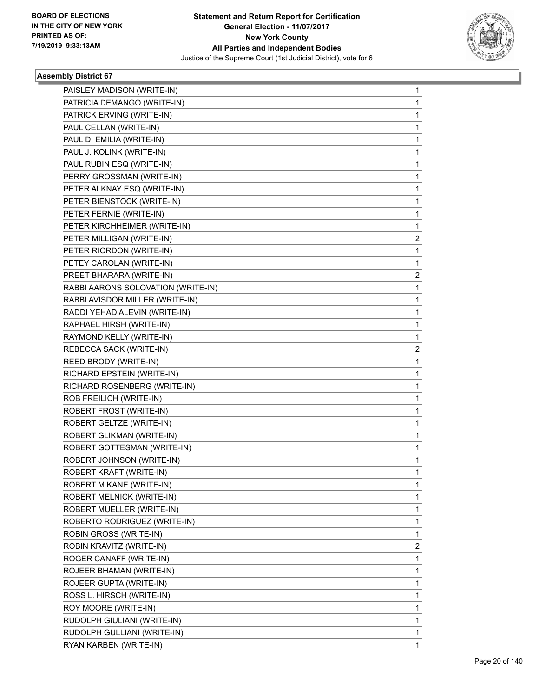

| PAISLEY MADISON (WRITE-IN)         | 1 |
|------------------------------------|---|
| PATRICIA DEMANGO (WRITE-IN)        | 1 |
| PATRICK ERVING (WRITE-IN)          | 1 |
| PAUL CELLAN (WRITE-IN)             | 1 |
| PAUL D. EMILIA (WRITE-IN)          | 1 |
| PAUL J. KOLINK (WRITE-IN)          | 1 |
| PAUL RUBIN ESQ (WRITE-IN)          | 1 |
| PERRY GROSSMAN (WRITE-IN)          | 1 |
| PETER ALKNAY ESQ (WRITE-IN)        | 1 |
| PETER BIENSTOCK (WRITE-IN)         | 1 |
| PETER FERNIE (WRITE-IN)            | 1 |
| PETER KIRCHHEIMER (WRITE-IN)       | 1 |
| PETER MILLIGAN (WRITE-IN)          | 2 |
| PETER RIORDON (WRITE-IN)           | 1 |
| PETEY CAROLAN (WRITE-IN)           | 1 |
| PREET BHARARA (WRITE-IN)           | 2 |
| RABBI AARONS SOLOVATION (WRITE-IN) | 1 |
| RABBI AVISDOR MILLER (WRITE-IN)    | 1 |
| RADDI YEHAD ALEVIN (WRITE-IN)      | 1 |
| RAPHAEL HIRSH (WRITE-IN)           | 1 |
| RAYMOND KELLY (WRITE-IN)           | 1 |
| REBECCA SACK (WRITE-IN)            | 2 |
| REED BRODY (WRITE-IN)              | 1 |
| RICHARD EPSTEIN (WRITE-IN)         | 1 |
| RICHARD ROSENBERG (WRITE-IN)       | 1 |
| ROB FREILICH (WRITE-IN)            | 1 |
| ROBERT FROST (WRITE-IN)            | 1 |
| ROBERT GELTZE (WRITE-IN)           | 1 |
| ROBERT GLIKMAN (WRITE-IN)          | 1 |
| ROBERT GOTTESMAN (WRITE-IN)        | 1 |
| ROBERT JOHNSON (WRITE-IN)          | 1 |
| ROBERT KRAFT (WRITE-IN)            | 1 |
| ROBERT M KANE (WRITE-IN)           | 1 |
| ROBERT MELNICK (WRITE-IN)          | 1 |
| ROBERT MUELLER (WRITE-IN)          | 1 |
| ROBERTO RODRIGUEZ (WRITE-IN)       | 1 |
| ROBIN GROSS (WRITE-IN)             | 1 |
| ROBIN KRAVITZ (WRITE-IN)           | 2 |
| ROGER CANAFF (WRITE-IN)            | 1 |
| ROJEER BHAMAN (WRITE-IN)           | 1 |
| ROJEER GUPTA (WRITE-IN)            | 1 |
| ROSS L. HIRSCH (WRITE-IN)          | 1 |
| ROY MOORE (WRITE-IN)               | 1 |
| RUDOLPH GIULIANI (WRITE-IN)        | 1 |
| RUDOLPH GULLIANI (WRITE-IN)        | 1 |
| RYAN KARBEN (WRITE-IN)             | 1 |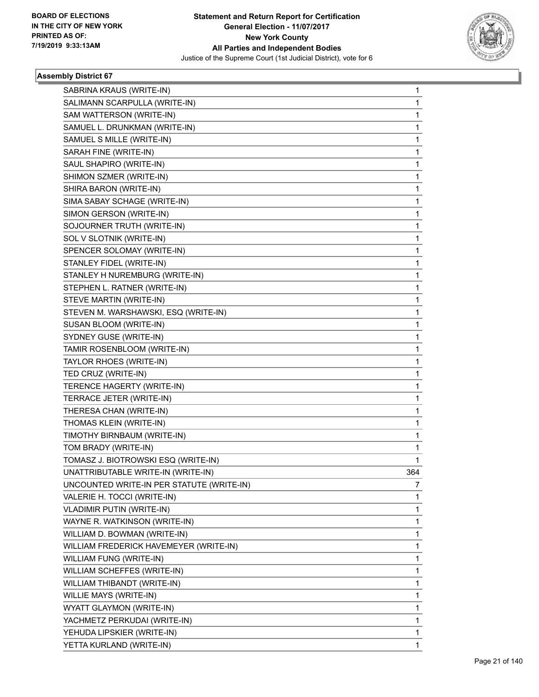

| SABRINA KRAUS (WRITE-IN)                  | 1   |
|-------------------------------------------|-----|
| SALIMANN SCARPULLA (WRITE-IN)             | 1   |
| SAM WATTERSON (WRITE-IN)                  | 1   |
| SAMUEL L. DRUNKMAN (WRITE-IN)             | 1   |
| SAMUEL S MILLE (WRITE-IN)                 | 1   |
| SARAH FINE (WRITE-IN)                     | 1   |
| SAUL SHAPIRO (WRITE-IN)                   | 1   |
| SHIMON SZMER (WRITE-IN)                   | 1   |
| SHIRA BARON (WRITE-IN)                    | 1   |
| SIMA SABAY SCHAGE (WRITE-IN)              | 1   |
| SIMON GERSON (WRITE-IN)                   | 1   |
| SOJOURNER TRUTH (WRITE-IN)                | 1   |
| SOL V SLOTNIK (WRITE-IN)                  | 1   |
| SPENCER SOLOMAY (WRITE-IN)                | 1   |
| STANLEY FIDEL (WRITE-IN)                  | 1   |
| STANLEY H NUREMBURG (WRITE-IN)            | 1   |
| STEPHEN L. RATNER (WRITE-IN)              | 1   |
| STEVE MARTIN (WRITE-IN)                   | 1   |
| STEVEN M. WARSHAWSKI, ESQ (WRITE-IN)      | 1   |
| SUSAN BLOOM (WRITE-IN)                    | 1   |
| SYDNEY GUSE (WRITE-IN)                    | 1   |
| TAMIR ROSENBLOOM (WRITE-IN)               | 1   |
| TAYLOR RHOES (WRITE-IN)                   | 1   |
| TED CRUZ (WRITE-IN)                       | 1   |
| TERENCE HAGERTY (WRITE-IN)                | 1   |
| TERRACE JETER (WRITE-IN)                  | 1   |
| THERESA CHAN (WRITE-IN)                   | 1   |
| THOMAS KLEIN (WRITE-IN)                   | 1   |
| TIMOTHY BIRNBAUM (WRITE-IN)               | 1   |
| TOM BRADY (WRITE-IN)                      | 1   |
| TOMASZ J. BIOTROWSKI ESQ (WRITE-IN)       | 1   |
| UNATTRIBUTABLE WRITE-IN (WRITE-IN)        | 364 |
| UNCOUNTED WRITE-IN PER STATUTE (WRITE-IN) | 7   |
| VALERIE H. TOCCI (WRITE-IN)               | 1   |
| <b>VLADIMIR PUTIN (WRITE-IN)</b>          | 1   |
| WAYNE R. WATKINSON (WRITE-IN)             | 1   |
| WILLIAM D. BOWMAN (WRITE-IN)              | 1   |
| WILLIAM FREDERICK HAVEMEYER (WRITE-IN)    | 1   |
| WILLIAM FUNG (WRITE-IN)                   | 1   |
| WILLIAM SCHEFFES (WRITE-IN)               | 1   |
| WILLIAM THIBANDT (WRITE-IN)               | 1   |
| WILLIE MAYS (WRITE-IN)                    | 1   |
| WYATT GLAYMON (WRITE-IN)                  | 1   |
| YACHMETZ PERKUDAI (WRITE-IN)              | 1   |
| YEHUDA LIPSKIER (WRITE-IN)                | 1   |
| YETTA KURLAND (WRITE-IN)                  | 1   |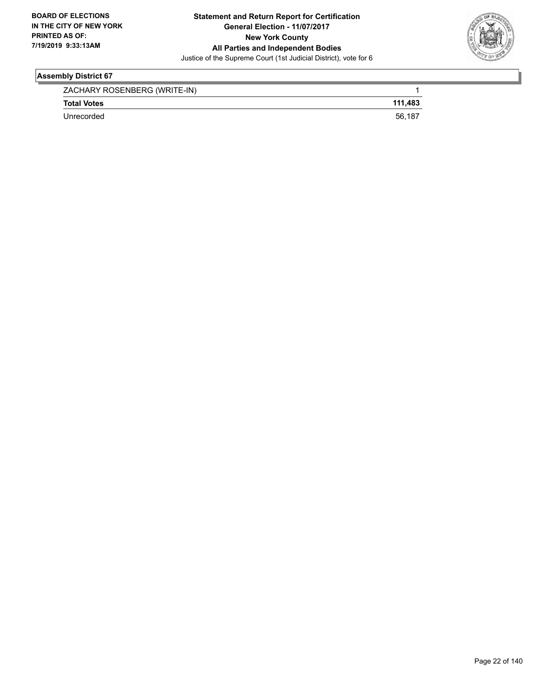

| ZACHARY ROSENBERG (WRITE-IN) |         |
|------------------------------|---------|
| <b>Total Votes</b>           | 111.483 |
| Unrecorded                   | 56,187  |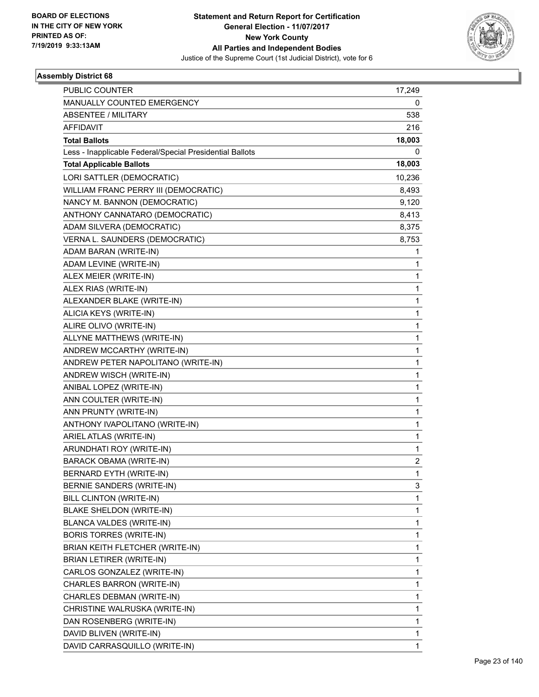

| <b>PUBLIC COUNTER</b>                                    | 17,249 |
|----------------------------------------------------------|--------|
| MANUALLY COUNTED EMERGENCY                               | 0      |
| <b>ABSENTEE / MILITARY</b>                               | 538    |
| <b>AFFIDAVIT</b>                                         | 216    |
| <b>Total Ballots</b>                                     | 18,003 |
| Less - Inapplicable Federal/Special Presidential Ballots | 0      |
| <b>Total Applicable Ballots</b>                          | 18,003 |
| LORI SATTLER (DEMOCRATIC)                                | 10,236 |
| WILLIAM FRANC PERRY III (DEMOCRATIC)                     | 8,493  |
| NANCY M. BANNON (DEMOCRATIC)                             | 9,120  |
| ANTHONY CANNATARO (DEMOCRATIC)                           | 8,413  |
| ADAM SILVERA (DEMOCRATIC)                                | 8,375  |
| VERNA L. SAUNDERS (DEMOCRATIC)                           | 8,753  |
| ADAM BARAN (WRITE-IN)                                    | 1      |
| ADAM LEVINE (WRITE-IN)                                   | 1      |
| ALEX MEIER (WRITE-IN)                                    | 1      |
| ALEX RIAS (WRITE-IN)                                     | 1      |
| ALEXANDER BLAKE (WRITE-IN)                               | 1      |
| ALICIA KEYS (WRITE-IN)                                   | 1      |
| ALIRE OLIVO (WRITE-IN)                                   | 1      |
| ALLYNE MATTHEWS (WRITE-IN)                               | 1      |
| ANDREW MCCARTHY (WRITE-IN)                               | 1      |
| ANDREW PETER NAPOLITANO (WRITE-IN)                       | 1      |
| ANDREW WISCH (WRITE-IN)                                  | 1      |
| ANIBAL LOPEZ (WRITE-IN)                                  | 1      |
| ANN COULTER (WRITE-IN)                                   | 1      |
| ANN PRUNTY (WRITE-IN)                                    | 1      |
| ANTHONY IVAPOLITANO (WRITE-IN)                           | 1      |
| ARIEL ATLAS (WRITE-IN)                                   | 1      |
| ARUNDHATI ROY (WRITE-IN)                                 | 1      |
| <b>BARACK OBAMA (WRITE-IN)</b>                           | 2      |
| BERNARD EYTH (WRITE-IN)                                  | 1      |
| BERNIE SANDERS (WRITE-IN)                                | 3      |
| <b>BILL CLINTON (WRITE-IN)</b>                           | 1      |
| BLAKE SHELDON (WRITE-IN)                                 | 1      |
| BLANCA VALDES (WRITE-IN)                                 | 1      |
| <b>BORIS TORRES (WRITE-IN)</b>                           | 1      |
| BRIAN KEITH FLETCHER (WRITE-IN)                          | 1      |
| <b>BRIAN LETIRER (WRITE-IN)</b>                          | 1      |
| CARLOS GONZALEZ (WRITE-IN)                               | 1      |
| CHARLES BARRON (WRITE-IN)                                | 1      |
| CHARLES DEBMAN (WRITE-IN)                                | 1      |
| CHRISTINE WALRUSKA (WRITE-IN)                            | 1      |
| DAN ROSENBERG (WRITE-IN)                                 | 1      |
| DAVID BLIVEN (WRITE-IN)                                  | 1      |
| DAVID CARRASQUILLO (WRITE-IN)                            | 1      |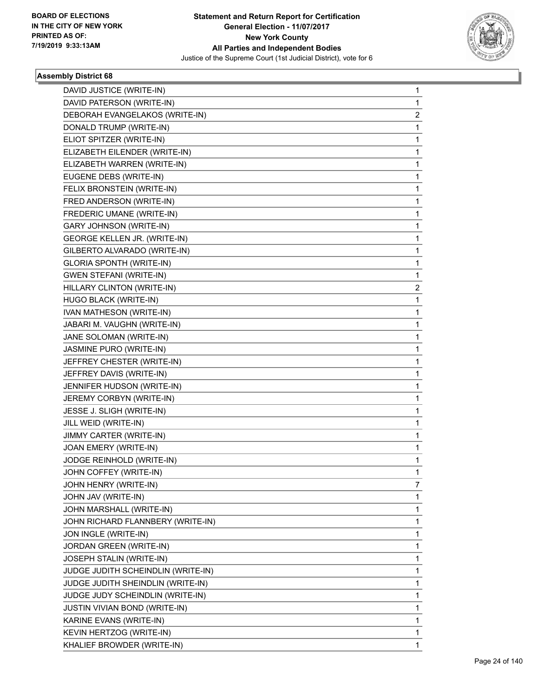

| DAVID JUSTICE (WRITE-IN)             | 1            |
|--------------------------------------|--------------|
| DAVID PATERSON (WRITE-IN)            | 1            |
| DEBORAH EVANGELAKOS (WRITE-IN)       | 2            |
| DONALD TRUMP (WRITE-IN)              | 1            |
| ELIOT SPITZER (WRITE-IN)             | 1            |
| ELIZABETH EILENDER (WRITE-IN)        | 1            |
| ELIZABETH WARREN (WRITE-IN)          | 1            |
| EUGENE DEBS (WRITE-IN)               | 1            |
| FELIX BRONSTEIN (WRITE-IN)           | 1            |
| FRED ANDERSON (WRITE-IN)             | 1            |
| FREDERIC UMANE (WRITE-IN)            | 1            |
| <b>GARY JOHNSON (WRITE-IN)</b>       | 1            |
| GEORGE KELLEN JR. (WRITE-IN)         | 1            |
| GILBERTO ALVARADO (WRITE-IN)         | 1            |
| <b>GLORIA SPONTH (WRITE-IN)</b>      | 1            |
| <b>GWEN STEFANI (WRITE-IN)</b>       | 1            |
| HILLARY CLINTON (WRITE-IN)           | 2            |
| HUGO BLACK (WRITE-IN)                | 1            |
| IVAN MATHESON (WRITE-IN)             | 1            |
| JABARI M. VAUGHN (WRITE-IN)          | 1            |
| JANE SOLOMAN (WRITE-IN)              | 1            |
| JASMINE PURO (WRITE-IN)              | 1            |
| JEFFREY CHESTER (WRITE-IN)           | 1            |
| JEFFREY DAVIS (WRITE-IN)             | 1            |
| JENNIFER HUDSON (WRITE-IN)           | 1            |
| JEREMY CORBYN (WRITE-IN)             | 1            |
| JESSE J. SLIGH (WRITE-IN)            | 1            |
| JILL WEID (WRITE-IN)                 | 1            |
| JIMMY CARTER (WRITE-IN)              | 1            |
| JOAN EMERY (WRITE-IN)                | 1            |
| JODGE REINHOLD (WRITE-IN)            | 1            |
| JOHN COFFEY (WRITE-IN)               | 1            |
| JOHN HENRY (WRITE-IN)                | 7            |
| JOHN JAV (WRITE-IN)                  | 1            |
| JOHN MARSHALL (WRITE-IN)             | 1            |
| JOHN RICHARD FLANNBERY (WRITE-IN)    | 1            |
| JON INGLE (WRITE-IN)                 | 1            |
| <b>JORDAN GREEN (WRITE-IN)</b>       | 1            |
| JOSEPH STALIN (WRITE-IN)             | 1            |
| JUDGE JUDITH SCHEINDLIN (WRITE-IN)   | 1            |
| JUDGE JUDITH SHEINDLIN (WRITE-IN)    | 1            |
| JUDGE JUDY SCHEINDLIN (WRITE-IN)     | 1            |
| <b>JUSTIN VIVIAN BOND (WRITE-IN)</b> | 1            |
| KARINE EVANS (WRITE-IN)              | 1            |
| KEVIN HERTZOG (WRITE-IN)             | 1            |
| KHALIEF BROWDER (WRITE-IN)           | $\mathbf{1}$ |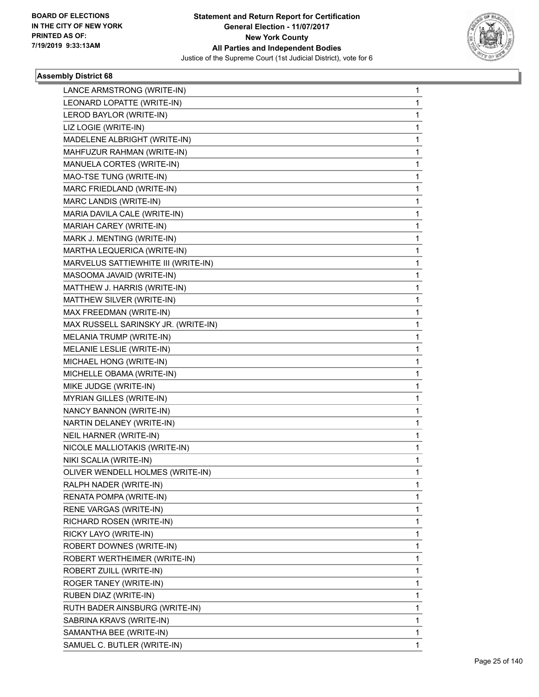

| LANCE ARMSTRONG (WRITE-IN)          | 1 |
|-------------------------------------|---|
| LEONARD LOPATTE (WRITE-IN)          | 1 |
| LEROD BAYLOR (WRITE-IN)             | 1 |
| LIZ LOGIE (WRITE-IN)                | 1 |
| MADELENE ALBRIGHT (WRITE-IN)        | 1 |
| MAHFUZUR RAHMAN (WRITE-IN)          | 1 |
| MANUELA CORTES (WRITE-IN)           | 1 |
| MAO-TSE TUNG (WRITE-IN)             | 1 |
| MARC FRIEDLAND (WRITE-IN)           | 1 |
| MARC LANDIS (WRITE-IN)              | 1 |
| MARIA DAVILA CALE (WRITE-IN)        | 1 |
| MARIAH CAREY (WRITE-IN)             | 1 |
| MARK J. MENTING (WRITE-IN)          | 1 |
| MARTHA LEQUERICA (WRITE-IN)         | 1 |
| MARVELUS SATTIEWHITE III (WRITE-IN) | 1 |
| MASOOMA JAVAID (WRITE-IN)           | 1 |
| MATTHEW J. HARRIS (WRITE-IN)        | 1 |
| MATTHEW SILVER (WRITE-IN)           | 1 |
| MAX FREEDMAN (WRITE-IN)             | 1 |
| MAX RUSSELL SARINSKY JR. (WRITE-IN) | 1 |
| MELANIA TRUMP (WRITE-IN)            | 1 |
| MELANIE LESLIE (WRITE-IN)           | 1 |
| MICHAEL HONG (WRITE-IN)             | 1 |
| MICHELLE OBAMA (WRITE-IN)           | 1 |
| MIKE JUDGE (WRITE-IN)               | 1 |
| MYRIAN GILLES (WRITE-IN)            | 1 |
| NANCY BANNON (WRITE-IN)             | 1 |
| NARTIN DELANEY (WRITE-IN)           | 1 |
| NEIL HARNER (WRITE-IN)              | 1 |
| NICOLE MALLIOTAKIS (WRITE-IN)       | 1 |
| NIKI SCALIA (WRITE-IN)              | 1 |
| OLIVER WENDELL HOLMES (WRITE-IN)    | 1 |
| RALPH NADER (WRITE-IN)              | 1 |
| RENATA POMPA (WRITE-IN)             | 1 |
| RENE VARGAS (WRITE-IN)              | 1 |
| RICHARD ROSEN (WRITE-IN)            | 1 |
| RICKY LAYO (WRITE-IN)               | 1 |
| ROBERT DOWNES (WRITE-IN)            | 1 |
| ROBERT WERTHEIMER (WRITE-IN)        | 1 |
| ROBERT ZUILL (WRITE-IN)             | 1 |
| ROGER TANEY (WRITE-IN)              | 1 |
| RUBEN DIAZ (WRITE-IN)               | 1 |
| RUTH BADER AINSBURG (WRITE-IN)      | 1 |
| SABRINA KRAVS (WRITE-IN)            | 1 |
| SAMANTHA BEE (WRITE-IN)             | 1 |
| SAMUEL C. BUTLER (WRITE-IN)         | 1 |
|                                     |   |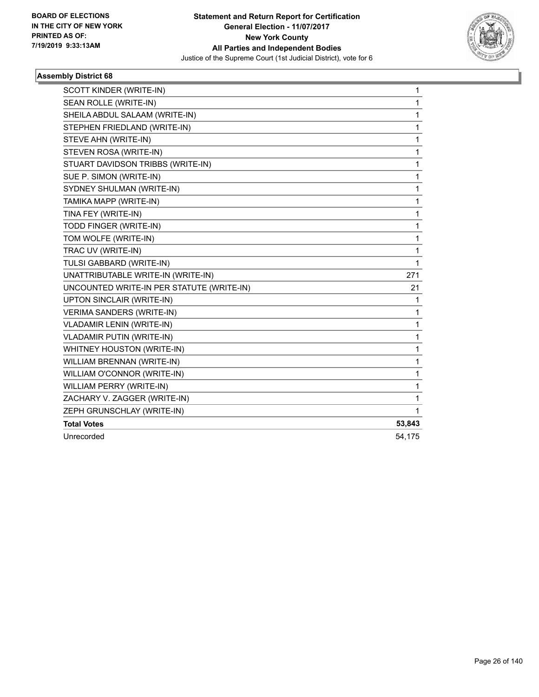

| SCOTT KINDER (WRITE-IN)                   | $\mathbf{1}$ |
|-------------------------------------------|--------------|
| SEAN ROLLE (WRITE-IN)                     | $\mathbf{1}$ |
| SHEILA ABDUL SALAAM (WRITE-IN)            | 1            |
| STEPHEN FRIEDLAND (WRITE-IN)              | 1            |
| STEVE AHN (WRITE-IN)                      | 1            |
| STEVEN ROSA (WRITE-IN)                    | 1            |
| STUART DAVIDSON TRIBBS (WRITE-IN)         | 1            |
| SUE P. SIMON (WRITE-IN)                   | 1            |
| SYDNEY SHULMAN (WRITE-IN)                 | 1            |
| TAMIKA MAPP (WRITE-IN)                    | 1            |
| TINA FEY (WRITE-IN)                       | 1            |
| TODD FINGER (WRITE-IN)                    | 1            |
| TOM WOLFE (WRITE-IN)                      | 1            |
| TRAC UV (WRITE-IN)                        | 1            |
| TULSI GABBARD (WRITE-IN)                  | 1            |
| UNATTRIBUTABLE WRITE-IN (WRITE-IN)        | 271          |
| UNCOUNTED WRITE-IN PER STATUTE (WRITE-IN) | 21           |
| UPTON SINCLAIR (WRITE-IN)                 | 1            |
| <b>VERIMA SANDERS (WRITE-IN)</b>          | 1            |
| <b>VLADAMIR LENIN (WRITE-IN)</b>          | $\mathbf{1}$ |
| VLADAMIR PUTIN (WRITE-IN)                 | 1            |
| WHITNEY HOUSTON (WRITE-IN)                | 1            |
| WILLIAM BRENNAN (WRITE-IN)                | $\mathbf 1$  |
| WILLIAM O'CONNOR (WRITE-IN)               | 1            |
| WILLIAM PERRY (WRITE-IN)                  | 1            |
| ZACHARY V. ZAGGER (WRITE-IN)              | 1            |
| ZEPH GRUNSCHLAY (WRITE-IN)                | 1            |
| <b>Total Votes</b>                        | 53,843       |
| Unrecorded                                | 54,175       |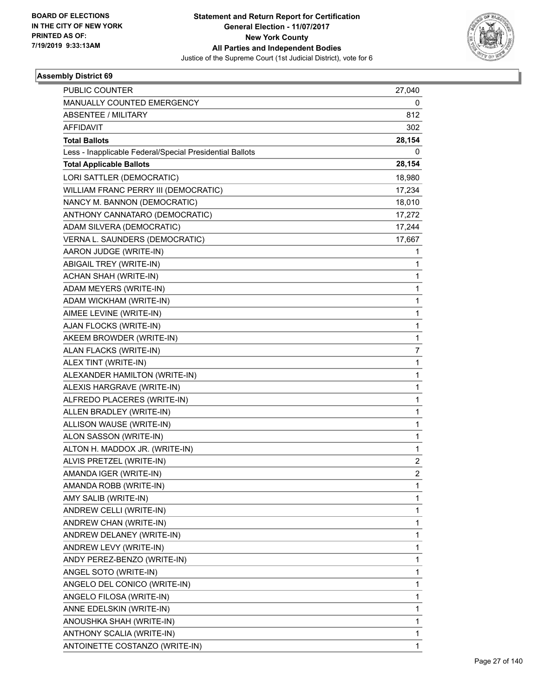

| <b>PUBLIC COUNTER</b>                                    | 27,040                  |
|----------------------------------------------------------|-------------------------|
| MANUALLY COUNTED EMERGENCY                               | 0                       |
| <b>ABSENTEE / MILITARY</b>                               | 812                     |
| <b>AFFIDAVIT</b>                                         | 302                     |
| <b>Total Ballots</b>                                     | 28,154                  |
| Less - Inapplicable Federal/Special Presidential Ballots | 0                       |
| <b>Total Applicable Ballots</b>                          | 28,154                  |
| LORI SATTLER (DEMOCRATIC)                                | 18,980                  |
| WILLIAM FRANC PERRY III (DEMOCRATIC)                     | 17,234                  |
| NANCY M. BANNON (DEMOCRATIC)                             | 18,010                  |
| ANTHONY CANNATARO (DEMOCRATIC)                           | 17,272                  |
| ADAM SILVERA (DEMOCRATIC)                                | 17,244                  |
| VERNA L. SAUNDERS (DEMOCRATIC)                           | 17,667                  |
| AARON JUDGE (WRITE-IN)                                   | 1                       |
| ABIGAIL TREY (WRITE-IN)                                  | 1                       |
| ACHAN SHAH (WRITE-IN)                                    | 1                       |
| ADAM MEYERS (WRITE-IN)                                   | 1                       |
| ADAM WICKHAM (WRITE-IN)                                  | 1                       |
| AIMEE LEVINE (WRITE-IN)                                  | 1                       |
| AJAN FLOCKS (WRITE-IN)                                   | 1                       |
| AKEEM BROWDER (WRITE-IN)                                 | 1                       |
| ALAN FLACKS (WRITE-IN)                                   | 7                       |
| ALEX TINT (WRITE-IN)                                     | 1                       |
| ALEXANDER HAMILTON (WRITE-IN)                            | 1                       |
| ALEXIS HARGRAVE (WRITE-IN)                               | 1                       |
| ALFREDO PLACERES (WRITE-IN)                              | 1                       |
| ALLEN BRADLEY (WRITE-IN)                                 | 1                       |
| ALLISON WAUSE (WRITE-IN)                                 | 1                       |
| ALON SASSON (WRITE-IN)                                   | 1                       |
| ALTON H. MADDOX JR. (WRITE-IN)                           | 1                       |
| ALVIS PRETZEL (WRITE-IN)                                 | $\overline{\mathbf{c}}$ |
| AMANDA IGER (WRITE-IN)                                   | $\overline{2}$          |
| AMANDA ROBB (WRITE-IN)                                   | 1                       |
| AMY SALIB (WRITE-IN)                                     | 1                       |
| ANDREW CELLI (WRITE-IN)                                  | 1                       |
| ANDREW CHAN (WRITE-IN)                                   | 1                       |
| ANDREW DELANEY (WRITE-IN)                                | 1                       |
| ANDREW LEVY (WRITE-IN)                                   | 1                       |
| ANDY PEREZ-BENZO (WRITE-IN)                              | 1                       |
| ANGEL SOTO (WRITE-IN)                                    | 1                       |
| ANGELO DEL CONICO (WRITE-IN)                             | 1                       |
| ANGELO FILOSA (WRITE-IN)                                 | 1                       |
| ANNE EDELSKIN (WRITE-IN)                                 | 1                       |
| ANOUSHKA SHAH (WRITE-IN)                                 | 1                       |
| ANTHONY SCALIA (WRITE-IN)                                | 1                       |
| ANTOINETTE COSTANZO (WRITE-IN)                           | $\mathbf{1}$            |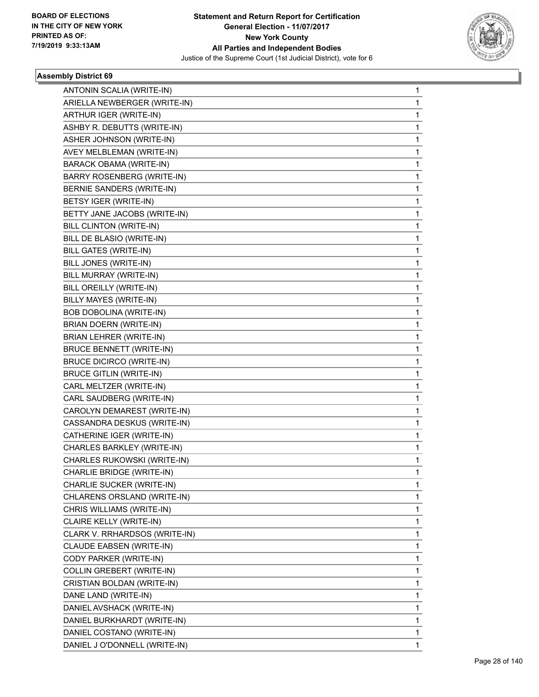

| ANTONIN SCALIA (WRITE-IN)         | 1 |
|-----------------------------------|---|
| ARIELLA NEWBERGER (WRITE-IN)      | 1 |
| ARTHUR IGER (WRITE-IN)            | 1 |
| ASHBY R. DEBUTTS (WRITE-IN)       | 1 |
| ASHER JOHNSON (WRITE-IN)          | 1 |
| AVEY MELBLEMAN (WRITE-IN)         | 1 |
| <b>BARACK OBAMA (WRITE-IN)</b>    | 1 |
| <b>BARRY ROSENBERG (WRITE-IN)</b> | 1 |
| BERNIE SANDERS (WRITE-IN)         | 1 |
| BETSY IGER (WRITE-IN)             | 1 |
| BETTY JANE JACOBS (WRITE-IN)      | 1 |
| BILL CLINTON (WRITE-IN)           | 1 |
| BILL DE BLASIO (WRITE-IN)         | 1 |
| <b>BILL GATES (WRITE-IN)</b>      | 1 |
| BILL JONES (WRITE-IN)             | 1 |
| BILL MURRAY (WRITE-IN)            | 1 |
| BILL OREILLY (WRITE-IN)           | 1 |
| BILLY MAYES (WRITE-IN)            | 1 |
| <b>BOB DOBOLINA (WRITE-IN)</b>    | 1 |
| <b>BRIAN DOERN (WRITE-IN)</b>     | 1 |
| <b>BRIAN LEHRER (WRITE-IN)</b>    | 1 |
| <b>BRUCE BENNETT (WRITE-IN)</b>   | 1 |
| <b>BRUCE DICIRCO (WRITE-IN)</b>   | 1 |
| <b>BRUCE GITLIN (WRITE-IN)</b>    | 1 |
| CARL MELTZER (WRITE-IN)           | 1 |
| CARL SAUDBERG (WRITE-IN)          | 1 |
| CAROLYN DEMAREST (WRITE-IN)       | 1 |
| CASSANDRA DESKUS (WRITE-IN)       | 1 |
| CATHERINE IGER (WRITE-IN)         | 1 |
| CHARLES BARKLEY (WRITE-IN)        | 1 |
| CHARLES RUKOWSKI (WRITE-IN)       | 1 |
| CHARLIE BRIDGE (WRITE-IN)         | 1 |
| CHARLIE SUCKER (WRITE-IN)         | 1 |
| CHLARENS ORSLAND (WRITE-IN)       | 1 |
| CHRIS WILLIAMS (WRITE-IN)         | 1 |
| CLAIRE KELLY (WRITE-IN)           | 1 |
| CLARK V. RRHARDSOS (WRITE-IN)     | 1 |
| CLAUDE EABSEN (WRITE-IN)          | 1 |
| CODY PARKER (WRITE-IN)            | 1 |
| COLLIN GREBERT (WRITE-IN)         | 1 |
| CRISTIAN BOLDAN (WRITE-IN)        | 1 |
| DANE LAND (WRITE-IN)              | 1 |
| DANIEL AVSHACK (WRITE-IN)         | 1 |
| DANIEL BURKHARDT (WRITE-IN)       | 1 |
| DANIEL COSTANO (WRITE-IN)         | 1 |
| DANIEL J O'DONNELL (WRITE-IN)     | 1 |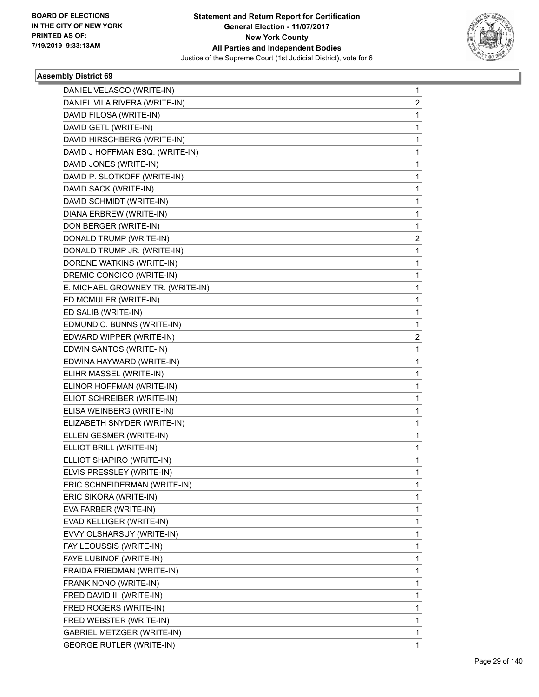

| DANIEL VELASCO (WRITE-IN)         | $\mathbf{1}$            |
|-----------------------------------|-------------------------|
| DANIEL VILA RIVERA (WRITE-IN)     | $\overline{2}$          |
| DAVID FILOSA (WRITE-IN)           | 1                       |
| DAVID GETL (WRITE-IN)             | 1                       |
| DAVID HIRSCHBERG (WRITE-IN)       | 1                       |
| DAVID J HOFFMAN ESQ. (WRITE-IN)   | 1                       |
| DAVID JONES (WRITE-IN)            | $\mathbf 1$             |
| DAVID P. SLOTKOFF (WRITE-IN)      | 1                       |
| DAVID SACK (WRITE-IN)             | 1                       |
| DAVID SCHMIDT (WRITE-IN)          | 1                       |
| DIANA ERBREW (WRITE-IN)           | 1                       |
| DON BERGER (WRITE-IN)             | 1                       |
| DONALD TRUMP (WRITE-IN)           | $\overline{\mathbf{c}}$ |
| DONALD TRUMP JR. (WRITE-IN)       | 1                       |
| DORENE WATKINS (WRITE-IN)         | 1                       |
| DREMIC CONCICO (WRITE-IN)         | 1                       |
| E. MICHAEL GROWNEY TR. (WRITE-IN) | 1                       |
| ED MCMULER (WRITE-IN)             | 1                       |
| ED SALIB (WRITE-IN)               | $\mathbf 1$             |
| EDMUND C. BUNNS (WRITE-IN)        | 1                       |
| EDWARD WIPPER (WRITE-IN)          | 2                       |
| EDWIN SANTOS (WRITE-IN)           | $\mathbf 1$             |
| EDWINA HAYWARD (WRITE-IN)         | 1                       |
| ELIHR MASSEL (WRITE-IN)           | 1                       |
| ELINOR HOFFMAN (WRITE-IN)         | 1                       |
| ELIOT SCHREIBER (WRITE-IN)        | 1                       |
| ELISA WEINBERG (WRITE-IN)         | 1                       |
| ELIZABETH SNYDER (WRITE-IN)       | 1                       |
| ELLEN GESMER (WRITE-IN)           | 1                       |
| ELLIOT BRILL (WRITE-IN)           | 1                       |
| ELLIOT SHAPIRO (WRITE-IN)         | $\mathbf 1$             |
| ELVIS PRESSLEY (WRITE-IN)         | 1                       |
| ERIC SCHNEIDERMAN (WRITE-IN)      | 1                       |
| ERIC SIKORA (WRITE-IN)            | 1                       |
| EVA FARBER (WRITE-IN)             | 1                       |
| EVAD KELLIGER (WRITE-IN)          | 1                       |
| EVVY OLSHARSUY (WRITE-IN)         | 1                       |
| FAY LEOUSSIS (WRITE-IN)           | 1                       |
| FAYE LUBINOF (WRITE-IN)           | 1                       |
| FRAIDA FRIEDMAN (WRITE-IN)        | $\mathbf{1}$            |
| FRANK NONO (WRITE-IN)             | 1                       |
| FRED DAVID III (WRITE-IN)         | 1                       |
| FRED ROGERS (WRITE-IN)            | 1                       |
| FRED WEBSTER (WRITE-IN)           | 1                       |
| GABRIEL METZGER (WRITE-IN)        | 1                       |
| <b>GEORGE RUTLER (WRITE-IN)</b>   | 1                       |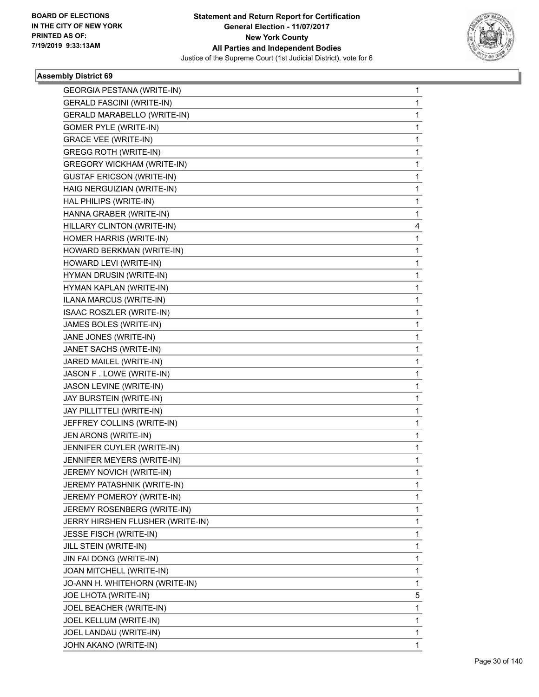

| <b>GEORGIA PESTANA (WRITE-IN)</b> | $\mathbf 1$ |
|-----------------------------------|-------------|
| <b>GERALD FASCINI (WRITE-IN)</b>  | 1           |
| GERALD MARABELLO (WRITE-IN)       | 1           |
| <b>GOMER PYLE (WRITE-IN)</b>      | 1           |
| <b>GRACE VEE (WRITE-IN)</b>       | 1           |
| <b>GREGG ROTH (WRITE-IN)</b>      | 1           |
| <b>GREGORY WICKHAM (WRITE-IN)</b> | 1           |
| <b>GUSTAF ERICSON (WRITE-IN)</b>  | 1           |
| HAIG NERGUIZIAN (WRITE-IN)        | 1           |
| HAL PHILIPS (WRITE-IN)            | 1           |
| HANNA GRABER (WRITE-IN)           | 1           |
| HILLARY CLINTON (WRITE-IN)        | 4           |
| HOMER HARRIS (WRITE-IN)           | 1           |
| HOWARD BERKMAN (WRITE-IN)         | 1           |
| HOWARD LEVI (WRITE-IN)            | 1           |
| HYMAN DRUSIN (WRITE-IN)           | 1           |
| HYMAN KAPLAN (WRITE-IN)           | 1           |
| ILANA MARCUS (WRITE-IN)           | $\mathbf 1$ |
| ISAAC ROSZLER (WRITE-IN)          | 1           |
| JAMES BOLES (WRITE-IN)            | 1           |
| JANE JONES (WRITE-IN)             | 1           |
| JANET SACHS (WRITE-IN)            | 1           |
| JARED MAILEL (WRITE-IN)           | 1           |
| JASON F. LOWE (WRITE-IN)          | $\mathbf 1$ |
| JASON LEVINE (WRITE-IN)           | 1           |
| JAY BURSTEIN (WRITE-IN)           | 1           |
| JAY PILLITTELI (WRITE-IN)         | 1           |
| JEFFREY COLLINS (WRITE-IN)        | 1           |
| JEN ARONS (WRITE-IN)              | 1           |
| JENNIFER CUYLER (WRITE-IN)        | $\mathbf 1$ |
| JENNIFER MEYERS (WRITE-IN)        | 1           |
| JEREMY NOVICH (WRITE-IN)          | 1           |
| JEREMY PATASHNIK (WRITE-IN)       | $\mathbf 1$ |
| JEREMY POMEROY (WRITE-IN)         | 1           |
| JEREMY ROSENBERG (WRITE-IN)       | 1           |
| JERRY HIRSHEN FLUSHER (WRITE-IN)  | $\mathbf 1$ |
| JESSE FISCH (WRITE-IN)            | 1           |
| JILL STEIN (WRITE-IN)             | 1           |
| JIN FAI DONG (WRITE-IN)           | 1           |
| JOAN MITCHELL (WRITE-IN)          | 1           |
| JO-ANN H. WHITEHORN (WRITE-IN)    | 1           |
| JOE LHOTA (WRITE-IN)              | 5           |
| JOEL BEACHER (WRITE-IN)           | 1           |
| JOEL KELLUM (WRITE-IN)            | 1           |
| JOEL LANDAU (WRITE-IN)            | 1           |
| JOHN AKANO (WRITE-IN)             | 1           |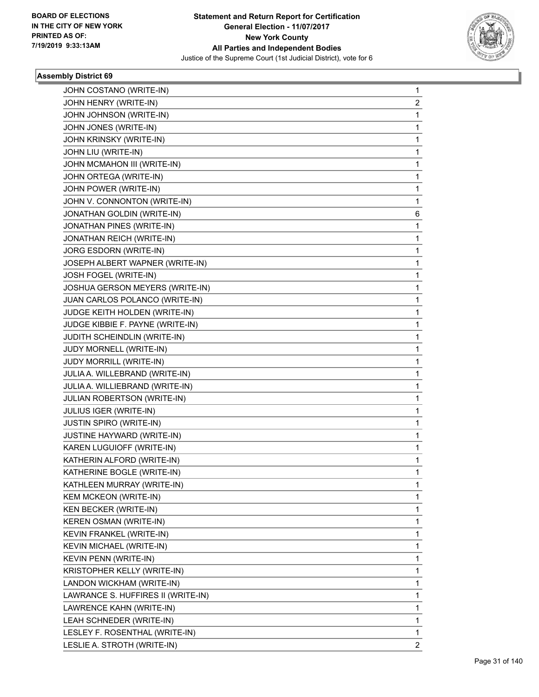

| JOHN COSTANO (WRITE-IN)            | 1 |
|------------------------------------|---|
| JOHN HENRY (WRITE-IN)              | 2 |
| JOHN JOHNSON (WRITE-IN)            | 1 |
| JOHN JONES (WRITE-IN)              | 1 |
| JOHN KRINSKY (WRITE-IN)            | 1 |
| JOHN LIU (WRITE-IN)                | 1 |
| JOHN MCMAHON III (WRITE-IN)        | 1 |
| JOHN ORTEGA (WRITE-IN)             | 1 |
| JOHN POWER (WRITE-IN)              | 1 |
| JOHN V. CONNONTON (WRITE-IN)       | 1 |
| JONATHAN GOLDIN (WRITE-IN)         | 6 |
| JONATHAN PINES (WRITE-IN)          | 1 |
| JONATHAN REICH (WRITE-IN)          | 1 |
| JORG ESDORN (WRITE-IN)             | 1 |
| JOSEPH ALBERT WAPNER (WRITE-IN)    | 1 |
| JOSH FOGEL (WRITE-IN)              | 1 |
| JOSHUA GERSON MEYERS (WRITE-IN)    | 1 |
| JUAN CARLOS POLANCO (WRITE-IN)     | 1 |
| JUDGE KEITH HOLDEN (WRITE-IN)      | 1 |
| JUDGE KIBBIE F. PAYNE (WRITE-IN)   | 1 |
| JUDITH SCHEINDLIN (WRITE-IN)       | 1 |
| JUDY MORNELL (WRITE-IN)            | 1 |
| JUDY MORRILL (WRITE-IN)            | 1 |
| JULIA A. WILLEBRAND (WRITE-IN)     | 1 |
| JULIA A. WILLIEBRAND (WRITE-IN)    | 1 |
| JULIAN ROBERTSON (WRITE-IN)        | 1 |
| <b>JULIUS IGER (WRITE-IN)</b>      | 1 |
| JUSTIN SPIRO (WRITE-IN)            | 1 |
| JUSTINE HAYWARD (WRITE-IN)         | 1 |
| KAREN LUGUIOFF (WRITE-IN)          | 1 |
| KATHERIN ALFORD (WRITE-IN)         | 1 |
| KATHERINE BOGLE (WRITE-IN)         | 1 |
| KATHLEEN MURRAY (WRITE-IN)         | 1 |
| <b>KEM MCKEON (WRITE-IN)</b>       | 1 |
| KEN BECKER (WRITE-IN)              | 1 |
| <b>KEREN OSMAN (WRITE-IN)</b>      | 1 |
| KEVIN FRANKEL (WRITE-IN)           | 1 |
| KEVIN MICHAEL (WRITE-IN)           | 1 |
| <b>KEVIN PENN (WRITE-IN)</b>       | 1 |
| KRISTOPHER KELLY (WRITE-IN)        | 1 |
| LANDON WICKHAM (WRITE-IN)          | 1 |
| LAWRANCE S. HUFFIRES II (WRITE-IN) | 1 |
| LAWRENCE KAHN (WRITE-IN)           | 1 |
| LEAH SCHNEDER (WRITE-IN)           | 1 |
| LESLEY F. ROSENTHAL (WRITE-IN)     | 1 |
| LESLIE A. STROTH (WRITE-IN)        | 2 |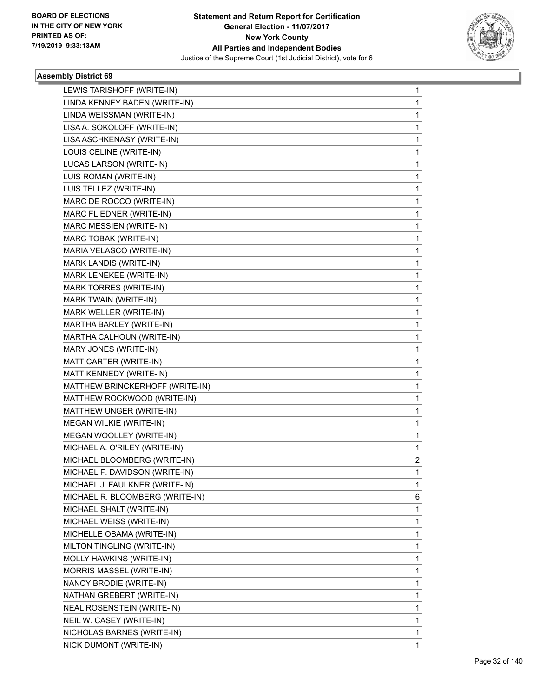

| LEWIS TARISHOFF (WRITE-IN)      | 1            |
|---------------------------------|--------------|
| LINDA KENNEY BADEN (WRITE-IN)   | 1            |
| LINDA WEISSMAN (WRITE-IN)       | 1            |
| LISA A. SOKOLOFF (WRITE-IN)     | 1            |
| LISA ASCHKENASY (WRITE-IN)      | 1            |
| LOUIS CELINE (WRITE-IN)         | 1            |
| LUCAS LARSON (WRITE-IN)         | 1            |
| LUIS ROMAN (WRITE-IN)           | 1            |
| LUIS TELLEZ (WRITE-IN)          | 1            |
| MARC DE ROCCO (WRITE-IN)        | 1            |
| MARC FLIEDNER (WRITE-IN)        | 1            |
| MARC MESSIEN (WRITE-IN)         | 1            |
| MARC TOBAK (WRITE-IN)           | 1            |
| MARIA VELASCO (WRITE-IN)        | 1            |
| MARK LANDIS (WRITE-IN)          | 1            |
| MARK LENEKEE (WRITE-IN)         | 1            |
| MARK TORRES (WRITE-IN)          | 1            |
| MARK TWAIN (WRITE-IN)           | 1            |
| MARK WELLER (WRITE-IN)          | 1            |
| MARTHA BARLEY (WRITE-IN)        | 1            |
| MARTHA CALHOUN (WRITE-IN)       | 1            |
| MARY JONES (WRITE-IN)           | 1            |
| MATT CARTER (WRITE-IN)          | 1            |
| MATT KENNEDY (WRITE-IN)         | 1            |
| MATTHEW BRINCKERHOFF (WRITE-IN) | 1            |
| MATTHEW ROCKWOOD (WRITE-IN)     | 1            |
| MATTHEW UNGER (WRITE-IN)        | 1            |
| MEGAN WILKIE (WRITE-IN)         | 1            |
| MEGAN WOOLLEY (WRITE-IN)        | 1            |
| MICHAEL A. O'RILEY (WRITE-IN)   | 1            |
| MICHAEL BLOOMBERG (WRITE-IN)    | 2            |
| MICHAEL F. DAVIDSON (WRITE-IN)  | 1            |
| MICHAEL J. FAULKNER (WRITE-IN)  | 1            |
| MICHAEL R. BLOOMBERG (WRITE-IN) | 6            |
| MICHAEL SHALT (WRITE-IN)        | 1            |
| MICHAEL WEISS (WRITE-IN)        | 1            |
| MICHELLE OBAMA (WRITE-IN)       | 1            |
| MILTON TINGLING (WRITE-IN)      | 1            |
| MOLLY HAWKINS (WRITE-IN)        | 1            |
| MORRIS MASSEL (WRITE-IN)        | 1            |
| NANCY BRODIE (WRITE-IN)         | 1            |
| NATHAN GREBERT (WRITE-IN)       | 1            |
| NEAL ROSENSTEIN (WRITE-IN)      | 1            |
| NEIL W. CASEY (WRITE-IN)        | 1            |
| NICHOLAS BARNES (WRITE-IN)      | 1            |
| NICK DUMONT (WRITE-IN)          | $\mathbf{1}$ |
|                                 |              |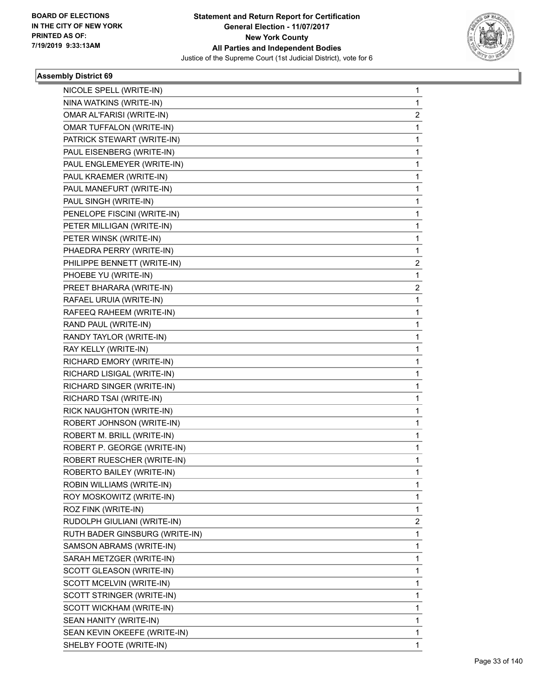

| NICOLE SPELL (WRITE-IN)         | $\mathbf{1}$ |
|---------------------------------|--------------|
| NINA WATKINS (WRITE-IN)         | $\mathbf{1}$ |
| OMAR AL'FARISI (WRITE-IN)       | 2            |
| <b>OMAR TUFFALON (WRITE-IN)</b> | $\mathbf 1$  |
| PATRICK STEWART (WRITE-IN)      | $\mathbf 1$  |
| PAUL EISENBERG (WRITE-IN)       | 1            |
| PAUL ENGLEMEYER (WRITE-IN)      | 1            |
| PAUL KRAEMER (WRITE-IN)         | 1            |
| PAUL MANEFURT (WRITE-IN)        | 1            |
| PAUL SINGH (WRITE-IN)           | 1            |
| PENELOPE FISCINI (WRITE-IN)     | 1            |
| PETER MILLIGAN (WRITE-IN)       | 1            |
| PETER WINSK (WRITE-IN)          | 1            |
| PHAEDRA PERRY (WRITE-IN)        | 1            |
| PHILIPPE BENNETT (WRITE-IN)     | 2            |
| PHOEBE YU (WRITE-IN)            | 1            |
| PREET BHARARA (WRITE-IN)        | 2            |
| RAFAEL URUIA (WRITE-IN)         | $\mathbf{1}$ |
| RAFEEQ RAHEEM (WRITE-IN)        | 1            |
| RAND PAUL (WRITE-IN)            | 1            |
| RANDY TAYLOR (WRITE-IN)         | 1            |
| RAY KELLY (WRITE-IN)            | 1            |
| RICHARD EMORY (WRITE-IN)        | 1            |
| RICHARD LISIGAL (WRITE-IN)      | 1            |
| RICHARD SINGER (WRITE-IN)       | 1            |
| RICHARD TSAI (WRITE-IN)         | 1            |
| RICK NAUGHTON (WRITE-IN)        | 1            |
| ROBERT JOHNSON (WRITE-IN)       | 1            |
| ROBERT M. BRILL (WRITE-IN)      | 1            |
| ROBERT P. GEORGE (WRITE-IN)     | $\mathbf{1}$ |
| ROBERT RUESCHER (WRITE-IN)      | $\mathbf{1}$ |
| ROBERTO BAILEY (WRITE-IN)       | 1            |
| ROBIN WILLIAMS (WRITE-IN)       | 1            |
| ROY MOSKOWITZ (WRITE-IN)        | 1            |
| ROZ FINK (WRITE-IN)             | 1            |
| RUDOLPH GIULIANI (WRITE-IN)     | 2            |
| RUTH BADER GINSBURG (WRITE-IN)  | 1            |
| SAMSON ABRAMS (WRITE-IN)        | 1            |
| SARAH METZGER (WRITE-IN)        | 1            |
| SCOTT GLEASON (WRITE-IN)        | 1            |
| SCOTT MCELVIN (WRITE-IN)        | 1            |
| SCOTT STRINGER (WRITE-IN)       | 1            |
| SCOTT WICKHAM (WRITE-IN)        | 1            |
| SEAN HANITY (WRITE-IN)          | 1            |
| SEAN KEVIN OKEEFE (WRITE-IN)    | 1            |
| SHELBY FOOTE (WRITE-IN)         | 1            |
|                                 |              |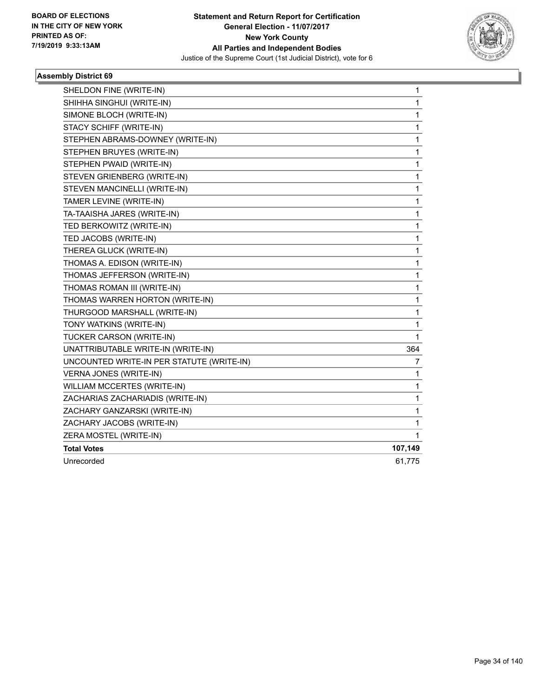

| SHELDON FINE (WRITE-IN)                   | 1       |
|-------------------------------------------|---------|
| SHIHHA SINGHUI (WRITE-IN)                 | 1       |
| SIMONE BLOCH (WRITE-IN)                   | 1       |
| STACY SCHIFF (WRITE-IN)                   | 1       |
| STEPHEN ABRAMS-DOWNEY (WRITE-IN)          | 1       |
| STEPHEN BRUYES (WRITE-IN)                 | 1       |
| STEPHEN PWAID (WRITE-IN)                  | 1       |
| STEVEN GRIENBERG (WRITE-IN)               | 1       |
| STEVEN MANCINELLI (WRITE-IN)              | 1       |
| TAMER LEVINE (WRITE-IN)                   | 1       |
| TA-TAAISHA JARES (WRITE-IN)               | 1       |
| TED BERKOWITZ (WRITE-IN)                  | 1       |
| TED JACOBS (WRITE-IN)                     | 1       |
| THEREA GLUCK (WRITE-IN)                   | 1       |
| THOMAS A. EDISON (WRITE-IN)               | 1       |
| THOMAS JEFFERSON (WRITE-IN)               | 1       |
| THOMAS ROMAN III (WRITE-IN)               | 1       |
| THOMAS WARREN HORTON (WRITE-IN)           | 1       |
| THURGOOD MARSHALL (WRITE-IN)              | 1       |
| TONY WATKINS (WRITE-IN)                   | 1       |
| TUCKER CARSON (WRITE-IN)                  | 1       |
| UNATTRIBUTABLE WRITE-IN (WRITE-IN)        | 364     |
| UNCOUNTED WRITE-IN PER STATUTE (WRITE-IN) | 7       |
| <b>VERNA JONES (WRITE-IN)</b>             | 1       |
| WILLIAM MCCERTES (WRITE-IN)               | 1       |
| ZACHARIAS ZACHARIADIS (WRITE-IN)          | 1       |
| ZACHARY GANZARSKI (WRITE-IN)              | 1       |
| ZACHARY JACOBS (WRITE-IN)                 | 1       |
| ZERA MOSTEL (WRITE-IN)                    | 1       |
| <b>Total Votes</b>                        | 107,149 |
| Unrecorded                                | 61,775  |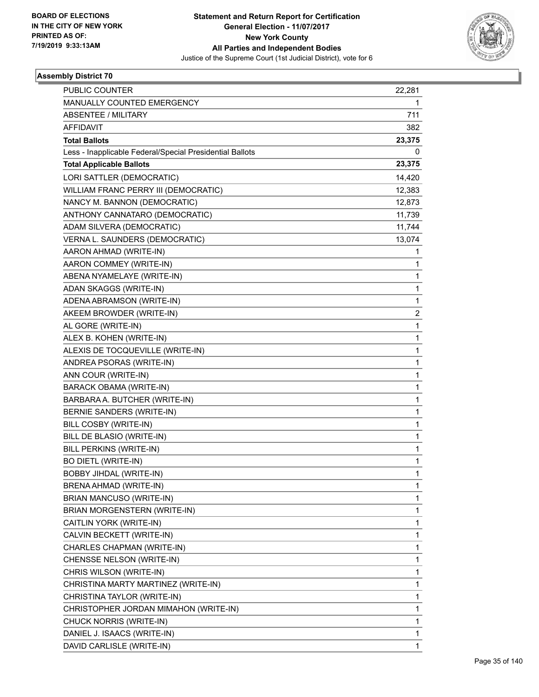

| <b>PUBLIC COUNTER</b>                                    | 22,281                  |
|----------------------------------------------------------|-------------------------|
| MANUALLY COUNTED EMERGENCY                               | 1                       |
| <b>ABSENTEE / MILITARY</b>                               | 711                     |
| <b>AFFIDAVIT</b>                                         | 382                     |
| <b>Total Ballots</b>                                     | 23,375                  |
| Less - Inapplicable Federal/Special Presidential Ballots | 0                       |
| <b>Total Applicable Ballots</b>                          | 23,375                  |
| LORI SATTLER (DEMOCRATIC)                                | 14,420                  |
| WILLIAM FRANC PERRY III (DEMOCRATIC)                     | 12,383                  |
| NANCY M. BANNON (DEMOCRATIC)                             | 12,873                  |
| ANTHONY CANNATARO (DEMOCRATIC)                           | 11,739                  |
| ADAM SILVERA (DEMOCRATIC)                                | 11,744                  |
| VERNA L. SAUNDERS (DEMOCRATIC)                           | 13,074                  |
| AARON AHMAD (WRITE-IN)                                   | 1                       |
| AARON COMMEY (WRITE-IN)                                  | 1                       |
| ABENA NYAMELAYE (WRITE-IN)                               | 1                       |
| ADAN SKAGGS (WRITE-IN)                                   | 1                       |
| ADENA ABRAMSON (WRITE-IN)                                | 1                       |
| AKEEM BROWDER (WRITE-IN)                                 | $\overline{\mathbf{c}}$ |
| AL GORE (WRITE-IN)                                       | 1                       |
| ALEX B. KOHEN (WRITE-IN)                                 | 1                       |
| ALEXIS DE TOCQUEVILLE (WRITE-IN)                         | 1                       |
| ANDREA PSORAS (WRITE-IN)                                 | 1                       |
| ANN COUR (WRITE-IN)                                      | 1                       |
| <b>BARACK OBAMA (WRITE-IN)</b>                           | $\mathbf{1}$            |
| BARBARA A. BUTCHER (WRITE-IN)                            | 1                       |
| BERNIE SANDERS (WRITE-IN)                                | 1                       |
| BILL COSBY (WRITE-IN)                                    | 1                       |
| BILL DE BLASIO (WRITE-IN)                                | 1                       |
| BILL PERKINS (WRITE-IN)                                  | 1                       |
| <b>BO DIETL (WRITE-IN)</b>                               | $\mathbf{1}$            |
| BOBBY JIHDAL (WRITE-IN)                                  | 1                       |
| BRENA AHMAD (WRITE-IN)                                   | 1                       |
| BRIAN MANCUSO (WRITE-IN)                                 | 1                       |
| BRIAN MORGENSTERN (WRITE-IN)                             | 1                       |
| CAITLIN YORK (WRITE-IN)                                  | 1                       |
| CALVIN BECKETT (WRITE-IN)                                | 1                       |
| CHARLES CHAPMAN (WRITE-IN)                               | 1                       |
| CHENSSE NELSON (WRITE-IN)                                | $\mathbf{1}$            |
| CHRIS WILSON (WRITE-IN)                                  | $\mathbf{1}$            |
| CHRISTINA MARTY MARTINEZ (WRITE-IN)                      | 1                       |
| CHRISTINA TAYLOR (WRITE-IN)                              | 1                       |
| CHRISTOPHER JORDAN MIMAHON (WRITE-IN)                    | 1                       |
| CHUCK NORRIS (WRITE-IN)                                  | 1                       |
| DANIEL J. ISAACS (WRITE-IN)                              | 1                       |
| DAVID CARLISLE (WRITE-IN)                                | $\mathbf{1}$            |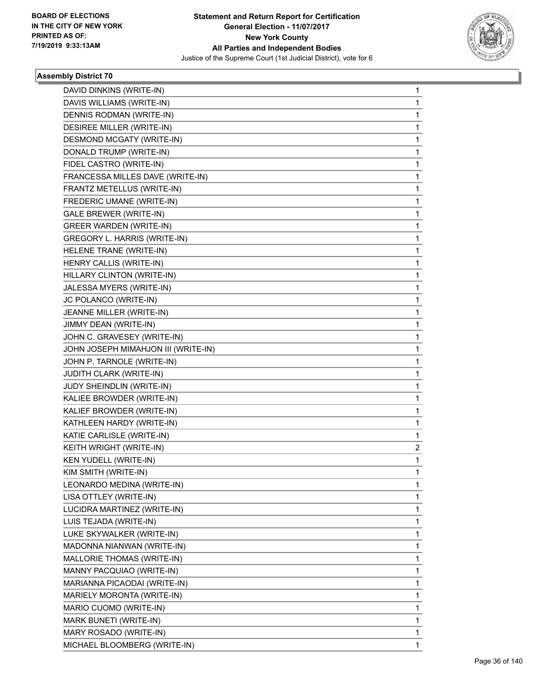

| DAVID DINKINS (WRITE-IN)            | 1            |
|-------------------------------------|--------------|
| DAVIS WILLIAMS (WRITE-IN)           | 1            |
| DENNIS RODMAN (WRITE-IN)            | 1            |
| DESIREE MILLER (WRITE-IN)           | 1            |
| <b>DESMOND MCGATY (WRITE-IN)</b>    | 1            |
| DONALD TRUMP (WRITE-IN)             | 1            |
| FIDEL CASTRO (WRITE-IN)             | 1            |
| FRANCESSA MILLES DAVE (WRITE-IN)    | 1            |
| FRANTZ METELLUS (WRITE-IN)          | 1            |
| FREDERIC UMANE (WRITE-IN)           | 1            |
| <b>GALE BREWER (WRITE-IN)</b>       | 1            |
| <b>GREER WARDEN (WRITE-IN)</b>      | 1            |
| GREGORY L. HARRIS (WRITE-IN)        | 1            |
| HELENE TRANE (WRITE-IN)             | 1            |
| HENRY CALLIS (WRITE-IN)             | 1            |
| HILLARY CLINTON (WRITE-IN)          | 1            |
| JALESSA MYERS (WRITE-IN)            | 1            |
| JC POLANCO (WRITE-IN)               | 1            |
| JEANNE MILLER (WRITE-IN)            | 1            |
| JIMMY DEAN (WRITE-IN)               | 1            |
| JOHN C. GRAVESEY (WRITE-IN)         | 1            |
| JOHN JOSEPH MIMAHJON III (WRITE-IN) | 1            |
| JOHN P. TARNOLE (WRITE-IN)          | 1            |
| JUDITH CLARK (WRITE-IN)             | 1            |
| JUDY SHEINDLIN (WRITE-IN)           | 1            |
| KALIEE BROWDER (WRITE-IN)           | 1            |
| KALIEF BROWDER (WRITE-IN)           | 1            |
| KATHLEEN HARDY (WRITE-IN)           | 1            |
| KATIE CARLISLE (WRITE-IN)           | 1            |
| KEITH WRIGHT (WRITE-IN)             | 2            |
| <b>KEN YUDELL (WRITE-IN)</b>        | 1            |
| KIM SMITH (WRITE-IN)                | $\mathbf{1}$ |
| LEONARDO MEDINA (WRITE-IN)          | 1            |
| LISA OTTLEY (WRITE-IN)              | 1            |
| LUCIDRA MARTINEZ (WRITE-IN)         | 1            |
| LUIS TEJADA (WRITE-IN)              | 1            |
| LUKE SKYWALKER (WRITE-IN)           | 1            |
| MADONNA NIANWAN (WRITE-IN)          | 1            |
| MALLORIE THOMAS (WRITE-IN)          | 1            |
| MANNY PACQUIAO (WRITE-IN)           | 1            |
| MARIANNA PICAODAI (WRITE-IN)        | 1            |
| MARIELY MORONTA (WRITE-IN)          | 1            |
| MARIO CUOMO (WRITE-IN)              | 1            |
| MARK BUNETI (WRITE-IN)              | 1            |
| MARY ROSADO (WRITE-IN)              | 1            |
| MICHAEL BLOOMBERG (WRITE-IN)        | 1            |
|                                     |              |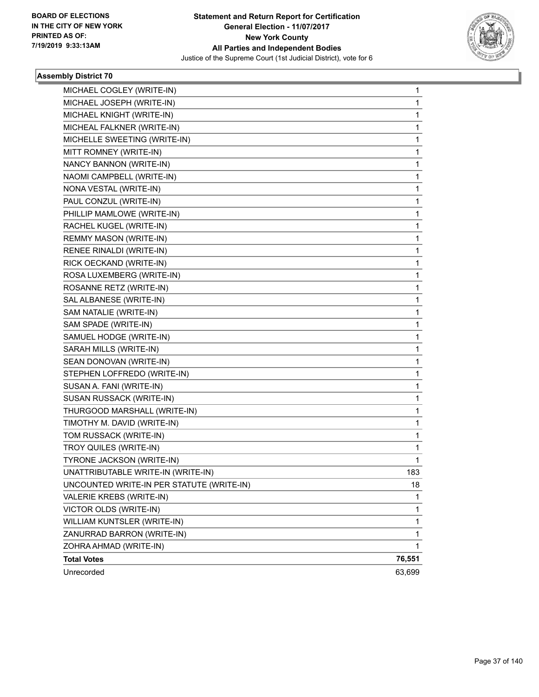

| MICHAEL COGLEY (WRITE-IN)                 | 1      |
|-------------------------------------------|--------|
| MICHAEL JOSEPH (WRITE-IN)                 | 1      |
| MICHAEL KNIGHT (WRITE-IN)                 | 1      |
| MICHEAL FALKNER (WRITE-IN)                | 1      |
| MICHELLE SWEETING (WRITE-IN)              | 1      |
| MITT ROMNEY (WRITE-IN)                    | 1      |
| NANCY BANNON (WRITE-IN)                   | 1      |
| NAOMI CAMPBELL (WRITE-IN)                 | 1      |
| NONA VESTAL (WRITE-IN)                    | 1      |
| PAUL CONZUL (WRITE-IN)                    | 1      |
| PHILLIP MAMLOWE (WRITE-IN)                | 1      |
| RACHEL KUGEL (WRITE-IN)                   | 1      |
| REMMY MASON (WRITE-IN)                    | 1      |
| RENEE RINALDI (WRITE-IN)                  | 1      |
| RICK OECKAND (WRITE-IN)                   | 1      |
| ROSA LUXEMBERG (WRITE-IN)                 | 1      |
| ROSANNE RETZ (WRITE-IN)                   | 1      |
| SAL ALBANESE (WRITE-IN)                   | 1      |
| SAM NATALIE (WRITE-IN)                    | 1      |
| SAM SPADE (WRITE-IN)                      | 1      |
| SAMUEL HODGE (WRITE-IN)                   | 1      |
| SARAH MILLS (WRITE-IN)                    | 1      |
| SEAN DONOVAN (WRITE-IN)                   | 1      |
| STEPHEN LOFFREDO (WRITE-IN)               | 1      |
| SUSAN A. FANI (WRITE-IN)                  | 1      |
| SUSAN RUSSACK (WRITE-IN)                  | 1      |
| THURGOOD MARSHALL (WRITE-IN)              | 1      |
| TIMOTHY M. DAVID (WRITE-IN)               | 1      |
| TOM RUSSACK (WRITE-IN)                    | 1      |
| TROY QUILES (WRITE-IN)                    | 1      |
| TYRONE JACKSON (WRITE-IN)                 | 1      |
| UNATTRIBUTABLE WRITE-IN (WRITE-IN)        | 183    |
| UNCOUNTED WRITE-IN PER STATUTE (WRITE-IN) | 18     |
| VALERIE KREBS (WRITE-IN)                  | 1      |
| VICTOR OLDS (WRITE-IN)                    | 1      |
| WILLIAM KUNTSLER (WRITE-IN)               | 1      |
| ZANURRAD BARRON (WRITE-IN)                | 1      |
| ZOHRA AHMAD (WRITE-IN)                    | 1      |
| <b>Total Votes</b>                        | 76,551 |
| Unrecorded                                | 63,699 |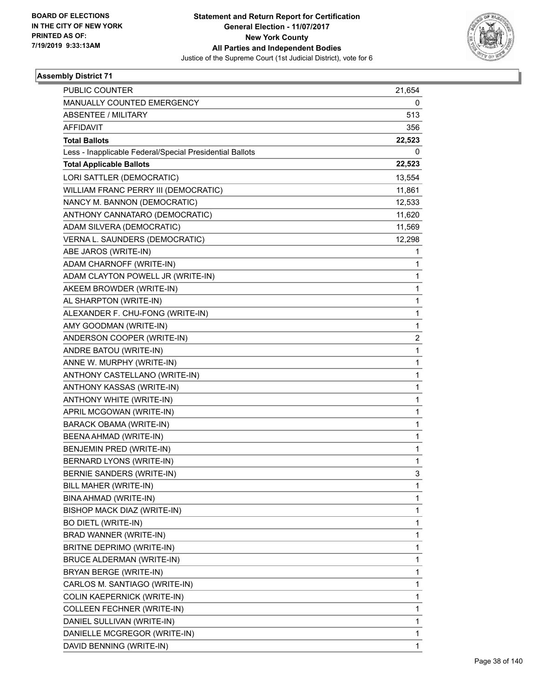

| <b>PUBLIC COUNTER</b>                                    | 21,654                  |
|----------------------------------------------------------|-------------------------|
| MANUALLY COUNTED EMERGENCY                               | 0                       |
| <b>ABSENTEE / MILITARY</b>                               | 513                     |
| <b>AFFIDAVIT</b>                                         | 356                     |
| <b>Total Ballots</b>                                     | 22,523                  |
| Less - Inapplicable Federal/Special Presidential Ballots | 0                       |
| <b>Total Applicable Ballots</b>                          | 22,523                  |
| LORI SATTLER (DEMOCRATIC)                                | 13,554                  |
| WILLIAM FRANC PERRY III (DEMOCRATIC)                     | 11,861                  |
| NANCY M. BANNON (DEMOCRATIC)                             | 12,533                  |
| ANTHONY CANNATARO (DEMOCRATIC)                           | 11,620                  |
| ADAM SILVERA (DEMOCRATIC)                                | 11,569                  |
| VERNA L. SAUNDERS (DEMOCRATIC)                           | 12,298                  |
| ABE JAROS (WRITE-IN)                                     | 1                       |
| ADAM CHARNOFF (WRITE-IN)                                 | 1                       |
| ADAM CLAYTON POWELL JR (WRITE-IN)                        | 1                       |
| AKEEM BROWDER (WRITE-IN)                                 | 1                       |
| AL SHARPTON (WRITE-IN)                                   | 1                       |
| ALEXANDER F. CHU-FONG (WRITE-IN)                         | 1                       |
| AMY GOODMAN (WRITE-IN)                                   | 1                       |
| ANDERSON COOPER (WRITE-IN)                               | $\overline{\mathbf{c}}$ |
| ANDRE BATOU (WRITE-IN)                                   | 1                       |
| ANNE W. MURPHY (WRITE-IN)                                | 1                       |
| ANTHONY CASTELLANO (WRITE-IN)                            | 1                       |
| ANTHONY KASSAS (WRITE-IN)                                | 1                       |
| ANTHONY WHITE (WRITE-IN)                                 | 1                       |
| APRIL MCGOWAN (WRITE-IN)                                 | 1                       |
| <b>BARACK OBAMA (WRITE-IN)</b>                           | 1                       |
| BEENA AHMAD (WRITE-IN)                                   | 1                       |
| BENJEMIN PRED (WRITE-IN)                                 | 1                       |
| BERNARD LYONS (WRITE-IN)                                 | 1                       |
| BERNIE SANDERS (WRITE-IN)                                | 3                       |
| BILL MAHER (WRITE-IN)                                    | 1                       |
| BINA AHMAD (WRITE-IN)                                    | 1                       |
| BISHOP MACK DIAZ (WRITE-IN)                              | 1                       |
| <b>BO DIETL (WRITE-IN)</b>                               | 1                       |
| BRAD WANNER (WRITE-IN)                                   | 1                       |
| BRITNE DEPRIMO (WRITE-IN)                                | 1                       |
| BRUCE ALDERMAN (WRITE-IN)                                | 1                       |
| BRYAN BERGE (WRITE-IN)                                   | 1                       |
| CARLOS M. SANTIAGO (WRITE-IN)                            | 1                       |
| COLIN KAEPERNICK (WRITE-IN)                              | 1                       |
| COLLEEN FECHNER (WRITE-IN)                               | 1                       |
| DANIEL SULLIVAN (WRITE-IN)                               | 1                       |
| DANIELLE MCGREGOR (WRITE-IN)                             | 1                       |
| DAVID BENNING (WRITE-IN)                                 | $\mathbf{1}$            |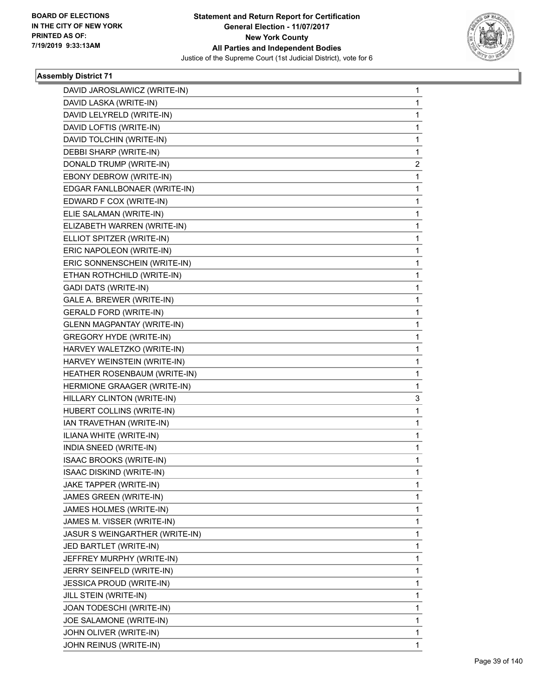

| DAVID JAROSLAWICZ (WRITE-IN)      | $\mathbf{1}$ |
|-----------------------------------|--------------|
| DAVID LASKA (WRITE-IN)            | $\mathbf{1}$ |
| DAVID LELYRELD (WRITE-IN)         | $\mathbf 1$  |
| DAVID LOFTIS (WRITE-IN)           | 1            |
| DAVID TOLCHIN (WRITE-IN)          | $\mathbf{1}$ |
| DEBBI SHARP (WRITE-IN)            | $\mathbf{1}$ |
| DONALD TRUMP (WRITE-IN)           | 2            |
| EBONY DEBROW (WRITE-IN)           | $\mathbf{1}$ |
| EDGAR FANLLBONAER (WRITE-IN)      | 1            |
| EDWARD F COX (WRITE-IN)           | 1            |
| ELIE SALAMAN (WRITE-IN)           | $\mathbf{1}$ |
| ELIZABETH WARREN (WRITE-IN)       | $\mathbf{1}$ |
| ELLIOT SPITZER (WRITE-IN)         | 1            |
| ERIC NAPOLEON (WRITE-IN)          | $\mathbf{1}$ |
| ERIC SONNENSCHEIN (WRITE-IN)      | 1            |
| ETHAN ROTHCHILD (WRITE-IN)        | 1            |
| <b>GADI DATS (WRITE-IN)</b>       | $\mathbf{1}$ |
| GALE A. BREWER (WRITE-IN)         | $\mathbf{1}$ |
| <b>GERALD FORD (WRITE-IN)</b>     | 1            |
| <b>GLENN MAGPANTAY (WRITE-IN)</b> | $\mathbf{1}$ |
| <b>GREGORY HYDE (WRITE-IN)</b>    | 1            |
| HARVEY WALETZKO (WRITE-IN)        | 1            |
| HARVEY WEINSTEIN (WRITE-IN)       | $\mathbf{1}$ |
| HEATHER ROSENBAUM (WRITE-IN)      | $\mathbf{1}$ |
| HERMIONE GRAAGER (WRITE-IN)       | 1            |
| HILLARY CLINTON (WRITE-IN)        | 3            |
| HUBERT COLLINS (WRITE-IN)         | 1            |
| IAN TRAVETHAN (WRITE-IN)          | 1            |
| ILIANA WHITE (WRITE-IN)           | $\mathbf{1}$ |
| INDIA SNEED (WRITE-IN)            | $\mathbf{1}$ |
| ISAAC BROOKS (WRITE-IN)           | 1            |
| ISAAC DISKIND (WRITE-IN)          | $\mathbf{1}$ |
| JAKE TAPPER (WRITE-IN)            | 1            |
| JAMES GREEN (WRITE-IN)            | 1            |
| JAMES HOLMES (WRITE-IN)           | $\mathbf 1$  |
| JAMES M. VISSER (WRITE-IN)        | 1            |
| JASUR S WEINGARTHER (WRITE-IN)    | 1            |
| JED BARTLET (WRITE-IN)            | $\mathbf 1$  |
| JEFFREY MURPHY (WRITE-IN)         | 1            |
| JERRY SEINFELD (WRITE-IN)         | 1            |
| <b>JESSICA PROUD (WRITE-IN)</b>   | $\mathbf{1}$ |
| JILL STEIN (WRITE-IN)             | 1            |
| JOAN TODESCHI (WRITE-IN)          | 1            |
| JOE SALAMONE (WRITE-IN)           | $\mathbf 1$  |
| JOHN OLIVER (WRITE-IN)            | $\mathbf{1}$ |
| JOHN REINUS (WRITE-IN)            | 1            |
|                                   |              |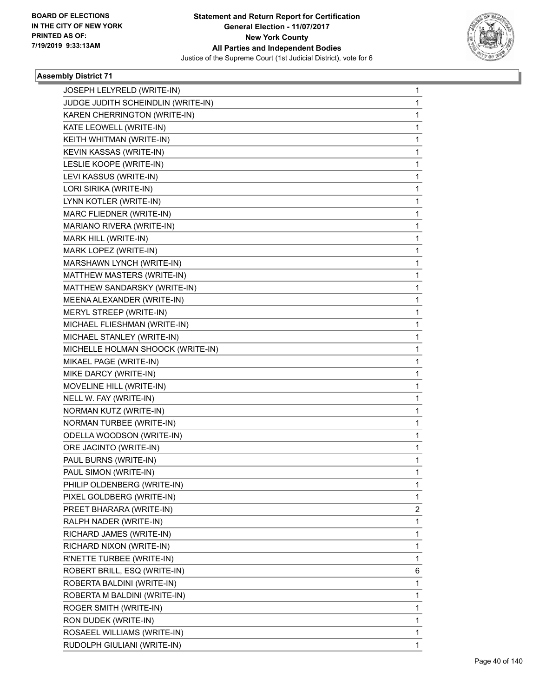

| JOSEPH LELYRELD (WRITE-IN)         | $\mathbf{1}$ |
|------------------------------------|--------------|
| JUDGE JUDITH SCHEINDLIN (WRITE-IN) | 1            |
| KAREN CHERRINGTON (WRITE-IN)       | 1            |
| KATE LEOWELL (WRITE-IN)            | 1            |
| KEITH WHITMAN (WRITE-IN)           | 1            |
| KEVIN KASSAS (WRITE-IN)            | 1            |
| LESLIE KOOPE (WRITE-IN)            | 1            |
| LEVI KASSUS (WRITE-IN)             | 1            |
| LORI SIRIKA (WRITE-IN)             | 1            |
| LYNN KOTLER (WRITE-IN)             | 1            |
| MARC FLIEDNER (WRITE-IN)           | 1            |
| MARIANO RIVERA (WRITE-IN)          | 1            |
| MARK HILL (WRITE-IN)               | 1            |
| MARK LOPEZ (WRITE-IN)              | 1            |
| MARSHAWN LYNCH (WRITE-IN)          | 1            |
| MATTHEW MASTERS (WRITE-IN)         | 1            |
| MATTHEW SANDARSKY (WRITE-IN)       | 1            |
| MEENA ALEXANDER (WRITE-IN)         | 1            |
| MERYL STREEP (WRITE-IN)            | 1            |
| MICHAEL FLIESHMAN (WRITE-IN)       | 1            |
| MICHAEL STANLEY (WRITE-IN)         | 1            |
| MICHELLE HOLMAN SHOOCK (WRITE-IN)  | 1            |
| MIKAEL PAGE (WRITE-IN)             | 1            |
| MIKE DARCY (WRITE-IN)              | 1            |
| MOVELINE HILL (WRITE-IN)           | 1            |
| NELL W. FAY (WRITE-IN)             | 1            |
| NORMAN KUTZ (WRITE-IN)             | 1            |
| NORMAN TURBEE (WRITE-IN)           | 1            |
| ODELLA WOODSON (WRITE-IN)          | 1            |
| ORE JACINTO (WRITE-IN)             | 1            |
| PAUL BURNS (WRITE-IN)              | 1            |
| PAUL SIMON (WRITE-IN)              | 1            |
| PHILIP OLDENBERG (WRITE-IN)        | 1            |
| PIXEL GOLDBERG (WRITE-IN)          | 1            |
| PREET BHARARA (WRITE-IN)           | 2            |
| RALPH NADER (WRITE-IN)             | 1            |
| RICHARD JAMES (WRITE-IN)           | 1            |
| RICHARD NIXON (WRITE-IN)           | 1            |
| R'NETTE TURBEE (WRITE-IN)          | 1            |
| ROBERT BRILL, ESQ (WRITE-IN)       | 6            |
| ROBERTA BALDINI (WRITE-IN)         | 1            |
| ROBERTA M BALDINI (WRITE-IN)       | 1            |
| ROGER SMITH (WRITE-IN)             | 1            |
| RON DUDEK (WRITE-IN)               | 1            |
| ROSAEEL WILLIAMS (WRITE-IN)        | 1            |
| RUDOLPH GIULIANI (WRITE-IN)        | 1            |
|                                    |              |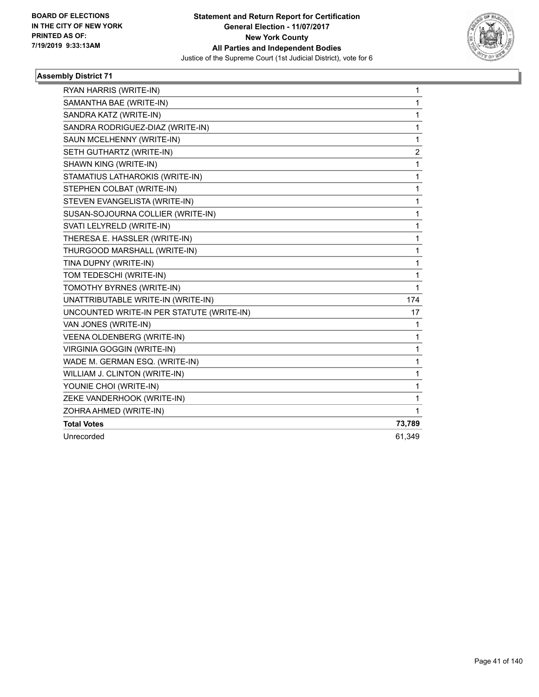

| RYAN HARRIS (WRITE-IN)                    | 1            |
|-------------------------------------------|--------------|
| SAMANTHA BAE (WRITE-IN)                   | $\mathbf{1}$ |
| SANDRA KATZ (WRITE-IN)                    | 1            |
| SANDRA RODRIGUEZ-DIAZ (WRITE-IN)          | 1            |
| SAUN MCELHENNY (WRITE-IN)                 | 1            |
| SETH GUTHARTZ (WRITE-IN)                  | 2            |
| SHAWN KING (WRITE-IN)                     | 1            |
| STAMATIUS LATHAROKIS (WRITE-IN)           | 1            |
| STEPHEN COLBAT (WRITE-IN)                 | 1            |
| STEVEN EVANGELISTA (WRITE-IN)             | $\mathbf{1}$ |
| SUSAN-SOJOURNA COLLIER (WRITE-IN)         | 1            |
| SVATI LELYRELD (WRITE-IN)                 | $\mathbf{1}$ |
| THERESA E. HASSLER (WRITE-IN)             | $\mathbf 1$  |
| THURGOOD MARSHALL (WRITE-IN)              | 1            |
| TINA DUPNY (WRITE-IN)                     | 1            |
| TOM TEDESCHI (WRITE-IN)                   | 1            |
| TOMOTHY BYRNES (WRITE-IN)                 | 1            |
| UNATTRIBUTABLE WRITE-IN (WRITE-IN)        | 174          |
| UNCOUNTED WRITE-IN PER STATUTE (WRITE-IN) | 17           |
| VAN JONES (WRITE-IN)                      | 1            |
| VEENA OLDENBERG (WRITE-IN)                | 1            |
| <b>VIRGINIA GOGGIN (WRITE-IN)</b>         | $\mathbf{1}$ |
| WADE M. GERMAN ESQ. (WRITE-IN)            | $\mathbf{1}$ |
| WILLIAM J. CLINTON (WRITE-IN)             | $\mathbf{1}$ |
| YOUNIE CHOI (WRITE-IN)                    | $\mathbf 1$  |
| ZEKE VANDERHOOK (WRITE-IN)                | 1            |
| ZOHRA AHMED (WRITE-IN)                    | 1            |
| <b>Total Votes</b>                        | 73,789       |
| Unrecorded                                | 61,349       |
|                                           |              |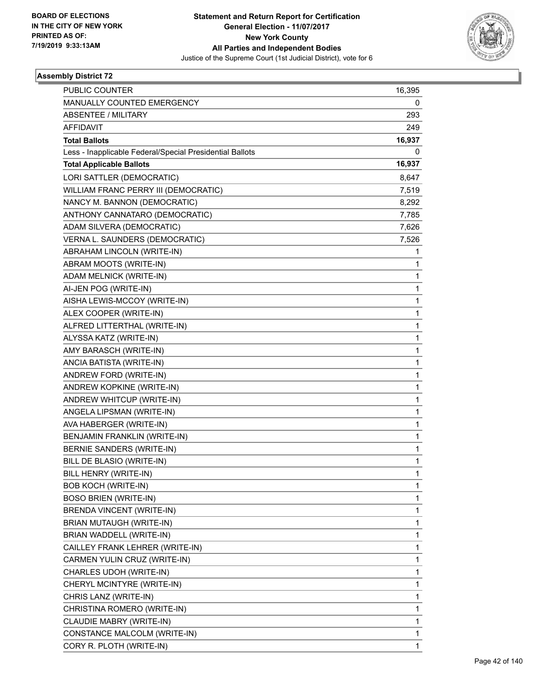

| <b>PUBLIC COUNTER</b>                                    | 16,395       |
|----------------------------------------------------------|--------------|
| MANUALLY COUNTED EMERGENCY                               | 0            |
| <b>ABSENTEE / MILITARY</b>                               | 293          |
| <b>AFFIDAVIT</b>                                         | 249          |
| <b>Total Ballots</b>                                     | 16,937       |
| Less - Inapplicable Federal/Special Presidential Ballots | 0            |
| <b>Total Applicable Ballots</b>                          | 16,937       |
| LORI SATTLER (DEMOCRATIC)                                | 8,647        |
| WILLIAM FRANC PERRY III (DEMOCRATIC)                     | 7,519        |
| NANCY M. BANNON (DEMOCRATIC)                             | 8,292        |
| ANTHONY CANNATARO (DEMOCRATIC)                           | 7,785        |
| ADAM SILVERA (DEMOCRATIC)                                | 7,626        |
| VERNA L. SAUNDERS (DEMOCRATIC)                           | 7,526        |
| ABRAHAM LINCOLN (WRITE-IN)                               | 1            |
| ABRAM MOOTS (WRITE-IN)                                   | 1            |
| ADAM MELNICK (WRITE-IN)                                  | 1            |
| AI-JEN POG (WRITE-IN)                                    | 1            |
| AISHA LEWIS-MCCOY (WRITE-IN)                             | 1            |
| ALEX COOPER (WRITE-IN)                                   | 1            |
| ALFRED LITTERTHAL (WRITE-IN)                             | 1            |
| ALYSSA KATZ (WRITE-IN)                                   | 1            |
| AMY BARASCH (WRITE-IN)                                   | 1            |
| ANCIA BATISTA (WRITE-IN)                                 | $\mathbf{1}$ |
| ANDREW FORD (WRITE-IN)                                   | 1            |
| ANDREW KOPKINE (WRITE-IN)                                | 1            |
| ANDREW WHITCUP (WRITE-IN)                                | 1            |
| ANGELA LIPSMAN (WRITE-IN)                                | 1            |
| AVA HABERGER (WRITE-IN)                                  | 1            |
| BENJAMIN FRANKLIN (WRITE-IN)                             | $\mathbf{1}$ |
| <b>BERNIE SANDERS (WRITE-IN)</b>                         | 1            |
| BILL DE BLASIO (WRITE-IN)                                | 1            |
| BILL HENRY (WRITE-IN)                                    | 1            |
| <b>BOB KOCH (WRITE-IN)</b>                               | 1            |
| <b>BOSO BRIEN (WRITE-IN)</b>                             | 1            |
| BRENDA VINCENT (WRITE-IN)                                | 1            |
| BRIAN MUTAUGH (WRITE-IN)                                 | 1            |
| BRIAN WADDELL (WRITE-IN)                                 | 1            |
| CAILLEY FRANK LEHRER (WRITE-IN)                          | 1            |
| CARMEN YULIN CRUZ (WRITE-IN)                             | 1            |
| CHARLES UDOH (WRITE-IN)                                  | 1            |
| CHERYL MCINTYRE (WRITE-IN)                               | 1            |
| CHRIS LANZ (WRITE-IN)                                    | 1            |
| CHRISTINA ROMERO (WRITE-IN)                              | 1            |
| CLAUDIE MABRY (WRITE-IN)                                 | 1            |
| CONSTANCE MALCOLM (WRITE-IN)                             | 1            |
| CORY R. PLOTH (WRITE-IN)                                 | 1            |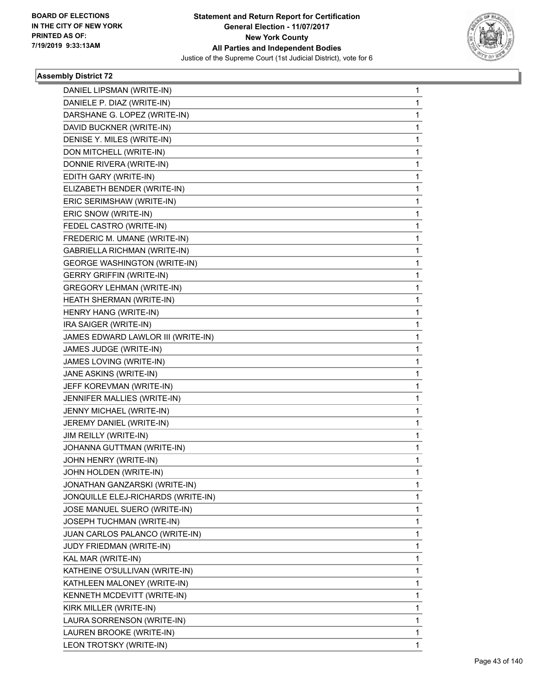

| DANIEL LIPSMAN (WRITE-IN)           | 1 |
|-------------------------------------|---|
| DANIELE P. DIAZ (WRITE-IN)          | 1 |
| DARSHANE G. LOPEZ (WRITE-IN)        | 1 |
| DAVID BUCKNER (WRITE-IN)            | 1 |
| DENISE Y. MILES (WRITE-IN)          | 1 |
| DON MITCHELL (WRITE-IN)             | 1 |
| DONNIE RIVERA (WRITE-IN)            | 1 |
| EDITH GARY (WRITE-IN)               | 1 |
| ELIZABETH BENDER (WRITE-IN)         | 1 |
| ERIC SERIMSHAW (WRITE-IN)           | 1 |
| ERIC SNOW (WRITE-IN)                | 1 |
| FEDEL CASTRO (WRITE-IN)             | 1 |
| FREDERIC M. UMANE (WRITE-IN)        | 1 |
| <b>GABRIELLA RICHMAN (WRITE-IN)</b> | 1 |
| <b>GEORGE WASHINGTON (WRITE-IN)</b> | 1 |
| <b>GERRY GRIFFIN (WRITE-IN)</b>     | 1 |
| <b>GREGORY LEHMAN (WRITE-IN)</b>    | 1 |
| HEATH SHERMAN (WRITE-IN)            | 1 |
| HENRY HANG (WRITE-IN)               | 1 |
| IRA SAIGER (WRITE-IN)               | 1 |
| JAMES EDWARD LAWLOR III (WRITE-IN)  | 1 |
| JAMES JUDGE (WRITE-IN)              | 1 |
| JAMES LOVING (WRITE-IN)             | 1 |
| JANE ASKINS (WRITE-IN)              | 1 |
| JEFF KOREVMAN (WRITE-IN)            | 1 |
| JENNIFER MALLIES (WRITE-IN)         | 1 |
| JENNY MICHAEL (WRITE-IN)            | 1 |
| JEREMY DANIEL (WRITE-IN)            | 1 |
| JIM REILLY (WRITE-IN)               | 1 |
| JOHANNA GUTTMAN (WRITE-IN)          | 1 |
| JOHN HENRY (WRITE-IN)               | 1 |
| JOHN HOLDEN (WRITE-IN)              | 1 |
| JONATHAN GANZARSKI (WRITE-IN)       | 1 |
| JONQUILLE ELEJ-RICHARDS (WRITE-IN)  | 1 |
| JOSE MANUEL SUERO (WRITE-IN)        | 1 |
| JOSEPH TUCHMAN (WRITE-IN)           | 1 |
| JUAN CARLOS PALANCO (WRITE-IN)      | 1 |
| JUDY FRIEDMAN (WRITE-IN)            | 1 |
| KAL MAR (WRITE-IN)                  | 1 |
| KATHEINE O'SULLIVAN (WRITE-IN)      | 1 |
| KATHLEEN MALONEY (WRITE-IN)         | 1 |
| KENNETH MCDEVITT (WRITE-IN)         | 1 |
| KIRK MILLER (WRITE-IN)              | 1 |
| LAURA SORRENSON (WRITE-IN)          | 1 |
| LAUREN BROOKE (WRITE-IN)            | 1 |
| LEON TROTSKY (WRITE-IN)             | 1 |
|                                     |   |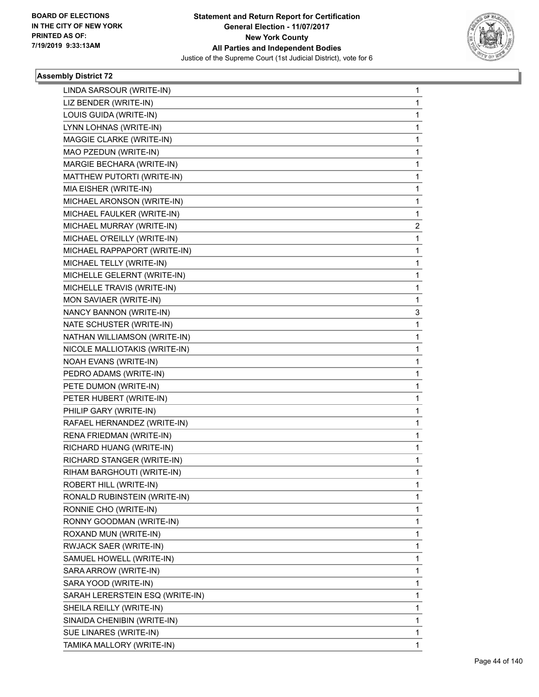

| LINDA SARSOUR (WRITE-IN)        | $\mathbf{1}$ |
|---------------------------------|--------------|
| LIZ BENDER (WRITE-IN)           | 1            |
| LOUIS GUIDA (WRITE-IN)          | 1            |
| LYNN LOHNAS (WRITE-IN)          | 1            |
| MAGGIE CLARKE (WRITE-IN)        | 1            |
| MAO PZEDUN (WRITE-IN)           | 1            |
| MARGIE BECHARA (WRITE-IN)       | 1            |
| MATTHEW PUTORTI (WRITE-IN)      | 1            |
| MIA EISHER (WRITE-IN)           | 1            |
| MICHAEL ARONSON (WRITE-IN)      | 1            |
| MICHAEL FAULKER (WRITE-IN)      | 1            |
| MICHAEL MURRAY (WRITE-IN)       | 2            |
| MICHAEL O'REILLY (WRITE-IN)     | 1            |
| MICHAEL RAPPAPORT (WRITE-IN)    | 1            |
| MICHAEL TELLY (WRITE-IN)        | 1            |
| MICHELLE GELERNT (WRITE-IN)     | 1            |
| MICHELLE TRAVIS (WRITE-IN)      | 1            |
| MON SAVIAER (WRITE-IN)          | 1            |
| NANCY BANNON (WRITE-IN)         | 3            |
| NATE SCHUSTER (WRITE-IN)        | 1            |
| NATHAN WILLIAMSON (WRITE-IN)    | 1            |
| NICOLE MALLIOTAKIS (WRITE-IN)   | 1            |
| NOAH EVANS (WRITE-IN)           | 1            |
| PEDRO ADAMS (WRITE-IN)          | 1            |
| PETE DUMON (WRITE-IN)           | 1            |
| PETER HUBERT (WRITE-IN)         | 1            |
| PHILIP GARY (WRITE-IN)          | 1            |
| RAFAEL HERNANDEZ (WRITE-IN)     | 1            |
| RENA FRIEDMAN (WRITE-IN)        | 1            |
| RICHARD HUANG (WRITE-IN)        | 1            |
| RICHARD STANGER (WRITE-IN)      | 1            |
| RIHAM BARGHOUTI (WRITE-IN)      | 1            |
| ROBERT HILL (WRITE-IN)          | 1            |
| RONALD RUBINSTEIN (WRITE-IN)    | 1            |
| RONNIE CHO (WRITE-IN)           | 1            |
| RONNY GOODMAN (WRITE-IN)        | 1            |
| ROXAND MUN (WRITE-IN)           | 1            |
| RWJACK SAER (WRITE-IN)          | 1            |
| SAMUEL HOWELL (WRITE-IN)        | 1            |
| SARA ARROW (WRITE-IN)           | 1            |
| SARA YOOD (WRITE-IN)            | 1            |
| SARAH LERERSTEIN ESQ (WRITE-IN) | 1            |
| SHEILA REILLY (WRITE-IN)        | 1            |
| SINAIDA CHENIBIN (WRITE-IN)     | 1            |
| SUE LINARES (WRITE-IN)          | 1            |
| TAMIKA MALLORY (WRITE-IN)       | 1            |
|                                 |              |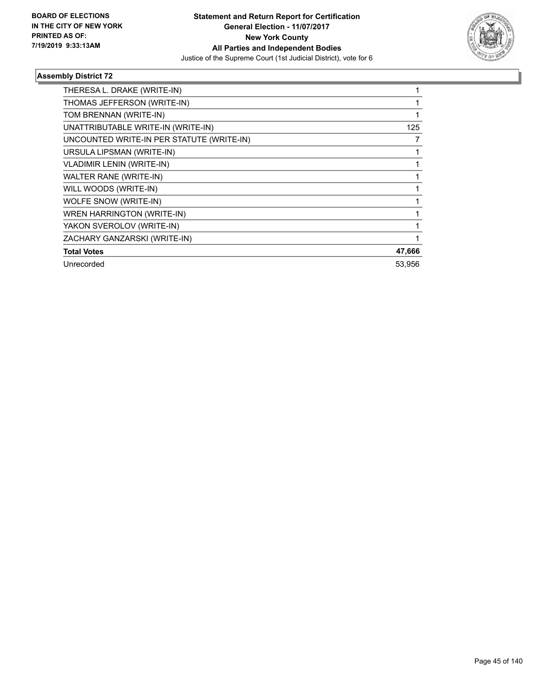

| THERESA L. DRAKE (WRITE-IN)               |        |
|-------------------------------------------|--------|
| THOMAS JEFFERSON (WRITE-IN)               |        |
| TOM BRENNAN (WRITE-IN)                    |        |
| UNATTRIBUTABLE WRITE-IN (WRITE-IN)        | 125    |
| UNCOUNTED WRITE-IN PER STATUTE (WRITE-IN) |        |
| URSULA LIPSMAN (WRITE-IN)                 |        |
| <b>VLADIMIR LENIN (WRITE-IN)</b>          |        |
| WALTER RANE (WRITE-IN)                    |        |
| WILL WOODS (WRITE-IN)                     |        |
| WOLFE SNOW (WRITE-IN)                     |        |
| WREN HARRINGTON (WRITE-IN)                |        |
| YAKON SVEROLOV (WRITE-IN)                 |        |
| ZACHARY GANZARSKI (WRITE-IN)              |        |
| <b>Total Votes</b>                        | 47,666 |
| Unrecorded                                | 53,956 |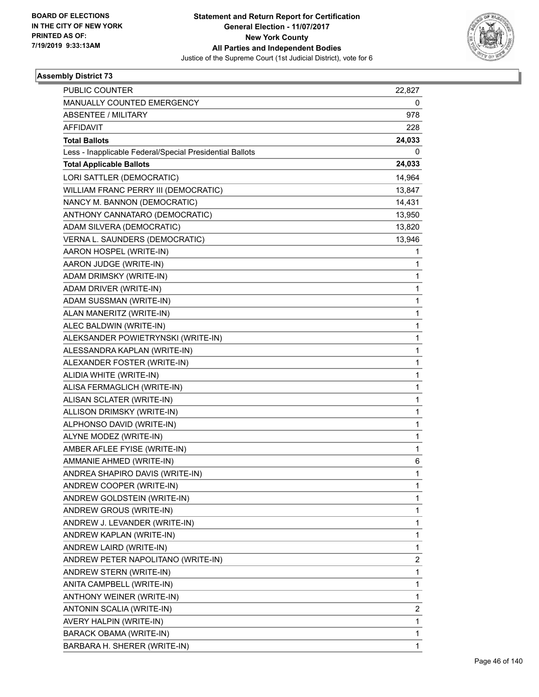

| PUBLIC COUNTER                                           | 22,827       |
|----------------------------------------------------------|--------------|
| MANUALLY COUNTED EMERGENCY                               | 0            |
| <b>ABSENTEE / MILITARY</b>                               | 978          |
| <b>AFFIDAVIT</b>                                         | 228          |
| <b>Total Ballots</b>                                     | 24,033       |
| Less - Inapplicable Federal/Special Presidential Ballots | 0            |
| <b>Total Applicable Ballots</b>                          | 24,033       |
| LORI SATTLER (DEMOCRATIC)                                | 14,964       |
| WILLIAM FRANC PERRY III (DEMOCRATIC)                     | 13,847       |
| NANCY M. BANNON (DEMOCRATIC)                             | 14,431       |
| ANTHONY CANNATARO (DEMOCRATIC)                           | 13,950       |
| ADAM SILVERA (DEMOCRATIC)                                | 13,820       |
| VERNA L. SAUNDERS (DEMOCRATIC)                           | 13,946       |
| AARON HOSPEL (WRITE-IN)                                  | 1            |
| AARON JUDGE (WRITE-IN)                                   | 1            |
| ADAM DRIMSKY (WRITE-IN)                                  | 1            |
| ADAM DRIVER (WRITE-IN)                                   | 1            |
| ADAM SUSSMAN (WRITE-IN)                                  | 1            |
| ALAN MANERITZ (WRITE-IN)                                 | 1            |
| ALEC BALDWIN (WRITE-IN)                                  | 1            |
| ALEKSANDER POWIETRYNSKI (WRITE-IN)                       | 1            |
| ALESSANDRA KAPLAN (WRITE-IN)                             | 1            |
| ALEXANDER FOSTER (WRITE-IN)                              | 1            |
| ALIDIA WHITE (WRITE-IN)                                  | 1            |
| ALISA FERMAGLICH (WRITE-IN)                              | 1            |
| ALISAN SCLATER (WRITE-IN)                                | 1            |
| ALLISON DRIMSKY (WRITE-IN)                               | 1            |
| ALPHONSO DAVID (WRITE-IN)                                | 1            |
| ALYNE MODEZ (WRITE-IN)                                   | 1            |
| AMBER AFLEE FYISE (WRITE-IN)                             | 1            |
| AMMANIE AHMED (WRITE-IN)                                 | 6            |
| ANDREA SHAPIRO DAVIS (WRITE-IN)                          | 1            |
| ANDREW COOPER (WRITE-IN)                                 | 1            |
| ANDREW GOLDSTEIN (WRITE-IN)                              | 1            |
| ANDREW GROUS (WRITE-IN)                                  | 1            |
| ANDREW J. LEVANDER (WRITE-IN)                            | 1            |
| ANDREW KAPLAN (WRITE-IN)                                 | 1            |
| ANDREW LAIRD (WRITE-IN)                                  | 1            |
| ANDREW PETER NAPOLITANO (WRITE-IN)                       | 2            |
| ANDREW STERN (WRITE-IN)                                  | 1            |
| ANITA CAMPBELL (WRITE-IN)                                | 1            |
| ANTHONY WEINER (WRITE-IN)                                | 1            |
| ANTONIN SCALIA (WRITE-IN)                                | 2            |
| AVERY HALPIN (WRITE-IN)                                  | 1            |
| BARACK OBAMA (WRITE-IN)                                  | 1            |
| BARBARA H. SHERER (WRITE-IN)                             | $\mathbf{1}$ |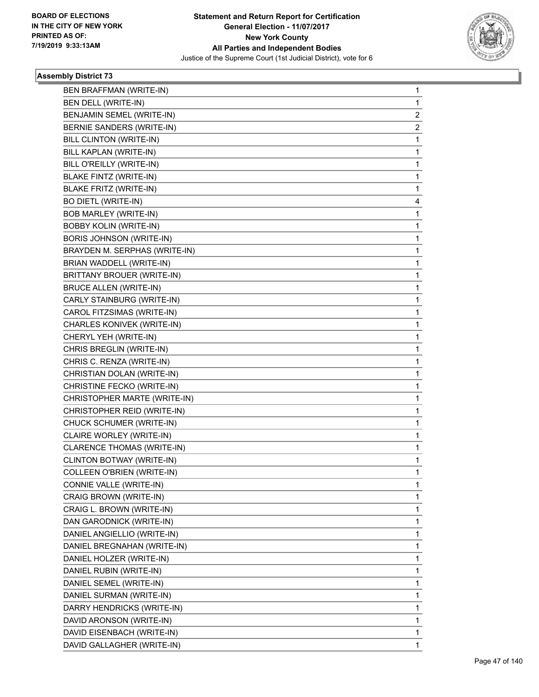

| 1<br>1<br>$\overline{2}$<br>2<br>1<br>1 |
|-----------------------------------------|
|                                         |
|                                         |
|                                         |
|                                         |
|                                         |
|                                         |
| 1                                       |
| 1                                       |
| 1                                       |
| 4                                       |
| 1                                       |
| 1                                       |
| 1                                       |
| 1                                       |
| 1                                       |
| 1                                       |
| 1                                       |
| 1                                       |
| 1                                       |
| 1                                       |
| 1                                       |
| 1                                       |
| 1                                       |
| 1                                       |
| 1                                       |
| 1                                       |
| 1                                       |
| 1                                       |
| 1                                       |
| 1                                       |
| 1                                       |
| 1                                       |
| 1                                       |
| 1                                       |
| 1                                       |
| 1                                       |
| 1                                       |
| 1                                       |
| 1                                       |
| 1                                       |
| 1                                       |
| 1                                       |
| 1                                       |
| 1                                       |
| 1                                       |
| 1                                       |
|                                         |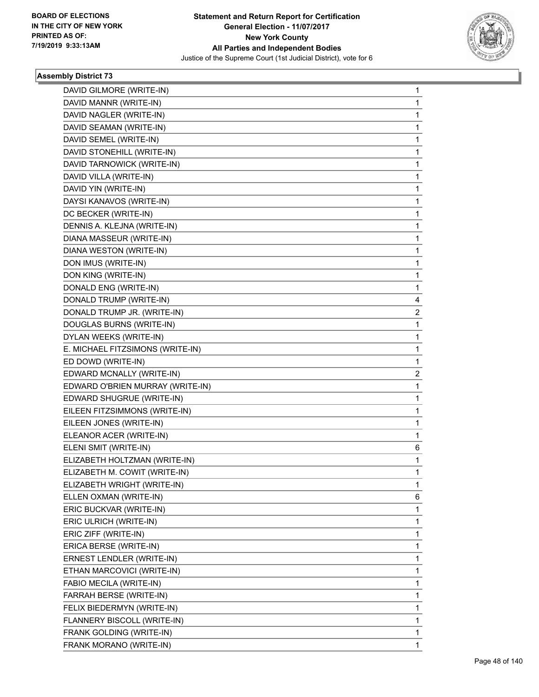

| DAVID GILMORE (WRITE-IN)         | $\mathbf{1}$   |
|----------------------------------|----------------|
| DAVID MANNR (WRITE-IN)           | $\mathbf{1}$   |
| DAVID NAGLER (WRITE-IN)          | 1              |
| DAVID SEAMAN (WRITE-IN)          | $\mathbf{1}$   |
| DAVID SEMEL (WRITE-IN)           | $\mathbf{1}$   |
| DAVID STONEHILL (WRITE-IN)       | 1              |
| DAVID TARNOWICK (WRITE-IN)       | $\mathbf{1}$   |
| DAVID VILLA (WRITE-IN)           | 1              |
| DAVID YIN (WRITE-IN)             | 1              |
| DAYSI KANAVOS (WRITE-IN)         | $\mathbf{1}$   |
| DC BECKER (WRITE-IN)             | $\mathbf{1}$   |
| DENNIS A. KLEJNA (WRITE-IN)      | 1              |
| DIANA MASSEUR (WRITE-IN)         | $\mathbf{1}$   |
| DIANA WESTON (WRITE-IN)          | $\mathbf{1}$   |
| DON IMUS (WRITE-IN)              | 1              |
| DON KING (WRITE-IN)              | $\mathbf{1}$   |
| DONALD ENG (WRITE-IN)            | 1              |
| DONALD TRUMP (WRITE-IN)          | 4              |
| DONALD TRUMP JR. (WRITE-IN)      | $\overline{2}$ |
| DOUGLAS BURNS (WRITE-IN)         | 1              |
| DYLAN WEEKS (WRITE-IN)           | 1              |
| E. MICHAEL FITZSIMONS (WRITE-IN) | $\mathbf{1}$   |
| ED DOWD (WRITE-IN)               | 1              |
| EDWARD MCNALLY (WRITE-IN)        | $\overline{2}$ |
| EDWARD O'BRIEN MURRAY (WRITE-IN) | 1              |
| EDWARD SHUGRUE (WRITE-IN)        | $\mathbf{1}$   |
| EILEEN FITZSIMMONS (WRITE-IN)    | 1              |
| EILEEN JONES (WRITE-IN)          | $\mathbf{1}$   |
| ELEANOR ACER (WRITE-IN)          | 1              |
| ELENI SMIT (WRITE-IN)            | 6              |
| ELIZABETH HOLTZMAN (WRITE-IN)    | 1              |
| ELIZABETH M. COWIT (WRITE-IN)    | $\mathbf 1$    |
| ELIZABETH WRIGHT (WRITE-IN)      | 1              |
| ELLEN OXMAN (WRITE-IN)           | 6              |
| ERIC BUCKVAR (WRITE-IN)          | 1              |
| ERIC ULRICH (WRITE-IN)           | 1              |
| ERIC ZIFF (WRITE-IN)             | 1              |
| ERICA BERSE (WRITE-IN)           | 1              |
| ERNEST LENDLER (WRITE-IN)        | 1              |
| ETHAN MARCOVICI (WRITE-IN)       | $\mathbf{1}$   |
| FABIO MECILA (WRITE-IN)          | 1              |
| FARRAH BERSE (WRITE-IN)          | 1              |
| FELIX BIEDERMYN (WRITE-IN)       | 1              |
| FLANNERY BISCOLL (WRITE-IN)      | 1              |
| FRANK GOLDING (WRITE-IN)         | 1              |
| FRANK MORANO (WRITE-IN)          | $\mathbf{1}$   |
|                                  |                |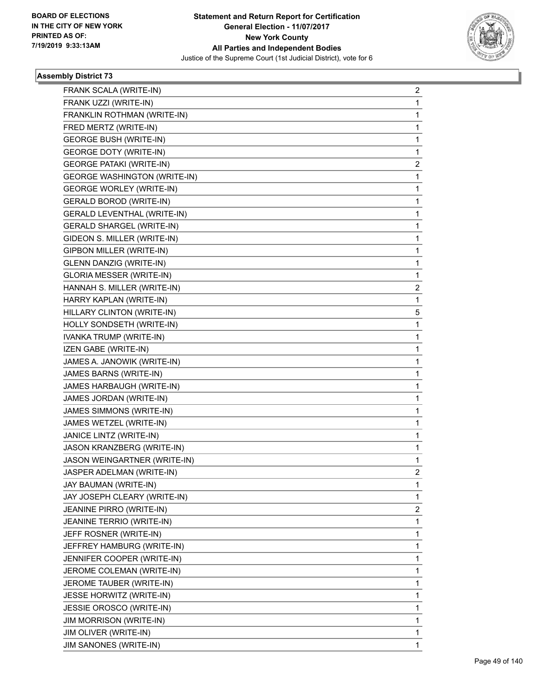

| FRANK SCALA (WRITE-IN)              | 2              |
|-------------------------------------|----------------|
| FRANK UZZI (WRITE-IN)               | 1              |
| FRANKLIN ROTHMAN (WRITE-IN)         | 1              |
| FRED MERTZ (WRITE-IN)               | 1              |
| <b>GEORGE BUSH (WRITE-IN)</b>       | 1              |
| <b>GEORGE DOTY (WRITE-IN)</b>       | 1              |
| <b>GEORGE PATAKI (WRITE-IN)</b>     | 2              |
| <b>GEORGE WASHINGTON (WRITE-IN)</b> | 1              |
| <b>GEORGE WORLEY (WRITE-IN)</b>     | 1              |
| <b>GERALD BOROD (WRITE-IN)</b>      | 1              |
| GERALD LEVENTHAL (WRITE-IN)         | 1              |
| <b>GERALD SHARGEL (WRITE-IN)</b>    | 1              |
| GIDEON S. MILLER (WRITE-IN)         | 1              |
| GIPBON MILLER (WRITE-IN)            | 1              |
| <b>GLENN DANZIG (WRITE-IN)</b>      | 1              |
| <b>GLORIA MESSER (WRITE-IN)</b>     | 1              |
| HANNAH S. MILLER (WRITE-IN)         | 2              |
| HARRY KAPLAN (WRITE-IN)             | 1              |
| HILLARY CLINTON (WRITE-IN)          | 5              |
| HOLLY SONDSETH (WRITE-IN)           | 1              |
| IVANKA TRUMP (WRITE-IN)             | 1              |
| IZEN GABE (WRITE-IN)                | 1              |
| JAMES A. JANOWIK (WRITE-IN)         | 1              |
| JAMES BARNS (WRITE-IN)              | 1              |
| JAMES HARBAUGH (WRITE-IN)           | 1              |
| JAMES JORDAN (WRITE-IN)             | 1              |
| JAMES SIMMONS (WRITE-IN)            | 1              |
| JAMES WETZEL (WRITE-IN)             | 1              |
| JANICE LINTZ (WRITE-IN)             | 1              |
| JASON KRANZBERG (WRITE-IN)          | 1              |
| JASON WEINGARTNER (WRITE-IN)        | 1              |
| JASPER ADELMAN (WRITE-IN)           | $\overline{2}$ |
| JAY BAUMAN (WRITE-IN)               | 1              |
| JAY JOSEPH CLEARY (WRITE-IN)        | 1              |
| JEANINE PIRRO (WRITE-IN)            | 2              |
| JEANINE TERRIO (WRITE-IN)           | 1              |
| JEFF ROSNER (WRITE-IN)              | 1              |
| JEFFREY HAMBURG (WRITE-IN)          | 1              |
| JENNIFER COOPER (WRITE-IN)          | 1              |
| JEROME COLEMAN (WRITE-IN)           | 1              |
| JEROME TAUBER (WRITE-IN)            | 1              |
| JESSE HORWITZ (WRITE-IN)            | 1              |
| JESSIE OROSCO (WRITE-IN)            | 1              |
| <b>JIM MORRISON (WRITE-IN)</b>      | 1              |
| JIM OLIVER (WRITE-IN)               | 1              |
| JIM SANONES (WRITE-IN)              | 1              |
|                                     |                |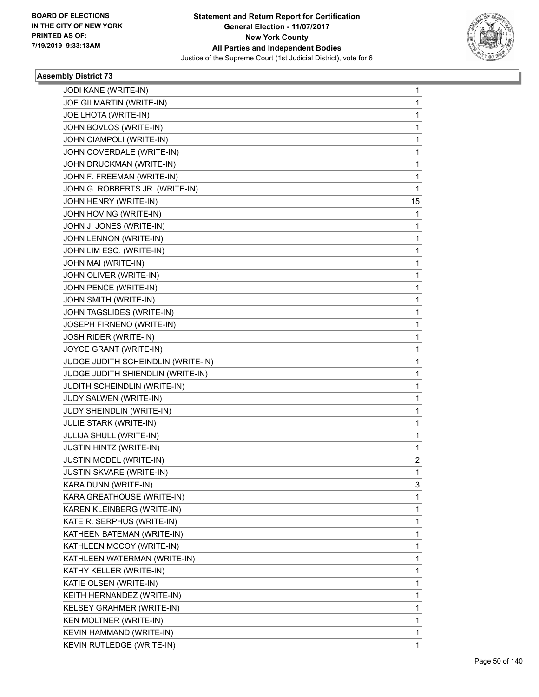

| JODI KANE (WRITE-IN)               | 1  |
|------------------------------------|----|
| JOE GILMARTIN (WRITE-IN)           | 1  |
| JOE LHOTA (WRITE-IN)               | 1  |
| JOHN BOVLOS (WRITE-IN)             | 1  |
| JOHN CIAMPOLI (WRITE-IN)           | 1  |
| JOHN COVERDALE (WRITE-IN)          | 1  |
| JOHN DRUCKMAN (WRITE-IN)           | 1  |
| JOHN F. FREEMAN (WRITE-IN)         | 1  |
| JOHN G. ROBBERTS JR. (WRITE-IN)    | 1  |
| JOHN HENRY (WRITE-IN)              | 15 |
| JOHN HOVING (WRITE-IN)             | 1  |
| JOHN J. JONES (WRITE-IN)           | 1  |
| JOHN LENNON (WRITE-IN)             | 1  |
| JOHN LIM ESQ. (WRITE-IN)           | 1  |
| JOHN MAI (WRITE-IN)                | 1  |
| JOHN OLIVER (WRITE-IN)             | 1  |
| JOHN PENCE (WRITE-IN)              | 1  |
| JOHN SMITH (WRITE-IN)              | 1  |
| JOHN TAGSLIDES (WRITE-IN)          | 1  |
| JOSEPH FIRNENO (WRITE-IN)          | 1  |
| JOSH RIDER (WRITE-IN)              | 1  |
| JOYCE GRANT (WRITE-IN)             | 1  |
| JUDGE JUDITH SCHEINDLIN (WRITE-IN) | 1  |
| JUDGE JUDITH SHIENDLIN (WRITE-IN)  | 1  |
| JUDITH SCHEINDLIN (WRITE-IN)       | 1  |
| JUDY SALWEN (WRITE-IN)             | 1  |
| JUDY SHEINDLIN (WRITE-IN)          | 1  |
| JULIE STARK (WRITE-IN)             | 1  |
| JULIJA SHULL (WRITE-IN)            | 1  |
| JUSTIN HINTZ (WRITE-IN)            | 1  |
| JUSTIN MODEL (WRITE-IN)            | 2  |
| <b>JUSTIN SKVARE (WRITE-IN)</b>    | 1  |
| KARA DUNN (WRITE-IN)               | 3  |
| KARA GREATHOUSE (WRITE-IN)         | 1  |
| KAREN KLEINBERG (WRITE-IN)         | 1  |
| KATE R. SERPHUS (WRITE-IN)         | 1  |
| KATHEEN BATEMAN (WRITE-IN)         | 1  |
| KATHLEEN MCCOY (WRITE-IN)          | 1  |
| KATHLEEN WATERMAN (WRITE-IN)       | 1  |
| KATHY KELLER (WRITE-IN)            | 1  |
| KATIE OLSEN (WRITE-IN)             | 1  |
| KEITH HERNANDEZ (WRITE-IN)         | 1  |
| KELSEY GRAHMER (WRITE-IN)          | 1  |
| KEN MOLTNER (WRITE-IN)             | 1  |
| KEVIN HAMMAND (WRITE-IN)           | 1  |
| KEVIN RUTLEDGE (WRITE-IN)          | 1  |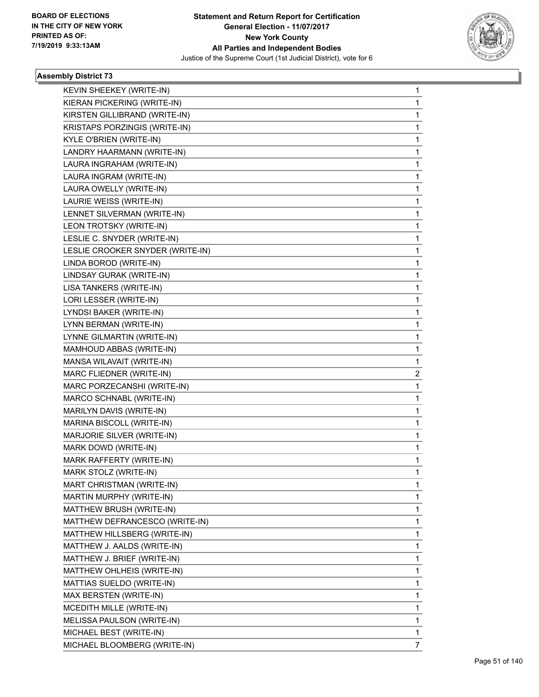

| KEVIN SHEEKEY (WRITE-IN)         | 1 |
|----------------------------------|---|
| KIERAN PICKERING (WRITE-IN)      | 1 |
| KIRSTEN GILLIBRAND (WRITE-IN)    | 1 |
| KRISTAPS PORZINGIS (WRITE-IN)    | 1 |
| KYLE O'BRIEN (WRITE-IN)          | 1 |
| LANDRY HAARMANN (WRITE-IN)       | 1 |
| LAURA INGRAHAM (WRITE-IN)        | 1 |
| LAURA INGRAM (WRITE-IN)          | 1 |
| LAURA OWELLY (WRITE-IN)          | 1 |
| LAURIE WEISS (WRITE-IN)          | 1 |
| LENNET SILVERMAN (WRITE-IN)      | 1 |
| LEON TROTSKY (WRITE-IN)          | 1 |
| LESLIE C. SNYDER (WRITE-IN)      | 1 |
| LESLIE CROOKER SNYDER (WRITE-IN) | 1 |
| LINDA BOROD (WRITE-IN)           | 1 |
| LINDSAY GURAK (WRITE-IN)         | 1 |
| LISA TANKERS (WRITE-IN)          | 1 |
| LORI LESSER (WRITE-IN)           | 1 |
| LYNDSI BAKER (WRITE-IN)          | 1 |
| LYNN BERMAN (WRITE-IN)           | 1 |
| LYNNE GILMARTIN (WRITE-IN)       | 1 |
| MAMHOUD ABBAS (WRITE-IN)         | 1 |
| MANSA WILAVAIT (WRITE-IN)        | 1 |
| MARC FLIEDNER (WRITE-IN)         | 2 |
| MARC PORZECANSHI (WRITE-IN)      | 1 |
| MARCO SCHNABL (WRITE-IN)         | 1 |
| MARILYN DAVIS (WRITE-IN)         | 1 |
| MARINA BISCOLL (WRITE-IN)        | 1 |
| MARJORIE SILVER (WRITE-IN)       | 1 |
| MARK DOWD (WRITE-IN)             | 1 |
| MARK RAFFERTY (WRITE-IN)         | 1 |
| MARK STOLZ (WRITE-IN)            | 1 |
| MART CHRISTMAN (WRITE-IN)        | 1 |
| MARTIN MURPHY (WRITE-IN)         | 1 |
| MATTHEW BRUSH (WRITE-IN)         | 1 |
| MATTHEW DEFRANCESCO (WRITE-IN)   | 1 |
| MATTHEW HILLSBERG (WRITE-IN)     | 1 |
| MATTHEW J. AALDS (WRITE-IN)      | 1 |
| MATTHEW J. BRIEF (WRITE-IN)      | 1 |
| MATTHEW OHLHEIS (WRITE-IN)       | 1 |
| MATTIAS SUELDO (WRITE-IN)        | 1 |
| MAX BERSTEN (WRITE-IN)           | 1 |
| MCEDITH MILLE (WRITE-IN)         | 1 |
| MELISSA PAULSON (WRITE-IN)       | 1 |
| MICHAEL BEST (WRITE-IN)          | 1 |
| MICHAEL BLOOMBERG (WRITE-IN)     | 7 |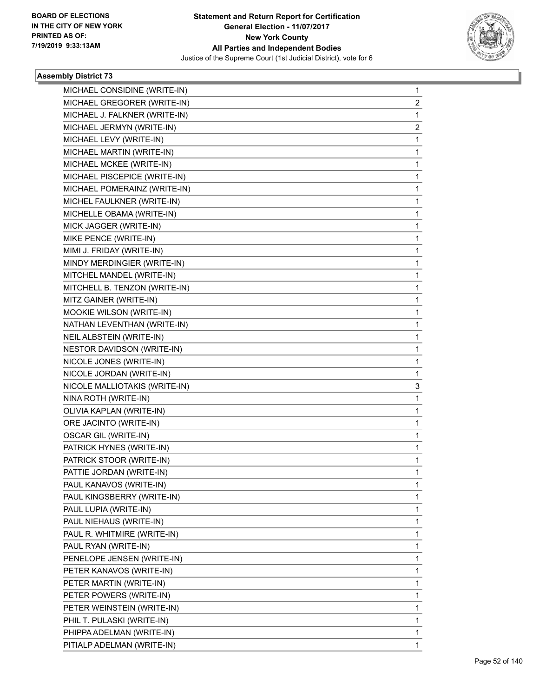

| MICHAEL CONSIDINE (WRITE-IN)  | 1            |
|-------------------------------|--------------|
| MICHAEL GREGORER (WRITE-IN)   | $\mathbf{2}$ |
| MICHAEL J. FALKNER (WRITE-IN) | 1            |
| MICHAEL JERMYN (WRITE-IN)     | 2            |
| MICHAEL LEVY (WRITE-IN)       | 1            |
| MICHAEL MARTIN (WRITE-IN)     | 1            |
| MICHAEL MCKEE (WRITE-IN)      | 1            |
| MICHAEL PISCEPICE (WRITE-IN)  | 1            |
| MICHAEL POMERAINZ (WRITE-IN)  | $\mathbf{1}$ |
| MICHEL FAULKNER (WRITE-IN)    | 1            |
| MICHELLE OBAMA (WRITE-IN)     | 1            |
| MICK JAGGER (WRITE-IN)        | $\mathbf{1}$ |
| MIKE PENCE (WRITE-IN)         | 1            |
| MIMI J. FRIDAY (WRITE-IN)     | 1            |
| MINDY MERDINGIER (WRITE-IN)   | $\mathbf{1}$ |
| MITCHEL MANDEL (WRITE-IN)     | 1            |
| MITCHELL B. TENZON (WRITE-IN) | 1            |
| MITZ GAINER (WRITE-IN)        | $\mathbf{1}$ |
| MOOKIE WILSON (WRITE-IN)      | 1            |
| NATHAN LEVENTHAN (WRITE-IN)   | 1            |
| NEIL ALBSTEIN (WRITE-IN)      | $\mathbf 1$  |
| NESTOR DAVIDSON (WRITE-IN)    | 1            |
| NICOLE JONES (WRITE-IN)       | 1            |
| NICOLE JORDAN (WRITE-IN)      | 1            |
| NICOLE MALLIOTAKIS (WRITE-IN) | 3            |
| NINA ROTH (WRITE-IN)          | 1            |
| OLIVIA KAPLAN (WRITE-IN)      | $\mathbf{1}$ |
| ORE JACINTO (WRITE-IN)        | 1            |
| OSCAR GIL (WRITE-IN)          | 1            |
| PATRICK HYNES (WRITE-IN)      | $\mathbf{1}$ |
| PATRICK STOOR (WRITE-IN)      | 1            |
| PATTIE JORDAN (WRITE-IN)      | 1            |
| PAUL KANAVOS (WRITE-IN)       | 1            |
| PAUL KINGSBERRY (WRITE-IN)    | 1            |
| PAUL LUPIA (WRITE-IN)         | 1            |
| PAUL NIEHAUS (WRITE-IN)       | 1            |
| PAUL R. WHITMIRE (WRITE-IN)   | 1            |
| PAUL RYAN (WRITE-IN)          | 1            |
| PENELOPE JENSEN (WRITE-IN)    | 1            |
| PETER KANAVOS (WRITE-IN)      | 1            |
| PETER MARTIN (WRITE-IN)       | 1            |
| PETER POWERS (WRITE-IN)       | 1            |
| PETER WEINSTEIN (WRITE-IN)    | 1            |
| PHIL T. PULASKI (WRITE-IN)    | 1            |
| PHIPPA ADELMAN (WRITE-IN)     | 1            |
| PITIALP ADELMAN (WRITE-IN)    | 1            |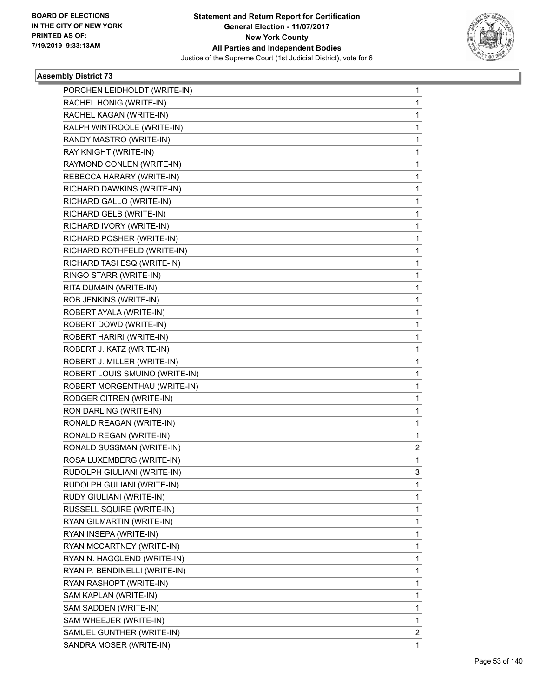

|                                                         | 1 |
|---------------------------------------------------------|---|
| PORCHEN LEIDHOLDT (WRITE-IN)<br>RACHEL HONIG (WRITE-IN) | 1 |
| RACHEL KAGAN (WRITE-IN)                                 | 1 |
| RALPH WINTROOLE (WRITE-IN)                              | 1 |
| RANDY MASTRO (WRITE-IN)                                 | 1 |
| RAY KNIGHT (WRITE-IN)                                   | 1 |
|                                                         |   |
| RAYMOND CONLEN (WRITE-IN)                               | 1 |
| REBECCA HARARY (WRITE-IN)                               | 1 |
| RICHARD DAWKINS (WRITE-IN)                              | 1 |
| RICHARD GALLO (WRITE-IN)                                | 1 |
| RICHARD GELB (WRITE-IN)                                 | 1 |
| RICHARD IVORY (WRITE-IN)                                | 1 |
| RICHARD POSHER (WRITE-IN)                               | 1 |
| RICHARD ROTHFELD (WRITE-IN)                             | 1 |
| RICHARD TASI ESQ (WRITE-IN)                             | 1 |
| RINGO STARR (WRITE-IN)                                  | 1 |
| RITA DUMAIN (WRITE-IN)                                  | 1 |
| ROB JENKINS (WRITE-IN)                                  | 1 |
| ROBERT AYALA (WRITE-IN)                                 | 1 |
| ROBERT DOWD (WRITE-IN)                                  | 1 |
| ROBERT HARIRI (WRITE-IN)                                | 1 |
| ROBERT J. KATZ (WRITE-IN)                               | 1 |
| ROBERT J. MILLER (WRITE-IN)                             | 1 |
| ROBERT LOUIS SMUINO (WRITE-IN)                          | 1 |
| ROBERT MORGENTHAU (WRITE-IN)                            | 1 |
| RODGER CITREN (WRITE-IN)                                | 1 |
| RON DARLING (WRITE-IN)                                  | 1 |
| RONALD REAGAN (WRITE-IN)                                | 1 |
| RONALD REGAN (WRITE-IN)                                 | 1 |
| RONALD SUSSMAN (WRITE-IN)                               | 2 |
| ROSA LUXEMBERG (WRITE-IN)                               | 1 |
| RUDOLPH GIULIANI (WRITE-IN)                             | 3 |
| RUDOLPH GULIANI (WRITE-IN)                              | 1 |
| RUDY GIULIANI (WRITE-IN)                                | 1 |
| RUSSELL SQUIRE (WRITE-IN)                               | 1 |
| RYAN GILMARTIN (WRITE-IN)                               | 1 |
| RYAN INSEPA (WRITE-IN)                                  | 1 |
| RYAN MCCARTNEY (WRITE-IN)                               | 1 |
| RYAN N. HAGGLEND (WRITE-IN)                             | 1 |
| RYAN P. BENDINELLI (WRITE-IN)                           | 1 |
| RYAN RASHOPT (WRITE-IN)                                 | 1 |
| SAM KAPLAN (WRITE-IN)                                   | 1 |
| SAM SADDEN (WRITE-IN)                                   | 1 |
| SAM WHEEJER (WRITE-IN)                                  | 1 |
| SAMUEL GUNTHER (WRITE-IN)                               | 2 |
| SANDRA MOSER (WRITE-IN)                                 | 1 |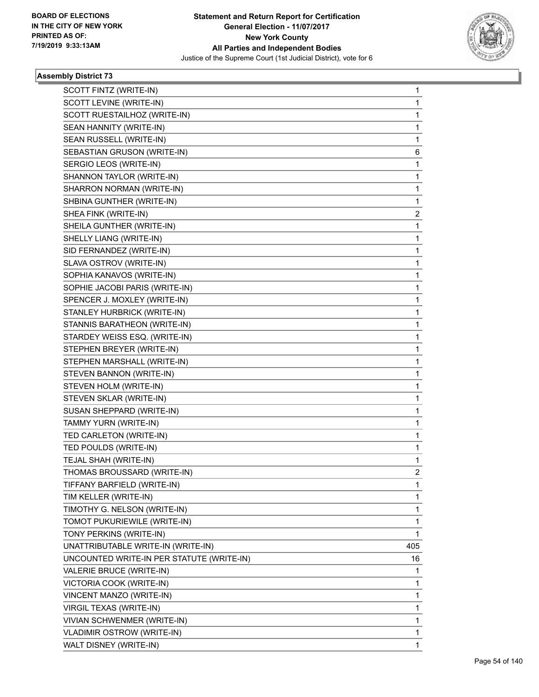

| SCOTT FINTZ (WRITE-IN)                    | 1            |
|-------------------------------------------|--------------|
| SCOTT LEVINE (WRITE-IN)                   | 1            |
| SCOTT RUESTAILHOZ (WRITE-IN)              | $\mathbf{1}$ |
| SEAN HANNITY (WRITE-IN)                   | 1            |
| SEAN RUSSELL (WRITE-IN)                   | 1            |
| SEBASTIAN GRUSON (WRITE-IN)               | 6            |
| SERGIO LEOS (WRITE-IN)                    | 1            |
| SHANNON TAYLOR (WRITE-IN)                 | 1            |
| SHARRON NORMAN (WRITE-IN)                 | $\mathbf{1}$ |
| SHBINA GUNTHER (WRITE-IN)                 | 1            |
| SHEA FINK (WRITE-IN)                      | 2            |
| SHEILA GUNTHER (WRITE-IN)                 | 1            |
| SHELLY LIANG (WRITE-IN)                   | 1            |
| SID FERNANDEZ (WRITE-IN)                  | 1            |
| SLAVA OSTROV (WRITE-IN)                   | 1            |
| SOPHIA KANAVOS (WRITE-IN)                 | 1            |
| SOPHIE JACOBI PARIS (WRITE-IN)            | 1            |
| SPENCER J. MOXLEY (WRITE-IN)              | 1            |
| STANLEY HURBRICK (WRITE-IN)               | 1            |
| STANNIS BARATHEON (WRITE-IN)              | 1            |
| STARDEY WEISS ESQ. (WRITE-IN)             | $\mathbf{1}$ |
| STEPHEN BREYER (WRITE-IN)                 | 1            |
| STEPHEN MARSHALL (WRITE-IN)               | 1            |
| STEVEN BANNON (WRITE-IN)                  | 1            |
| STEVEN HOLM (WRITE-IN)                    | 1            |
| STEVEN SKLAR (WRITE-IN)                   | 1            |
| SUSAN SHEPPARD (WRITE-IN)                 | 1            |
| TAMMY YURN (WRITE-IN)                     | 1            |
| TED CARLETON (WRITE-IN)                   | 1            |
| TED POULDS (WRITE-IN)                     | 1            |
| TEJAL SHAH (WRITE-IN)                     | 1            |
| THOMAS BROUSSARD (WRITE-IN)               | 2            |
| TIFFANY BARFIELD (WRITE-IN)               | 1            |
| TIM KELLER (WRITE-IN)                     | 1            |
| TIMOTHY G. NELSON (WRITE-IN)              | 1            |
| TOMOT PUKURIEWILE (WRITE-IN)              | 1            |
| TONY PERKINS (WRITE-IN)                   | 1            |
| UNATTRIBUTABLE WRITE-IN (WRITE-IN)        | 405          |
| UNCOUNTED WRITE-IN PER STATUTE (WRITE-IN) | 16           |
| VALERIE BRUCE (WRITE-IN)                  | 1            |
| VICTORIA COOK (WRITE-IN)                  | 1            |
| VINCENT MANZO (WRITE-IN)                  | 1            |
| VIRGIL TEXAS (WRITE-IN)                   | 1            |
| VIVIAN SCHWENMER (WRITE-IN)               | 1            |
| <b>VLADIMIR OSTROW (WRITE-IN)</b>         | 1            |
| WALT DISNEY (WRITE-IN)                    | 1            |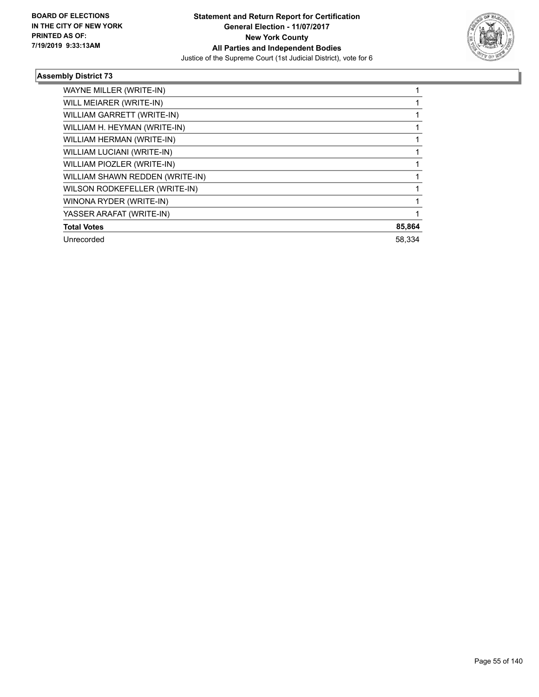

| WAYNE MILLER (WRITE-IN)         |        |
|---------------------------------|--------|
| WILL MEIARER (WRITE-IN)         |        |
| WILLIAM GARRETT (WRITE-IN)      |        |
| WILLIAM H. HEYMAN (WRITE-IN)    |        |
| WILLIAM HERMAN (WRITE-IN)       |        |
| WILLIAM LUCIANI (WRITE-IN)      |        |
| WILLIAM PIOZLER (WRITE-IN)      |        |
| WILLIAM SHAWN REDDEN (WRITE-IN) |        |
| WILSON RODKEFELLER (WRITE-IN)   |        |
| WINONA RYDER (WRITE-IN)         |        |
| YASSER ARAFAT (WRITE-IN)        |        |
| <b>Total Votes</b>              | 85,864 |
| Unrecorded                      | 58.334 |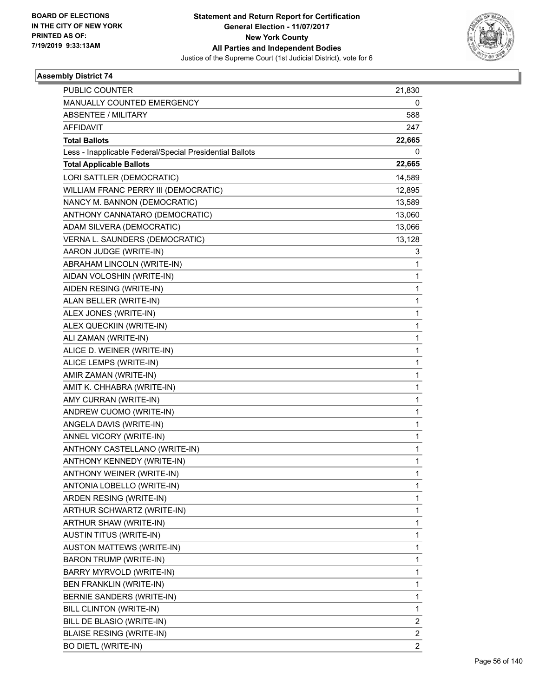

| <b>PUBLIC COUNTER</b>                                    | 21,830         |
|----------------------------------------------------------|----------------|
| MANUALLY COUNTED EMERGENCY                               | 0              |
| <b>ABSENTEE / MILITARY</b>                               | 588            |
| <b>AFFIDAVIT</b>                                         | 247            |
| <b>Total Ballots</b>                                     | 22,665         |
| Less - Inapplicable Federal/Special Presidential Ballots | 0              |
| <b>Total Applicable Ballots</b>                          | 22,665         |
| LORI SATTLER (DEMOCRATIC)                                | 14,589         |
| WILLIAM FRANC PERRY III (DEMOCRATIC)                     | 12,895         |
| NANCY M. BANNON (DEMOCRATIC)                             | 13,589         |
| ANTHONY CANNATARO (DEMOCRATIC)                           | 13,060         |
| ADAM SILVERA (DEMOCRATIC)                                | 13,066         |
| VERNA L. SAUNDERS (DEMOCRATIC)                           | 13,128         |
| AARON JUDGE (WRITE-IN)                                   | 3              |
| ABRAHAM LINCOLN (WRITE-IN)                               | 1              |
| AIDAN VOLOSHIN (WRITE-IN)                                | 1              |
| AIDEN RESING (WRITE-IN)                                  | 1              |
| ALAN BELLER (WRITE-IN)                                   | 1              |
| ALEX JONES (WRITE-IN)                                    | 1              |
| ALEX QUECKIIN (WRITE-IN)                                 | 1              |
| ALI ZAMAN (WRITE-IN)                                     | 1              |
| ALICE D. WEINER (WRITE-IN)                               | 1              |
| ALICE LEMPS (WRITE-IN)                                   | 1              |
| AMIR ZAMAN (WRITE-IN)                                    | 1              |
| AMIT K. CHHABRA (WRITE-IN)                               | 1              |
| AMY CURRAN (WRITE-IN)                                    | 1              |
| ANDREW CUOMO (WRITE-IN)                                  | 1              |
| ANGELA DAVIS (WRITE-IN)                                  | 1              |
| ANNEL VICORY (WRITE-IN)                                  | 1              |
| ANTHONY CASTELLANO (WRITE-IN)                            | 1              |
| ANTHONY KENNEDY (WRITE-IN)                               | 1              |
| ANTHONY WEINER (WRITE-IN)                                | 1              |
| ANTONIA LOBELLO (WRITE-IN)                               | 1              |
| ARDEN RESING (WRITE-IN)                                  | 1              |
| ARTHUR SCHWARTZ (WRITE-IN)                               | 1              |
| ARTHUR SHAW (WRITE-IN)                                   | 1              |
| <b>AUSTIN TITUS (WRITE-IN)</b>                           | 1              |
| AUSTON MATTEWS (WRITE-IN)                                | 1              |
| <b>BARON TRUMP (WRITE-IN)</b>                            | 1              |
| BARRY MYRVOLD (WRITE-IN)                                 | 1              |
| <b>BEN FRANKLIN (WRITE-IN)</b>                           | 1              |
| BERNIE SANDERS (WRITE-IN)                                | 1              |
| BILL CLINTON (WRITE-IN)                                  | 1              |
| BILL DE BLASIO (WRITE-IN)                                | $\overline{2}$ |
| <b>BLAISE RESING (WRITE-IN)</b>                          | $\overline{c}$ |
| <b>BO DIETL (WRITE-IN)</b>                               | $\overline{2}$ |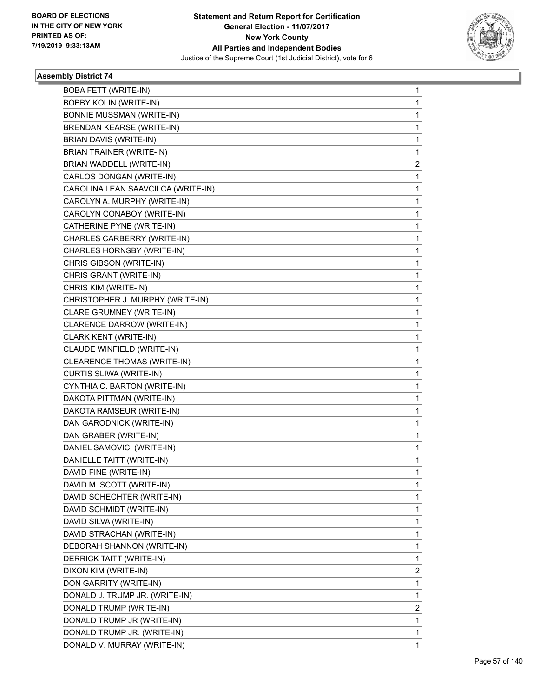

| <b>BOBA FETT (WRITE-IN)</b>        | $\mathbf{1}$   |
|------------------------------------|----------------|
| <b>BOBBY KOLIN (WRITE-IN)</b>      | 1              |
| <b>BONNIE MUSSMAN (WRITE-IN)</b>   | 1              |
| <b>BRENDAN KEARSE (WRITE-IN)</b>   | 1              |
| BRIAN DAVIS (WRITE-IN)             | 1              |
| BRIAN TRAINER (WRITE-IN)           | 1              |
| BRIAN WADDELL (WRITE-IN)           | 2              |
| CARLOS DONGAN (WRITE-IN)           | 1              |
| CAROLINA LEAN SAAVCILCA (WRITE-IN) | 1              |
| CAROLYN A. MURPHY (WRITE-IN)       | 1              |
| CAROLYN CONABOY (WRITE-IN)         | 1              |
| CATHERINE PYNE (WRITE-IN)          | 1              |
| CHARLES CARBERRY (WRITE-IN)        | 1              |
| CHARLES HORNSBY (WRITE-IN)         | 1              |
| CHRIS GIBSON (WRITE-IN)            | 1              |
| CHRIS GRANT (WRITE-IN)             | 1              |
| CHRIS KIM (WRITE-IN)               | 1              |
| CHRISTOPHER J. MURPHY (WRITE-IN)   | 1              |
| CLARE GRUMNEY (WRITE-IN)           | 1              |
| CLARENCE DARROW (WRITE-IN)         | 1              |
| CLARK KENT (WRITE-IN)              | 1              |
| CLAUDE WINFIELD (WRITE-IN)         | 1              |
| CLEARENCE THOMAS (WRITE-IN)        | 1              |
| CURTIS SLIWA (WRITE-IN)            | 1              |
| CYNTHIA C. BARTON (WRITE-IN)       | 1              |
| DAKOTA PITTMAN (WRITE-IN)          | 1              |
| DAKOTA RAMSEUR (WRITE-IN)          | 1              |
| DAN GARODNICK (WRITE-IN)           | 1              |
| DAN GRABER (WRITE-IN)              | 1              |
| DANIEL SAMOVICI (WRITE-IN)         | 1              |
| DANIELLE TAITT (WRITE-IN)          | 1              |
| DAVID FINE (WRITE-IN)              | 1              |
| DAVID M. SCOTT (WRITE-IN)          | 1              |
| DAVID SCHECHTER (WRITE-IN)         | 1              |
| DAVID SCHMIDT (WRITE-IN)           | 1              |
| DAVID SILVA (WRITE-IN)             | 1              |
| DAVID STRACHAN (WRITE-IN)          | 1              |
| DEBORAH SHANNON (WRITE-IN)         | 1              |
| DERRICK TAITT (WRITE-IN)           | 1              |
| DIXON KIM (WRITE-IN)               | $\overline{2}$ |
| DON GARRITY (WRITE-IN)             | 1              |
| DONALD J. TRUMP JR. (WRITE-IN)     | 1              |
| DONALD TRUMP (WRITE-IN)            | 2              |
| DONALD TRUMP JR (WRITE-IN)         | 1              |
| DONALD TRUMP JR. (WRITE-IN)        | 1              |
| DONALD V. MURRAY (WRITE-IN)        | 1              |
|                                    |                |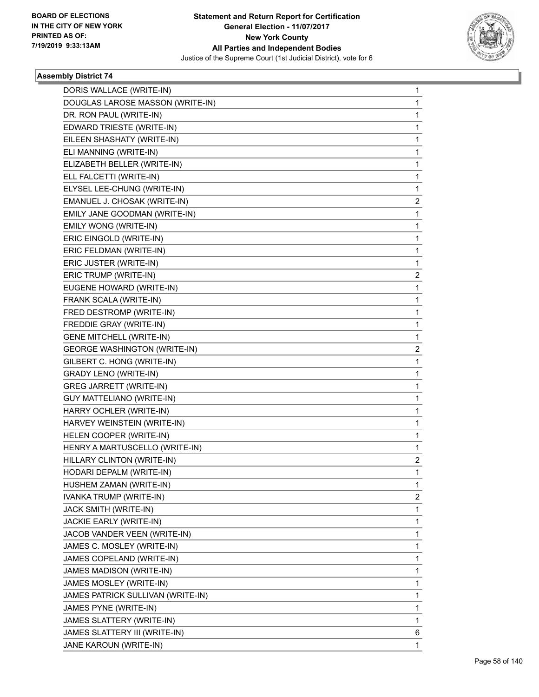

| DORIS WALLACE (WRITE-IN)            | $\mathbf{1}$   |
|-------------------------------------|----------------|
| DOUGLAS LAROSE MASSON (WRITE-IN)    | $\mathbf{1}$   |
| DR. RON PAUL (WRITE-IN)             | 1              |
| EDWARD TRIESTE (WRITE-IN)           | $\mathbf{1}$   |
| EILEEN SHASHATY (WRITE-IN)          | 1              |
| ELI MANNING (WRITE-IN)              | 1              |
| ELIZABETH BELLER (WRITE-IN)         | $\mathbf{1}$   |
| ELL FALCETTI (WRITE-IN)             | $\mathbf{1}$   |
| ELYSEL LEE-CHUNG (WRITE-IN)         | 1              |
| EMANUEL J. CHOSAK (WRITE-IN)        | 2              |
| EMILY JANE GOODMAN (WRITE-IN)       | 1              |
| EMILY WONG (WRITE-IN)               | 1              |
| ERIC EINGOLD (WRITE-IN)             | $\mathbf{1}$   |
| ERIC FELDMAN (WRITE-IN)             | $\mathbf{1}$   |
| ERIC JUSTER (WRITE-IN)              | 1              |
| ERIC TRUMP (WRITE-IN)               | 2              |
| EUGENE HOWARD (WRITE-IN)            | 1              |
| FRANK SCALA (WRITE-IN)              | 1              |
| FRED DESTROMP (WRITE-IN)            | $\mathbf{1}$   |
| FREDDIE GRAY (WRITE-IN)             | $\mathbf{1}$   |
| <b>GENE MITCHELL (WRITE-IN)</b>     | 1              |
| <b>GEORGE WASHINGTON (WRITE-IN)</b> | 2              |
| GILBERT C. HONG (WRITE-IN)          | 1              |
| <b>GRADY LENO (WRITE-IN)</b>        | 1              |
| <b>GREG JARRETT (WRITE-IN)</b>      | $\mathbf 1$    |
| <b>GUY MATTELIANO (WRITE-IN)</b>    | $\mathbf{1}$   |
| HARRY OCHLER (WRITE-IN)             | 1              |
| HARVEY WEINSTEIN (WRITE-IN)         | $\mathbf 1$    |
| HELEN COOPER (WRITE-IN)             | $\mathbf{1}$   |
| HENRY A MARTUSCELLO (WRITE-IN)      | 1              |
| HILLARY CLINTON (WRITE-IN)          | $\overline{a}$ |
| HODARI DEPALM (WRITE-IN)            | $\mathbf 1$    |
| HUSHEM ZAMAN (WRITE-IN)             | 1              |
| IVANKA TRUMP (WRITE-IN)             | $\overline{2}$ |
| JACK SMITH (WRITE-IN)               | 1              |
| JACKIE EARLY (WRITE-IN)             | 1              |
| JACOB VANDER VEEN (WRITE-IN)        | 1              |
| JAMES C. MOSLEY (WRITE-IN)          | 1              |
| JAMES COPELAND (WRITE-IN)           | 1              |
| JAMES MADISON (WRITE-IN)            | 1              |
| JAMES MOSLEY (WRITE-IN)             | 1              |
| JAMES PATRICK SULLIVAN (WRITE-IN)   | 1              |
| JAMES PYNE (WRITE-IN)               | 1              |
| JAMES SLATTERY (WRITE-IN)           | 1              |
| JAMES SLATTERY III (WRITE-IN)       | 6              |
| JANE KAROUN (WRITE-IN)              | 1              |
|                                     |                |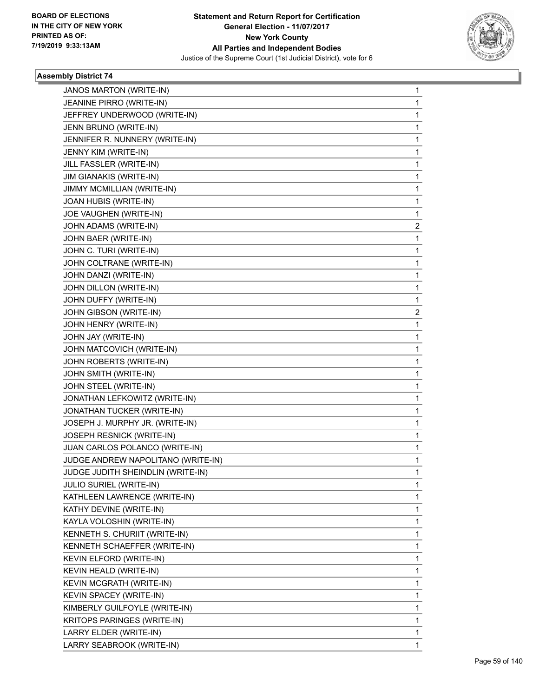

| JANOS MARTON (WRITE-IN)            | $\mathbf 1$             |
|------------------------------------|-------------------------|
| JEANINE PIRRO (WRITE-IN)           | 1                       |
| JEFFREY UNDERWOOD (WRITE-IN)       | 1                       |
| JENN BRUNO (WRITE-IN)              | 1                       |
| JENNIFER R. NUNNERY (WRITE-IN)     | 1                       |
| JENNY KIM (WRITE-IN)               | 1                       |
| JILL FASSLER (WRITE-IN)            | 1                       |
| <b>JIM GIANAKIS (WRITE-IN)</b>     | 1                       |
| JIMMY MCMILLIAN (WRITE-IN)         | 1                       |
| JOAN HUBIS (WRITE-IN)              | 1                       |
| JOE VAUGHEN (WRITE-IN)             | 1                       |
| JOHN ADAMS (WRITE-IN)              | 2                       |
| JOHN BAER (WRITE-IN)               | 1                       |
| JOHN C. TURI (WRITE-IN)            | 1                       |
| JOHN COLTRANE (WRITE-IN)           | 1                       |
| JOHN DANZI (WRITE-IN)              | 1                       |
| JOHN DILLON (WRITE-IN)             | 1                       |
| JOHN DUFFY (WRITE-IN)              | 1                       |
| JOHN GIBSON (WRITE-IN)             | $\overline{\mathbf{c}}$ |
| JOHN HENRY (WRITE-IN)              | 1                       |
| JOHN JAY (WRITE-IN)                | 1                       |
| JOHN MATCOVICH (WRITE-IN)          | 1                       |
| JOHN ROBERTS (WRITE-IN)            | 1                       |
| JOHN SMITH (WRITE-IN)              | 1                       |
| JOHN STEEL (WRITE-IN)              | 1                       |
| JONATHAN LEFKOWITZ (WRITE-IN)      | 1                       |
| JONATHAN TUCKER (WRITE-IN)         | 1                       |
| JOSEPH J. MURPHY JR. (WRITE-IN)    | 1                       |
| <b>JOSEPH RESNICK (WRITE-IN)</b>   | 1                       |
| JUAN CARLOS POLANCO (WRITE-IN)     | 1                       |
| JUDGE ANDREW NAPOLITANO (WRITE-IN) | 1                       |
| JUDGE JUDITH SHEINDLIN (WRITE-IN)  | 1                       |
| JULIO SURIEL (WRITE-IN)            | 1                       |
| KATHLEEN LAWRENCE (WRITE-IN)       | 1                       |
| KATHY DEVINE (WRITE-IN)            | 1                       |
| KAYLA VOLOSHIN (WRITE-IN)          | 1                       |
| KENNETH S. CHURIIT (WRITE-IN)      | 1                       |
| KENNETH SCHAEFFER (WRITE-IN)       | 1                       |
| KEVIN ELFORD (WRITE-IN)            | 1                       |
| KEVIN HEALD (WRITE-IN)             | $\mathbf{1}$            |
| KEVIN MCGRATH (WRITE-IN)           | 1                       |
| KEVIN SPACEY (WRITE-IN)            | 1                       |
| KIMBERLY GUILFOYLE (WRITE-IN)      | 1                       |
| KRITOPS PARINGES (WRITE-IN)        | 1                       |
| LARRY ELDER (WRITE-IN)             | 1                       |
| LARRY SEABROOK (WRITE-IN)          | $\mathbf{1}$            |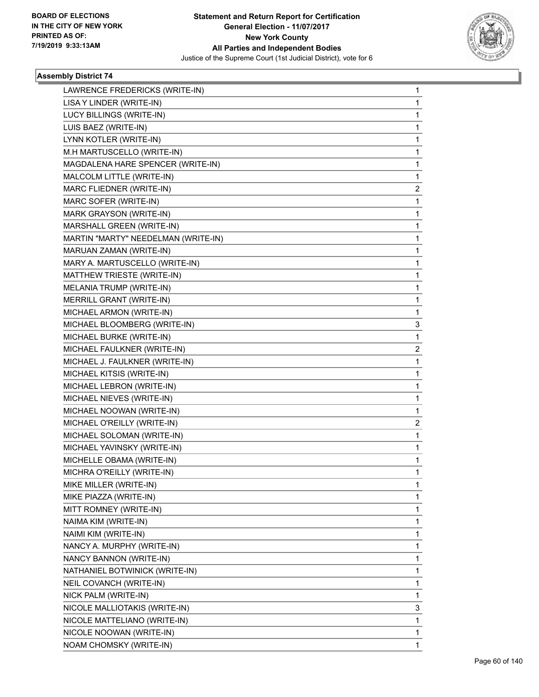

| LAWRENCE FREDERICKS (WRITE-IN)      | $\mathbf{1}$ |
|-------------------------------------|--------------|
| LISA Y LINDER (WRITE-IN)            | $\mathbf{1}$ |
| LUCY BILLINGS (WRITE-IN)            | 1            |
| LUIS BAEZ (WRITE-IN)                | $\mathbf 1$  |
| LYNN KOTLER (WRITE-IN)              | 1            |
| M.H MARTUSCELLO (WRITE-IN)          | 1            |
| MAGDALENA HARE SPENCER (WRITE-IN)   | $\mathbf 1$  |
| MALCOLM LITTLE (WRITE-IN)           | $\mathbf{1}$ |
| MARC FLIEDNER (WRITE-IN)            | 2            |
| MARC SOFER (WRITE-IN)               | $\mathbf 1$  |
| MARK GRAYSON (WRITE-IN)             | 1            |
| MARSHALL GREEN (WRITE-IN)           | 1            |
| MARTIN "MARTY" NEEDELMAN (WRITE-IN) | $\mathbf 1$  |
| MARUAN ZAMAN (WRITE-IN)             | $\mathbf{1}$ |
| MARY A. MARTUSCELLO (WRITE-IN)      | 1            |
| MATTHEW TRIESTE (WRITE-IN)          | $\mathbf 1$  |
| MELANIA TRUMP (WRITE-IN)            | 1            |
| MERRILL GRANT (WRITE-IN)            | 1            |
| MICHAEL ARMON (WRITE-IN)            | 1            |
| MICHAEL BLOOMBERG (WRITE-IN)        | 3            |
| MICHAEL BURKE (WRITE-IN)            | 1            |
| MICHAEL FAULKNER (WRITE-IN)         | 2            |
| MICHAEL J. FAULKNER (WRITE-IN)      | 1            |
| MICHAEL KITSIS (WRITE-IN)           | 1            |
| MICHAEL LEBRON (WRITE-IN)           | $\mathbf 1$  |
| MICHAEL NIEVES (WRITE-IN)           | $\mathbf{1}$ |
| MICHAEL NOOWAN (WRITE-IN)           | 1            |
| MICHAEL O'REILLY (WRITE-IN)         | 2            |
| MICHAEL SOLOMAN (WRITE-IN)          | 1            |
| MICHAEL YAVINSKY (WRITE-IN)         | 1            |
| MICHELLE OBAMA (WRITE-IN)           | $\mathbf 1$  |
| MICHRA O'REILLY (WRITE-IN)          | $\mathbf 1$  |
| MIKE MILLER (WRITE-IN)              | 1            |
| MIKE PIAZZA (WRITE-IN)              | 1            |
| MITT ROMNEY (WRITE-IN)              | 1            |
| NAIMA KIM (WRITE-IN)                | 1            |
| NAIMI KIM (WRITE-IN)                | 1            |
| NANCY A. MURPHY (WRITE-IN)          | 1            |
| NANCY BANNON (WRITE-IN)             | 1            |
| NATHANIEL BOTWINICK (WRITE-IN)      | 1            |
| NEIL COVANCH (WRITE-IN)             | 1            |
| NICK PALM (WRITE-IN)                | 1            |
| NICOLE MALLIOTAKIS (WRITE-IN)       | 3            |
| NICOLE MATTELIANO (WRITE-IN)        | 1            |
| NICOLE NOOWAN (WRITE-IN)            | 1            |
| NOAM CHOMSKY (WRITE-IN)             | $\mathbf{1}$ |
|                                     |              |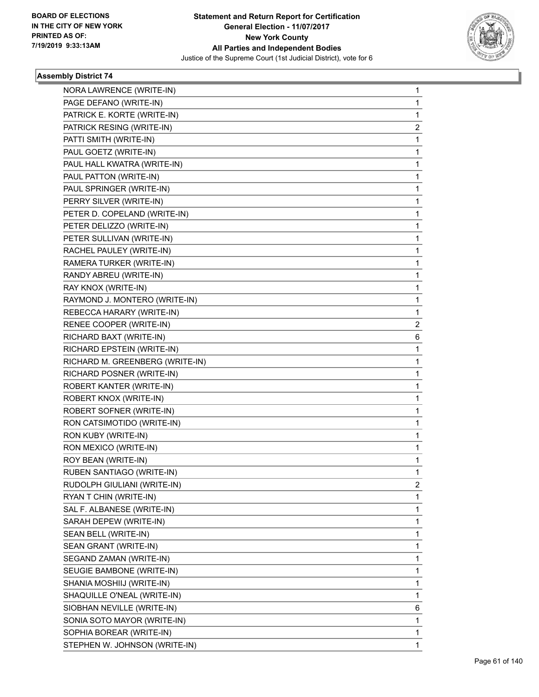

| NORA LAWRENCE (WRITE-IN)        | 1 |
|---------------------------------|---|
| PAGE DEFANO (WRITE-IN)          | 1 |
| PATRICK E. KORTE (WRITE-IN)     | 1 |
| PATRICK RESING (WRITE-IN)       | 2 |
| PATTI SMITH (WRITE-IN)          | 1 |
| PAUL GOETZ (WRITE-IN)           | 1 |
| PAUL HALL KWATRA (WRITE-IN)     | 1 |
| PAUL PATTON (WRITE-IN)          | 1 |
| PAUL SPRINGER (WRITE-IN)        | 1 |
| PERRY SILVER (WRITE-IN)         | 1 |
| PETER D. COPELAND (WRITE-IN)    | 1 |
| PETER DELIZZO (WRITE-IN)        | 1 |
| PETER SULLIVAN (WRITE-IN)       | 1 |
| RACHEL PAULEY (WRITE-IN)        | 1 |
| RAMERA TURKER (WRITE-IN)        | 1 |
| RANDY ABREU (WRITE-IN)          | 1 |
| RAY KNOX (WRITE-IN)             | 1 |
| RAYMOND J. MONTERO (WRITE-IN)   | 1 |
| REBECCA HARARY (WRITE-IN)       | 1 |
| RENEE COOPER (WRITE-IN)         | 2 |
| RICHARD BAXT (WRITE-IN)         | 6 |
| RICHARD EPSTEIN (WRITE-IN)      | 1 |
| RICHARD M. GREENBERG (WRITE-IN) | 1 |
| RICHARD POSNER (WRITE-IN)       | 1 |
| ROBERT KANTER (WRITE-IN)        | 1 |
| ROBERT KNOX (WRITE-IN)          | 1 |
| ROBERT SOFNER (WRITE-IN)        | 1 |
| RON CATSIMOTIDO (WRITE-IN)      | 1 |
| RON KUBY (WRITE-IN)             | 1 |
| RON MEXICO (WRITE-IN)           | 1 |
| ROY BEAN (WRITE-IN)             | 1 |
| RUBEN SANTIAGO (WRITE-IN)       | 1 |
| RUDOLPH GIULIANI (WRITE-IN)     | 2 |
| RYAN T CHIN (WRITE-IN)          | 1 |
| SAL F. ALBANESE (WRITE-IN)      | 1 |
| SARAH DEPEW (WRITE-IN)          | 1 |
| SEAN BELL (WRITE-IN)            | 1 |
| SEAN GRANT (WRITE-IN)           | 1 |
| SEGAND ZAMAN (WRITE-IN)         | 1 |
| SEUGIE BAMBONE (WRITE-IN)       | 1 |
| SHANIA MOSHIIJ (WRITE-IN)       | 1 |
| SHAQUILLE O'NEAL (WRITE-IN)     | 1 |
| SIOBHAN NEVILLE (WRITE-IN)      | 6 |
| SONIA SOTO MAYOR (WRITE-IN)     | 1 |
| SOPHIA BOREAR (WRITE-IN)        | 1 |
| STEPHEN W. JOHNSON (WRITE-IN)   | 1 |
|                                 |   |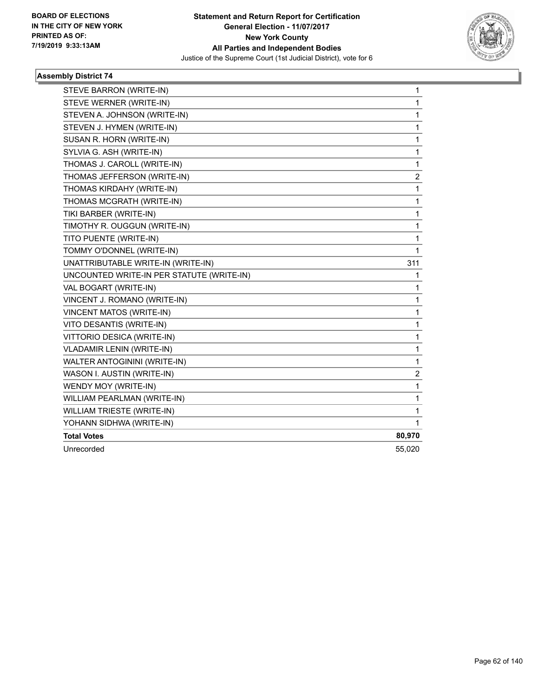

| STEVE BARRON (WRITE-IN)                   | 1                       |
|-------------------------------------------|-------------------------|
| STEVE WERNER (WRITE-IN)                   | 1                       |
| STEVEN A. JOHNSON (WRITE-IN)              | 1                       |
| STEVEN J. HYMEN (WRITE-IN)                | 1                       |
| SUSAN R. HORN (WRITE-IN)                  | 1                       |
| SYLVIA G. ASH (WRITE-IN)                  | $\mathbf{1}$            |
| THOMAS J. CAROLL (WRITE-IN)               | $\mathbf 1$             |
| THOMAS JEFFERSON (WRITE-IN)               | $\overline{\mathbf{c}}$ |
| THOMAS KIRDAHY (WRITE-IN)                 | 1                       |
| THOMAS MCGRATH (WRITE-IN)                 | $\mathbf 1$             |
| TIKI BARBER (WRITE-IN)                    | 1                       |
| TIMOTHY R. OUGGUN (WRITE-IN)              | 1                       |
| TITO PUENTE (WRITE-IN)                    | 1                       |
| TOMMY O'DONNEL (WRITE-IN)                 | 1                       |
| UNATTRIBUTABLE WRITE-IN (WRITE-IN)        | 311                     |
| UNCOUNTED WRITE-IN PER STATUTE (WRITE-IN) | 1                       |
| VAL BOGART (WRITE-IN)                     | 1                       |
| VINCENT J. ROMANO (WRITE-IN)              | 1                       |
| <b>VINCENT MATOS (WRITE-IN)</b>           | 1                       |
| VITO DESANTIS (WRITE-IN)                  | 1                       |
| VITTORIO DESICA (WRITE-IN)                | 1                       |
| VLADAMIR LENIN (WRITE-IN)                 | 1                       |
| WALTER ANTOGININI (WRITE-IN)              | $\mathbf{1}$            |
| WASON I. AUSTIN (WRITE-IN)                | $\boldsymbol{2}$        |
| WENDY MOY (WRITE-IN)                      | 1                       |
| WILLIAM PEARLMAN (WRITE-IN)               | $\mathbf{1}$            |
| WILLIAM TRIESTE (WRITE-IN)                | $\mathbf{1}$            |
| YOHANN SIDHWA (WRITE-IN)                  | 1                       |
| <b>Total Votes</b>                        | 80,970                  |
| Unrecorded                                | 55,020                  |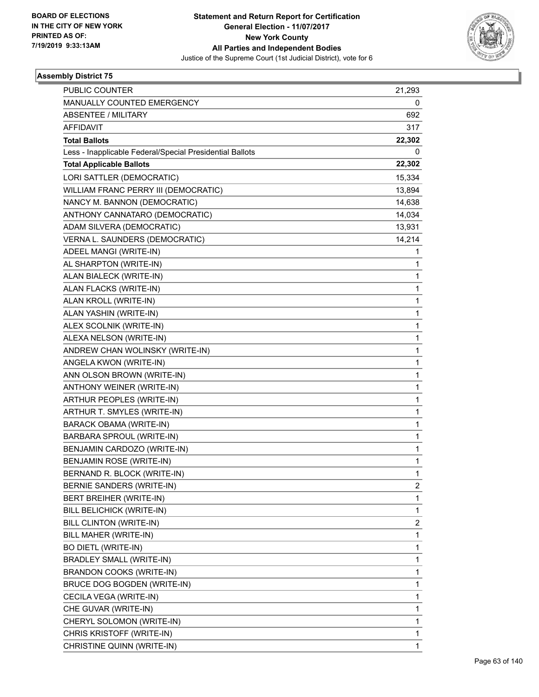

| PUBLIC COUNTER                                           | 21,293       |
|----------------------------------------------------------|--------------|
| MANUALLY COUNTED EMERGENCY                               | 0            |
| <b>ABSENTEE / MILITARY</b>                               | 692          |
| <b>AFFIDAVIT</b>                                         | 317          |
| <b>Total Ballots</b>                                     | 22,302       |
| Less - Inapplicable Federal/Special Presidential Ballots | 0            |
| <b>Total Applicable Ballots</b>                          | 22,302       |
| LORI SATTLER (DEMOCRATIC)                                | 15,334       |
| WILLIAM FRANC PERRY III (DEMOCRATIC)                     | 13,894       |
| NANCY M. BANNON (DEMOCRATIC)                             | 14,638       |
| ANTHONY CANNATARO (DEMOCRATIC)                           | 14,034       |
| ADAM SILVERA (DEMOCRATIC)                                | 13,931       |
| VERNA L. SAUNDERS (DEMOCRATIC)                           | 14,214       |
| ADEEL MANGI (WRITE-IN)                                   | 1            |
| AL SHARPTON (WRITE-IN)                                   | 1            |
| ALAN BIALECK (WRITE-IN)                                  | 1            |
| ALAN FLACKS (WRITE-IN)                                   | 1            |
| ALAN KROLL (WRITE-IN)                                    | 1            |
| ALAN YASHIN (WRITE-IN)                                   | 1            |
| ALEX SCOLNIK (WRITE-IN)                                  | $\mathbf{1}$ |
| ALEXA NELSON (WRITE-IN)                                  | 1            |
| ANDREW CHAN WOLINSKY (WRITE-IN)                          | 1            |
| ANGELA KWON (WRITE-IN)                                   | $\mathbf{1}$ |
| ANN OLSON BROWN (WRITE-IN)                               | 1            |
| ANTHONY WEINER (WRITE-IN)                                | 1            |
| ARTHUR PEOPLES (WRITE-IN)                                | $\mathbf{1}$ |
| ARTHUR T. SMYLES (WRITE-IN)                              | 1            |
| <b>BARACK OBAMA (WRITE-IN)</b>                           | 1            |
| BARBARA SPROUL (WRITE-IN)                                | $\mathbf{1}$ |
| BENJAMIN CARDOZO (WRITE-IN)                              | 1            |
| <b>BENJAMIN ROSE (WRITE-IN)</b>                          | 1            |
| BERNAND R. BLOCK (WRITE-IN)                              | 1            |
| BERNIE SANDERS (WRITE-IN)                                | 2            |
| BERT BREIHER (WRITE-IN)                                  | 1            |
| BILL BELICHICK (WRITE-IN)                                | 1            |
| BILL CLINTON (WRITE-IN)                                  | 2            |
| BILL MAHER (WRITE-IN)                                    | 1            |
| <b>BO DIETL (WRITE-IN)</b>                               | 1            |
| <b>BRADLEY SMALL (WRITE-IN)</b>                          | 1            |
| BRANDON COOKS (WRITE-IN)                                 | 1            |
| BRUCE DOG BOGDEN (WRITE-IN)                              | 1            |
| CECILA VEGA (WRITE-IN)                                   | 1            |
| CHE GUVAR (WRITE-IN)                                     | 1            |
| CHERYL SOLOMON (WRITE-IN)                                | 1            |
| CHRIS KRISTOFF (WRITE-IN)                                | 1            |
| CHRISTINE QUINN (WRITE-IN)                               | 1            |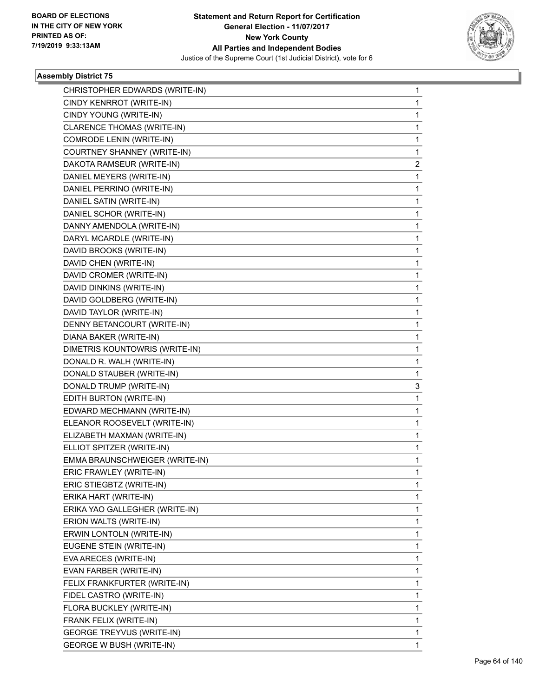

| CHRISTOPHER EDWARDS (WRITE-IN)  | $\mathbf{1}$   |
|---------------------------------|----------------|
| CINDY KENRROT (WRITE-IN)        | $\mathbf{1}$   |
| CINDY YOUNG (WRITE-IN)          | 1              |
| CLARENCE THOMAS (WRITE-IN)      | $\mathbf{1}$   |
| COMRODE LENIN (WRITE-IN)        | 1              |
| COURTNEY SHANNEY (WRITE-IN)     | 1              |
| DAKOTA RAMSEUR (WRITE-IN)       | $\overline{2}$ |
| DANIEL MEYERS (WRITE-IN)        | $\mathbf{1}$   |
| DANIEL PERRINO (WRITE-IN)       | 1              |
| DANIEL SATIN (WRITE-IN)         | $\mathbf{1}$   |
| DANIEL SCHOR (WRITE-IN)         | $\mathbf{1}$   |
| DANNY AMENDOLA (WRITE-IN)       | 1              |
| DARYL MCARDLE (WRITE-IN)        | $\mathbf{1}$   |
| DAVID BROOKS (WRITE-IN)         | $\mathbf{1}$   |
| DAVID CHEN (WRITE-IN)           | 1              |
| DAVID CROMER (WRITE-IN)         | $\mathbf{1}$   |
| DAVID DINKINS (WRITE-IN)        | $\mathbf 1$    |
| DAVID GOLDBERG (WRITE-IN)       | 1              |
| DAVID TAYLOR (WRITE-IN)         | $\mathbf{1}$   |
| DENNY BETANCOURT (WRITE-IN)     | $\mathbf{1}$   |
| DIANA BAKER (WRITE-IN)          | 1              |
| DIMETRIS KOUNTOWRIS (WRITE-IN)  | $\mathbf{1}$   |
| DONALD R. WALH (WRITE-IN)       | $\mathbf 1$    |
| DONALD STAUBER (WRITE-IN)       | 1              |
| DONALD TRUMP (WRITE-IN)         | 3              |
| EDITH BURTON (WRITE-IN)         | $\mathbf{1}$   |
| EDWARD MECHMANN (WRITE-IN)      | 1              |
| ELEANOR ROOSEVELT (WRITE-IN)    | $\mathbf{1}$   |
| ELIZABETH MAXMAN (WRITE-IN)     | $\mathbf 1$    |
| ELLIOT SPITZER (WRITE-IN)       | 1              |
| EMMA BRAUNSCHWEIGER (WRITE-IN)  | 1              |
| ERIC FRAWLEY (WRITE-IN)         | $\mathbf 1$    |
| ERIC STIEGBTZ (WRITE-IN)        | 1              |
| ERIKA HART (WRITE-IN)           | 1              |
| ERIKA YAO GALLEGHER (WRITE-IN)  | 1              |
| ERION WALTS (WRITE-IN)          | 1              |
| ERWIN LONTOLN (WRITE-IN)        | 1              |
| EUGENE STEIN (WRITE-IN)         | 1              |
| EVA ARECES (WRITE-IN)           | 1              |
| EVAN FARBER (WRITE-IN)          | 1              |
| FELIX FRANKFURTER (WRITE-IN)    | 1              |
| FIDEL CASTRO (WRITE-IN)         | 1              |
| FLORA BUCKLEY (WRITE-IN)        | 1              |
| FRANK FELIX (WRITE-IN)          | 1              |
| GEORGE TREYVUS (WRITE-IN)       | 1              |
| <b>GEORGE W BUSH (WRITE-IN)</b> | 1              |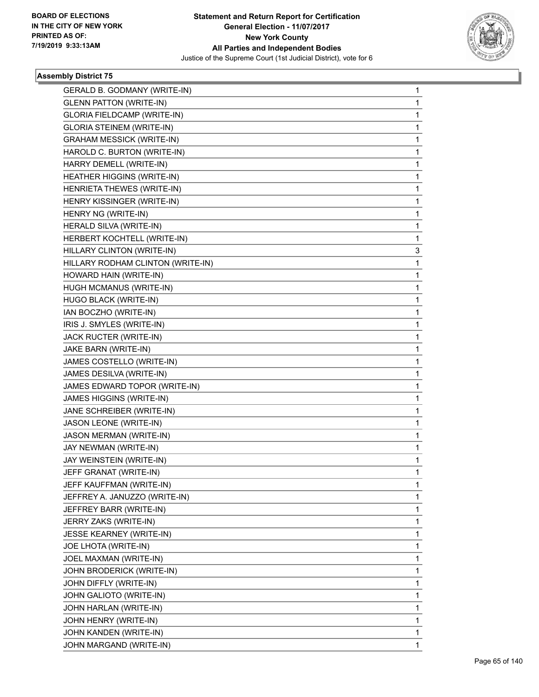

| GERALD B. GODMANY (WRITE-IN)       | 1 |
|------------------------------------|---|
| <b>GLENN PATTON (WRITE-IN)</b>     | 1 |
| <b>GLORIA FIELDCAMP (WRITE-IN)</b> | 1 |
| <b>GLORIA STEINEM (WRITE-IN)</b>   | 1 |
| <b>GRAHAM MESSICK (WRITE-IN)</b>   | 1 |
| HAROLD C. BURTON (WRITE-IN)        | 1 |
| HARRY DEMELL (WRITE-IN)            | 1 |
| HEATHER HIGGINS (WRITE-IN)         | 1 |
| HENRIETA THEWES (WRITE-IN)         | 1 |
| HENRY KISSINGER (WRITE-IN)         | 1 |
| HENRY NG (WRITE-IN)                | 1 |
| HERALD SILVA (WRITE-IN)            | 1 |
| HERBERT KOCHTELL (WRITE-IN)        | 1 |
| HILLARY CLINTON (WRITE-IN)         | 3 |
| HILLARY RODHAM CLINTON (WRITE-IN)  | 1 |
| HOWARD HAIN (WRITE-IN)             | 1 |
| HUGH MCMANUS (WRITE-IN)            | 1 |
| HUGO BLACK (WRITE-IN)              | 1 |
| IAN BOCZHO (WRITE-IN)              | 1 |
| IRIS J. SMYLES (WRITE-IN)          | 1 |
| JACK RUCTER (WRITE-IN)             | 1 |
| JAKE BARN (WRITE-IN)               | 1 |
| JAMES COSTELLO (WRITE-IN)          | 1 |
| JAMES DESILVA (WRITE-IN)           | 1 |
| JAMES EDWARD TOPOR (WRITE-IN)      | 1 |
| JAMES HIGGINS (WRITE-IN)           | 1 |
| JANE SCHREIBER (WRITE-IN)          | 1 |
| JASON LEONE (WRITE-IN)             | 1 |
| <b>JASON MERMAN (WRITE-IN)</b>     | 1 |
| JAY NEWMAN (WRITE-IN)              | 1 |
| JAY WEINSTEIN (WRITE-IN)           | 1 |
| JEFF GRANAT (WRITE-IN)             | 1 |
| JEFF KAUFFMAN (WRITE-IN)           | 1 |
| JEFFREY A. JANUZZO (WRITE-IN)      | 1 |
| JEFFREY BARR (WRITE-IN)            | 1 |
| JERRY ZAKS (WRITE-IN)              | 1 |
| <b>JESSE KEARNEY (WRITE-IN)</b>    | 1 |
| JOE LHOTA (WRITE-IN)               | 1 |
| JOEL MAXMAN (WRITE-IN)             | 1 |
| JOHN BRODERICK (WRITE-IN)          | 1 |
| JOHN DIFFLY (WRITE-IN)             | 1 |
| JOHN GALIOTO (WRITE-IN)            | 1 |
| JOHN HARLAN (WRITE-IN)             | 1 |
| JOHN HENRY (WRITE-IN)              | 1 |
| JOHN KANDEN (WRITE-IN)             | 1 |
| JOHN MARGAND (WRITE-IN)            | 1 |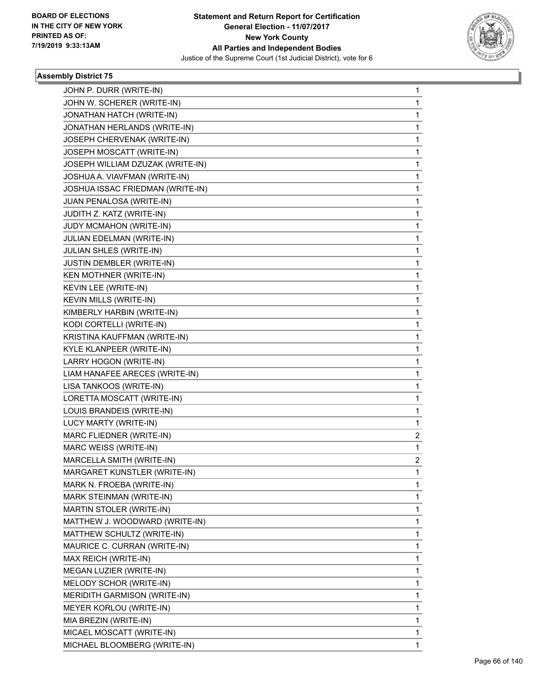

| JOHN P. DURR (WRITE-IN)          | 1            |
|----------------------------------|--------------|
| JOHN W. SCHERER (WRITE-IN)       | 1            |
| JONATHAN HATCH (WRITE-IN)        | 1            |
| JONATHAN HERLANDS (WRITE-IN)     | 1            |
| JOSEPH CHERVENAK (WRITE-IN)      | 1            |
| JOSEPH MOSCATT (WRITE-IN)        | 1            |
| JOSEPH WILLIAM DZUZAK (WRITE-IN) | 1            |
| JOSHUA A. VIAVFMAN (WRITE-IN)    | 1            |
| JOSHUA ISSAC FRIEDMAN (WRITE-IN) | 1            |
| JUAN PENALOSA (WRITE-IN)         | 1            |
| JUDITH Z. KATZ (WRITE-IN)        | 1            |
| JUDY MCMAHON (WRITE-IN)          | 1            |
| JULIAN EDELMAN (WRITE-IN)        | 1            |
| <b>JULIAN SHLES (WRITE-IN)</b>   | 1            |
| JUSTIN DEMBLER (WRITE-IN)        | 1            |
| KEN MOTHNER (WRITE-IN)           | 1            |
| KEVIN LEE (WRITE-IN)             | 1            |
| KEVIN MILLS (WRITE-IN)           | 1            |
| KIMBERLY HARBIN (WRITE-IN)       | 1            |
| KODI CORTELLI (WRITE-IN)         | 1            |
| KRISTINA KAUFFMAN (WRITE-IN)     | 1            |
| KYLE KLANPEER (WRITE-IN)         | 1            |
| LARRY HOGON (WRITE-IN)           | 1            |
| LIAM HANAFEE ARECES (WRITE-IN)   | 1            |
| LISA TANKOOS (WRITE-IN)          | 1            |
| LORETTA MOSCATT (WRITE-IN)       | 1            |
| LOUIS BRANDEIS (WRITE-IN)        | 1            |
| LUCY MARTY (WRITE-IN)            | 1            |
| MARC FLIEDNER (WRITE-IN)         | 2            |
| MARC WEISS (WRITE-IN)            | 1            |
| MARCELLA SMITH (WRITE-IN)        | 2            |
| MARGARET KUNSTLER (WRITE-IN)     | 1            |
| MARK N. FROEBA (WRITE-IN)        | 1            |
| MARK STEINMAN (WRITE-IN)         | 1            |
| MARTIN STOLER (WRITE-IN)         | 1            |
| MATTHEW J. WOODWARD (WRITE-IN)   | 1            |
| MATTHEW SCHULTZ (WRITE-IN)       | 1            |
| MAURICE C. CURRAN (WRITE-IN)     | 1            |
| MAX REICH (WRITE-IN)             | 1            |
| MEGAN LUZIER (WRITE-IN)          | 1            |
| MELODY SCHOR (WRITE-IN)          | 1            |
| MERIDITH GARMISON (WRITE-IN)     | 1            |
| MEYER KORLOU (WRITE-IN)          | 1            |
| MIA BREZIN (WRITE-IN)            | 1            |
| MICAEL MOSCATT (WRITE-IN)        | 1            |
| MICHAEL BLOOMBERG (WRITE-IN)     | $\mathbf{1}$ |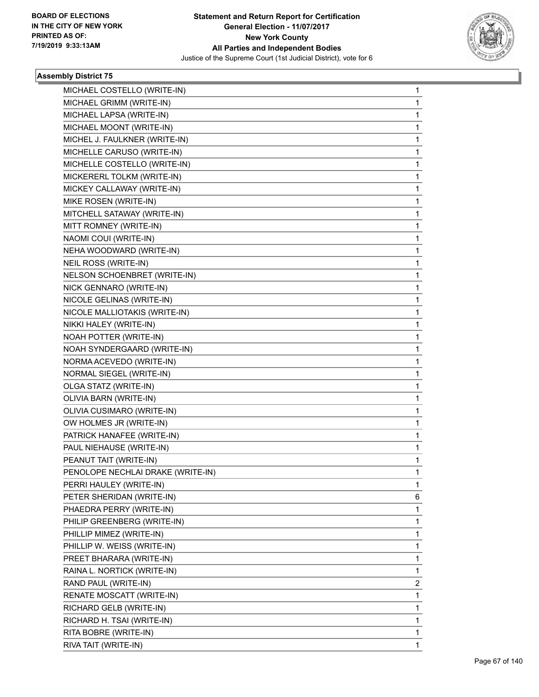

| MICHAEL COSTELLO (WRITE-IN)       | $\mathbf{1}$ |
|-----------------------------------|--------------|
| MICHAEL GRIMM (WRITE-IN)          | $\mathbf{1}$ |
| MICHAEL LAPSA (WRITE-IN)          | 1            |
| MICHAEL MOONT (WRITE-IN)          | 1            |
| MICHEL J. FAULKNER (WRITE-IN)     | 1            |
| MICHELLE CARUSO (WRITE-IN)        | 1            |
| MICHELLE COSTELLO (WRITE-IN)      | 1            |
| MICKERERL TOLKM (WRITE-IN)        | 1            |
| MICKEY CALLAWAY (WRITE-IN)        | 1            |
| MIKE ROSEN (WRITE-IN)             | 1            |
| MITCHELL SATAWAY (WRITE-IN)       | 1            |
| MITT ROMNEY (WRITE-IN)            | 1            |
| NAOMI COUI (WRITE-IN)             | 1            |
| NEHA WOODWARD (WRITE-IN)          | 1            |
| NEIL ROSS (WRITE-IN)              | 1            |
| NELSON SCHOENBRET (WRITE-IN)      | 1            |
| NICK GENNARO (WRITE-IN)           | 1            |
| NICOLE GELINAS (WRITE-IN)         | 1            |
| NICOLE MALLIOTAKIS (WRITE-IN)     | 1            |
| NIKKI HALEY (WRITE-IN)            | 1            |
| NOAH POTTER (WRITE-IN)            | 1            |
| NOAH SYNDERGAARD (WRITE-IN)       | 1            |
| NORMA ACEVEDO (WRITE-IN)          | 1            |
| NORMAL SIEGEL (WRITE-IN)          | 1            |
| OLGA STATZ (WRITE-IN)             | 1            |
| OLIVIA BARN (WRITE-IN)            | 1            |
| OLIVIA CUSIMARO (WRITE-IN)        | 1            |
| OW HOLMES JR (WRITE-IN)           | 1            |
| PATRICK HANAFEE (WRITE-IN)        | 1            |
| PAUL NIEHAUSE (WRITE-IN)          | $\mathbf{1}$ |
| PEANUT TAIT (WRITE-IN)            | $\mathbf 1$  |
| PENOLOPE NECHLAI DRAKE (WRITE-IN) | 1            |
| PERRI HAULEY (WRITE-IN)           | 1            |
| PETER SHERIDAN (WRITE-IN)         | 6            |
| PHAEDRA PERRY (WRITE-IN)          | 1            |
| PHILIP GREENBERG (WRITE-IN)       | 1            |
| PHILLIP MIMEZ (WRITE-IN)          | 1            |
| PHILLIP W. WEISS (WRITE-IN)       | 1            |
| PREET BHARARA (WRITE-IN)          | 1            |
| RAINA L. NORTICK (WRITE-IN)       | 1            |
| RAND PAUL (WRITE-IN)              | 2            |
| RENATE MOSCATT (WRITE-IN)         | 1            |
| RICHARD GELB (WRITE-IN)           | 1            |
| RICHARD H. TSAI (WRITE-IN)        | 1            |
| RITA BOBRE (WRITE-IN)             | 1            |
| RIVA TAIT (WRITE-IN)              | $\mathbf{1}$ |
|                                   |              |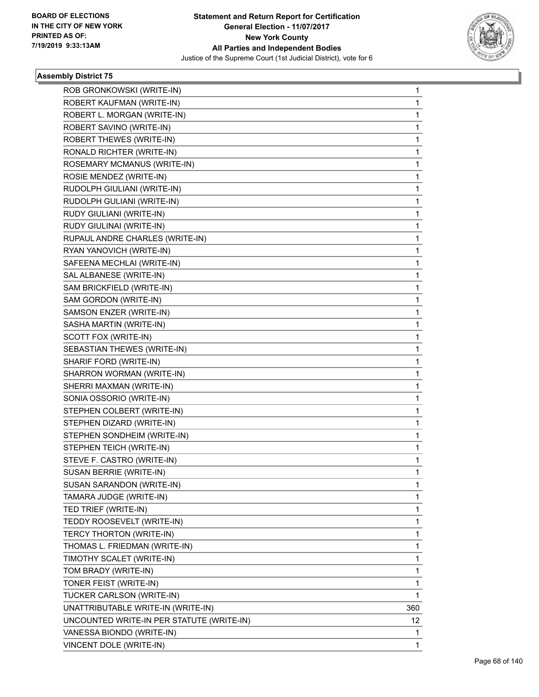

| ROB GRONKOWSKI (WRITE-IN)                 | $\mathbf{1}$ |
|-------------------------------------------|--------------|
| ROBERT KAUFMAN (WRITE-IN)                 | $\mathbf{1}$ |
| ROBERT L. MORGAN (WRITE-IN)               | 1            |
| ROBERT SAVINO (WRITE-IN)                  | $\mathbf{1}$ |
| ROBERT THEWES (WRITE-IN)                  | $\mathbf{1}$ |
| RONALD RICHTER (WRITE-IN)                 | 1            |
| ROSEMARY MCMANUS (WRITE-IN)               | 1            |
| ROSIE MENDEZ (WRITE-IN)                   | 1            |
| RUDOLPH GIULIANI (WRITE-IN)               | 1            |
| RUDOLPH GULIANI (WRITE-IN)                | 1            |
| RUDY GIULIANI (WRITE-IN)                  | 1            |
| RUDY GIULINAI (WRITE-IN)                  | 1            |
| RUPAUL ANDRE CHARLES (WRITE-IN)           | 1            |
| RYAN YANOVICH (WRITE-IN)                  | 1            |
| SAFEENA MECHLAI (WRITE-IN)                | 1            |
| SAL ALBANESE (WRITE-IN)                   | 1            |
| SAM BRICKFIELD (WRITE-IN)                 | 1            |
| SAM GORDON (WRITE-IN)                     | 1            |
| SAMSON ENZER (WRITE-IN)                   | 1            |
| SASHA MARTIN (WRITE-IN)                   | 1            |
| SCOTT FOX (WRITE-IN)                      | 1            |
| SEBASTIAN THEWES (WRITE-IN)               | 1            |
| SHARIF FORD (WRITE-IN)                    | 1            |
| SHARRON WORMAN (WRITE-IN)                 | 1            |
| SHERRI MAXMAN (WRITE-IN)                  | 1            |
| SONIA OSSORIO (WRITE-IN)                  | 1            |
| STEPHEN COLBERT (WRITE-IN)                | 1            |
| STEPHEN DIZARD (WRITE-IN)                 | 1            |
| STEPHEN SONDHEIM (WRITE-IN)               | 1            |
| STEPHEN TEICH (WRITE-IN)                  | $\mathbf{1}$ |
| STEVE F. CASTRO (WRITE-IN)                | 1            |
| <b>SUSAN BERRIE (WRITE-IN)</b>            | 1            |
| SUSAN SARANDON (WRITE-IN)                 | 1            |
| TAMARA JUDGE (WRITE-IN)                   | 1            |
| TED TRIEF (WRITE-IN)                      | 1            |
| TEDDY ROOSEVELT (WRITE-IN)                | 1            |
| TERCY THORTON (WRITE-IN)                  | 1            |
| THOMAS L. FRIEDMAN (WRITE-IN)             | 1            |
| TIMOTHY SCALET (WRITE-IN)                 | 1            |
| TOM BRADY (WRITE-IN)                      | 1            |
| TONER FEIST (WRITE-IN)                    | 1            |
| TUCKER CARLSON (WRITE-IN)                 | 1            |
| UNATTRIBUTABLE WRITE-IN (WRITE-IN)        | 360          |
| UNCOUNTED WRITE-IN PER STATUTE (WRITE-IN) | 12           |
| VANESSA BIONDO (WRITE-IN)                 | 1            |
| VINCENT DOLE (WRITE-IN)                   | 1            |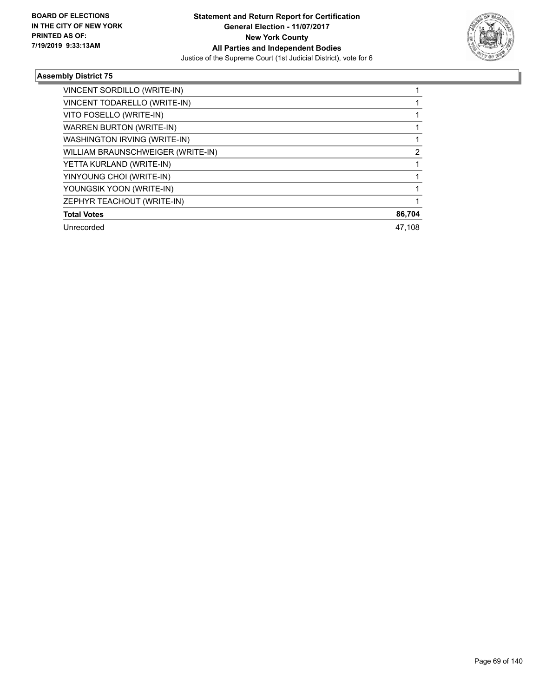

| VINCENT SORDILLO (WRITE-IN)       |        |
|-----------------------------------|--------|
| VINCENT TODARELLO (WRITE-IN)      |        |
| VITO FOSELLO (WRITE-IN)           |        |
| <b>WARREN BURTON (WRITE-IN)</b>   |        |
| WASHINGTON IRVING (WRITE-IN)      |        |
| WILLIAM BRAUNSCHWEIGER (WRITE-IN) | 2      |
| YETTA KURLAND (WRITE-IN)          |        |
| YINYOUNG CHOI (WRITE-IN)          |        |
| YOUNGSIK YOON (WRITE-IN)          |        |
| ZEPHYR TEACHOUT (WRITE-IN)        |        |
| <b>Total Votes</b>                | 86,704 |
| Unrecorded                        | 47.108 |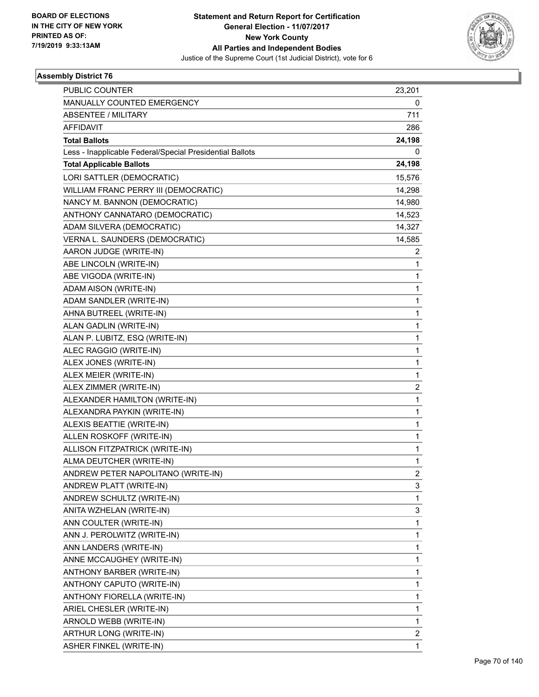

| PUBLIC COUNTER<br>MANUALLY COUNTED EMERGENCY             | 23,201<br>0             |
|----------------------------------------------------------|-------------------------|
| ABSENTEE / MILITARY                                      | 711                     |
| <b>AFFIDAVIT</b>                                         | 286                     |
| <b>Total Ballots</b>                                     |                         |
| Less - Inapplicable Federal/Special Presidential Ballots | 24,198<br>0             |
| <b>Total Applicable Ballots</b>                          | 24,198                  |
| LORI SATTLER (DEMOCRATIC)                                | 15,576                  |
| WILLIAM FRANC PERRY III (DEMOCRATIC)                     | 14,298                  |
| NANCY M. BANNON (DEMOCRATIC)                             | 14,980                  |
| ANTHONY CANNATARO (DEMOCRATIC)                           | 14,523                  |
| ADAM SILVERA (DEMOCRATIC)                                | 14,327                  |
| VERNA L. SAUNDERS (DEMOCRATIC)                           | 14,585                  |
| AARON JUDGE (WRITE-IN)                                   | 2                       |
| ABE LINCOLN (WRITE-IN)                                   | 1                       |
| ABE VIGODA (WRITE-IN)                                    | 1                       |
| ADAM AISON (WRITE-IN)                                    | 1                       |
| ADAM SANDLER (WRITE-IN)                                  | 1                       |
| AHNA BUTREEL (WRITE-IN)                                  | 1                       |
| ALAN GADLIN (WRITE-IN)                                   | $\mathbf{1}$            |
|                                                          |                         |
| ALAN P. LUBITZ, ESQ (WRITE-IN)                           | 1                       |
| ALEC RAGGIO (WRITE-IN)                                   | 1                       |
| ALEX JONES (WRITE-IN)                                    | 1                       |
| ALEX MEIER (WRITE-IN)                                    | 1                       |
| ALEX ZIMMER (WRITE-IN)                                   | 2                       |
| ALEXANDER HAMILTON (WRITE-IN)                            | $\mathbf{1}$            |
| ALEXANDRA PAYKIN (WRITE-IN)                              | 1                       |
| ALEXIS BEATTIE (WRITE-IN)                                | 1                       |
| ALLEN ROSKOFF (WRITE-IN)                                 | 1                       |
| ALLISON FITZPATRICK (WRITE-IN)                           | 1                       |
| ALMA DEUTCHER (WRITE-IN)                                 | 1                       |
| ANDREW PETER NAPOLITANO (WRITE-IN)                       | 2                       |
| ANDREW PLATT (WRITE-IN)                                  | 3                       |
| ANDREW SCHULTZ (WRITE-IN)                                | 1                       |
| ANITA WZHELAN (WRITE-IN)                                 | 3                       |
| ANN COULTER (WRITE-IN)                                   | 1                       |
| ANN J. PEROLWITZ (WRITE-IN)                              | 1                       |
| ANN LANDERS (WRITE-IN)                                   | 1                       |
| ANNE MCCAUGHEY (WRITE-IN)                                | 1                       |
| ANTHONY BARBER (WRITE-IN)                                | 1                       |
| ANTHONY CAPUTO (WRITE-IN)                                | $\mathbf{1}$            |
| ANTHONY FIORELLA (WRITE-IN)                              | 1                       |
| ARIEL CHESLER (WRITE-IN)                                 | 1                       |
| ARNOLD WEBB (WRITE-IN)                                   | $\mathbf{1}$            |
| ARTHUR LONG (WRITE-IN)                                   | $\overline{\mathbf{c}}$ |
| ASHER FINKEL (WRITE-IN)                                  | $\mathbf{1}$            |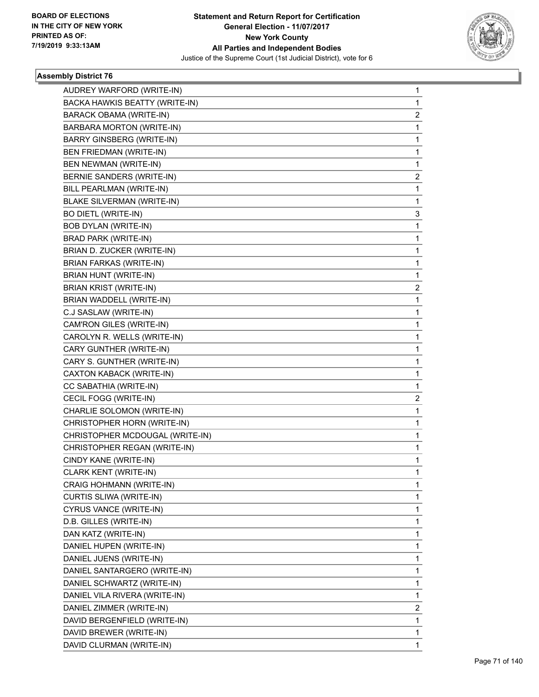

| AUDREY WARFORD (WRITE-IN)         | $\mathbf{1}$ |
|-----------------------------------|--------------|
| BACKA HAWKIS BEATTY (WRITE-IN)    | 1            |
| BARACK OBAMA (WRITE-IN)           | 2            |
| <b>BARBARA MORTON (WRITE-IN)</b>  | 1            |
| <b>BARRY GINSBERG (WRITE-IN)</b>  | 1            |
| BEN FRIEDMAN (WRITE-IN)           | 1            |
| BEN NEWMAN (WRITE-IN)             | 1            |
| BERNIE SANDERS (WRITE-IN)         | 2            |
| BILL PEARLMAN (WRITE-IN)          | 1            |
| <b>BLAKE SILVERMAN (WRITE-IN)</b> | 1            |
| <b>BO DIETL (WRITE-IN)</b>        | 3            |
| <b>BOB DYLAN (WRITE-IN)</b>       | 1            |
| <b>BRAD PARK (WRITE-IN)</b>       | 1            |
| BRIAN D. ZUCKER (WRITE-IN)        | 1            |
| <b>BRIAN FARKAS (WRITE-IN)</b>    | 1            |
| BRIAN HUNT (WRITE-IN)             | 1            |
| <b>BRIAN KRIST (WRITE-IN)</b>     | 2            |
| BRIAN WADDELL (WRITE-IN)          | 1            |
| C.J SASLAW (WRITE-IN)             | 1            |
| CAM'RON GILES (WRITE-IN)          | 1            |
| CAROLYN R. WELLS (WRITE-IN)       | 1            |
| CARY GUNTHER (WRITE-IN)           | 1            |
| CARY S. GUNTHER (WRITE-IN)        | 1            |
| CAXTON KABACK (WRITE-IN)          | 1            |
| CC SABATHIA (WRITE-IN)            | 1            |
| CECIL FOGG (WRITE-IN)             | 2            |
| CHARLIE SOLOMON (WRITE-IN)        | 1            |
| CHRISTOPHER HORN (WRITE-IN)       | 1            |
| CHRISTOPHER MCDOUGAL (WRITE-IN)   | 1            |
| CHRISTOPHER REGAN (WRITE-IN)      | 1            |
| CINDY KANE (WRITE-IN)             | 1            |
| CLARK KENT (WRITE-IN)             | 1            |
| CRAIG HOHMANN (WRITE-IN)          | 1            |
| CURTIS SLIWA (WRITE-IN)           | 1            |
| CYRUS VANCE (WRITE-IN)            | 1            |
| D.B. GILLES (WRITE-IN)            | 1            |
| DAN KATZ (WRITE-IN)               | 1            |
| DANIEL HUPEN (WRITE-IN)           | 1            |
| DANIEL JUENS (WRITE-IN)           | 1            |
| DANIEL SANTARGERO (WRITE-IN)      | $\mathbf 1$  |
| DANIEL SCHWARTZ (WRITE-IN)        | 1            |
| DANIEL VILA RIVERA (WRITE-IN)     | 1            |
| DANIEL ZIMMER (WRITE-IN)          | 2            |
| DAVID BERGENFIELD (WRITE-IN)      | 1            |
| DAVID BREWER (WRITE-IN)           | 1            |
| DAVID CLURMAN (WRITE-IN)          | 1            |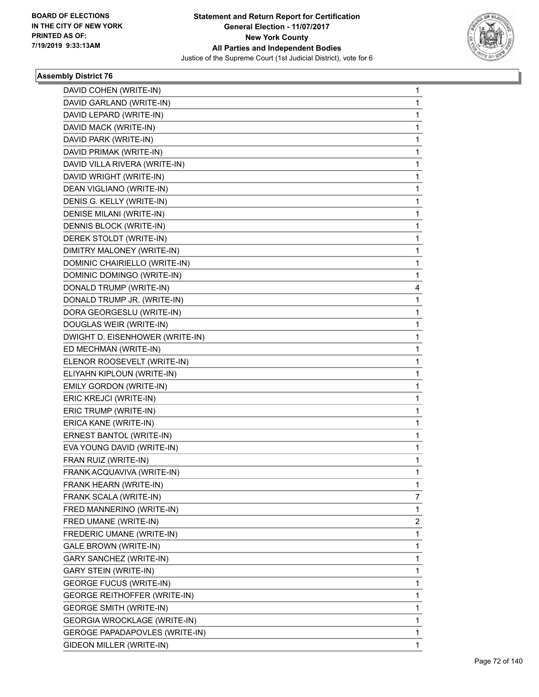

| DAVID COHEN (WRITE-IN)          | $\mathbf 1$  |
|---------------------------------|--------------|
| DAVID GARLAND (WRITE-IN)        | 1            |
| DAVID LEPARD (WRITE-IN)         | 1            |
| DAVID MACK (WRITE-IN)           | 1            |
| DAVID PARK (WRITE-IN)           | 1            |
| DAVID PRIMAK (WRITE-IN)         | 1            |
| DAVID VILLA RIVERA (WRITE-IN)   | 1            |
| DAVID WRIGHT (WRITE-IN)         | 1            |
| DEAN VIGLIANO (WRITE-IN)        | 1            |
| DENIS G. KELLY (WRITE-IN)       | 1            |
| DENISE MILANI (WRITE-IN)        | 1            |
| DENNIS BLOCK (WRITE-IN)         | 1            |
| DEREK STOLDT (WRITE-IN)         | 1            |
| DIMITRY MALONEY (WRITE-IN)      | 1            |
| DOMINIC CHAIRIELLO (WRITE-IN)   | $\mathbf{1}$ |
| DOMINIC DOMINGO (WRITE-IN)      | 1            |
| DONALD TRUMP (WRITE-IN)         | 4            |
| DONALD TRUMP JR. (WRITE-IN)     | 1            |
| DORA GEORGESLU (WRITE-IN)       | 1            |
| DOUGLAS WEIR (WRITE-IN)         | 1            |
| DWIGHT D. EISENHOWER (WRITE-IN) | $\mathbf{1}$ |
| ED MECHMAN (WRITE-IN)           | 1            |
| ELENOR ROOSEVELT (WRITE-IN)     | 1            |
| ELIYAHN KIPLOUN (WRITE-IN)      | $\mathbf{1}$ |
| EMILY GORDON (WRITE-IN)         | 1            |
| ERIC KREJCI (WRITE-IN)          | 1            |
| ERIC TRUMP (WRITE-IN)           | 1            |
| ERICA KANE (WRITE-IN)           | 1            |
| ERNEST BANTOL (WRITE-IN)        | 1            |
| EVA YOUNG DAVID (WRITE-IN)      | $\mathbf{1}$ |
| FRAN RUIZ (WRITE-IN)            | 1            |
| FRANK ACQUAVIVA (WRITE-IN)      | 1            |
| FRANK HEARN (WRITE-IN)          | 1            |
| FRANK SCALA (WRITE-IN)          | 7            |
| FRED MANNERINO (WRITE-IN)       | 1            |
| FRED UMANE (WRITE-IN)           | 2            |
| FREDERIC UMANE (WRITE-IN)       | 1            |
| GALE BROWN (WRITE-IN)           | 1            |
| GARY SANCHEZ (WRITE-IN)         | 1            |
| <b>GARY STEIN (WRITE-IN)</b>    | 1            |
| <b>GEORGE FUCUS (WRITE-IN)</b>  | 1            |
| GEORGE REITHOFFER (WRITE-IN)    | 1            |
| <b>GEORGE SMITH (WRITE-IN)</b>  | 1            |
| GEORGIA WROCKLAGE (WRITE-IN)    | 1            |
| GEROGE PAPADAPOVLES (WRITE-IN)  | 1            |
| GIDEON MILLER (WRITE-IN)        | 1            |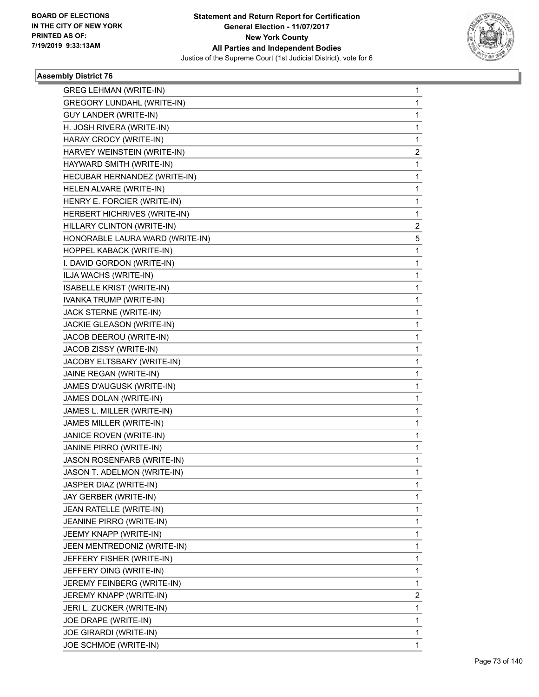

| <b>GREG LEHMAN (WRITE-IN)</b>    | 1 |
|----------------------------------|---|
| GREGORY LUNDAHL (WRITE-IN)       | 1 |
| <b>GUY LANDER (WRITE-IN)</b>     | 1 |
| H. JOSH RIVERA (WRITE-IN)        | 1 |
| HARAY CROCY (WRITE-IN)           | 1 |
| HARVEY WEINSTEIN (WRITE-IN)      | 2 |
| HAYWARD SMITH (WRITE-IN)         | 1 |
| HECUBAR HERNANDEZ (WRITE-IN)     | 1 |
| HELEN ALVARE (WRITE-IN)          | 1 |
| HENRY E. FORCIER (WRITE-IN)      | 1 |
| HERBERT HICHRIVES (WRITE-IN)     | 1 |
| HILLARY CLINTON (WRITE-IN)       | 2 |
| HONORABLE LAURA WARD (WRITE-IN)  | 5 |
| HOPPEL KABACK (WRITE-IN)         | 1 |
| I. DAVID GORDON (WRITE-IN)       | 1 |
| ILJA WACHS (WRITE-IN)            | 1 |
| <b>ISABELLE KRIST (WRITE-IN)</b> | 1 |
| IVANKA TRUMP (WRITE-IN)          | 1 |
| JACK STERNE (WRITE-IN)           | 1 |
| JACKIE GLEASON (WRITE-IN)        | 1 |
| JACOB DEEROU (WRITE-IN)          | 1 |
| JACOB ZISSY (WRITE-IN)           | 1 |
| JACOBY ELTSBARY (WRITE-IN)       | 1 |
| JAINE REGAN (WRITE-IN)           | 1 |
| JAMES D'AUGUSK (WRITE-IN)        | 1 |
| JAMES DOLAN (WRITE-IN)           | 1 |
| JAMES L. MILLER (WRITE-IN)       | 1 |
| JAMES MILLER (WRITE-IN)          | 1 |
| JANICE ROVEN (WRITE-IN)          | 1 |
| JANINE PIRRO (WRITE-IN)          | 1 |
| JASON ROSENFARB (WRITE-IN)       | 1 |
| JASON T. ADELMON (WRITE-IN)      | 1 |
| JASPER DIAZ (WRITE-IN)           | 1 |
| JAY GERBER (WRITE-IN)            | 1 |
| JEAN RATELLE (WRITE-IN)          | 1 |
| JEANINE PIRRO (WRITE-IN)         | 1 |
| JEEMY KNAPP (WRITE-IN)           | 1 |
| JEEN MENTREDONIZ (WRITE-IN)      | 1 |
| JEFFERY FISHER (WRITE-IN)        | 1 |
| JEFFERY OING (WRITE-IN)          | 1 |
| JEREMY FEINBERG (WRITE-IN)       | 1 |
| JEREMY KNAPP (WRITE-IN)          | 2 |
| JERI L. ZUCKER (WRITE-IN)        | 1 |
| JOE DRAPE (WRITE-IN)             | 1 |
| JOE GIRARDI (WRITE-IN)           | 1 |
| JOE SCHMOE (WRITE-IN)            | 1 |
|                                  |   |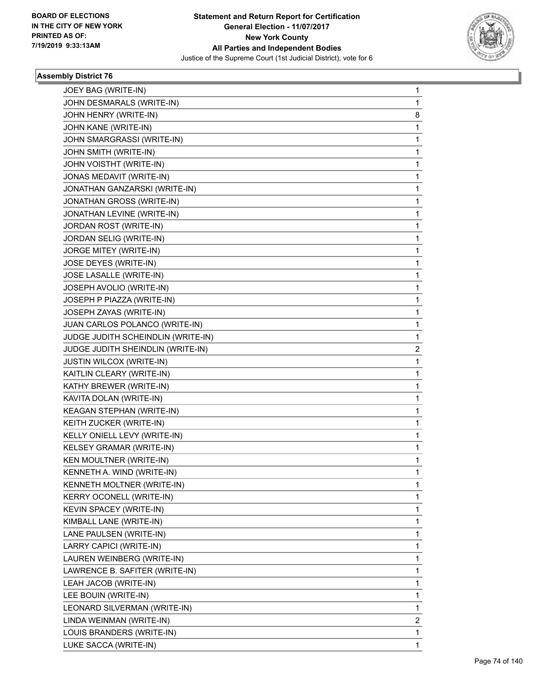

| JOEY BAG (WRITE-IN)                | $\mathbf{1}$ |
|------------------------------------|--------------|
| JOHN DESMARALS (WRITE-IN)          | $\mathbf{1}$ |
| JOHN HENRY (WRITE-IN)              | 8            |
| JOHN KANE (WRITE-IN)               | $\mathbf{1}$ |
| JOHN SMARGRASSI (WRITE-IN)         | 1            |
| JOHN SMITH (WRITE-IN)              | 1            |
| JOHN VOISTHT (WRITE-IN)            | $\mathbf{1}$ |
| JONAS MEDAVIT (WRITE-IN)           | 1            |
| JONATHAN GANZARSKI (WRITE-IN)      | 1            |
| JONATHAN GROSS (WRITE-IN)          | 1            |
| JONATHAN LEVINE (WRITE-IN)         | $\mathbf{1}$ |
| JORDAN ROST (WRITE-IN)             | 1            |
| JORDAN SELIG (WRITE-IN)            | $\mathbf{1}$ |
| JORGE MITEY (WRITE-IN)             | 1            |
| JOSE DEYES (WRITE-IN)              | 1            |
| JOSE LASALLE (WRITE-IN)            | 1            |
| JOSEPH AVOLIO (WRITE-IN)           | $\mathbf{1}$ |
| JOSEPH P PIAZZA (WRITE-IN)         | 1            |
| JOSEPH ZAYAS (WRITE-IN)            | $\mathbf{1}$ |
| JUAN CARLOS POLANCO (WRITE-IN)     | $\mathbf{1}$ |
| JUDGE JUDITH SCHEINDLIN (WRITE-IN) | 1            |
| JUDGE JUDITH SHEINDLIN (WRITE-IN)  | 2            |
| JUSTIN WILCOX (WRITE-IN)           | 1            |
| KAITLIN CLEARY (WRITE-IN)          | 1            |
| KATHY BREWER (WRITE-IN)            | $\mathbf{1}$ |
| KAVITA DOLAN (WRITE-IN)            | $\mathbf{1}$ |
| KEAGAN STEPHAN (WRITE-IN)          | 1            |
| KEITH ZUCKER (WRITE-IN)            | $\mathbf{1}$ |
| KELLY ONIELL LEVY (WRITE-IN)       | $\mathbf{1}$ |
| KELSEY GRAMAR (WRITE-IN)           | 1            |
| KEN MOULTNER (WRITE-IN)            | $\mathbf{1}$ |
| KENNETH A. WIND (WRITE-IN)         | $\mathbf 1$  |
| KENNETH MOLTNER (WRITE-IN)         | 1            |
| KERRY OCONELL (WRITE-IN)           | 1            |
| KEVIN SPACEY (WRITE-IN)            | 1            |
| KIMBALL LANE (WRITE-IN)            | 1            |
| LANE PAULSEN (WRITE-IN)            | 1            |
| LARRY CAPICI (WRITE-IN)            | 1            |
| LAUREN WEINBERG (WRITE-IN)         | 1            |
| LAWRENCE B. SAFITER (WRITE-IN)     | 1            |
| LEAH JACOB (WRITE-IN)              | $\mathbf{1}$ |
| LEE BOUIN (WRITE-IN)               | 1            |
| LEONARD SILVERMAN (WRITE-IN)       | 1            |
| LINDA WEINMAN (WRITE-IN)           | 2            |
| LOUIS BRANDERS (WRITE-IN)          | 1            |
| LUKE SACCA (WRITE-IN)              | $\mathbf{1}$ |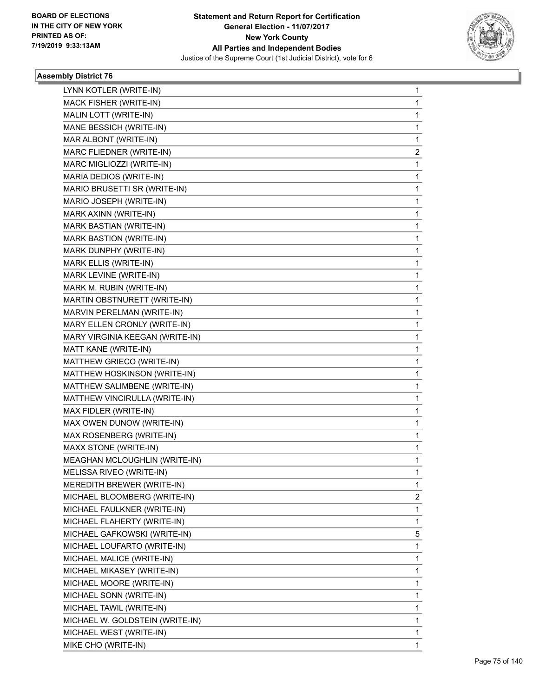

| LYNN KOTLER (WRITE-IN)          | $\mathbf{1}$   |
|---------------------------------|----------------|
| MACK FISHER (WRITE-IN)          | $\mathbf{1}$   |
| MALIN LOTT (WRITE-IN)           | 1              |
| MANE BESSICH (WRITE-IN)         | $\mathbf{1}$   |
| MAR ALBONT (WRITE-IN)           | $\mathbf{1}$   |
| MARC FLIEDNER (WRITE-IN)        | $\overline{2}$ |
| MARC MIGLIOZZI (WRITE-IN)       | $\mathbf{1}$   |
| MARIA DEDIOS (WRITE-IN)         | $\mathbf{1}$   |
| MARIO BRUSETTI SR (WRITE-IN)    | 1              |
| MARIO JOSEPH (WRITE-IN)         | $\mathbf{1}$   |
| MARK AXINN (WRITE-IN)           | $\mathbf{1}$   |
| MARK BASTIAN (WRITE-IN)         | 1              |
| <b>MARK BASTION (WRITE-IN)</b>  | $\mathbf{1}$   |
| MARK DUNPHY (WRITE-IN)          | $\mathbf{1}$   |
| MARK ELLIS (WRITE-IN)           | 1              |
| MARK LEVINE (WRITE-IN)          | $\mathbf{1}$   |
| MARK M. RUBIN (WRITE-IN)        | $\mathbf{1}$   |
| MARTIN OBSTNURETT (WRITE-IN)    | 1              |
| MARVIN PERELMAN (WRITE-IN)      | $\mathbf{1}$   |
| MARY ELLEN CRONLY (WRITE-IN)    | $\mathbf{1}$   |
| MARY VIRGINIA KEEGAN (WRITE-IN) | 1              |
| MATT KANE (WRITE-IN)            | $\mathbf{1}$   |
| MATTHEW GRIECO (WRITE-IN)       | $\mathbf{1}$   |
| MATTHEW HOSKINSON (WRITE-IN)    | 1              |
| MATTHEW SALIMBENE (WRITE-IN)    | $\mathbf{1}$   |
| MATTHEW VINCIRULLA (WRITE-IN)   | $\mathbf{1}$   |
| MAX FIDLER (WRITE-IN)           | 1              |
| MAX OWEN DUNOW (WRITE-IN)       | $\mathbf{1}$   |
| MAX ROSENBERG (WRITE-IN)        | $\mathbf{1}$   |
| MAXX STONE (WRITE-IN)           | 1              |
| MEAGHAN MCLOUGHLIN (WRITE-IN)   | $\mathbf{1}$   |
| MELISSA RIVEO (WRITE-IN)        | $\mathbf 1$    |
| MEREDITH BREWER (WRITE-IN)      | 1              |
| MICHAEL BLOOMBERG (WRITE-IN)    | $\mathbf{2}$   |
| MICHAEL FAULKNER (WRITE-IN)     | 1              |
| MICHAEL FLAHERTY (WRITE-IN)     | 1              |
| MICHAEL GAFKOWSKI (WRITE-IN)    | 5              |
| MICHAEL LOUFARTO (WRITE-IN)     | 1              |
| MICHAEL MALICE (WRITE-IN)       | 1              |
| MICHAEL MIKASEY (WRITE-IN)      | 1              |
| MICHAEL MOORE (WRITE-IN)        | 1              |
| MICHAEL SONN (WRITE-IN)         | 1              |
| MICHAEL TAWIL (WRITE-IN)        | 1              |
| MICHAEL W. GOLDSTEIN (WRITE-IN) | 1              |
| MICHAEL WEST (WRITE-IN)         | 1              |
| MIKE CHO (WRITE-IN)             | 1              |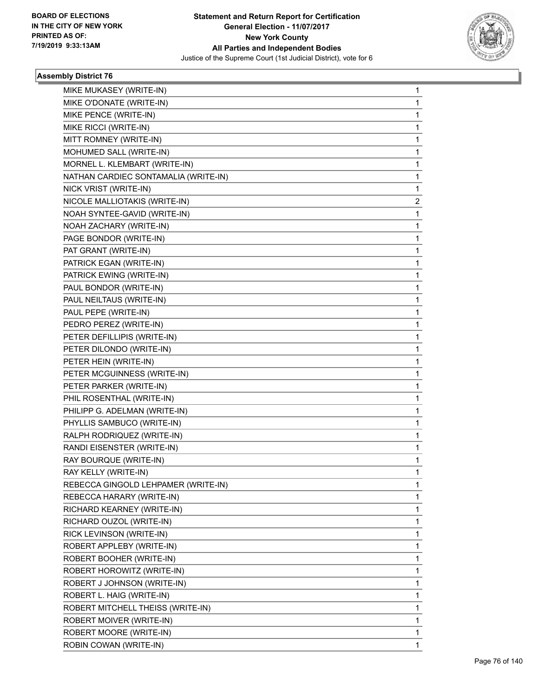

| MIKE MUKASEY (WRITE-IN)<br>MIKE O'DONATE (WRITE-IN) | 1<br>1 |
|-----------------------------------------------------|--------|
|                                                     |        |
|                                                     |        |
| MIKE PENCE (WRITE-IN)                               | 1      |
| MIKE RICCI (WRITE-IN)                               | 1      |
| MITT ROMNEY (WRITE-IN)                              | 1      |
| MOHUMED SALL (WRITE-IN)                             | 1      |
| MORNEL L. KLEMBART (WRITE-IN)                       | 1      |
| NATHAN CARDIEC SONTAMALIA (WRITE-IN)                | 1      |
| NICK VRIST (WRITE-IN)                               | 1      |
| NICOLE MALLIOTAKIS (WRITE-IN)                       | 2      |
| NOAH SYNTEE-GAVID (WRITE-IN)                        | 1      |
| NOAH ZACHARY (WRITE-IN)                             | 1      |
| PAGE BONDOR (WRITE-IN)                              | 1      |
| PAT GRANT (WRITE-IN)                                | 1      |
| PATRICK EGAN (WRITE-IN)                             | 1      |
| PATRICK EWING (WRITE-IN)                            | 1      |
| PAUL BONDOR (WRITE-IN)                              | 1      |
| PAUL NEILTAUS (WRITE-IN)                            | 1      |
| PAUL PEPE (WRITE-IN)                                | 1      |
| PEDRO PEREZ (WRITE-IN)                              | 1      |
| PETER DEFILLIPIS (WRITE-IN)                         | 1      |
| PETER DILONDO (WRITE-IN)                            | 1      |
| PETER HEIN (WRITE-IN)                               | 1      |
| PETER MCGUINNESS (WRITE-IN)                         | 1      |
| PETER PARKER (WRITE-IN)                             | 1      |
| PHIL ROSENTHAL (WRITE-IN)                           | 1      |
| PHILIPP G. ADELMAN (WRITE-IN)                       | 1      |
| PHYLLIS SAMBUCO (WRITE-IN)                          | 1      |
| RALPH RODRIQUEZ (WRITE-IN)                          | 1      |
| RANDI EISENSTER (WRITE-IN)                          | 1      |
| RAY BOURQUE (WRITE-IN)                              | 1      |
| RAY KELLY (WRITE-IN)                                | 1      |
| REBECCA GINGOLD LEHPAMER (WRITE-IN)                 | 1      |
| REBECCA HARARY (WRITE-IN)                           | 1      |
| RICHARD KEARNEY (WRITE-IN)                          | 1      |
| RICHARD OUZOL (WRITE-IN)                            | 1      |
| RICK LEVINSON (WRITE-IN)                            | 1      |
| ROBERT APPLEBY (WRITE-IN)                           | 1      |
| ROBERT BOOHER (WRITE-IN)                            | 1      |
| ROBERT HOROWITZ (WRITE-IN)                          | 1      |
| ROBERT J JOHNSON (WRITE-IN)                         | 1      |
| ROBERT L. HAIG (WRITE-IN)                           | 1      |
| ROBERT MITCHELL THEISS (WRITE-IN)                   | 1      |
| ROBERT MOIVER (WRITE-IN)                            | 1      |
| ROBERT MOORE (WRITE-IN)                             | 1      |
| ROBIN COWAN (WRITE-IN)                              | 1      |
|                                                     |        |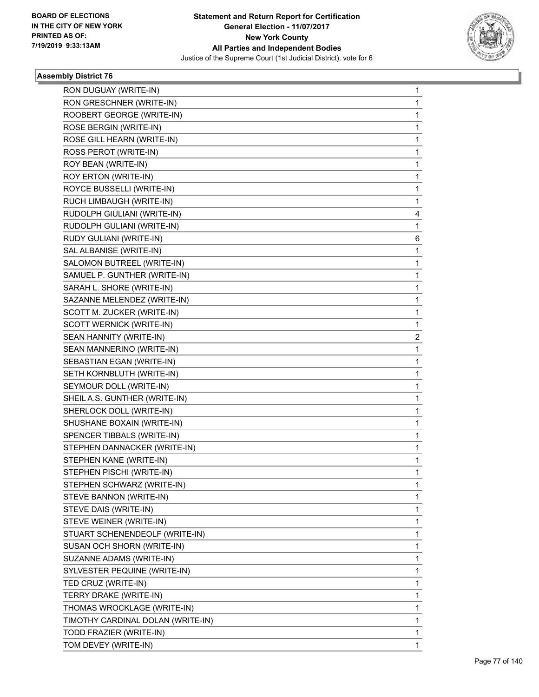

٠

| RON DUGUAY (WRITE-IN)             | 1                       |
|-----------------------------------|-------------------------|
| RON GRESCHNER (WRITE-IN)          | 1                       |
| ROOBERT GEORGE (WRITE-IN)         | 1                       |
| ROSE BERGIN (WRITE-IN)            | 1                       |
| ROSE GILL HEARN (WRITE-IN)        | 1                       |
| ROSS PEROT (WRITE-IN)             | 1                       |
| ROY BEAN (WRITE-IN)               | 1                       |
| ROY ERTON (WRITE-IN)              | 1                       |
| ROYCE BUSSELLI (WRITE-IN)         | 1                       |
| RUCH LIMBAUGH (WRITE-IN)          | 1                       |
| RUDOLPH GIULIANI (WRITE-IN)       | 4                       |
| RUDOLPH GULIANI (WRITE-IN)        | 1                       |
| RUDY GULIANI (WRITE-IN)           | 6                       |
| SAL ALBANISE (WRITE-IN)           | 1                       |
| SALOMON BUTREEL (WRITE-IN)        | 1                       |
| SAMUEL P. GUNTHER (WRITE-IN)      | 1                       |
| SARAH L. SHORE (WRITE-IN)         | 1                       |
| SAZANNE MELENDEZ (WRITE-IN)       | 1                       |
| SCOTT M. ZUCKER (WRITE-IN)        | 1                       |
| SCOTT WERNICK (WRITE-IN)          | 1                       |
| SEAN HANNITY (WRITE-IN)           | $\overline{\mathbf{c}}$ |
| SEAN MANNERINO (WRITE-IN)         | 1                       |
| SEBASTIAN EGAN (WRITE-IN)         | 1                       |
| SETH KORNBLUTH (WRITE-IN)         | 1                       |
| SEYMOUR DOLL (WRITE-IN)           | 1                       |
| SHEIL A.S. GUNTHER (WRITE-IN)     | 1                       |
| SHERLOCK DOLL (WRITE-IN)          | 1                       |
| SHUSHANE BOXAIN (WRITE-IN)        | 1                       |
| SPENCER TIBBALS (WRITE-IN)        | 1                       |
| STEPHEN DANNACKER (WRITE-IN)      | 1                       |
| STEPHEN KANE (WRITE-IN)           | 1                       |
| STEPHEN PISCHI (WRITE-IN)         | 1                       |
| STEPHEN SCHWARZ (WRITE-IN)        | 1                       |
| STEVE BANNON (WRITE-IN)           | 1                       |
| STEVE DAIS (WRITE-IN)             | 1                       |
| STEVE WEINER (WRITE-IN)           | 1                       |
| STUART SCHENENDEOLF (WRITE-IN)    | 1                       |
| SUSAN OCH SHORN (WRITE-IN)        | 1                       |
| SUZANNE ADAMS (WRITE-IN)          | 1                       |
| SYLVESTER PEQUINE (WRITE-IN)      | 1                       |
| TED CRUZ (WRITE-IN)               | 1                       |
| TERRY DRAKE (WRITE-IN)            | 1                       |
| THOMAS WROCKLAGE (WRITE-IN)       | 1                       |
| TIMOTHY CARDINAL DOLAN (WRITE-IN) | 1                       |
| TODD FRAZIER (WRITE-IN)           | 1                       |
| TOM DEVEY (WRITE-IN)              | 1                       |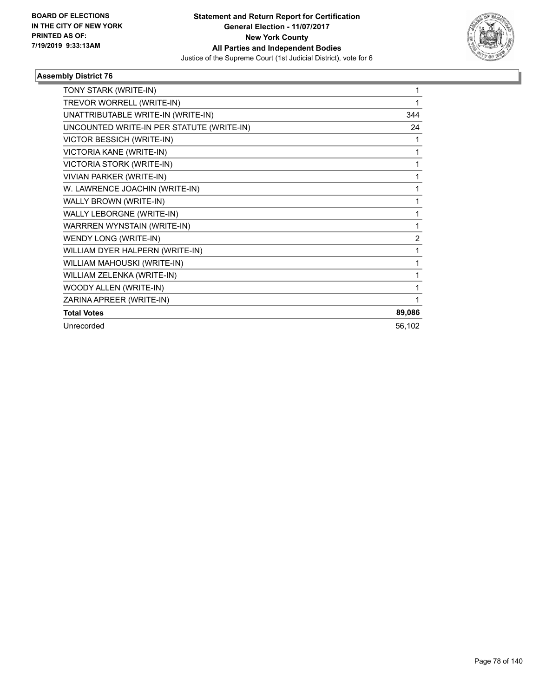

| TONY STARK (WRITE-IN)                     | 1              |
|-------------------------------------------|----------------|
| TREVOR WORRELL (WRITE-IN)                 |                |
| UNATTRIBUTABLE WRITE-IN (WRITE-IN)        | 344            |
| UNCOUNTED WRITE-IN PER STATUTE (WRITE-IN) | 24             |
| <b>VICTOR BESSICH (WRITE-IN)</b>          | 1              |
| VICTORIA KANE (WRITE-IN)                  | 1              |
| <b>VICTORIA STORK (WRITE-IN)</b>          | 1              |
| <b>VIVIAN PARKER (WRITE-IN)</b>           | 1              |
| W. LAWRENCE JOACHIN (WRITE-IN)            |                |
| WALLY BROWN (WRITE-IN)                    | 1              |
| WALLY LEBORGNE (WRITE-IN)                 | 1              |
| WARRREN WYNSTAIN (WRITE-IN)               | 1              |
| WENDY LONG (WRITE-IN)                     | $\overline{2}$ |
| WILLIAM DYER HALPERN (WRITE-IN)           | 1              |
| WILLIAM MAHOUSKI (WRITE-IN)               | 1              |
| WILLIAM ZELENKA (WRITE-IN)                |                |
| WOODY ALLEN (WRITE-IN)                    | 1              |
| ZARINA APREER (WRITE-IN)                  |                |
| <b>Total Votes</b>                        | 89,086         |
| Unrecorded                                | 56,102         |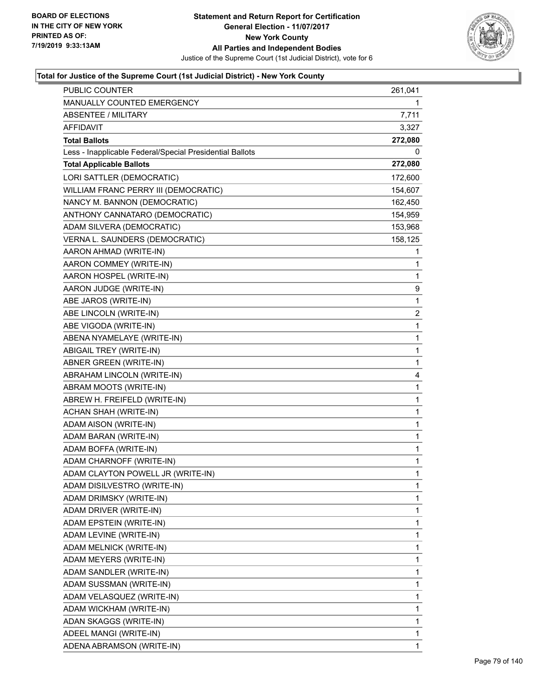

| <b>PUBLIC COUNTER</b>                                    | 261,041      |
|----------------------------------------------------------|--------------|
| MANUALLY COUNTED EMERGENCY                               | 1            |
| <b>ABSENTEE / MILITARY</b>                               | 7,711        |
| <b>AFFIDAVIT</b>                                         | 3,327        |
| <b>Total Ballots</b>                                     | 272,080      |
| Less - Inapplicable Federal/Special Presidential Ballots | 0            |
| <b>Total Applicable Ballots</b>                          | 272,080      |
| LORI SATTLER (DEMOCRATIC)                                | 172,600      |
| WILLIAM FRANC PERRY III (DEMOCRATIC)                     | 154,607      |
| NANCY M. BANNON (DEMOCRATIC)                             | 162,450      |
| ANTHONY CANNATARO (DEMOCRATIC)                           | 154,959      |
| ADAM SILVERA (DEMOCRATIC)                                | 153,968      |
| VERNA L. SAUNDERS (DEMOCRATIC)                           | 158,125      |
| AARON AHMAD (WRITE-IN)                                   | 1            |
| AARON COMMEY (WRITE-IN)                                  | 1            |
| AARON HOSPEL (WRITE-IN)                                  | 1            |
| AARON JUDGE (WRITE-IN)                                   | 9            |
| ABE JAROS (WRITE-IN)                                     | 1            |
| ABE LINCOLN (WRITE-IN)                                   | 2            |
| ABE VIGODA (WRITE-IN)                                    | $\mathbf{1}$ |
| ABENA NYAMELAYE (WRITE-IN)                               | 1            |
| ABIGAIL TREY (WRITE-IN)                                  | 1            |
| ABNER GREEN (WRITE-IN)                                   | 1            |
| ABRAHAM LINCOLN (WRITE-IN)                               | 4            |
| ABRAM MOOTS (WRITE-IN)                                   | 1            |
| ABREW H. FREIFELD (WRITE-IN)                             | $\mathbf 1$  |
| ACHAN SHAH (WRITE-IN)                                    | 1            |
| ADAM AISON (WRITE-IN)                                    | 1            |
| ADAM BARAN (WRITE-IN)                                    | 1            |
| ADAM BOFFA (WRITE-IN)                                    | 1            |
| ADAM CHARNOFF (WRITE-IN)                                 | 1            |
| ADAM CLAYTON POWELL JR (WRITE-IN)                        | $\mathbf{1}$ |
| ADAM DISILVESTRO (WRITE-IN)                              | 1            |
| ADAM DRIMSKY (WRITE-IN)                                  | 1            |
| ADAM DRIVER (WRITE-IN)                                   | 1            |
| ADAM EPSTEIN (WRITE-IN)                                  | 1            |
| ADAM LEVINE (WRITE-IN)                                   | 1            |
| ADAM MELNICK (WRITE-IN)                                  | 1            |
| ADAM MEYERS (WRITE-IN)                                   | 1            |
| ADAM SANDLER (WRITE-IN)                                  | 1            |
| ADAM SUSSMAN (WRITE-IN)                                  | 1            |
| ADAM VELASQUEZ (WRITE-IN)                                | 1            |
| ADAM WICKHAM (WRITE-IN)                                  | 1            |
| ADAN SKAGGS (WRITE-IN)                                   | 1            |
| ADEEL MANGI (WRITE-IN)                                   | 1            |
| ADENA ABRAMSON (WRITE-IN)                                | 1            |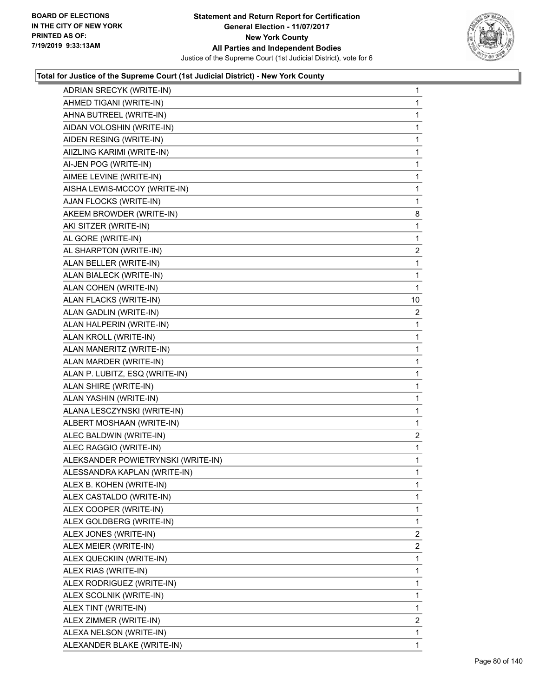

| ADRIAN SRECYK (WRITE-IN)           | 1              |
|------------------------------------|----------------|
| AHMED TIGANI (WRITE-IN)            | 1              |
| AHNA BUTREEL (WRITE-IN)            | 1              |
| AIDAN VOLOSHIN (WRITE-IN)          | 1              |
| AIDEN RESING (WRITE-IN)            | 1              |
| AIIZLING KARIMI (WRITE-IN)         | 1              |
| AI-JEN POG (WRITE-IN)              | $\mathbf{1}$   |
| AIMEE LEVINE (WRITE-IN)            | 1              |
| AISHA LEWIS-MCCOY (WRITE-IN)       | 1              |
| AJAN FLOCKS (WRITE-IN)             | 1              |
| AKEEM BROWDER (WRITE-IN)           | 8              |
| AKI SITZER (WRITE-IN)              | 1              |
| AL GORE (WRITE-IN)                 | $\mathbf{1}$   |
| AL SHARPTON (WRITE-IN)             | $\overline{c}$ |
| ALAN BELLER (WRITE-IN)             | 1              |
| ALAN BIALECK (WRITE-IN)            | 1              |
| ALAN COHEN (WRITE-IN)              | 1              |
| ALAN FLACKS (WRITE-IN)             | 10             |
| ALAN GADLIN (WRITE-IN)             | 2              |
| ALAN HALPERIN (WRITE-IN)           | 1              |
| ALAN KROLL (WRITE-IN)              | 1              |
| ALAN MANERITZ (WRITE-IN)           | 1              |
| ALAN MARDER (WRITE-IN)             | 1              |
| ALAN P. LUBITZ, ESQ (WRITE-IN)     | 1              |
| ALAN SHIRE (WRITE-IN)              | $\mathbf{1}$   |
| ALAN YASHIN (WRITE-IN)             | 1              |
| ALANA LESCZYNSKI (WRITE-IN)        | 1              |
| ALBERT MOSHAAN (WRITE-IN)          | 1              |
| ALEC BALDWIN (WRITE-IN)            | $\overline{c}$ |
| ALEC RAGGIO (WRITE-IN)             | 1              |
| ALEKSANDER POWIETRYNSKI (WRITE-IN) | $\mathbf{1}$   |
| ALESSANDRA KAPLAN (WRITE-IN)       | 1              |
| ALEX B. KOHEN (WRITE-IN)           | 1              |
| ALEX CASTALDO (WRITE-IN)           | 1              |
| ALEX COOPER (WRITE-IN)             | 1              |
| ALEX GOLDBERG (WRITE-IN)           | 1              |
| ALEX JONES (WRITE-IN)              | $\overline{2}$ |
| ALEX MEIER (WRITE-IN)              | 2              |
| ALEX QUECKIIN (WRITE-IN)           | 1              |
| ALEX RIAS (WRITE-IN)               | 1              |
| ALEX RODRIGUEZ (WRITE-IN)          | 1              |
| ALEX SCOLNIK (WRITE-IN)            | 1              |
| ALEX TINT (WRITE-IN)               | 1              |
| ALEX ZIMMER (WRITE-IN)             | 2              |
| ALEXA NELSON (WRITE-IN)            | 1              |
| ALEXANDER BLAKE (WRITE-IN)         | 1              |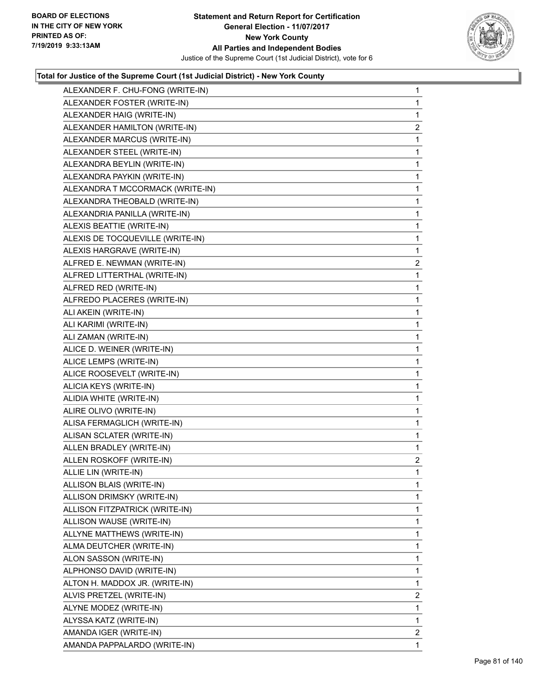

| ALEXANDER F. CHU-FONG (WRITE-IN) | $\mathbf{1}$   |
|----------------------------------|----------------|
| ALEXANDER FOSTER (WRITE-IN)      | 1              |
| ALEXANDER HAIG (WRITE-IN)        | 1              |
| ALEXANDER HAMILTON (WRITE-IN)    | $\overline{2}$ |
| ALEXANDER MARCUS (WRITE-IN)      | 1              |
| ALEXANDER STEEL (WRITE-IN)       | 1              |
| ALEXANDRA BEYLIN (WRITE-IN)      | 1              |
| ALEXANDRA PAYKIN (WRITE-IN)      | 1              |
| ALEXANDRA T MCCORMACK (WRITE-IN) | 1              |
| ALEXANDRA THEOBALD (WRITE-IN)    | 1              |
| ALEXANDRIA PANILLA (WRITE-IN)    | 1              |
| ALEXIS BEATTIE (WRITE-IN)        | 1              |
| ALEXIS DE TOCQUEVILLE (WRITE-IN) | 1              |
| ALEXIS HARGRAVE (WRITE-IN)       | 1              |
| ALFRED E. NEWMAN (WRITE-IN)      | $\overline{2}$ |
| ALFRED LITTERTHAL (WRITE-IN)     | 1              |
| ALFRED RED (WRITE-IN)            | 1              |
| ALFREDO PLACERES (WRITE-IN)      | 1              |
| ALI AKEIN (WRITE-IN)             | 1              |
| ALI KARIMI (WRITE-IN)            | 1              |
| ALI ZAMAN (WRITE-IN)             | 1              |
| ALICE D. WEINER (WRITE-IN)       | 1              |
| ALICE LEMPS (WRITE-IN)           | 1              |
| ALICE ROOSEVELT (WRITE-IN)       | 1              |
| ALICIA KEYS (WRITE-IN)           | 1              |
| ALIDIA WHITE (WRITE-IN)          | 1              |
| ALIRE OLIVO (WRITE-IN)           | 1              |
| ALISA FERMAGLICH (WRITE-IN)      | 1              |
| ALISAN SCLATER (WRITE-IN)        | 1              |
| ALLEN BRADLEY (WRITE-IN)         | 1              |
| ALLEN ROSKOFF (WRITE-IN)         | $\overline{2}$ |
| ALLIE LIN (WRITE-IN)             | 1              |
| ALLISON BLAIS (WRITE-IN)         | 1              |
| ALLISON DRIMSKY (WRITE-IN)       | 1              |
| ALLISON FITZPATRICK (WRITE-IN)   | 1              |
| ALLISON WAUSE (WRITE-IN)         | 1              |
| ALLYNE MATTHEWS (WRITE-IN)       | 1              |
| ALMA DEUTCHER (WRITE-IN)         | 1              |
| ALON SASSON (WRITE-IN)           | 1              |
| ALPHONSO DAVID (WRITE-IN)        | 1              |
| ALTON H. MADDOX JR. (WRITE-IN)   | 1              |
| ALVIS PRETZEL (WRITE-IN)         | 2              |
| ALYNE MODEZ (WRITE-IN)           | 1              |
| ALYSSA KATZ (WRITE-IN)           | 1              |
| AMANDA IGER (WRITE-IN)           | $\mathbf{2}$   |
| AMANDA PAPPALARDO (WRITE-IN)     | 1              |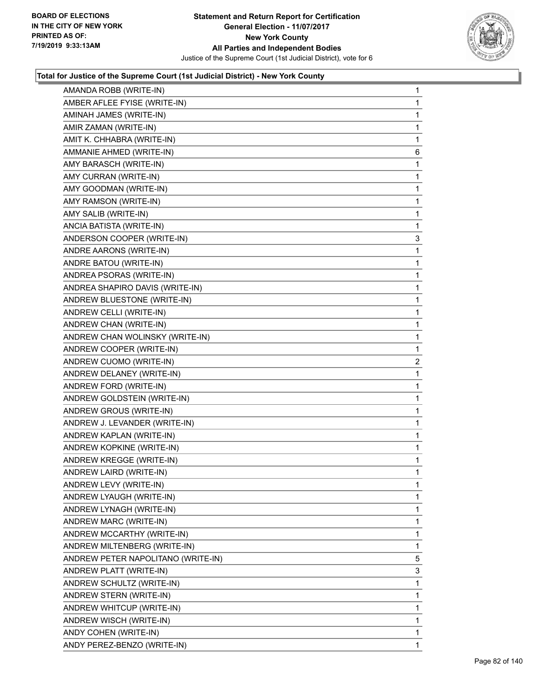

| AMANDA ROBB (WRITE-IN)             | 1  |
|------------------------------------|----|
| AMBER AFLEE FYISE (WRITE-IN)       | 1  |
| AMINAH JAMES (WRITE-IN)            | 1  |
| AMIR ZAMAN (WRITE-IN)              | 1  |
| AMIT K. CHHABRA (WRITE-IN)         | 1  |
| AMMANIE AHMED (WRITE-IN)           | 6  |
| AMY BARASCH (WRITE-IN)             | 1  |
| AMY CURRAN (WRITE-IN)              | 1  |
| AMY GOODMAN (WRITE-IN)             | 1  |
| AMY RAMSON (WRITE-IN)              | 1  |
| AMY SALIB (WRITE-IN)               | 1  |
| ANCIA BATISTA (WRITE-IN)           | 1  |
| ANDERSON COOPER (WRITE-IN)         | 3  |
| ANDRE AARONS (WRITE-IN)            | 1  |
| ANDRE BATOU (WRITE-IN)             | 1  |
| ANDREA PSORAS (WRITE-IN)           | 1  |
| ANDREA SHAPIRO DAVIS (WRITE-IN)    | 1  |
| ANDREW BLUESTONE (WRITE-IN)        | 1  |
| ANDREW CELLI (WRITE-IN)            | 1  |
| ANDREW CHAN (WRITE-IN)             | 1  |
| ANDREW CHAN WOLINSKY (WRITE-IN)    | 1  |
| ANDREW COOPER (WRITE-IN)           | 1  |
| ANDREW CUOMO (WRITE-IN)            | 2  |
| ANDREW DELANEY (WRITE-IN)          | 1  |
| ANDREW FORD (WRITE-IN)             | 1  |
| ANDREW GOLDSTEIN (WRITE-IN)        | 1  |
| ANDREW GROUS (WRITE-IN)            | 1  |
| ANDREW J. LEVANDER (WRITE-IN)      | 1  |
| ANDREW KAPLAN (WRITE-IN)           | 1  |
| ANDREW KOPKINE (WRITE-IN)          | 1  |
| ANDREW KREGGE (WRITE-IN)           | 1  |
| ANDREW LAIRD (WRITE-IN)            | 1  |
| ANDREW LEVY (WRITE-IN)             | 1  |
| ANDREW LYAUGH (WRITE-IN)           | 1  |
| ANDREW LYNAGH (WRITE-IN)           | 1  |
| ANDREW MARC (WRITE-IN)             | 1  |
| ANDREW MCCARTHY (WRITE-IN)         | 1  |
| ANDREW MILTENBERG (WRITE-IN)       | 1  |
| ANDREW PETER NAPOLITANO (WRITE-IN) | 5  |
| ANDREW PLATT (WRITE-IN)            | 3  |
| ANDREW SCHULTZ (WRITE-IN)          | 1  |
| ANDREW STERN (WRITE-IN)            | 1  |
| ANDREW WHITCUP (WRITE-IN)          | 1  |
| ANDREW WISCH (WRITE-IN)            | 1  |
| ANDY COHEN (WRITE-IN)              | 1  |
| ANDY PEREZ-BENZO (WRITE-IN)        | 1. |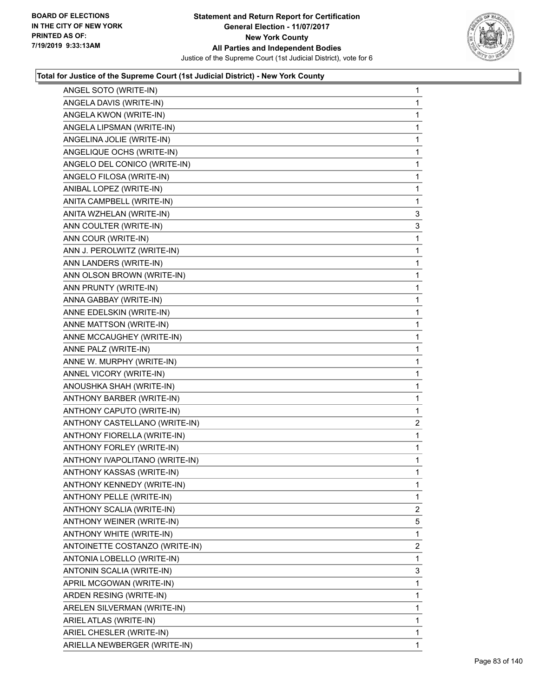

| ANGEL SOTO (WRITE-IN)          | 1              |
|--------------------------------|----------------|
| ANGELA DAVIS (WRITE-IN)        | $\mathbf{1}$   |
| ANGELA KWON (WRITE-IN)         | 1              |
| ANGELA LIPSMAN (WRITE-IN)      | $\mathbf{1}$   |
| ANGELINA JOLIE (WRITE-IN)      | 1              |
| ANGELIQUE OCHS (WRITE-IN)      | 1              |
| ANGELO DEL CONICO (WRITE-IN)   | 1              |
| ANGELO FILOSA (WRITE-IN)       | $\mathbf{1}$   |
| ANIBAL LOPEZ (WRITE-IN)        | 1              |
| ANITA CAMPBELL (WRITE-IN)      | 1              |
| ANITA WZHELAN (WRITE-IN)       | 3              |
| ANN COULTER (WRITE-IN)         | 3              |
| ANN COUR (WRITE-IN)            | 1              |
| ANN J. PEROLWITZ (WRITE-IN)    | $\mathbf{1}$   |
| ANN LANDERS (WRITE-IN)         | 1              |
| ANN OLSON BROWN (WRITE-IN)     | $\mathbf 1$    |
| ANN PRUNTY (WRITE-IN)          | 1              |
| ANNA GABBAY (WRITE-IN)         | $\mathbf 1$    |
| ANNE EDELSKIN (WRITE-IN)       | 1              |
| ANNE MATTSON (WRITE-IN)        | $\mathbf 1$    |
| ANNE MCCAUGHEY (WRITE-IN)      | 1              |
| ANNE PALZ (WRITE-IN)           | $\mathbf 1$    |
| ANNE W. MURPHY (WRITE-IN)      | 1              |
| ANNEL VICORY (WRITE-IN)        | $\mathbf 1$    |
| ANOUSHKA SHAH (WRITE-IN)       | 1              |
| ANTHONY BARBER (WRITE-IN)      | $\mathbf 1$    |
| ANTHONY CAPUTO (WRITE-IN)      | 1              |
| ANTHONY CASTELLANO (WRITE-IN)  | 2              |
| ANTHONY FIORELLA (WRITE-IN)    | $\mathbf{1}$   |
| ANTHONY FORLEY (WRITE-IN)      | $\mathbf 1$    |
| ANTHONY IVAPOLITANO (WRITE-IN) | 1              |
| ANTHONY KASSAS (WRITE-IN)      | 1              |
| ANTHONY KENNEDY (WRITE-IN)     | 1              |
| ANTHONY PELLE (WRITE-IN)       | 1              |
| ANTHONY SCALIA (WRITE-IN)      | $\overline{2}$ |
| ANTHONY WEINER (WRITE-IN)      | 5              |
| ANTHONY WHITE (WRITE-IN)       | 1              |
| ANTOINETTE COSTANZO (WRITE-IN) | 2              |
| ANTONIA LOBELLO (WRITE-IN)     | 1              |
| ANTONIN SCALIA (WRITE-IN)      | 3              |
| APRIL MCGOWAN (WRITE-IN)       | 1              |
| ARDEN RESING (WRITE-IN)        | $\mathbf{1}$   |
| ARELEN SILVERMAN (WRITE-IN)    | $\mathbf 1$    |
| ARIEL ATLAS (WRITE-IN)         | 1              |
| ARIEL CHESLER (WRITE-IN)       | 1              |
| ARIELLA NEWBERGER (WRITE-IN)   | 1              |
|                                |                |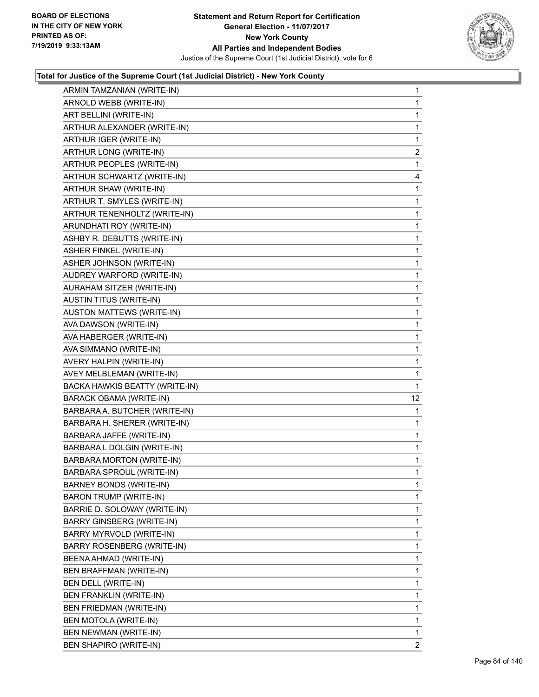

| ARMIN TAMZANIAN (WRITE-IN)        | 1              |
|-----------------------------------|----------------|
| ARNOLD WEBB (WRITE-IN)            | 1              |
| ART BELLINI (WRITE-IN)            | 1              |
| ARTHUR ALEXANDER (WRITE-IN)       | 1              |
| ARTHUR IGER (WRITE-IN)            | 1              |
| ARTHUR LONG (WRITE-IN)            | $\overline{2}$ |
| ARTHUR PEOPLES (WRITE-IN)         | 1              |
| ARTHUR SCHWARTZ (WRITE-IN)        | 4              |
| ARTHUR SHAW (WRITE-IN)            | 1              |
| ARTHUR T. SMYLES (WRITE-IN)       | 1              |
| ARTHUR TENENHOLTZ (WRITE-IN)      | 1              |
| ARUNDHATI ROY (WRITE-IN)          | 1              |
| ASHBY R. DEBUTTS (WRITE-IN)       | 1              |
| ASHER FINKEL (WRITE-IN)           | 1              |
| ASHER JOHNSON (WRITE-IN)          | 1              |
| AUDREY WARFORD (WRITE-IN)         | 1              |
| AURAHAM SITZER (WRITE-IN)         | 1              |
| <b>AUSTIN TITUS (WRITE-IN)</b>    | 1              |
| AUSTON MATTEWS (WRITE-IN)         | 1              |
| AVA DAWSON (WRITE-IN)             | 1              |
| AVA HABERGER (WRITE-IN)           | 1              |
| AVA SIMMANO (WRITE-IN)            | 1              |
| AVERY HALPIN (WRITE-IN)           | 1              |
| AVEY MELBLEMAN (WRITE-IN)         | 1              |
| BACKA HAWKIS BEATTY (WRITE-IN)    | 1              |
| <b>BARACK OBAMA (WRITE-IN)</b>    | 12             |
| BARBARA A. BUTCHER (WRITE-IN)     | 1              |
| BARBARA H. SHERER (WRITE-IN)      | 1              |
| BARBARA JAFFE (WRITE-IN)          | 1              |
| BARBARA L DOLGIN (WRITE-IN)       | 1              |
| BARBARA MORTON (WRITE-IN)         | 1              |
| BARBARA SPROUL (WRITE-IN)         | $\mathbf{1}$   |
| BARNEY BONDS (WRITE-IN)           | 1              |
| <b>BARON TRUMP (WRITE-IN)</b>     | 1              |
| BARRIE D. SOLOWAY (WRITE-IN)      | 1              |
| BARRY GINSBERG (WRITE-IN)         | 1              |
| BARRY MYRVOLD (WRITE-IN)          | 1              |
| <b>BARRY ROSENBERG (WRITE-IN)</b> | 1              |
| BEENA AHMAD (WRITE-IN)            | 1              |
| BEN BRAFFMAN (WRITE-IN)           | 1              |
| BEN DELL (WRITE-IN)               | 1              |
| BEN FRANKLIN (WRITE-IN)           | 1              |
| BEN FRIEDMAN (WRITE-IN)           | 1              |
| BEN MOTOLA (WRITE-IN)             | 1              |
| BEN NEWMAN (WRITE-IN)             | 1              |
|                                   |                |
| BEN SHAPIRO (WRITE-IN)            | 2              |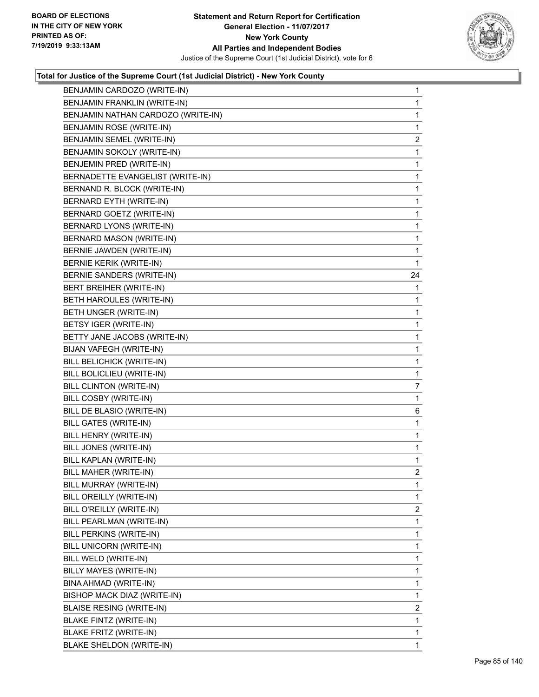

| BENJAMIN CARDOZO (WRITE-IN)        | 1                       |
|------------------------------------|-------------------------|
| BENJAMIN FRANKLIN (WRITE-IN)       | 1                       |
| BENJAMIN NATHAN CARDOZO (WRITE-IN) | 1                       |
| BENJAMIN ROSE (WRITE-IN)           | 1                       |
| BENJAMIN SEMEL (WRITE-IN)          | 2                       |
| BENJAMIN SOKOLY (WRITE-IN)         | 1                       |
| BENJEMIN PRED (WRITE-IN)           | 1                       |
| BERNADETTE EVANGELIST (WRITE-IN)   | 1                       |
| BERNAND R. BLOCK (WRITE-IN)        | 1                       |
| BERNARD EYTH (WRITE-IN)            | 1                       |
| BERNARD GOETZ (WRITE-IN)           | 1                       |
| BERNARD LYONS (WRITE-IN)           | 1                       |
| <b>BERNARD MASON (WRITE-IN)</b>    | 1                       |
| BERNIE JAWDEN (WRITE-IN)           | 1                       |
| BERNIE KERIK (WRITE-IN)            | 1                       |
| BERNIE SANDERS (WRITE-IN)          | 24                      |
| BERT BREIHER (WRITE-IN)            | 1                       |
| BETH HAROULES (WRITE-IN)           | 1                       |
| BETH UNGER (WRITE-IN)              | 1                       |
| BETSY IGER (WRITE-IN)              | 1                       |
| BETTY JANE JACOBS (WRITE-IN)       | 1                       |
| BIJAN VAFEGH (WRITE-IN)            | 1                       |
| BILL BELICHICK (WRITE-IN)          | 1                       |
| BILL BOLICLIEU (WRITE-IN)          | 1                       |
| BILL CLINTON (WRITE-IN)            | 7                       |
| BILL COSBY (WRITE-IN)              | 1                       |
| BILL DE BLASIO (WRITE-IN)          | 6                       |
| <b>BILL GATES (WRITE-IN)</b>       | 1                       |
| BILL HENRY (WRITE-IN)              | 1                       |
| BILL JONES (WRITE-IN)              | 1                       |
| BILL KAPLAN (WRITE-IN)             | 1                       |
| BILL MAHER (WRITE-IN)              | $\overline{c}$          |
| BILL MURRAY (WRITE-IN)             | 1                       |
| BILL OREILLY (WRITE-IN)            | 1                       |
| BILL O'REILLY (WRITE-IN)           | $\overline{\mathbf{c}}$ |
| BILL PEARLMAN (WRITE-IN)           | 1                       |
| BILL PERKINS (WRITE-IN)            | 1                       |
| BILL UNICORN (WRITE-IN)            | 1                       |
| BILL WELD (WRITE-IN)               | 1                       |
| BILLY MAYES (WRITE-IN)             | 1                       |
| BINA AHMAD (WRITE-IN)              | 1                       |
| BISHOP MACK DIAZ (WRITE-IN)        | 1                       |
| <b>BLAISE RESING (WRITE-IN)</b>    | 2                       |
| BLAKE FINTZ (WRITE-IN)             | 1                       |
| BLAKE FRITZ (WRITE-IN)             | 1                       |
| BLAKE SHELDON (WRITE-IN)           | 1                       |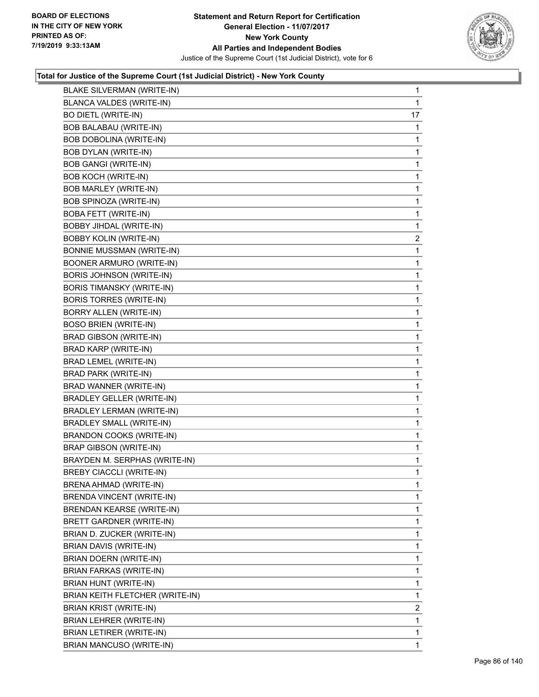

| <b>BLAKE SILVERMAN (WRITE-IN)</b> | 1              |
|-----------------------------------|----------------|
| <b>BLANCA VALDES (WRITE-IN)</b>   | 1              |
| <b>BO DIETL (WRITE-IN)</b>        | 17             |
| BOB BALABAU (WRITE-IN)            | 1              |
| BOB DOBOLINA (WRITE-IN)           | 1              |
| <b>BOB DYLAN (WRITE-IN)</b>       | 1              |
| <b>BOB GANGI (WRITE-IN)</b>       | 1              |
| <b>BOB KOCH (WRITE-IN)</b>        | 1              |
| BOB MARLEY (WRITE-IN)             | 1              |
| BOB SPINOZA (WRITE-IN)            | 1              |
| <b>BOBA FETT (WRITE-IN)</b>       | 1              |
| BOBBY JIHDAL (WRITE-IN)           | 1              |
| <b>BOBBY KOLIN (WRITE-IN)</b>     | $\overline{a}$ |
| <b>BONNIE MUSSMAN (WRITE-IN)</b>  | 1              |
| BOONER ARMURO (WRITE-IN)          | 1              |
| <b>BORIS JOHNSON (WRITE-IN)</b>   | 1              |
| <b>BORIS TIMANSKY (WRITE-IN)</b>  | 1              |
| <b>BORIS TORRES (WRITE-IN)</b>    | 1              |
| BORRY ALLEN (WRITE-IN)            | 1              |
| <b>BOSO BRIEN (WRITE-IN)</b>      | 1              |
| <b>BRAD GIBSON (WRITE-IN)</b>     | 1              |
| BRAD KARP (WRITE-IN)              | 1              |
| BRAD LEMEL (WRITE-IN)             | 1              |
| BRAD PARK (WRITE-IN)              | 1              |
| BRAD WANNER (WRITE-IN)            | 1              |
| <b>BRADLEY GELLER (WRITE-IN)</b>  | 1              |
| <b>BRADLEY LERMAN (WRITE-IN)</b>  | 1              |
| <b>BRADLEY SMALL (WRITE-IN)</b>   | 1              |
| <b>BRANDON COOKS (WRITE-IN)</b>   | 1              |
| <b>BRAP GIBSON (WRITE-IN)</b>     | 1              |
| BRAYDEN M. SERPHAS (WRITE-IN)     | 1              |
| <b>BREBY CIACCLI (WRITE-IN)</b>   | 1              |
| BRENA AHMAD (WRITE-IN)            | 1              |
| BRENDA VINCENT (WRITE-IN)         | 1              |
| <b>BRENDAN KEARSE (WRITE-IN)</b>  | 1              |
| <b>BRETT GARDNER (WRITE-IN)</b>   | 1              |
| BRIAN D. ZUCKER (WRITE-IN)        | 1              |
| BRIAN DAVIS (WRITE-IN)            | 1              |
| BRIAN DOERN (WRITE-IN)            | 1              |
| <b>BRIAN FARKAS (WRITE-IN)</b>    | 1              |
| BRIAN HUNT (WRITE-IN)             | 1              |
| BRIAN KEITH FLETCHER (WRITE-IN)   | 1              |
| BRIAN KRIST (WRITE-IN)            | $\overline{2}$ |
| BRIAN LEHRER (WRITE-IN)           | 1              |
| BRIAN LETIRER (WRITE-IN)          | 1              |
| BRIAN MANCUSO (WRITE-IN)          | 1              |
|                                   |                |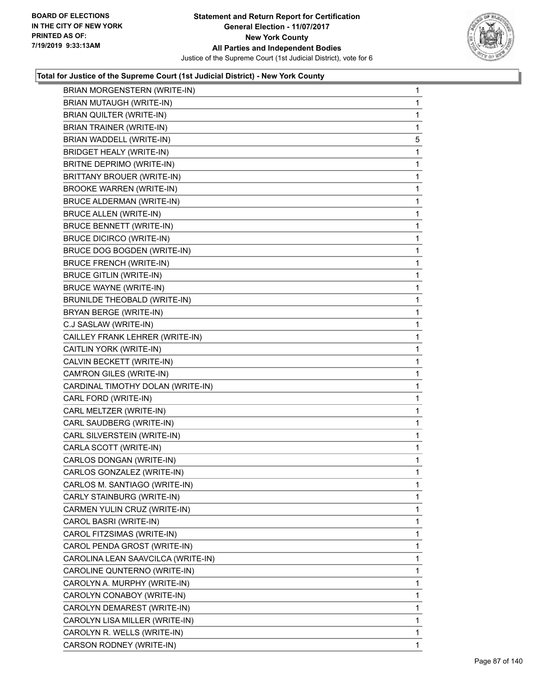

| BRIAN MORGENSTERN (WRITE-IN)       | 1            |
|------------------------------------|--------------|
| BRIAN MUTAUGH (WRITE-IN)           | 1            |
| BRIAN QUILTER (WRITE-IN)           | 1            |
| <b>BRIAN TRAINER (WRITE-IN)</b>    | 1            |
| BRIAN WADDELL (WRITE-IN)           | 5            |
| BRIDGET HEALY (WRITE-IN)           | 1            |
| BRITNE DEPRIMO (WRITE-IN)          | 1            |
| <b>BRITTANY BROUER (WRITE-IN)</b>  | 1            |
| <b>BROOKE WARREN (WRITE-IN)</b>    | 1            |
| BRUCE ALDERMAN (WRITE-IN)          | 1            |
| <b>BRUCE ALLEN (WRITE-IN)</b>      | 1            |
| <b>BRUCE BENNETT (WRITE-IN)</b>    | 1            |
| <b>BRUCE DICIRCO (WRITE-IN)</b>    | 1            |
| BRUCE DOG BOGDEN (WRITE-IN)        | 1            |
| <b>BRUCE FRENCH (WRITE-IN)</b>     | 1            |
| <b>BRUCE GITLIN (WRITE-IN)</b>     | 1            |
| <b>BRUCE WAYNE (WRITE-IN)</b>      | 1            |
| BRUNILDE THEOBALD (WRITE-IN)       | 1            |
| BRYAN BERGE (WRITE-IN)             | 1            |
| C.J SASLAW (WRITE-IN)              | 1            |
| CAILLEY FRANK LEHRER (WRITE-IN)    | 1            |
| CAITLIN YORK (WRITE-IN)            | 1            |
| CALVIN BECKETT (WRITE-IN)          | 1            |
| CAM'RON GILES (WRITE-IN)           | 1            |
| CARDINAL TIMOTHY DOLAN (WRITE-IN)  | 1            |
| CARL FORD (WRITE-IN)               | 1            |
| CARL MELTZER (WRITE-IN)            | 1            |
| CARL SAUDBERG (WRITE-IN)           | 1            |
| CARL SILVERSTEIN (WRITE-IN)        | 1            |
| CARLA SCOTT (WRITE-IN)             | 1            |
| CARLOS DONGAN (WRITE-IN)           | 1            |
| CARLOS GONZALEZ (WRITE-IN)         | $\mathbf 1$  |
| CARLOS M. SANTIAGO (WRITE-IN)      | 1            |
| CARLY STAINBURG (WRITE-IN)         | 1            |
| CARMEN YULIN CRUZ (WRITE-IN)       | 1            |
| CAROL BASRI (WRITE-IN)             | 1            |
| CAROL FITZSIMAS (WRITE-IN)         | 1            |
| CAROL PENDA GROST (WRITE-IN)       | 1            |
| CAROLINA LEAN SAAVCILCA (WRITE-IN) | 1            |
| CAROLINE QUNTERNO (WRITE-IN)       | 1            |
| CAROLYN A. MURPHY (WRITE-IN)       | 1            |
| CAROLYN CONABOY (WRITE-IN)         | 1            |
| CAROLYN DEMAREST (WRITE-IN)        | 1            |
| CAROLYN LISA MILLER (WRITE-IN)     | 1            |
| CAROLYN R. WELLS (WRITE-IN)        | $\mathbf{1}$ |
| CARSON RODNEY (WRITE-IN)           | 1            |
|                                    |              |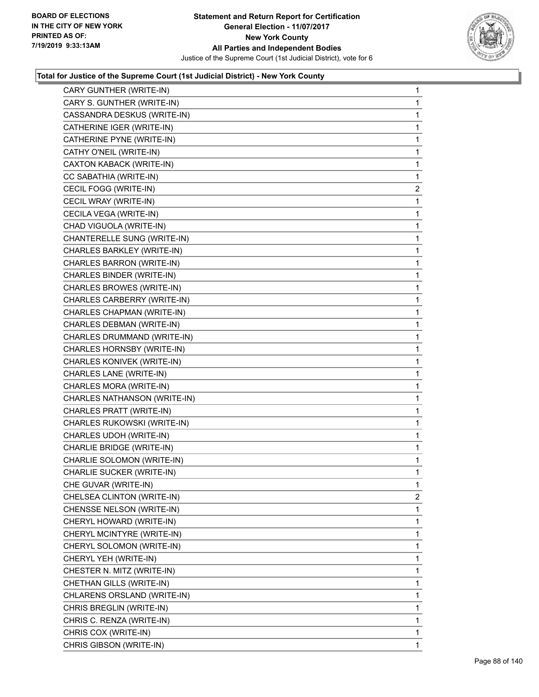

| CARY GUNTHER (WRITE-IN)      | $\mathbf 1$    |
|------------------------------|----------------|
| CARY S. GUNTHER (WRITE-IN)   | 1              |
| CASSANDRA DESKUS (WRITE-IN)  | 1              |
| CATHERINE IGER (WRITE-IN)    | 1              |
| CATHERINE PYNE (WRITE-IN)    | 1              |
| CATHY O'NEIL (WRITE-IN)      | 1              |
| CAXTON KABACK (WRITE-IN)     | 1              |
| CC SABATHIA (WRITE-IN)       | 1              |
| CECIL FOGG (WRITE-IN)        | $\overline{2}$ |
| CECIL WRAY (WRITE-IN)        | 1              |
| CECILA VEGA (WRITE-IN)       | 1              |
| CHAD VIGUOLA (WRITE-IN)      | 1              |
| CHANTERELLE SUNG (WRITE-IN)  | 1              |
| CHARLES BARKLEY (WRITE-IN)   | 1              |
| CHARLES BARRON (WRITE-IN)    | 1              |
| CHARLES BINDER (WRITE-IN)    | 1              |
| CHARLES BROWES (WRITE-IN)    | 1              |
| CHARLES CARBERRY (WRITE-IN)  | 1              |
| CHARLES CHAPMAN (WRITE-IN)   | 1              |
| CHARLES DEBMAN (WRITE-IN)    | 1              |
| CHARLES DRUMMAND (WRITE-IN)  | 1              |
| CHARLES HORNSBY (WRITE-IN)   | 1              |
| CHARLES KONIVEK (WRITE-IN)   | 1              |
| CHARLES LANE (WRITE-IN)      | 1              |
| CHARLES MORA (WRITE-IN)      | 1              |
| CHARLES NATHANSON (WRITE-IN) | 1              |
| CHARLES PRATT (WRITE-IN)     | 1              |
| CHARLES RUKOWSKI (WRITE-IN)  | 1              |
| CHARLES UDOH (WRITE-IN)      | 1              |
| CHARLIE BRIDGE (WRITE-IN)    | 1              |
| CHARLIE SOLOMON (WRITE-IN)   | 1              |
| CHARLIE SUCKER (WRITE-IN)    | 1              |
| CHE GUVAR (WRITE-IN)         | 1              |
| CHELSEA CLINTON (WRITE-IN)   | 2              |
| CHENSSE NELSON (WRITE-IN)    | 1              |
| CHERYL HOWARD (WRITE-IN)     | 1              |
| CHERYL MCINTYRE (WRITE-IN)   | 1              |
| CHERYL SOLOMON (WRITE-IN)    | 1              |
| CHERYL YEH (WRITE-IN)        | 1              |
| CHESTER N. MITZ (WRITE-IN)   | 1              |
| CHETHAN GILLS (WRITE-IN)     | 1              |
| CHLARENS ORSLAND (WRITE-IN)  | 1              |
| CHRIS BREGLIN (WRITE-IN)     | 1              |
| CHRIS C. RENZA (WRITE-IN)    | 1              |
| CHRIS COX (WRITE-IN)         | 1              |
| CHRIS GIBSON (WRITE-IN)      | 1.             |
|                              |                |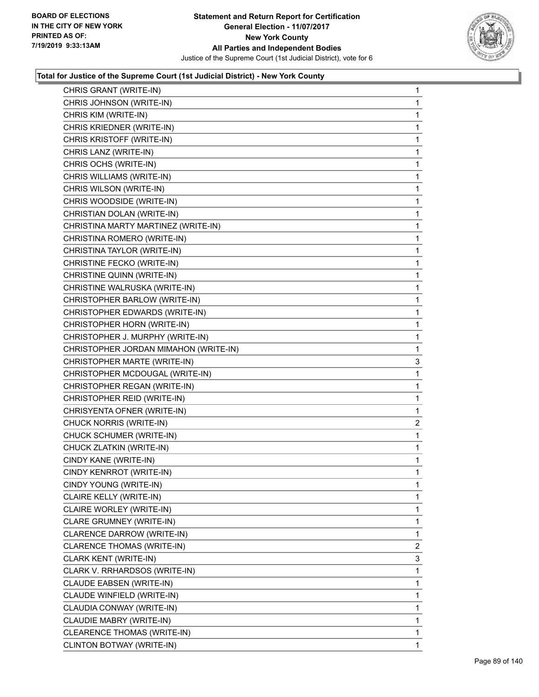

| CHRIS GRANT (WRITE-IN)                | 1              |
|---------------------------------------|----------------|
| CHRIS JOHNSON (WRITE-IN)              | 1              |
| CHRIS KIM (WRITE-IN)                  | 1              |
| CHRIS KRIEDNER (WRITE-IN)             | 1              |
| CHRIS KRISTOFF (WRITE-IN)             | 1              |
| CHRIS LANZ (WRITE-IN)                 | 1              |
| CHRIS OCHS (WRITE-IN)                 | 1              |
| CHRIS WILLIAMS (WRITE-IN)             | 1              |
| CHRIS WILSON (WRITE-IN)               | 1              |
| CHRIS WOODSIDE (WRITE-IN)             | 1              |
| CHRISTIAN DOLAN (WRITE-IN)            | 1              |
| CHRISTINA MARTY MARTINEZ (WRITE-IN)   | 1              |
| CHRISTINA ROMERO (WRITE-IN)           | 1              |
| CHRISTINA TAYLOR (WRITE-IN)           | 1              |
| CHRISTINE FECKO (WRITE-IN)            | 1              |
| CHRISTINE QUINN (WRITE-IN)            | 1              |
| CHRISTINE WALRUSKA (WRITE-IN)         | 1              |
| CHRISTOPHER BARLOW (WRITE-IN)         | 1              |
| CHRISTOPHER EDWARDS (WRITE-IN)        | 1              |
| CHRISTOPHER HORN (WRITE-IN)           | 1              |
| CHRISTOPHER J. MURPHY (WRITE-IN)      | 1              |
| CHRISTOPHER JORDAN MIMAHON (WRITE-IN) | 1              |
| CHRISTOPHER MARTE (WRITE-IN)          | 3              |
| CHRISTOPHER MCDOUGAL (WRITE-IN)       | 1              |
| CHRISTOPHER REGAN (WRITE-IN)          | 1              |
| CHRISTOPHER REID (WRITE-IN)           | 1              |
| CHRISYENTA OFNER (WRITE-IN)           | 1              |
| CHUCK NORRIS (WRITE-IN)               | $\overline{c}$ |
| CHUCK SCHUMER (WRITE-IN)              | 1              |
| CHUCK ZLATKIN (WRITE-IN)              | 1              |
| CINDY KANE (WRITE-IN)                 | 1              |
| CINDY KENRROT (WRITE-IN)              | 1              |
| CINDY YOUNG (WRITE-IN)                | 1              |
| CLAIRE KELLY (WRITE-IN)               | 1              |
| CLAIRE WORLEY (WRITE-IN)              | 1              |
| CLARE GRUMNEY (WRITE-IN)              | 1              |
| CLARENCE DARROW (WRITE-IN)            | 1              |
| CLARENCE THOMAS (WRITE-IN)            | $\overline{2}$ |
| CLARK KENT (WRITE-IN)                 | 3              |
| CLARK V. RRHARDSOS (WRITE-IN)         | 1              |
| CLAUDE EABSEN (WRITE-IN)              | 1              |
| CLAUDE WINFIELD (WRITE-IN)            | 1              |
| CLAUDIA CONWAY (WRITE-IN)             | 1              |
| CLAUDIE MABRY (WRITE-IN)              | 1              |
| CLEARENCE THOMAS (WRITE-IN)           | 1              |
| CLINTON BOTWAY (WRITE-IN)             | 1              |
|                                       |                |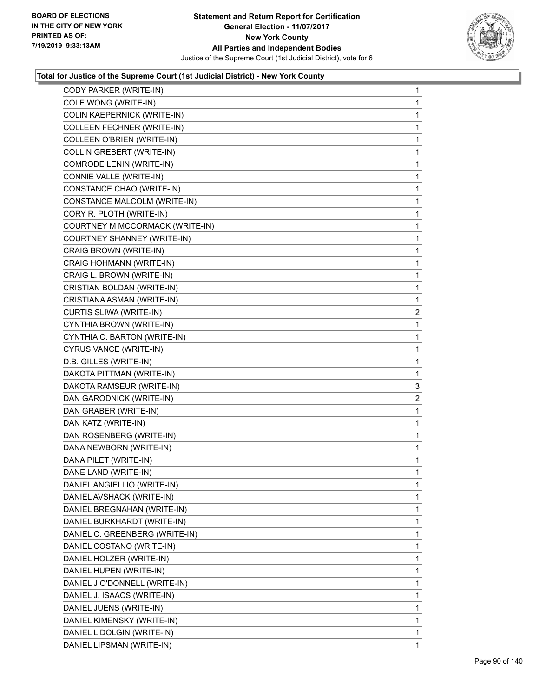

| CODY PARKER (WRITE-IN)          | 1              |
|---------------------------------|----------------|
| COLE WONG (WRITE-IN)            | 1              |
| COLIN KAEPERNICK (WRITE-IN)     | 1              |
| COLLEEN FECHNER (WRITE-IN)      | 1              |
| COLLEEN O'BRIEN (WRITE-IN)      | 1              |
| COLLIN GREBERT (WRITE-IN)       | 1              |
| COMRODE LENIN (WRITE-IN)        | 1              |
| CONNIE VALLE (WRITE-IN)         | 1              |
| CONSTANCE CHAO (WRITE-IN)       | 1              |
| CONSTANCE MALCOLM (WRITE-IN)    | 1              |
| CORY R. PLOTH (WRITE-IN)        | 1              |
| COURTNEY M MCCORMACK (WRITE-IN) | 1              |
| COURTNEY SHANNEY (WRITE-IN)     | 1              |
| CRAIG BROWN (WRITE-IN)          | 1              |
| CRAIG HOHMANN (WRITE-IN)        | 1              |
| CRAIG L. BROWN (WRITE-IN)       | 1              |
| CRISTIAN BOLDAN (WRITE-IN)      | 1              |
| CRISTIANA ASMAN (WRITE-IN)      | 1              |
| CURTIS SLIWA (WRITE-IN)         | $\overline{a}$ |
| CYNTHIA BROWN (WRITE-IN)        | 1              |
| CYNTHIA C. BARTON (WRITE-IN)    | 1              |
| CYRUS VANCE (WRITE-IN)          | 1              |
| D.B. GILLES (WRITE-IN)          | 1              |
| DAKOTA PITTMAN (WRITE-IN)       | 1              |
| DAKOTA RAMSEUR (WRITE-IN)       | 3              |
| DAN GARODNICK (WRITE-IN)        | 2              |
| DAN GRABER (WRITE-IN)           | 1              |
| DAN KATZ (WRITE-IN)             | 1              |
| DAN ROSENBERG (WRITE-IN)        | 1              |
| DANA NEWBORN (WRITE-IN)         | 1              |
| DANA PILET (WRITE-IN)           | 1              |
| DANE LAND (WRITE-IN)            | 1              |
| DANIEL ANGIELLIO (WRITE-IN)     | 1              |
| DANIEL AVSHACK (WRITE-IN)       | 1              |
| DANIEL BREGNAHAN (WRITE-IN)     | 1              |
| DANIEL BURKHARDT (WRITE-IN)     | 1              |
| DANIEL C. GREENBERG (WRITE-IN)  | 1              |
| DANIEL COSTANO (WRITE-IN)       | 1              |
| DANIEL HOLZER (WRITE-IN)        | 1              |
| DANIEL HUPEN (WRITE-IN)         | 1              |
| DANIEL J O'DONNELL (WRITE-IN)   | 1              |
| DANIEL J. ISAACS (WRITE-IN)     | 1              |
| DANIEL JUENS (WRITE-IN)         | 1              |
| DANIEL KIMENSKY (WRITE-IN)      | 1              |
| DANIEL L DOLGIN (WRITE-IN)      | 1              |
| DANIEL LIPSMAN (WRITE-IN)       | 1              |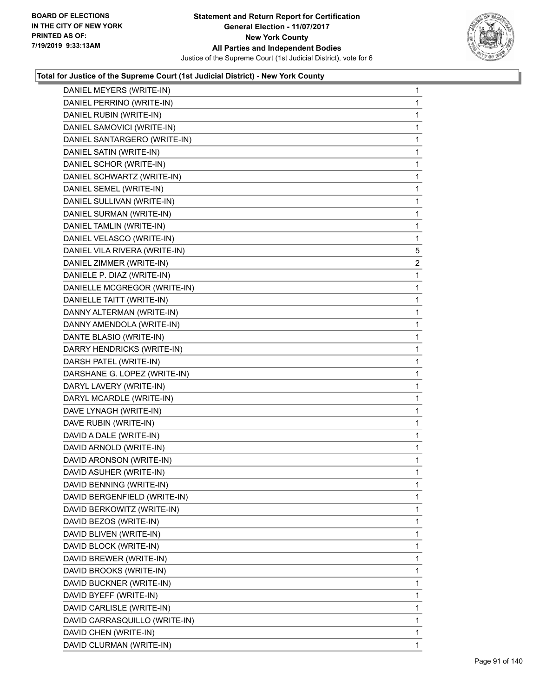

| DANIEL MEYERS (WRITE-IN)      | 1              |
|-------------------------------|----------------|
| DANIEL PERRINO (WRITE-IN)     | 1              |
| DANIEL RUBIN (WRITE-IN)       | 1              |
| DANIEL SAMOVICI (WRITE-IN)    | 1              |
| DANIEL SANTARGERO (WRITE-IN)  | 1              |
| DANIEL SATIN (WRITE-IN)       | 1              |
| DANIEL SCHOR (WRITE-IN)       | 1              |
| DANIEL SCHWARTZ (WRITE-IN)    | 1              |
| DANIEL SEMEL (WRITE-IN)       | 1              |
| DANIEL SULLIVAN (WRITE-IN)    | 1              |
| DANIEL SURMAN (WRITE-IN)      | 1              |
| DANIEL TAMLIN (WRITE-IN)      | 1              |
| DANIEL VELASCO (WRITE-IN)     | 1              |
| DANIEL VILA RIVERA (WRITE-IN) | 5              |
| DANIEL ZIMMER (WRITE-IN)      | $\overline{2}$ |
| DANIELE P. DIAZ (WRITE-IN)    | 1              |
| DANIELLE MCGREGOR (WRITE-IN)  | 1              |
| DANIELLE TAITT (WRITE-IN)     | 1              |
| DANNY ALTERMAN (WRITE-IN)     | 1              |
| DANNY AMENDOLA (WRITE-IN)     | 1              |
| DANTE BLASIO (WRITE-IN)       | 1              |
| DARRY HENDRICKS (WRITE-IN)    | 1              |
| DARSH PATEL (WRITE-IN)        | 1              |
| DARSHANE G. LOPEZ (WRITE-IN)  | 1              |
| DARYL LAVERY (WRITE-IN)       | 1              |
| DARYL MCARDLE (WRITE-IN)      | 1              |
| DAVE LYNAGH (WRITE-IN)        | 1              |
| DAVE RUBIN (WRITE-IN)         | 1              |
| DAVID A DALE (WRITE-IN)       | $\mathbf{1}$   |
| DAVID ARNOLD (WRITE-IN)       | 1              |
| DAVID ARONSON (WRITE-IN)      | 1              |
| DAVID ASUHER (WRITE-IN)       | 1              |
| DAVID BENNING (WRITE-IN)      | 1              |
| DAVID BERGENFIELD (WRITE-IN)  | 1              |
| DAVID BERKOWITZ (WRITE-IN)    | 1              |
| DAVID BEZOS (WRITE-IN)        | 1              |
| DAVID BLIVEN (WRITE-IN)       | 1              |
| DAVID BLOCK (WRITE-IN)        | 1              |
| DAVID BREWER (WRITE-IN)       | 1              |
| DAVID BROOKS (WRITE-IN)       | 1              |
| DAVID BUCKNER (WRITE-IN)      | 1              |
| DAVID BYEFF (WRITE-IN)        | 1              |
| DAVID CARLISLE (WRITE-IN)     | 1              |
| DAVID CARRASQUILLO (WRITE-IN) | 1              |
| DAVID CHEN (WRITE-IN)         | 1              |
| DAVID CLURMAN (WRITE-IN)      | 1              |
|                               |                |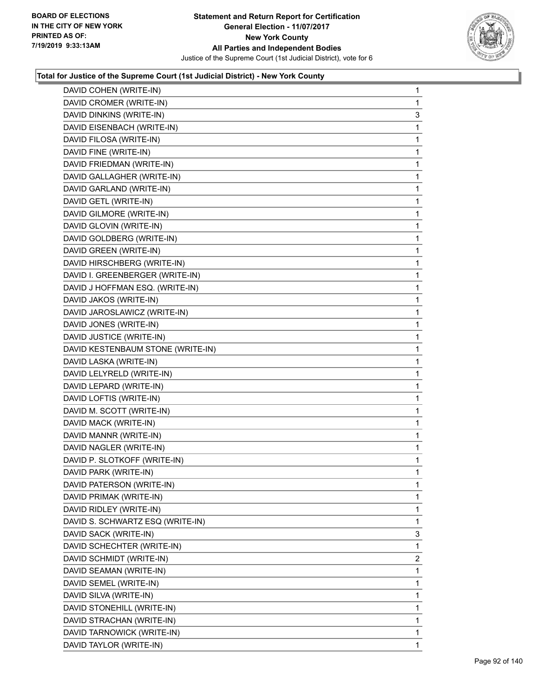

| DAVID COHEN (WRITE-IN)            | 1 |
|-----------------------------------|---|
| DAVID CROMER (WRITE-IN)           | 1 |
| DAVID DINKINS (WRITE-IN)          | 3 |
| DAVID EISENBACH (WRITE-IN)        | 1 |
| DAVID FILOSA (WRITE-IN)           | 1 |
| DAVID FINE (WRITE-IN)             | 1 |
| DAVID FRIEDMAN (WRITE-IN)         | 1 |
| DAVID GALLAGHER (WRITE-IN)        | 1 |
| DAVID GARLAND (WRITE-IN)          | 1 |
| DAVID GETL (WRITE-IN)             | 1 |
| DAVID GILMORE (WRITE-IN)          | 1 |
| DAVID GLOVIN (WRITE-IN)           | 1 |
| DAVID GOLDBERG (WRITE-IN)         | 1 |
| DAVID GREEN (WRITE-IN)            | 1 |
| DAVID HIRSCHBERG (WRITE-IN)       | 1 |
| DAVID I. GREENBERGER (WRITE-IN)   | 1 |
| DAVID J HOFFMAN ESQ. (WRITE-IN)   | 1 |
| DAVID JAKOS (WRITE-IN)            | 1 |
| DAVID JAROSLAWICZ (WRITE-IN)      | 1 |
| DAVID JONES (WRITE-IN)            | 1 |
| DAVID JUSTICE (WRITE-IN)          | 1 |
| DAVID KESTENBAUM STONE (WRITE-IN) | 1 |
| DAVID LASKA (WRITE-IN)            | 1 |
| DAVID LELYRELD (WRITE-IN)         | 1 |
| DAVID LEPARD (WRITE-IN)           | 1 |
| DAVID LOFTIS (WRITE-IN)           | 1 |
| DAVID M. SCOTT (WRITE-IN)         | 1 |
| DAVID MACK (WRITE-IN)             | 1 |
| DAVID MANNR (WRITE-IN)            | 1 |
| DAVID NAGLER (WRITE-IN)           | 1 |
| DAVID P. SLOTKOFF (WRITE-IN)      | 1 |
| DAVID PARK (WRITE-IN)             | 1 |
| DAVID PATERSON (WRITE-IN)         | 1 |
| DAVID PRIMAK (WRITE-IN)           | 1 |
| DAVID RIDLEY (WRITE-IN)           | 1 |
| DAVID S. SCHWARTZ ESQ (WRITE-IN)  | 1 |
| DAVID SACK (WRITE-IN)             | 3 |
| DAVID SCHECHTER (WRITE-IN)        | 1 |
| DAVID SCHMIDT (WRITE-IN)          | 2 |
| DAVID SEAMAN (WRITE-IN)           | 1 |
| DAVID SEMEL (WRITE-IN)            | 1 |
| DAVID SILVA (WRITE-IN)            | 1 |
| DAVID STONEHILL (WRITE-IN)        | 1 |
| DAVID STRACHAN (WRITE-IN)         | 1 |
| DAVID TARNOWICK (WRITE-IN)        | 1 |
| DAVID TAYLOR (WRITE-IN)           | 1 |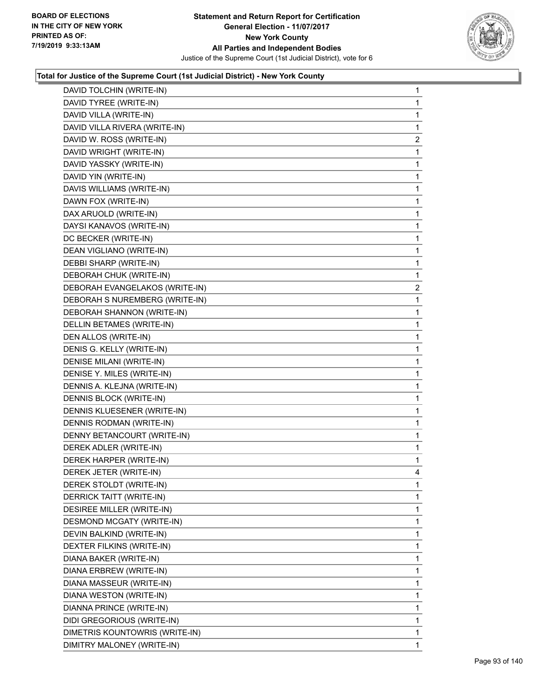

| DAVID TOLCHIN (WRITE-IN)       | 1              |
|--------------------------------|----------------|
| DAVID TYREE (WRITE-IN)         | 1              |
| DAVID VILLA (WRITE-IN)         | 1              |
| DAVID VILLA RIVERA (WRITE-IN)  | 1              |
| DAVID W. ROSS (WRITE-IN)       | $\overline{c}$ |
| DAVID WRIGHT (WRITE-IN)        | 1              |
| DAVID YASSKY (WRITE-IN)        | 1              |
| DAVID YIN (WRITE-IN)           | 1              |
| DAVIS WILLIAMS (WRITE-IN)      | 1              |
| DAWN FOX (WRITE-IN)            | 1              |
| DAX ARUOLD (WRITE-IN)          | 1              |
| DAYSI KANAVOS (WRITE-IN)       | 1              |
| DC BECKER (WRITE-IN)           | 1              |
| DEAN VIGLIANO (WRITE-IN)       | $\mathbf{1}$   |
| DEBBI SHARP (WRITE-IN)         | 1              |
| DEBORAH CHUK (WRITE-IN)        | 1              |
| DEBORAH EVANGELAKOS (WRITE-IN) | $\overline{c}$ |
| DEBORAH S NUREMBERG (WRITE-IN) | 1              |
| DEBORAH SHANNON (WRITE-IN)     | 1              |
| DELLIN BETAMES (WRITE-IN)      | $\mathbf{1}$   |
| DEN ALLOS (WRITE-IN)           | 1              |
| DENIS G. KELLY (WRITE-IN)      | 1              |
| DENISE MILANI (WRITE-IN)       | 1              |
| DENISE Y. MILES (WRITE-IN)     | 1              |
| DENNIS A. KLEJNA (WRITE-IN)    | 1              |
| DENNIS BLOCK (WRITE-IN)        | $\mathbf{1}$   |
| DENNIS KLUESENER (WRITE-IN)    | 1              |
| DENNIS RODMAN (WRITE-IN)       | 1              |
| DENNY BETANCOURT (WRITE-IN)    | 1              |
| DEREK ADLER (WRITE-IN)         | 1              |
| DEREK HARPER (WRITE-IN)        | 1              |
| DEREK JETER (WRITE-IN)         | 4              |
| DEREK STOLDT (WRITE-IN)        | 1              |
| DERRICK TAITT (WRITE-IN)       | 1              |
| DESIREE MILLER (WRITE-IN)      | 1              |
| DESMOND MCGATY (WRITE-IN)      | 1              |
| DEVIN BALKIND (WRITE-IN)       | 1              |
| DEXTER FILKINS (WRITE-IN)      | 1              |
| DIANA BAKER (WRITE-IN)         | 1              |
| DIANA ERBREW (WRITE-IN)        | 1              |
| DIANA MASSEUR (WRITE-IN)       | 1              |
| DIANA WESTON (WRITE-IN)        | 1              |
| DIANNA PRINCE (WRITE-IN)       | 1              |
| DIDI GREGORIOUS (WRITE-IN)     | 1              |
| DIMETRIS KOUNTOWRIS (WRITE-IN) | 1              |
| DIMITRY MALONEY (WRITE-IN)     | 1              |
|                                |                |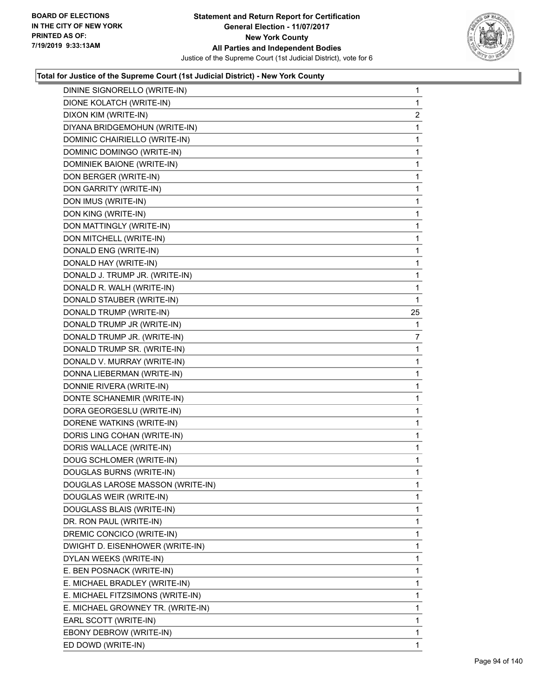

| DININE SIGNORELLO (WRITE-IN)      | 1              |
|-----------------------------------|----------------|
| DIONE KOLATCH (WRITE-IN)          | 1              |
| DIXON KIM (WRITE-IN)              | $\overline{2}$ |
| DIYANA BRIDGEMOHUN (WRITE-IN)     | 1              |
| DOMINIC CHAIRIELLO (WRITE-IN)     | 1              |
| DOMINIC DOMINGO (WRITE-IN)        | 1              |
| DOMINIEK BAIONE (WRITE-IN)        | 1              |
| DON BERGER (WRITE-IN)             | $\mathbf{1}$   |
| DON GARRITY (WRITE-IN)            | 1              |
| DON IMUS (WRITE-IN)               | 1              |
| DON KING (WRITE-IN)               | 1              |
| DON MATTINGLY (WRITE-IN)          | 1              |
| DON MITCHELL (WRITE-IN)           | 1              |
| DONALD ENG (WRITE-IN)             | $\mathbf{1}$   |
| DONALD HAY (WRITE-IN)             | 1              |
| DONALD J. TRUMP JR. (WRITE-IN)    | 1              |
| DONALD R. WALH (WRITE-IN)         | 1              |
| DONALD STAUBER (WRITE-IN)         | $\mathbf{1}$   |
| DONALD TRUMP (WRITE-IN)           | 25             |
| DONALD TRUMP JR (WRITE-IN)        | 1              |
| DONALD TRUMP JR. (WRITE-IN)       | 7              |
| DONALD TRUMP SR. (WRITE-IN)       | 1              |
| DONALD V. MURRAY (WRITE-IN)       | 1              |
| DONNA LIEBERMAN (WRITE-IN)        | 1              |
| DONNIE RIVERA (WRITE-IN)          | 1              |
| DONTE SCHANEMIR (WRITE-IN)        | $\mathbf{1}$   |
| DORA GEORGESLU (WRITE-IN)         | 1              |
| DORENE WATKINS (WRITE-IN)         | 1              |
| DORIS LING COHAN (WRITE-IN)       | 1              |
| DORIS WALLACE (WRITE-IN)          | 1              |
| DOUG SCHLOMER (WRITE-IN)          | 1              |
| DOUGLAS BURNS (WRITE-IN)          | 1              |
| DOUGLAS LAROSE MASSON (WRITE-IN)  | 1              |
| DOUGLAS WEIR (WRITE-IN)           | 1.             |
| DOUGLASS BLAIS (WRITE-IN)         | 1              |
| DR. RON PAUL (WRITE-IN)           | 1              |
| DREMIC CONCICO (WRITE-IN)         | 1              |
| DWIGHT D. EISENHOWER (WRITE-IN)   | 1              |
| DYLAN WEEKS (WRITE-IN)            | 1              |
| E. BEN POSNACK (WRITE-IN)         | 1              |
| E. MICHAEL BRADLEY (WRITE-IN)     | 1              |
| E. MICHAEL FITZSIMONS (WRITE-IN)  | 1              |
| E. MICHAEL GROWNEY TR. (WRITE-IN) | 1              |
| EARL SCOTT (WRITE-IN)             | 1              |
| EBONY DEBROW (WRITE-IN)           | $\mathbf{1}$   |
| ED DOWD (WRITE-IN)                | 1.             |
|                                   |                |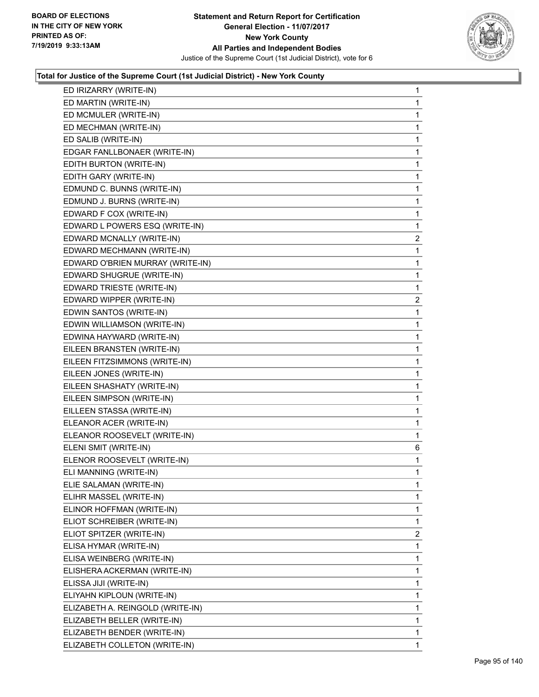

| ED IRIZARRY (WRITE-IN)           | 1              |
|----------------------------------|----------------|
| ED MARTIN (WRITE-IN)             | $\mathbf{1}$   |
| ED MCMULER (WRITE-IN)            | 1              |
| ED MECHMAN (WRITE-IN)            | 1              |
| ED SALIB (WRITE-IN)              | 1              |
| EDGAR FANLLBONAER (WRITE-IN)     | 1              |
| EDITH BURTON (WRITE-IN)          | 1              |
| EDITH GARY (WRITE-IN)            | $\mathbf{1}$   |
| EDMUND C. BUNNS (WRITE-IN)       | 1              |
| EDMUND J. BURNS (WRITE-IN)       | 1              |
| EDWARD F COX (WRITE-IN)          | $\mathbf{1}$   |
| EDWARD L POWERS ESQ (WRITE-IN)   | 1              |
| EDWARD MCNALLY (WRITE-IN)        | $\overline{c}$ |
| EDWARD MECHMANN (WRITE-IN)       | 1              |
| EDWARD O'BRIEN MURRAY (WRITE-IN) | 1              |
| EDWARD SHUGRUE (WRITE-IN)        | 1              |
| EDWARD TRIESTE (WRITE-IN)        | 1              |
| EDWARD WIPPER (WRITE-IN)         | $\overline{c}$ |
| EDWIN SANTOS (WRITE-IN)          | 1              |
| EDWIN WILLIAMSON (WRITE-IN)      | 1              |
| EDWINA HAYWARD (WRITE-IN)        | $\mathbf{1}$   |
| EILEEN BRANSTEN (WRITE-IN)       | 1              |
| EILEEN FITZSIMMONS (WRITE-IN)    | $\mathbf{1}$   |
| EILEEN JONES (WRITE-IN)          | 1              |
| EILEEN SHASHATY (WRITE-IN)       | 1              |
| EILEEN SIMPSON (WRITE-IN)        | 1              |
| EILLEEN STASSA (WRITE-IN)        | 1              |
| ELEANOR ACER (WRITE-IN)          | 1              |
| ELEANOR ROOSEVELT (WRITE-IN)     | 1              |
| ELENI SMIT (WRITE-IN)            | 6              |
| ELENOR ROOSEVELT (WRITE-IN)      | 1              |
| ELI MANNING (WRITE-IN)           | 1              |
| ELIE SALAMAN (WRITE-IN)          | 1              |
| ELIHR MASSEL (WRITE-IN)          | 1              |
| ELINOR HOFFMAN (WRITE-IN)        | 1              |
| ELIOT SCHREIBER (WRITE-IN)       | 1              |
| ELIOT SPITZER (WRITE-IN)         | 2              |
| ELISA HYMAR (WRITE-IN)           | 1              |
| ELISA WEINBERG (WRITE-IN)        | 1              |
| ELISHERA ACKERMAN (WRITE-IN)     | 1              |
| ELISSA JIJI (WRITE-IN)           | 1              |
| ELIYAHN KIPLOUN (WRITE-IN)       | 1              |
| ELIZABETH A. REINGOLD (WRITE-IN) | 1              |
| ELIZABETH BELLER (WRITE-IN)      | 1              |
| ELIZABETH BENDER (WRITE-IN)      | 1              |
| ELIZABETH COLLETON (WRITE-IN)    | 1              |
|                                  |                |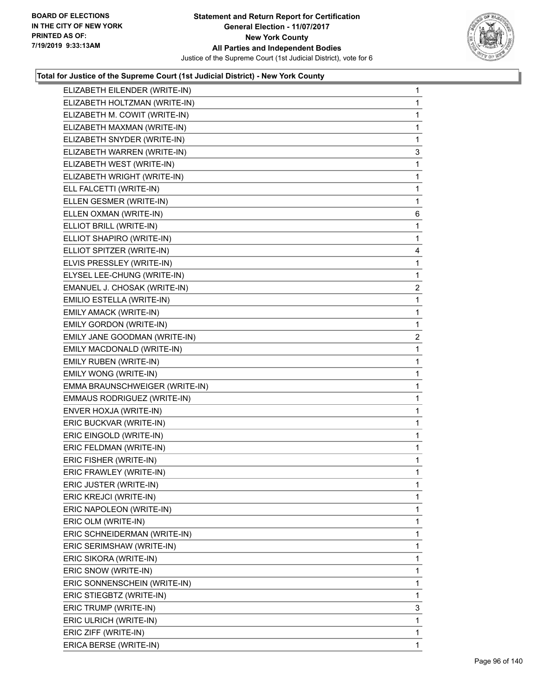

| ELIZABETH EILENDER (WRITE-IN)  | $\mathbf{1}$   |
|--------------------------------|----------------|
| ELIZABETH HOLTZMAN (WRITE-IN)  | 1.             |
| ELIZABETH M. COWIT (WRITE-IN)  | 1              |
| ELIZABETH MAXMAN (WRITE-IN)    | 1              |
| ELIZABETH SNYDER (WRITE-IN)    | 1              |
| ELIZABETH WARREN (WRITE-IN)    | 3              |
| ELIZABETH WEST (WRITE-IN)      | 1              |
| ELIZABETH WRIGHT (WRITE-IN)    | 1              |
| ELL FALCETTI (WRITE-IN)        | 1              |
| ELLEN GESMER (WRITE-IN)        | 1              |
| ELLEN OXMAN (WRITE-IN)         | 6              |
| ELLIOT BRILL (WRITE-IN)        | 1              |
| ELLIOT SHAPIRO (WRITE-IN)      | 1              |
| ELLIOT SPITZER (WRITE-IN)      | 4              |
| ELVIS PRESSLEY (WRITE-IN)      | 1              |
| ELYSEL LEE-CHUNG (WRITE-IN)    | 1              |
| EMANUEL J. CHOSAK (WRITE-IN)   | 2              |
| EMILIO ESTELLA (WRITE-IN)      | 1              |
| EMILY AMACK (WRITE-IN)         | 1              |
| EMILY GORDON (WRITE-IN)        | 1              |
| EMILY JANE GOODMAN (WRITE-IN)  | $\overline{2}$ |
| EMILY MACDONALD (WRITE-IN)     | $\mathbf{1}$   |
| EMILY RUBEN (WRITE-IN)         | 1              |
| EMILY WONG (WRITE-IN)          | 1              |
| EMMA BRAUNSCHWEIGER (WRITE-IN) | 1              |
| EMMAUS RODRIGUEZ (WRITE-IN)    | 1              |
| ENVER HOXJA (WRITE-IN)         | 1              |
| ERIC BUCKVAR (WRITE-IN)        | $\mathbf{1}$   |
| ERIC EINGOLD (WRITE-IN)        | 1              |
| ERIC FELDMAN (WRITE-IN)        | $\mathbf{1}$   |
| ERIC FISHER (WRITE-IN)         | $\mathbf{1}$   |
| ERIC FRAWLEY (WRITE-IN)        | 1              |
| ERIC JUSTER (WRITE-IN)         | 1              |
| ERIC KREJCI (WRITE-IN)         | 1              |
| ERIC NAPOLEON (WRITE-IN)       | 1              |
| ERIC OLM (WRITE-IN)            | 1              |
| ERIC SCHNEIDERMAN (WRITE-IN)   | 1              |
| ERIC SERIMSHAW (WRITE-IN)      | 1              |
| ERIC SIKORA (WRITE-IN)         | 1              |
| ERIC SNOW (WRITE-IN)           | 1              |
| ERIC SONNENSCHEIN (WRITE-IN)   | 1              |
| ERIC STIEGBTZ (WRITE-IN)       | 1              |
| ERIC TRUMP (WRITE-IN)          | 3              |
| ERIC ULRICH (WRITE-IN)         | 1              |
| ERIC ZIFF (WRITE-IN)           | 1              |
| ERICA BERSE (WRITE-IN)         | 1              |
|                                |                |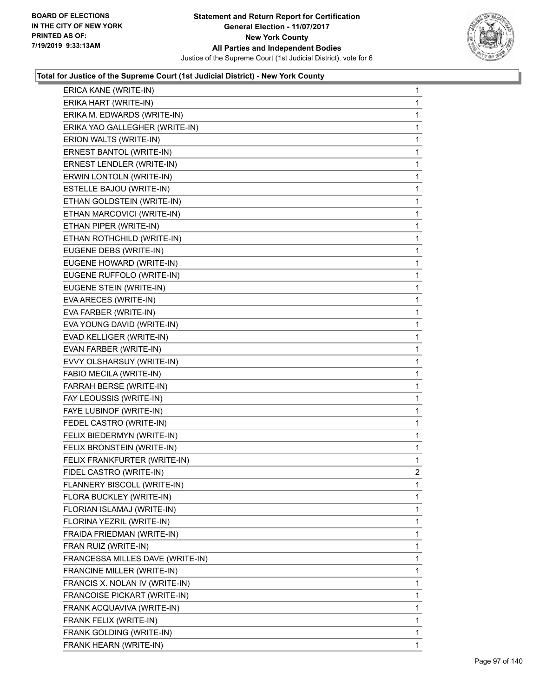

| ERICA KANE (WRITE-IN)            | 1            |
|----------------------------------|--------------|
| ERIKA HART (WRITE-IN)            | 1            |
| ERIKA M. EDWARDS (WRITE-IN)      | 1            |
| ERIKA YAO GALLEGHER (WRITE-IN)   | 1            |
| ERION WALTS (WRITE-IN)           | $\mathbf{1}$ |
| ERNEST BANTOL (WRITE-IN)         | 1            |
| ERNEST LENDLER (WRITE-IN)        | 1            |
| ERWIN LONTOLN (WRITE-IN)         | $\mathbf{1}$ |
| ESTELLE BAJOU (WRITE-IN)         | 1            |
| ETHAN GOLDSTEIN (WRITE-IN)       | 1            |
| ETHAN MARCOVICI (WRITE-IN)       | $\mathbf{1}$ |
| ETHAN PIPER (WRITE-IN)           | 1            |
| ETHAN ROTHCHILD (WRITE-IN)       | 1            |
| EUGENE DEBS (WRITE-IN)           | $\mathbf{1}$ |
| EUGENE HOWARD (WRITE-IN)         | 1            |
| EUGENE RUFFOLO (WRITE-IN)        | 1            |
| EUGENE STEIN (WRITE-IN)          | $\mathbf{1}$ |
| EVA ARECES (WRITE-IN)            | 1            |
| EVA FARBER (WRITE-IN)            | 1            |
| EVA YOUNG DAVID (WRITE-IN)       | $\mathbf{1}$ |
| EVAD KELLIGER (WRITE-IN)         | 1            |
| EVAN FARBER (WRITE-IN)           | 1            |
| EVVY OLSHARSUY (WRITE-IN)        | 1            |
| FABIO MECILA (WRITE-IN)          | 1            |
| FARRAH BERSE (WRITE-IN)          | 1            |
| FAY LEOUSSIS (WRITE-IN)          | $\mathbf{1}$ |
| FAYE LUBINOF (WRITE-IN)          | 1            |
| FEDEL CASTRO (WRITE-IN)          | 1            |
| FELIX BIEDERMYN (WRITE-IN)       | 1            |
| FELIX BRONSTEIN (WRITE-IN)       | 1            |
| FELIX FRANKFURTER (WRITE-IN)     | 1            |
| FIDEL CASTRO (WRITE-IN)          | 2            |
| FLANNERY BISCOLL (WRITE-IN)      | 1            |
| FLORA BUCKLEY (WRITE-IN)         | 1.           |
| FLORIAN ISLAMAJ (WRITE-IN)       | 1            |
| FLORINA YEZRIL (WRITE-IN)        | 1            |
| FRAIDA FRIEDMAN (WRITE-IN)       | 1            |
| FRAN RUIZ (WRITE-IN)             | 1            |
| FRANCESSA MILLES DAVE (WRITE-IN) | 1            |
| FRANCINE MILLER (WRITE-IN)       | 1            |
| FRANCIS X. NOLAN IV (WRITE-IN)   | 1            |
| FRANCOISE PICKART (WRITE-IN)     | 1            |
| FRANK ACQUAVIVA (WRITE-IN)       | 1            |
| FRANK FELIX (WRITE-IN)           | 1            |
| FRANK GOLDING (WRITE-IN)         | 1            |
|                                  |              |
| FRANK HEARN (WRITE-IN)           | 1.           |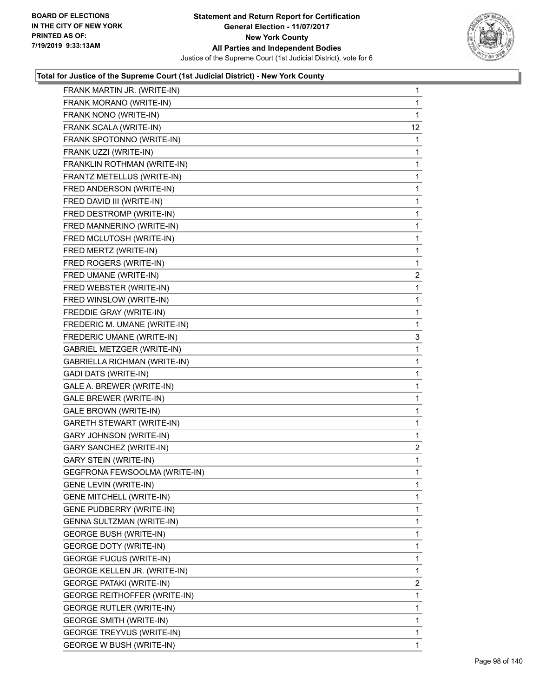

| FRANK MARTIN JR. (WRITE-IN)         | $\mathbf{1}$   |
|-------------------------------------|----------------|
| FRANK MORANO (WRITE-IN)             | 1              |
| FRANK NONO (WRITE-IN)               | 1              |
| FRANK SCALA (WRITE-IN)              | 12             |
| FRANK SPOTONNO (WRITE-IN)           | $\mathbf 1$    |
| FRANK UZZI (WRITE-IN)               | 1              |
| FRANKLIN ROTHMAN (WRITE-IN)         | $\mathbf{1}$   |
| FRANTZ METELLUS (WRITE-IN)          | 1              |
| FRED ANDERSON (WRITE-IN)            | 1              |
| FRED DAVID III (WRITE-IN)           | 1              |
| FRED DESTROMP (WRITE-IN)            | 1              |
| FRED MANNERINO (WRITE-IN)           | 1              |
| FRED MCLUTOSH (WRITE-IN)            | $\mathbf{1}$   |
| FRED MERTZ (WRITE-IN)               | 1              |
| FRED ROGERS (WRITE-IN)              | 1              |
| FRED UMANE (WRITE-IN)               | $\overline{c}$ |
| FRED WEBSTER (WRITE-IN)             | 1              |
| FRED WINSLOW (WRITE-IN)             | 1              |
| FREDDIE GRAY (WRITE-IN)             | $\mathbf{1}$   |
| FREDERIC M. UMANE (WRITE-IN)        | 1              |
| FREDERIC UMANE (WRITE-IN)           | 3              |
| GABRIEL METZGER (WRITE-IN)          | $\mathbf 1$    |
| GABRIELLA RICHMAN (WRITE-IN)        | 1              |
| <b>GADI DATS (WRITE-IN)</b>         | 1              |
| GALE A. BREWER (WRITE-IN)           | $\mathbf{1}$   |
| GALE BREWER (WRITE-IN)              | 1              |
| GALE BROWN (WRITE-IN)               | 1              |
| <b>GARETH STEWART (WRITE-IN)</b>    | 1              |
| <b>GARY JOHNSON (WRITE-IN)</b>      | 1              |
| <b>GARY SANCHEZ (WRITE-IN)</b>      | 2              |
| <b>GARY STEIN (WRITE-IN)</b>        | $\mathbf{1}$   |
| GEGFRONA FEWSOOLMA (WRITE-IN)       | 1              |
| GENE LEVIN (WRITE-IN)               | 1              |
| <b>GENE MITCHELL (WRITE-IN)</b>     | 1              |
| <b>GENE PUDBERRY (WRITE-IN)</b>     | 1              |
| GENNA SULTZMAN (WRITE-IN)           | 1              |
| <b>GEORGE BUSH (WRITE-IN)</b>       | 1              |
| <b>GEORGE DOTY (WRITE-IN)</b>       | 1              |
| <b>GEORGE FUCUS (WRITE-IN)</b>      | 1              |
| GEORGE KELLEN JR. (WRITE-IN)        | 1              |
| <b>GEORGE PATAKI (WRITE-IN)</b>     | $\overline{2}$ |
| <b>GEORGE REITHOFFER (WRITE-IN)</b> | 1              |
| <b>GEORGE RUTLER (WRITE-IN)</b>     | 1              |
| <b>GEORGE SMITH (WRITE-IN)</b>      | 1              |
| GEORGE TREYVUS (WRITE-IN)           | 1              |
| <b>GEORGE W BUSH (WRITE-IN)</b>     | 1              |
|                                     |                |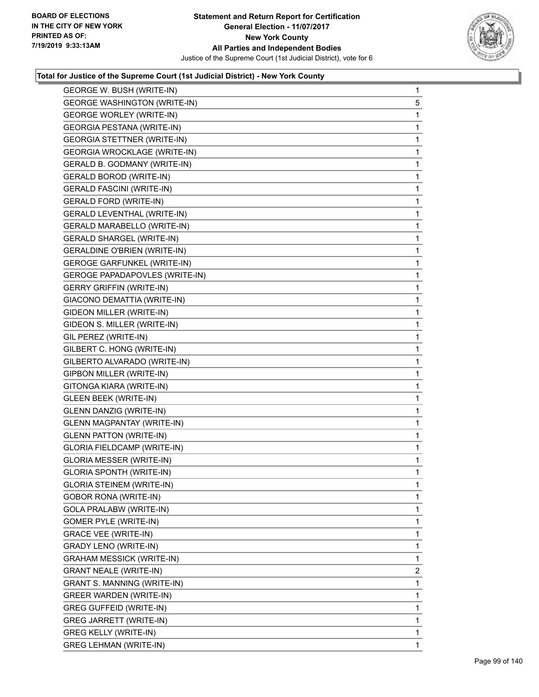

| GEORGE W. BUSH (WRITE-IN)             | $\mathbf{1}$ |
|---------------------------------------|--------------|
| <b>GEORGE WASHINGTON (WRITE-IN)</b>   | 5            |
| <b>GEORGE WORLEY (WRITE-IN)</b>       | 1            |
| <b>GEORGIA PESTANA (WRITE-IN)</b>     | 1            |
| <b>GEORGIA STETTNER (WRITE-IN)</b>    | 1            |
| <b>GEORGIA WROCKLAGE (WRITE-IN)</b>   | 1            |
| GERALD B. GODMANY (WRITE-IN)          | 1            |
| <b>GERALD BOROD (WRITE-IN)</b>        | 1            |
| <b>GERALD FASCINI (WRITE-IN)</b>      | 1            |
| <b>GERALD FORD (WRITE-IN)</b>         | 1            |
| GERALD LEVENTHAL (WRITE-IN)           | 1            |
| GERALD MARABELLO (WRITE-IN)           | 1            |
| <b>GERALD SHARGEL (WRITE-IN)</b>      | 1            |
| GERALDINE O'BRIEN (WRITE-IN)          | 1            |
| <b>GEROGE GARFUNKEL (WRITE-IN)</b>    | 1            |
| <b>GEROGE PAPADAPOVLES (WRITE-IN)</b> | 1            |
| <b>GERRY GRIFFIN (WRITE-IN)</b>       | 1            |
| GIACONO DEMATTIA (WRITE-IN)           | 1            |
| GIDEON MILLER (WRITE-IN)              | 1            |
| GIDEON S. MILLER (WRITE-IN)           | 1            |
| GIL PEREZ (WRITE-IN)                  | 1            |
| GILBERT C. HONG (WRITE-IN)            | 1            |
| GILBERTO ALVARADO (WRITE-IN)          | 1            |
| GIPBON MILLER (WRITE-IN)              | 1            |
| GITONGA KIARA (WRITE-IN)              | 1            |
| <b>GLEEN BEEK (WRITE-IN)</b>          | 1            |
| GLENN DANZIG (WRITE-IN)               | 1            |
| <b>GLENN MAGPANTAY (WRITE-IN)</b>     | 1            |
| <b>GLENN PATTON (WRITE-IN)</b>        | 1            |
| <b>GLORIA FIELDCAMP (WRITE-IN)</b>    | 1            |
| <b>GLORIA MESSER (WRITE-IN)</b>       | 1            |
| <b>GLORIA SPONTH (WRITE-IN)</b>       | 1            |
| <b>GLORIA STEINEM (WRITE-IN)</b>      | 1            |
| <b>GOBOR RONA (WRITE-IN)</b>          | 1.           |
| GOLA PRALABW (WRITE-IN)               | 1            |
| GOMER PYLE (WRITE-IN)                 | 1            |
| <b>GRACE VEE (WRITE-IN)</b>           | 1            |
| <b>GRADY LENO (WRITE-IN)</b>          | 1            |
| GRAHAM MESSICK (WRITE-IN)             | 1            |
| <b>GRANT NEALE (WRITE-IN)</b>         | 2            |
| GRANT S. MANNING (WRITE-IN)           | 1            |
| GREER WARDEN (WRITE-IN)               | 1            |
| <b>GREG GUFFEID (WRITE-IN)</b>        | 1            |
| GREG JARRETT (WRITE-IN)               | 1            |
| <b>GREG KELLY (WRITE-IN)</b>          | 1            |
| <b>GREG LEHMAN (WRITE-IN)</b>         | 1.           |
|                                       |              |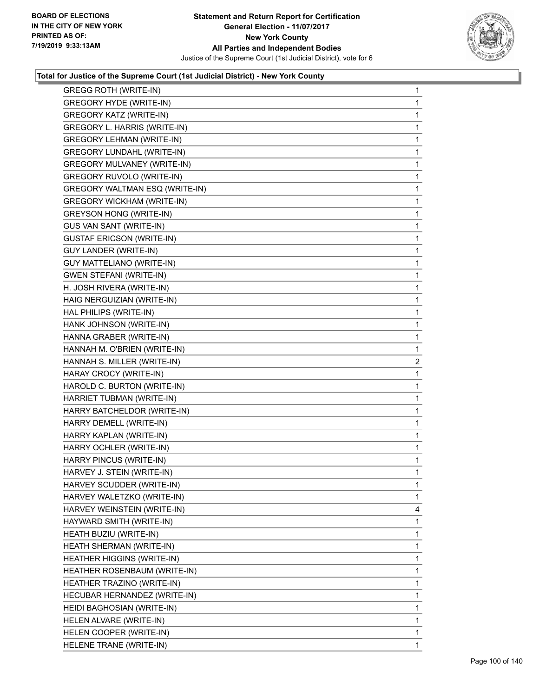

| <b>GREGG ROTH (WRITE-IN)</b>       | $\mathbf 1$    |
|------------------------------------|----------------|
| <b>GREGORY HYDE (WRITE-IN)</b>     | 1              |
| <b>GREGORY KATZ (WRITE-IN)</b>     | 1              |
| GREGORY L. HARRIS (WRITE-IN)       | 1              |
| <b>GREGORY LEHMAN (WRITE-IN)</b>   | 1              |
| GREGORY LUNDAHL (WRITE-IN)         | 1              |
| <b>GREGORY MULVANEY (WRITE-IN)</b> | 1              |
| GREGORY RUVOLO (WRITE-IN)          | 1              |
| GREGORY WALTMAN ESQ (WRITE-IN)     | 1              |
| <b>GREGORY WICKHAM (WRITE-IN)</b>  | 1              |
| <b>GREYSON HONG (WRITE-IN)</b>     | 1              |
| GUS VAN SANT (WRITE-IN)            | 1              |
| <b>GUSTAF ERICSON (WRITE-IN)</b>   | 1              |
| GUY LANDER (WRITE-IN)              | 1              |
| <b>GUY MATTELIANO (WRITE-IN)</b>   | 1              |
| <b>GWEN STEFANI (WRITE-IN)</b>     | 1              |
| H. JOSH RIVERA (WRITE-IN)          | 1              |
| HAIG NERGUIZIAN (WRITE-IN)         | 1              |
| HAL PHILIPS (WRITE-IN)             | 1              |
| HANK JOHNSON (WRITE-IN)            | 1              |
| HANNA GRABER (WRITE-IN)            | 1              |
| HANNAH M. O'BRIEN (WRITE-IN)       | 1              |
| HANNAH S. MILLER (WRITE-IN)        | $\overline{2}$ |
|                                    |                |
| HARAY CROCY (WRITE-IN)             | 1              |
| HAROLD C. BURTON (WRITE-IN)        | 1              |
| HARRIET TUBMAN (WRITE-IN)          | 1              |
| HARRY BATCHELDOR (WRITE-IN)        | 1              |
| HARRY DEMELL (WRITE-IN)            | 1              |
| HARRY KAPLAN (WRITE-IN)            | 1              |
| HARRY OCHLER (WRITE-IN)            | 1              |
| HARRY PINCUS (WRITE-IN)            | 1              |
| HARVEY J. STEIN (WRITE-IN)         | 1              |
| HARVEY SCUDDER (WRITE-IN)          | 1              |
| HARVEY WALETZKO (WRITE-IN)         | 1              |
| HARVEY WEINSTEIN (WRITE-IN)        | 4              |
| HAYWARD SMITH (WRITE-IN)           | 1              |
| HEATH BUZIU (WRITE-IN)             | 1              |
| HEATH SHERMAN (WRITE-IN)           | 1              |
| <b>HEATHER HIGGINS (WRITE-IN)</b>  | 1              |
| HEATHER ROSENBAUM (WRITE-IN)       | 1              |
| HEATHER TRAZINO (WRITE-IN)         | 1              |
| HECUBAR HERNANDEZ (WRITE-IN)       | 1              |
| HEIDI BAGHOSIAN (WRITE-IN)         | 1              |
| HELEN ALVARE (WRITE-IN)            | 1              |
| HELEN COOPER (WRITE-IN)            | 1              |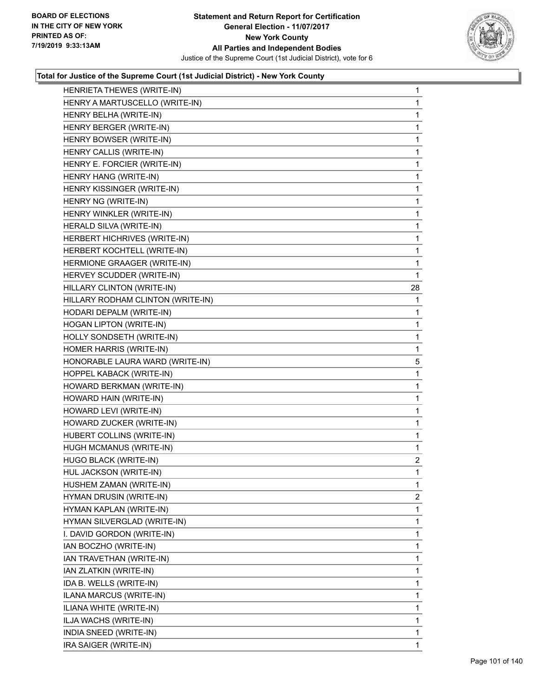

| HENRIETA THEWES (WRITE-IN)        | 1              |
|-----------------------------------|----------------|
| HENRY A MARTUSCELLO (WRITE-IN)    | 1              |
| HENRY BELHA (WRITE-IN)            | 1              |
| HENRY BERGER (WRITE-IN)           | 1              |
| HENRY BOWSER (WRITE-IN)           | 1              |
| HENRY CALLIS (WRITE-IN)           | 1              |
| HENRY E. FORCIER (WRITE-IN)       | 1              |
| HENRY HANG (WRITE-IN)             | 1              |
| HENRY KISSINGER (WRITE-IN)        | 1              |
| HENRY NG (WRITE-IN)               | 1              |
| HENRY WINKLER (WRITE-IN)          | 1              |
| HERALD SILVA (WRITE-IN)           | 1              |
| HERBERT HICHRIVES (WRITE-IN)      | 1              |
| HERBERT KOCHTELL (WRITE-IN)       | $\mathbf{1}$   |
| HERMIONE GRAAGER (WRITE-IN)       | 1              |
| HERVEY SCUDDER (WRITE-IN)         | 1              |
| HILLARY CLINTON (WRITE-IN)        | 28             |
| HILLARY RODHAM CLINTON (WRITE-IN) | 1              |
| HODARI DEPALM (WRITE-IN)          | 1              |
| HOGAN LIPTON (WRITE-IN)           | 1              |
| HOLLY SONDSETH (WRITE-IN)         | 1              |
| HOMER HARRIS (WRITE-IN)           | 1              |
| HONORABLE LAURA WARD (WRITE-IN)   | 5              |
| HOPPEL KABACK (WRITE-IN)          | 1              |
| HOWARD BERKMAN (WRITE-IN)         | 1              |
| HOWARD HAIN (WRITE-IN)            | $\mathbf{1}$   |
| HOWARD LEVI (WRITE-IN)            | 1              |
| HOWARD ZUCKER (WRITE-IN)          | 1              |
| HUBERT COLLINS (WRITE-IN)         | 1              |
| HUGH MCMANUS (WRITE-IN)           | $\mathbf{1}$   |
| HUGO BLACK (WRITE-IN)             | $\overline{a}$ |
| HUL JACKSON (WRITE-IN)            | 1              |
| HUSHEM ZAMAN (WRITE-IN)           | 1              |
| HYMAN DRUSIN (WRITE-IN)           | $\overline{2}$ |
| HYMAN KAPLAN (WRITE-IN)           | 1              |
| HYMAN SILVERGLAD (WRITE-IN)       | 1              |
| I. DAVID GORDON (WRITE-IN)        | 1              |
| IAN BOCZHO (WRITE-IN)             | 1              |
| IAN TRAVETHAN (WRITE-IN)          | 1              |
| IAN ZLATKIN (WRITE-IN)            | 1              |
| IDA B. WELLS (WRITE-IN)           | 1              |
| ILANA MARCUS (WRITE-IN)           | 1              |
| ILIANA WHITE (WRITE-IN)           | 1              |
| ILJA WACHS (WRITE-IN)             | 1              |
| INDIA SNEED (WRITE-IN)            | 1              |
| IRA SAIGER (WRITE-IN)             | 1              |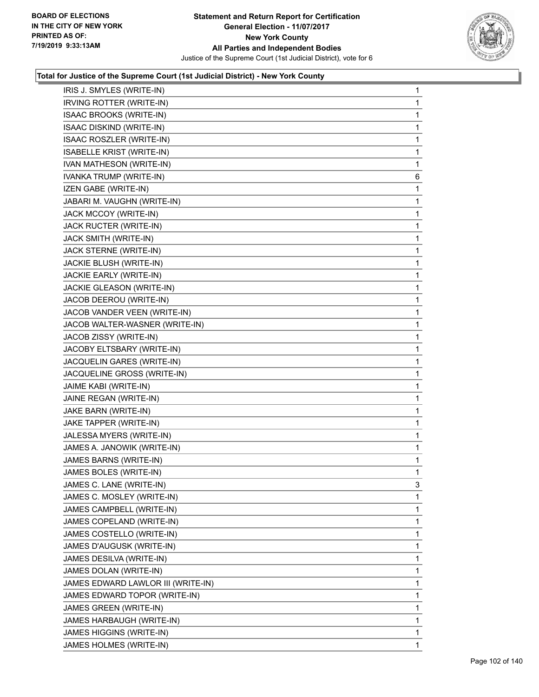

| IRIS J. SMYLES (WRITE-IN)          | 1 |
|------------------------------------|---|
| IRVING ROTTER (WRITE-IN)           | 1 |
| ISAAC BROOKS (WRITE-IN)            | 1 |
| ISAAC DISKIND (WRITE-IN)           | 1 |
| ISAAC ROSZLER (WRITE-IN)           | 1 |
| ISABELLE KRIST (WRITE-IN)          | 1 |
| IVAN MATHESON (WRITE-IN)           | 1 |
| IVANKA TRUMP (WRITE-IN)            | 6 |
| IZEN GABE (WRITE-IN)               | 1 |
| JABARI M. VAUGHN (WRITE-IN)        | 1 |
| JACK MCCOY (WRITE-IN)              | 1 |
| JACK RUCTER (WRITE-IN)             | 1 |
| JACK SMITH (WRITE-IN)              | 1 |
| JACK STERNE (WRITE-IN)             | 1 |
| JACKIE BLUSH (WRITE-IN)            | 1 |
| JACKIE EARLY (WRITE-IN)            | 1 |
| JACKIE GLEASON (WRITE-IN)          | 1 |
| JACOB DEEROU (WRITE-IN)            | 1 |
| JACOB VANDER VEEN (WRITE-IN)       | 1 |
| JACOB WALTER-WASNER (WRITE-IN)     | 1 |
| JACOB ZISSY (WRITE-IN)             | 1 |
| JACOBY ELTSBARY (WRITE-IN)         | 1 |
| JACQUELIN GARES (WRITE-IN)         | 1 |
| JACQUELINE GROSS (WRITE-IN)        | 1 |
| JAIME KABI (WRITE-IN)              | 1 |
| JAINE REGAN (WRITE-IN)             | 1 |
| JAKE BARN (WRITE-IN)               | 1 |
| JAKE TAPPER (WRITE-IN)             | 1 |
| JALESSA MYERS (WRITE-IN)           | 1 |
| JAMES A. JANOWIK (WRITE-IN)        | 1 |
| JAMES BARNS (WRITE-IN)             | 1 |
| JAMES BOLES (WRITE-IN)             | 1 |
| JAMES C. LANE (WRITE-IN)           | 3 |
| JAMES C. MOSLEY (WRITE-IN)         | 1 |
| JAMES CAMPBELL (WRITE-IN)          | 1 |
| JAMES COPELAND (WRITE-IN)          | 1 |
| JAMES COSTELLO (WRITE-IN)          | 1 |
| JAMES D'AUGUSK (WRITE-IN)          | 1 |
| JAMES DESILVA (WRITE-IN)           | 1 |
| JAMES DOLAN (WRITE-IN)             | 1 |
| JAMES EDWARD LAWLOR III (WRITE-IN) | 1 |
| JAMES EDWARD TOPOR (WRITE-IN)      | 1 |
| JAMES GREEN (WRITE-IN)             | 1 |
| JAMES HARBAUGH (WRITE-IN)          | 1 |
| JAMES HIGGINS (WRITE-IN)           | 1 |
| JAMES HOLMES (WRITE-IN)            | 1 |
|                                    |   |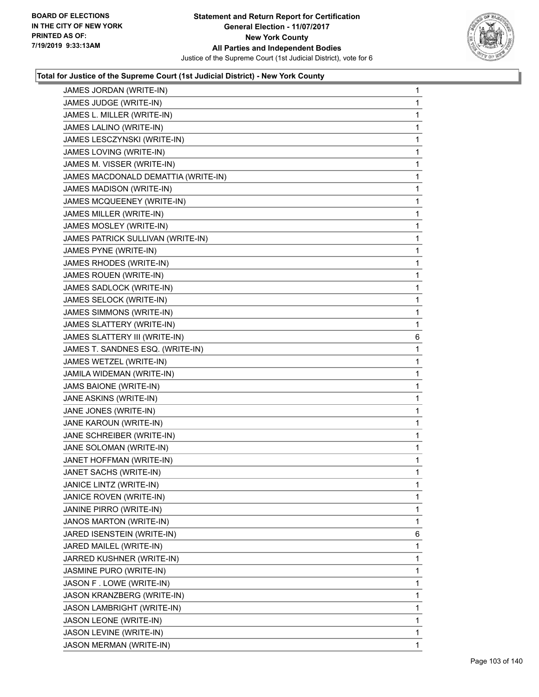

| JAMES JORDAN (WRITE-IN)             | $\mathbf 1$ |
|-------------------------------------|-------------|
| JAMES JUDGE (WRITE-IN)              | 1           |
| JAMES L. MILLER (WRITE-IN)          | 1           |
| JAMES LALINO (WRITE-IN)             | 1           |
| JAMES LESCZYNSKI (WRITE-IN)         | 1           |
| JAMES LOVING (WRITE-IN)             | 1           |
| JAMES M. VISSER (WRITE-IN)          | 1           |
| JAMES MACDONALD DEMATTIA (WRITE-IN) | 1           |
| JAMES MADISON (WRITE-IN)            | 1           |
| JAMES MCQUEENEY (WRITE-IN)          | 1           |
| JAMES MILLER (WRITE-IN)             | 1           |
| JAMES MOSLEY (WRITE-IN)             | 1           |
| JAMES PATRICK SULLIVAN (WRITE-IN)   | 1           |
| JAMES PYNE (WRITE-IN)               | 1           |
| JAMES RHODES (WRITE-IN)             | 1           |
| JAMES ROUEN (WRITE-IN)              | 1           |
| JAMES SADLOCK (WRITE-IN)            | 1           |
| JAMES SELOCK (WRITE-IN)             | 1           |
| JAMES SIMMONS (WRITE-IN)            | 1           |
| JAMES SLATTERY (WRITE-IN)           | 1           |
| JAMES SLATTERY III (WRITE-IN)       | 6           |
| JAMES T. SANDNES ESQ. (WRITE-IN)    | 1           |
| JAMES WETZEL (WRITE-IN)             | 1           |
| JAMILA WIDEMAN (WRITE-IN)           | 1           |
| JAMS BAIONE (WRITE-IN)              | 1           |
| JANE ASKINS (WRITE-IN)              | 1           |
| JANE JONES (WRITE-IN)               | 1           |
| JANE KAROUN (WRITE-IN)              | 1           |
| JANE SCHREIBER (WRITE-IN)           | 1           |
| JANE SOLOMAN (WRITE-IN)             | 1           |
| JANET HOFFMAN (WRITE-IN)            | 1           |
| JANET SACHS (WRITE-IN)              | 1           |
| JANICE LINTZ (WRITE-IN)             | 1           |
| JANICE ROVEN (WRITE-IN)             | 1           |
| JANINE PIRRO (WRITE-IN)             | 1           |
| JANOS MARTON (WRITE-IN)             | 1           |
| JARED ISENSTEIN (WRITE-IN)          | 6           |
| JARED MAILEL (WRITE-IN)             | 1           |
| JARRED KUSHNER (WRITE-IN)           | 1           |
| JASMINE PURO (WRITE-IN)             | 1           |
| JASON F. LOWE (WRITE-IN)            | 1           |
| JASON KRANZBERG (WRITE-IN)          | 1           |
| JASON LAMBRIGHT (WRITE-IN)          | 1           |
| JASON LEONE (WRITE-IN)              | 1           |
| JASON LEVINE (WRITE-IN)             | 1           |
|                                     |             |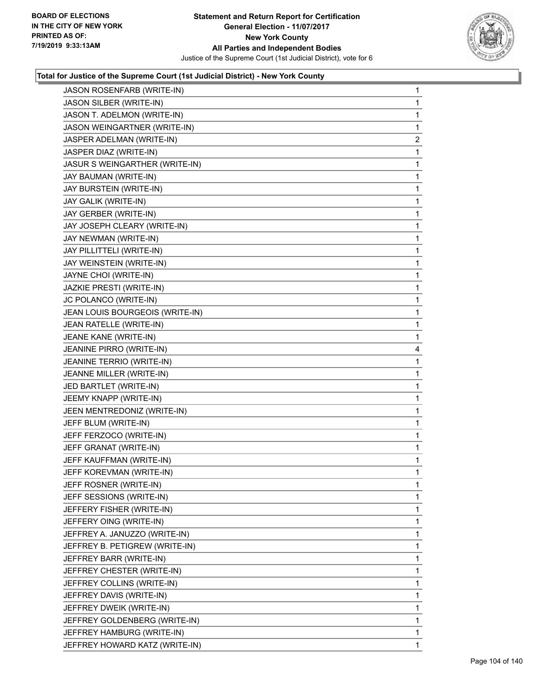

| JASON ROSENFARB (WRITE-IN)      | 1              |
|---------------------------------|----------------|
| JASON SILBER (WRITE-IN)         | 1              |
| JASON T. ADELMON (WRITE-IN)     | 1              |
| JASON WEINGARTNER (WRITE-IN)    | 1              |
| JASPER ADELMAN (WRITE-IN)       | $\overline{c}$ |
| JASPER DIAZ (WRITE-IN)          | 1              |
| JASUR S WEINGARTHER (WRITE-IN)  | 1              |
| JAY BAUMAN (WRITE-IN)           | 1              |
| JAY BURSTEIN (WRITE-IN)         | 1              |
| JAY GALIK (WRITE-IN)            | 1              |
| JAY GERBER (WRITE-IN)           | 1              |
| JAY JOSEPH CLEARY (WRITE-IN)    | 1              |
| JAY NEWMAN (WRITE-IN)           | 1              |
| JAY PILLITTELI (WRITE-IN)       | 1              |
| JAY WEINSTEIN (WRITE-IN)        | 1              |
| JAYNE CHOI (WRITE-IN)           | 1              |
| JAZKIE PRESTI (WRITE-IN)        | 1              |
| JC POLANCO (WRITE-IN)           | 1              |
| JEAN LOUIS BOURGEOIS (WRITE-IN) | 1              |
| JEAN RATELLE (WRITE-IN)         | 1              |
| JEANE KANE (WRITE-IN)           | 1              |
| JEANINE PIRRO (WRITE-IN)        | 4              |
| JEANINE TERRIO (WRITE-IN)       | 1              |
| JEANNE MILLER (WRITE-IN)        | 1              |
| JED BARTLET (WRITE-IN)          | 1              |
| JEEMY KNAPP (WRITE-IN)          | 1              |
| JEEN MENTREDONIZ (WRITE-IN)     | 1              |
| JEFF BLUM (WRITE-IN)            | 1              |
| JEFF FERZOCO (WRITE-IN)         | 1              |
| JEFF GRANAT (WRITE-IN)          | 1              |
| JEFF KAUFFMAN (WRITE-IN)        | 1              |
| JEFF KOREVMAN (WRITE-IN)        | 1              |
| JEFF ROSNER (WRITE-IN)          | 1              |
| JEFF SESSIONS (WRITE-IN)        | 1              |
| JEFFERY FISHER (WRITE-IN)       | 1              |
| JEFFERY OING (WRITE-IN)         | 1              |
| JEFFREY A. JANUZZO (WRITE-IN)   | 1              |
| JEFFREY B. PETIGREW (WRITE-IN)  | 1              |
| JEFFREY BARR (WRITE-IN)         | 1              |
| JEFFREY CHESTER (WRITE-IN)      | 1              |
| JEFFREY COLLINS (WRITE-IN)      | 1              |
| JEFFREY DAVIS (WRITE-IN)        | 1              |
| JEFFREY DWEIK (WRITE-IN)        | 1              |
| JEFFREY GOLDENBERG (WRITE-IN)   | 1              |
| JEFFREY HAMBURG (WRITE-IN)      | 1              |
| JEFFREY HOWARD KATZ (WRITE-IN)  | 1              |
|                                 |                |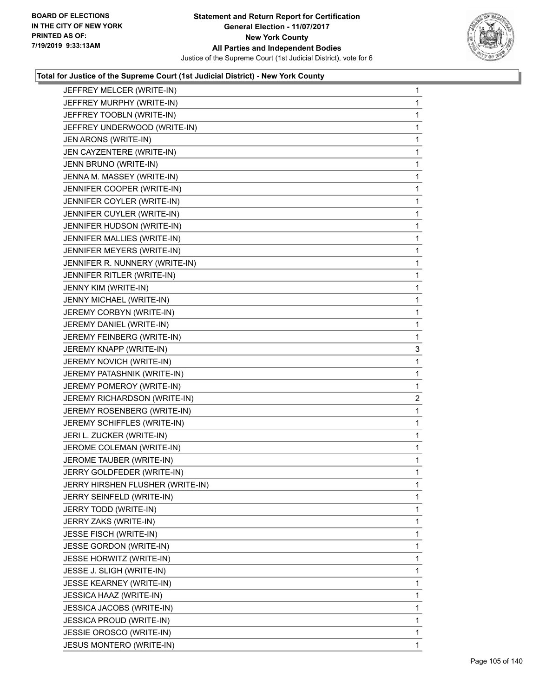

|                                  | 1              |
|----------------------------------|----------------|
| JEFFREY MURPHY (WRITE-IN)        | 1              |
| JEFFREY TOOBLN (WRITE-IN)        | 1              |
| JEFFREY UNDERWOOD (WRITE-IN)     | 1              |
| JEN ARONS (WRITE-IN)             | 1              |
| JEN CAYZENTERE (WRITE-IN)        | 1              |
| JENN BRUNO (WRITE-IN)            | 1              |
| JENNA M. MASSEY (WRITE-IN)       | 1              |
| JENNIFER COOPER (WRITE-IN)       | 1              |
| JENNIFER COYLER (WRITE-IN)       | 1              |
| JENNIFER CUYLER (WRITE-IN)       | 1              |
| JENNIFER HUDSON (WRITE-IN)       | 1              |
| JENNIFER MALLIES (WRITE-IN)      | 1              |
| JENNIFER MEYERS (WRITE-IN)       | 1              |
| JENNIFER R. NUNNERY (WRITE-IN)   | 1              |
| JENNIFER RITLER (WRITE-IN)       | 1              |
| JENNY KIM (WRITE-IN)             | 1              |
| JENNY MICHAEL (WRITE-IN)         | 1              |
| JEREMY CORBYN (WRITE-IN)         | 1              |
| JEREMY DANIEL (WRITE-IN)         | 1              |
| JEREMY FEINBERG (WRITE-IN)       | 1              |
| JEREMY KNAPP (WRITE-IN)          | 3              |
| JEREMY NOVICH (WRITE-IN)         | 1              |
| JEREMY PATASHNIK (WRITE-IN)      | $\mathbf{1}$   |
| JEREMY POMEROY (WRITE-IN)        | 1              |
|                                  |                |
| JEREMY RICHARDSON (WRITE-IN)     | $\overline{2}$ |
| JEREMY ROSENBERG (WRITE-IN)      | 1              |
| JEREMY SCHIFFLES (WRITE-IN)      | 1              |
| JERI L. ZUCKER (WRITE-IN)        | 1              |
| JEROME COLEMAN (WRITE-IN)        | 1              |
| JEROME TAUBER (WRITE-IN)         | 1              |
| JERRY GOLDFEDER (WRITE-IN)       | 1              |
| JERRY HIRSHEN FLUSHER (WRITE-IN) | 1              |
| JERRY SEINFELD (WRITE-IN)        | 1              |
| JERRY TODD (WRITE-IN)            | 1              |
| JERRY ZAKS (WRITE-IN)            | 1              |
| JESSE FISCH (WRITE-IN)           | 1              |
| JESSE GORDON (WRITE-IN)          | 1              |
| JESSE HORWITZ (WRITE-IN)         | 1              |
| JESSE J. SLIGH (WRITE-IN)        | 1              |
| <b>JESSE KEARNEY (WRITE-IN)</b>  | 1              |
| JESSICA HAAZ (WRITE-IN)          | 1              |
| JESSICA JACOBS (WRITE-IN)        | 1              |
| JESSICA PROUD (WRITE-IN)         | 1              |
| JESSIE OROSCO (WRITE-IN)         | 1              |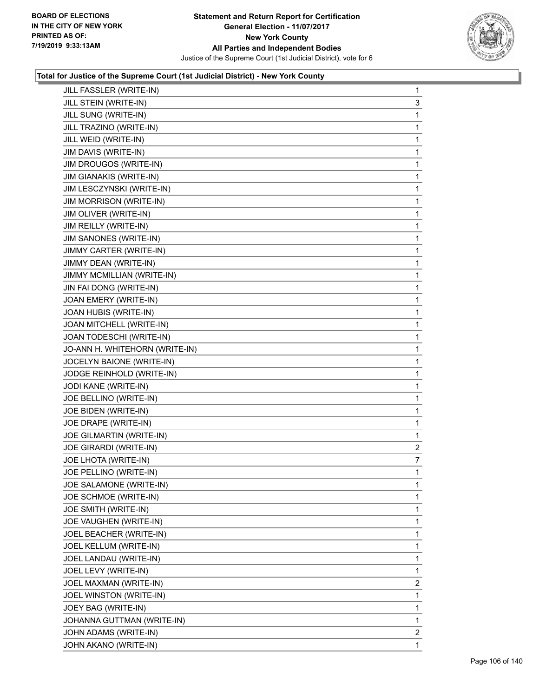

| JILL FASSLER (WRITE-IN)        | 1              |
|--------------------------------|----------------|
| JILL STEIN (WRITE-IN)          | 3              |
| JILL SUNG (WRITE-IN)           | 1              |
| JILL TRAZINO (WRITE-IN)        | 1              |
| JILL WEID (WRITE-IN)           | 1              |
| JIM DAVIS (WRITE-IN)           | 1              |
| JIM DROUGOS (WRITE-IN)         | 1              |
| JIM GIANAKIS (WRITE-IN)        | 1              |
| JIM LESCZYNSKI (WRITE-IN)      | 1              |
| <b>JIM MORRISON (WRITE-IN)</b> | 1              |
| JIM OLIVER (WRITE-IN)          | 1              |
| JIM REILLY (WRITE-IN)          | 1              |
| JIM SANONES (WRITE-IN)         | 1              |
| JIMMY CARTER (WRITE-IN)        | 1              |
| JIMMY DEAN (WRITE-IN)          | 1              |
| JIMMY MCMILLIAN (WRITE-IN)     | 1              |
| JIN FAI DONG (WRITE-IN)        | 1              |
| JOAN EMERY (WRITE-IN)          | 1              |
| JOAN HUBIS (WRITE-IN)          | 1              |
| JOAN MITCHELL (WRITE-IN)       | 1              |
| JOAN TODESCHI (WRITE-IN)       | 1              |
| JO-ANN H. WHITEHORN (WRITE-IN) | 1              |
| JOCELYN BAIONE (WRITE-IN)      | 1              |
| JODGE REINHOLD (WRITE-IN)      | 1              |
| JODI KANE (WRITE-IN)           | 1              |
| JOE BELLINO (WRITE-IN)         | 1              |
| JOE BIDEN (WRITE-IN)           | 1              |
| JOE DRAPE (WRITE-IN)           | 1              |
| JOE GILMARTIN (WRITE-IN)       | 1              |
| JOE GIRARDI (WRITE-IN)         | $\overline{c}$ |
| JOE LHOTA (WRITE-IN)           | 7              |
| JOE PELLINO (WRITE-IN)         | 1              |
| JOE SALAMONE (WRITE-IN)        | 1              |
| JOE SCHMOE (WRITE-IN)          | 1              |
| JOE SMITH (WRITE-IN)           | 1              |
| JOE VAUGHEN (WRITE-IN)         | 1              |
| JOEL BEACHER (WRITE-IN)        | 1              |
| JOEL KELLUM (WRITE-IN)         | 1              |
| JOEL LANDAU (WRITE-IN)         | 1              |
| JOEL LEVY (WRITE-IN)           | 1              |
| JOEL MAXMAN (WRITE-IN)         | $\overline{2}$ |
| JOEL WINSTON (WRITE-IN)        | 1              |
| JOEY BAG (WRITE-IN)            | 1              |
| JOHANNA GUTTMAN (WRITE-IN)     | 1              |
| JOHN ADAMS (WRITE-IN)          | $\overline{2}$ |
| JOHN AKANO (WRITE-IN)          | 1              |
|                                |                |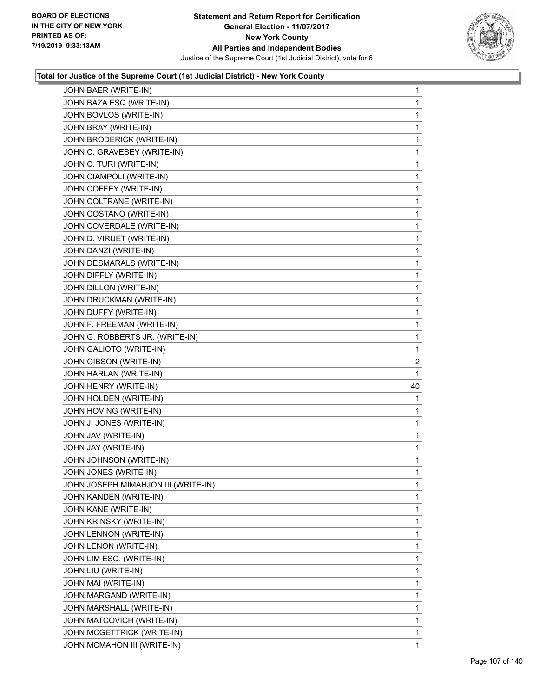

| JOHN BAER (WRITE-IN)                | 1              |
|-------------------------------------|----------------|
| JOHN BAZA ESQ (WRITE-IN)            | 1              |
| JOHN BOVLOS (WRITE-IN)              | 1              |
| JOHN BRAY (WRITE-IN)                | 1              |
| JOHN BRODERICK (WRITE-IN)           | 1              |
| JOHN C. GRAVESEY (WRITE-IN)         | 1              |
| JOHN C. TURI (WRITE-IN)             | 1              |
| JOHN CIAMPOLI (WRITE-IN)            | 1              |
| JOHN COFFEY (WRITE-IN)              | 1              |
| JOHN COLTRANE (WRITE-IN)            | 1              |
| JOHN COSTANO (WRITE-IN)             | 1              |
| JOHN COVERDALE (WRITE-IN)           | 1              |
| JOHN D. VIRUET (WRITE-IN)           | 1              |
| JOHN DANZI (WRITE-IN)               | 1              |
| JOHN DESMARALS (WRITE-IN)           | 1              |
| JOHN DIFFLY (WRITE-IN)              | 1              |
| JOHN DILLON (WRITE-IN)              | 1              |
| JOHN DRUCKMAN (WRITE-IN)            | 1              |
| JOHN DUFFY (WRITE-IN)               | 1              |
| JOHN F. FREEMAN (WRITE-IN)          | 1              |
| JOHN G. ROBBERTS JR. (WRITE-IN)     | 1              |
| JOHN GALIOTO (WRITE-IN)             | 1              |
| JOHN GIBSON (WRITE-IN)              | $\overline{2}$ |
| JOHN HARLAN (WRITE-IN)              | 1              |
| JOHN HENRY (WRITE-IN)               | 40             |
| JOHN HOLDEN (WRITE-IN)              | 1              |
| JOHN HOVING (WRITE-IN)              | 1              |
| JOHN J. JONES (WRITE-IN)            | 1              |
| JOHN JAV (WRITE-IN)                 | 1              |
| JOHN JAY (WRITE-IN)                 | 1              |
| JOHN JOHNSON (WRITE-IN)             | 1              |
| JOHN JONES (WRITE-IN)               | 1              |
| JOHN JOSEPH MIMAHJON III (WRITE-IN) | 1              |
| JOHN KANDEN (WRITE-IN)              | $\mathbf{1}$   |
| JOHN KANE (WRITE-IN)                | 1              |
| JOHN KRINSKY (WRITE-IN)             | 1              |
| JOHN LENNON (WRITE-IN)              | 1              |
| JOHN LENON (WRITE-IN)               | 1              |
| JOHN LIM ESQ. (WRITE-IN)            | 1              |
| JOHN LIU (WRITE-IN)                 | 1              |
| JOHN MAI (WRITE-IN)                 |                |
|                                     | 1              |
| JOHN MARGAND (WRITE-IN)             | 1              |
| JOHN MARSHALL (WRITE-IN)            | 1              |
| JOHN MATCOVICH (WRITE-IN)           | 1              |
| JOHN MCGETTRICK (WRITE-IN)          | 1              |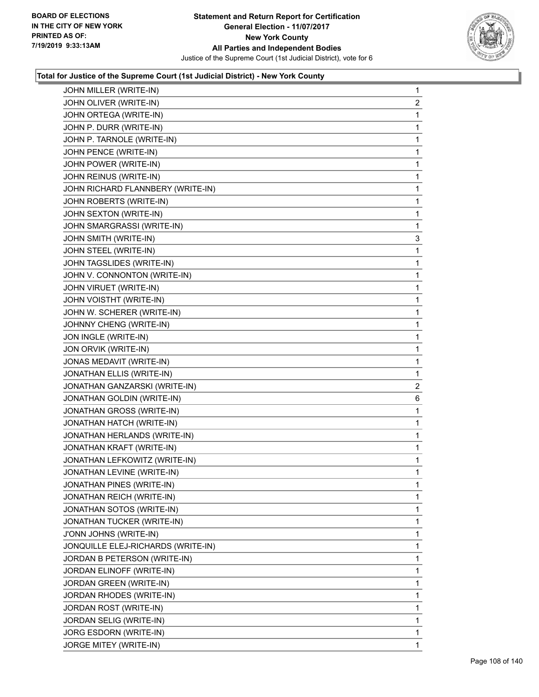

| JOHN MILLER (WRITE-IN)             | 1              |
|------------------------------------|----------------|
| JOHN OLIVER (WRITE-IN)             | $\overline{2}$ |
| JOHN ORTEGA (WRITE-IN)             | 1              |
| JOHN P. DURR (WRITE-IN)            | 1              |
| JOHN P. TARNOLE (WRITE-IN)         | 1              |
| JOHN PENCE (WRITE-IN)              | 1              |
| JOHN POWER (WRITE-IN)              | 1              |
| JOHN REINUS (WRITE-IN)             | 1              |
| JOHN RICHARD FLANNBERY (WRITE-IN)  | 1              |
| JOHN ROBERTS (WRITE-IN)            | 1              |
| JOHN SEXTON (WRITE-IN)             | 1              |
| JOHN SMARGRASSI (WRITE-IN)         | 1              |
| JOHN SMITH (WRITE-IN)              | 3              |
| JOHN STEEL (WRITE-IN)              | 1              |
| JOHN TAGSLIDES (WRITE-IN)          | 1              |
| JOHN V. CONNONTON (WRITE-IN)       | 1              |
| JOHN VIRUET (WRITE-IN)             | 1              |
| JOHN VOISTHT (WRITE-IN)            | 1              |
| JOHN W. SCHERER (WRITE-IN)         | 1              |
| JOHNNY CHENG (WRITE-IN)            | 1              |
| JON INGLE (WRITE-IN)               | 1              |
| JON ORVIK (WRITE-IN)               | 1              |
| JONAS MEDAVIT (WRITE-IN)           | 1              |
| JONATHAN ELLIS (WRITE-IN)          | 1              |
| JONATHAN GANZARSKI (WRITE-IN)      | $\overline{2}$ |
| JONATHAN GOLDIN (WRITE-IN)         | 6              |
| JONATHAN GROSS (WRITE-IN)          | 1              |
| JONATHAN HATCH (WRITE-IN)          | 1              |
| JONATHAN HERLANDS (WRITE-IN)       | 1              |
| JONATHAN KRAFT (WRITE-IN)          | 1              |
| JONATHAN LEFKOWITZ (WRITE-IN)      | 1              |
| JONATHAN LEVINE (WRITE-IN)         | 1              |
| JONATHAN PINES (WRITE-IN)          | 1              |
| JONATHAN REICH (WRITE-IN)          | 1              |
| JONATHAN SOTOS (WRITE-IN)          | 1              |
| JONATHAN TUCKER (WRITE-IN)         | 1              |
| J'ONN JOHNS (WRITE-IN)             | 1              |
| JONQUILLE ELEJ-RICHARDS (WRITE-IN) | 1              |
| JORDAN B PETERSON (WRITE-IN)       | 1              |
| JORDAN ELINOFF (WRITE-IN)          | 1              |
| JORDAN GREEN (WRITE-IN)            | 1              |
| JORDAN RHODES (WRITE-IN)           | 1              |
| JORDAN ROST (WRITE-IN)             | 1              |
| JORDAN SELIG (WRITE-IN)            | 1              |
| JORG ESDORN (WRITE-IN)             | 1              |
| JORGE MITEY (WRITE-IN)             | 1.             |
|                                    |                |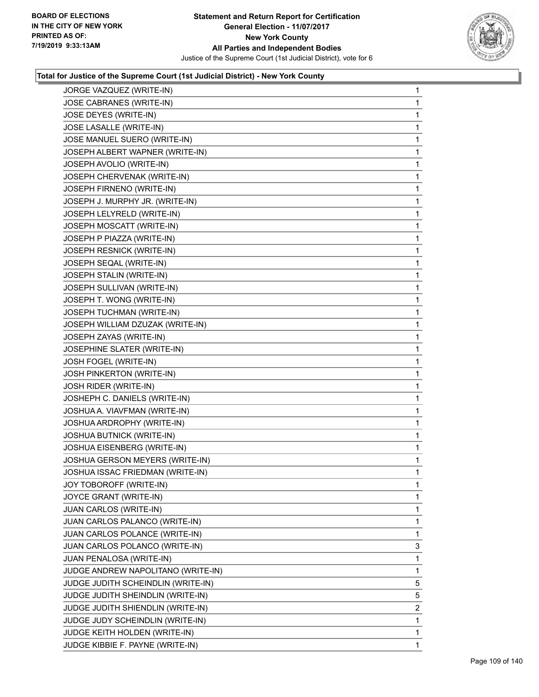

| JORGE VAZQUEZ (WRITE-IN)           | $\mathbf{1}$ |
|------------------------------------|--------------|
| JOSE CABRANES (WRITE-IN)           | $\mathbf{1}$ |
| JOSE DEYES (WRITE-IN)              | 1            |
| JOSE LASALLE (WRITE-IN)            | $\mathbf 1$  |
| JOSE MANUEL SUERO (WRITE-IN)       | 1            |
| JOSEPH ALBERT WAPNER (WRITE-IN)    | 1            |
| JOSEPH AVOLIO (WRITE-IN)           | 1            |
| JOSEPH CHERVENAK (WRITE-IN)        | $\mathbf 1$  |
| JOSEPH FIRNENO (WRITE-IN)          | 1            |
| JOSEPH J. MURPHY JR. (WRITE-IN)    | $\mathbf 1$  |
| JOSEPH LELYRELD (WRITE-IN)         | 1            |
| JOSEPH MOSCATT (WRITE-IN)          | $\mathbf 1$  |
| JOSEPH P PIAZZA (WRITE-IN)         | 1            |
| JOSEPH RESNICK (WRITE-IN)          | $\mathbf 1$  |
| JOSEPH SEQAL (WRITE-IN)            | $\mathbf{1}$ |
| JOSEPH STALIN (WRITE-IN)           | $\mathbf 1$  |
| JOSEPH SULLIVAN (WRITE-IN)         | 1            |
| JOSEPH T. WONG (WRITE-IN)          | $\mathbf 1$  |
| JOSEPH TUCHMAN (WRITE-IN)          | $\mathbf 1$  |
| JOSEPH WILLIAM DZUZAK (WRITE-IN)   | $\mathbf 1$  |
| JOSEPH ZAYAS (WRITE-IN)            | $\mathbf{1}$ |
| JOSEPHINE SLATER (WRITE-IN)        | $\mathbf 1$  |
| JOSH FOGEL (WRITE-IN)              | $\mathbf{1}$ |
| JOSH PINKERTON (WRITE-IN)          | $\mathbf{1}$ |
| JOSH RIDER (WRITE-IN)              | 1            |
| JOSHEPH C. DANIELS (WRITE-IN)      | $\mathbf 1$  |
| JOSHUA A. VIAVFMAN (WRITE-IN)      | $\mathbf{1}$ |
| JOSHUA ARDROPHY (WRITE-IN)         | $\mathbf 1$  |
| JOSHUA BUTNICK (WRITE-IN)          | $\mathbf{1}$ |
| JOSHUA EISENBERG (WRITE-IN)        | $\mathbf{1}$ |
| JOSHUA GERSON MEYERS (WRITE-IN)    | $\mathbf 1$  |
| JOSHUA ISSAC FRIEDMAN (WRITE-IN)   | 1            |
| JOY TOBOROFF (WRITE-IN)            | 1            |
| JOYCE GRANT (WRITE-IN)             | $\mathbf 1$  |
| JUAN CARLOS (WRITE-IN)             | $\mathbf{1}$ |
| JUAN CARLOS PALANCO (WRITE-IN)     | $\mathbf{1}$ |
| JUAN CARLOS POLANCE (WRITE-IN)     | 1            |
| JUAN CARLOS POLANCO (WRITE-IN)     | 3            |
| JUAN PENALOSA (WRITE-IN)           | 1            |
| JUDGE ANDREW NAPOLITANO (WRITE-IN) | $\mathbf 1$  |
| JUDGE JUDITH SCHEINDLIN (WRITE-IN) | 5            |
| JUDGE JUDITH SHEINDLIN (WRITE-IN)  | 5            |
| JUDGE JUDITH SHIENDLIN (WRITE-IN)  | 2            |
| JUDGE JUDY SCHEINDLIN (WRITE-IN)   | 1            |
| JUDGE KEITH HOLDEN (WRITE-IN)      | 1            |
| JUDGE KIBBIE F. PAYNE (WRITE-IN)   | $\mathbf 1$  |
|                                    |              |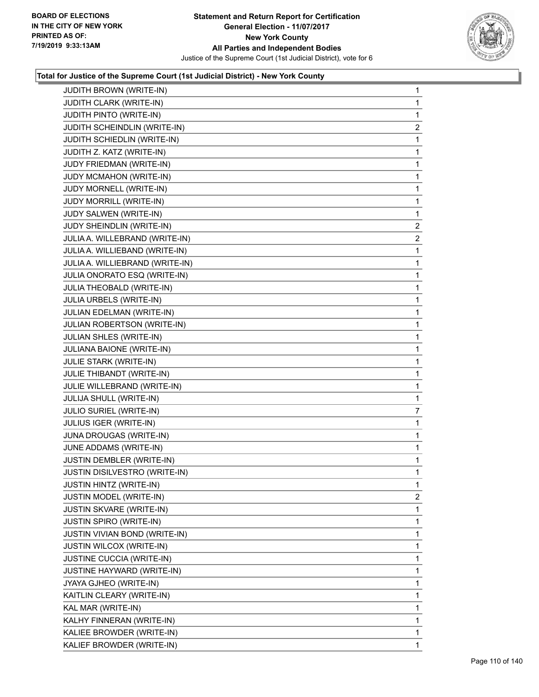

| <b>JUDITH BROWN (WRITE-IN)</b>  | 1              |
|---------------------------------|----------------|
| JUDITH CLARK (WRITE-IN)         | 1              |
| JUDITH PINTO (WRITE-IN)         | 1              |
| JUDITH SCHEINDLIN (WRITE-IN)    | $\overline{c}$ |
| JUDITH SCHIEDLIN (WRITE-IN)     | 1              |
| JUDITH Z. KATZ (WRITE-IN)       | 1              |
| JUDY FRIEDMAN (WRITE-IN)        | $\mathbf{1}$   |
| JUDY MCMAHON (WRITE-IN)         | 1              |
| JUDY MORNELL (WRITE-IN)         | 1              |
| JUDY MORRILL (WRITE-IN)         | $\mathbf{1}$   |
| JUDY SALWEN (WRITE-IN)          | 1              |
| JUDY SHEINDLIN (WRITE-IN)       | 2              |
| JULIA A. WILLEBRAND (WRITE-IN)  | $\overline{a}$ |
| JULIA A. WILLIEBAND (WRITE-IN)  | 1              |
| JULIA A. WILLIEBRAND (WRITE-IN) | 1              |
| JULIA ONORATO ESQ (WRITE-IN)    | $\mathbf{1}$   |
| JULIA THEOBALD (WRITE-IN)       | 1              |
| JULIA URBELS (WRITE-IN)         | 1              |
| JULIAN EDELMAN (WRITE-IN)       | $\mathbf{1}$   |
| JULIAN ROBERTSON (WRITE-IN)     | 1              |
| JULIAN SHLES (WRITE-IN)         | 1              |
| JULIANA BAIONE (WRITE-IN)       | 1              |
| JULIE STARK (WRITE-IN)          | 1              |
| JULIE THIBANDT (WRITE-IN)       | 1              |
| JULIE WILLEBRAND (WRITE-IN)     | $\mathbf{1}$   |
| JULIJA SHULL (WRITE-IN)         | 1              |
| JULIO SURIEL (WRITE-IN)         | 7              |
| JULIUS IGER (WRITE-IN)          | 1              |
| JUNA DROUGAS (WRITE-IN)         | 1              |
| JUNE ADDAMS (WRITE-IN)          | $\mathbf{1}$   |
| JUSTIN DEMBLER (WRITE-IN)       | $\mathbf{1}$   |
| JUSTIN DISILVESTRO (WRITE-IN)   | 1              |
| <b>JUSTIN HINTZ (WRITE-IN)</b>  | 1              |
| JUSTIN MODEL (WRITE-IN)         | $\overline{2}$ |
| <b>JUSTIN SKVARE (WRITE-IN)</b> | 1              |
| JUSTIN SPIRO (WRITE-IN)         | 1              |
| JUSTIN VIVIAN BOND (WRITE-IN)   | 1              |
| JUSTIN WILCOX (WRITE-IN)        | 1              |
| JUSTINE CUCCIA (WRITE-IN)       | 1              |
| JUSTINE HAYWARD (WRITE-IN)      | 1              |
| JYAYA GJHEO (WRITE-IN)          | 1              |
| KAITLIN CLEARY (WRITE-IN)       | 1              |
| KAL MAR (WRITE-IN)              | 1              |
| KALHY FINNERAN (WRITE-IN)       | 1              |
| KALIEE BROWDER (WRITE-IN)       | 1              |
| KALIEF BROWDER (WRITE-IN)       | $\mathbf{1}$   |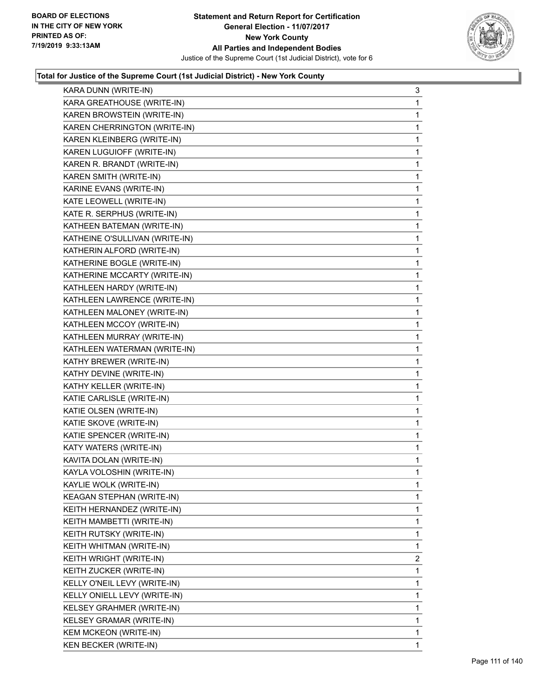

| KARA DUNN (WRITE-IN)             | 3            |
|----------------------------------|--------------|
| KARA GREATHOUSE (WRITE-IN)       | 1            |
| KAREN BROWSTEIN (WRITE-IN)       | 1            |
| KAREN CHERRINGTON (WRITE-IN)     | $\mathbf 1$  |
| KAREN KLEINBERG (WRITE-IN)       | 1            |
| KAREN LUGUIOFF (WRITE-IN)        | 1            |
| KAREN R. BRANDT (WRITE-IN)       | $\mathbf{1}$ |
| KAREN SMITH (WRITE-IN)           | 1            |
| KARINE EVANS (WRITE-IN)          | 1            |
| KATE LEOWELL (WRITE-IN)          | $\mathbf 1$  |
| KATE R. SERPHUS (WRITE-IN)       | 1            |
| KATHEEN BATEMAN (WRITE-IN)       | 1            |
| KATHEINE O'SULLIVAN (WRITE-IN)   | $\mathbf{1}$ |
| KATHERIN ALFORD (WRITE-IN)       | 1            |
| KATHERINE BOGLE (WRITE-IN)       | 1            |
| KATHERINE MCCARTY (WRITE-IN)     | $\mathbf 1$  |
| KATHLEEN HARDY (WRITE-IN)        | 1            |
| KATHLEEN LAWRENCE (WRITE-IN)     | 1            |
| KATHLEEN MALONEY (WRITE-IN)      | $\mathbf{1}$ |
| KATHLEEN MCCOY (WRITE-IN)        | 1            |
| KATHLEEN MURRAY (WRITE-IN)       | 1            |
| KATHLEEN WATERMAN (WRITE-IN)     | $\mathbf 1$  |
| KATHY BREWER (WRITE-IN)          | 1            |
| KATHY DEVINE (WRITE-IN)          | 1            |
| KATHY KELLER (WRITE-IN)          | $\mathbf{1}$ |
| KATIE CARLISLE (WRITE-IN)        | 1            |
| KATIE OLSEN (WRITE-IN)           | 1            |
| KATIE SKOVE (WRITE-IN)           | $\mathbf 1$  |
| KATIE SPENCER (WRITE-IN)         | 1            |
| KATY WATERS (WRITE-IN)           | 1            |
| KAVITA DOLAN (WRITE-IN)          | 1            |
| KAYLA VOLOSHIN (WRITE-IN)        | 1            |
| KAYLIE WOLK (WRITE-IN)           | 1            |
| <b>KEAGAN STEPHAN (WRITE-IN)</b> | 1            |
| KEITH HERNANDEZ (WRITE-IN)       | 1            |
| KEITH MAMBETTI (WRITE-IN)        | 1            |
| KEITH RUTSKY (WRITE-IN)          | 1            |
| KEITH WHITMAN (WRITE-IN)         | 1            |
| KEITH WRIGHT (WRITE-IN)          | 2            |
| KEITH ZUCKER (WRITE-IN)          | 1            |
| KELLY O'NEIL LEVY (WRITE-IN)     | 1            |
| KELLY ONIELL LEVY (WRITE-IN)     | 1            |
| KELSEY GRAHMER (WRITE-IN)        | 1            |
| KELSEY GRAMAR (WRITE-IN)         | 1            |
| <b>KEM MCKEON (WRITE-IN)</b>     | 1            |
| KEN BECKER (WRITE-IN)            | 1            |
|                                  |              |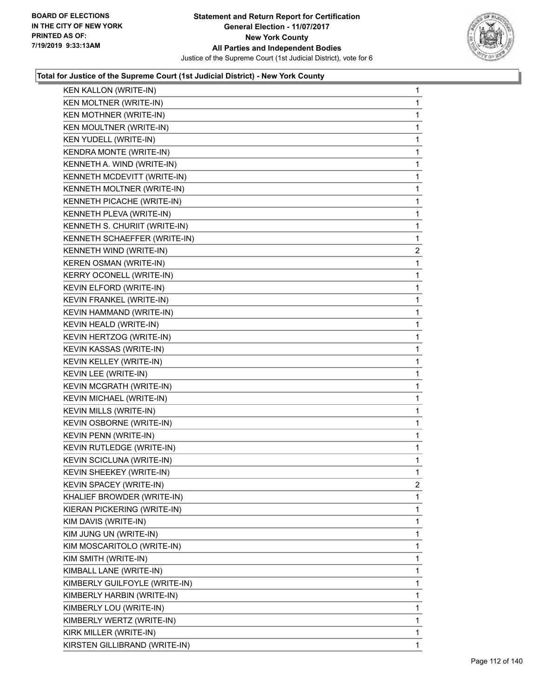

| KEN KALLON (WRITE-IN)         | 1              |
|-------------------------------|----------------|
| KEN MOLTNER (WRITE-IN)        | 1              |
| KEN MOTHNER (WRITE-IN)        | 1              |
| KEN MOULTNER (WRITE-IN)       | 1              |
| <b>KEN YUDELL (WRITE-IN)</b>  | 1              |
| KENDRA MONTE (WRITE-IN)       | 1              |
| KENNETH A. WIND (WRITE-IN)    | 1              |
| KENNETH MCDEVITT (WRITE-IN)   | 1              |
| KENNETH MOLTNER (WRITE-IN)    | 1              |
| KENNETH PICACHE (WRITE-IN)    | 1              |
| KENNETH PLEVA (WRITE-IN)      | 1              |
| KENNETH S. CHURIIT (WRITE-IN) | 1              |
| KENNETH SCHAEFFER (WRITE-IN)  | 1              |
| KENNETH WIND (WRITE-IN)       | $\overline{2}$ |
| KEREN OSMAN (WRITE-IN)        | 1              |
| KERRY OCONELL (WRITE-IN)      | 1              |
| KEVIN ELFORD (WRITE-IN)       | 1              |
| KEVIN FRANKEL (WRITE-IN)      | 1              |
| KEVIN HAMMAND (WRITE-IN)      | 1              |
| KEVIN HEALD (WRITE-IN)        | 1              |
| KEVIN HERTZOG (WRITE-IN)      | 1              |
| KEVIN KASSAS (WRITE-IN)       | 1              |
| KEVIN KELLEY (WRITE-IN)       | 1              |
| KEVIN LEE (WRITE-IN)          | 1              |
| KEVIN MCGRATH (WRITE-IN)      | 1              |
| KEVIN MICHAEL (WRITE-IN)      | 1              |
| KEVIN MILLS (WRITE-IN)        | 1              |
| KEVIN OSBORNE (WRITE-IN)      | 1              |
| KEVIN PENN (WRITE-IN)         | $\mathbf{1}$   |
| KEVIN RUTLEDGE (WRITE-IN)     | 1              |
| KEVIN SCICLUNA (WRITE-IN)     | 1              |
| KEVIN SHEEKEY (WRITE-IN)      | 1              |
| KEVIN SPACEY (WRITE-IN)       | 2              |
| KHALIEF BROWDER (WRITE-IN)    | 1              |
| KIERAN PICKERING (WRITE-IN)   | 1              |
| KIM DAVIS (WRITE-IN)          | 1              |
| KIM JUNG UN (WRITE-IN)        | 1              |
| KIM MOSCARITOLO (WRITE-IN)    | 1              |
| KIM SMITH (WRITE-IN)          | 1              |
| KIMBALL LANE (WRITE-IN)       | 1              |
| KIMBERLY GUILFOYLE (WRITE-IN) | 1              |
| KIMBERLY HARBIN (WRITE-IN)    | 1              |
| KIMBERLY LOU (WRITE-IN)       | 1              |
| KIMBERLY WERTZ (WRITE-IN)     | 1              |
| KIRK MILLER (WRITE-IN)        | 1              |
| KIRSTEN GILLIBRAND (WRITE-IN) | 1              |
|                               |                |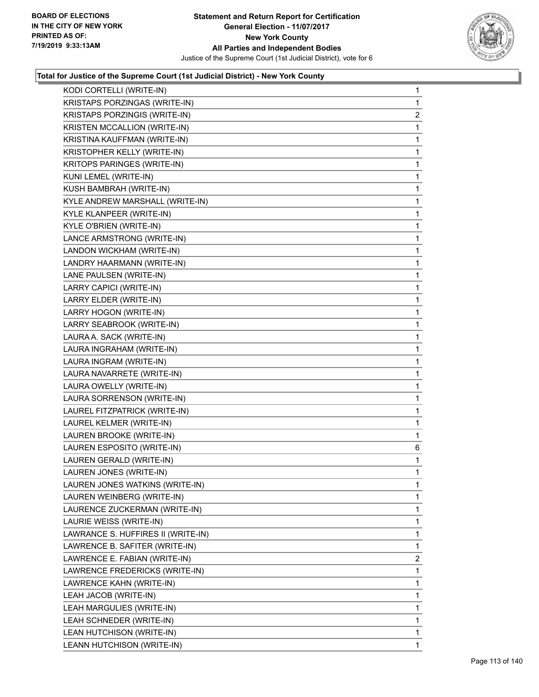

| KODI CORTELLI (WRITE-IN)           | $\mathbf{1}$   |
|------------------------------------|----------------|
| KRISTAPS PORZINGAS (WRITE-IN)      | $\mathbf{1}$   |
| KRISTAPS PORZINGIS (WRITE-IN)      | $\overline{2}$ |
| KRISTEN MCCALLION (WRITE-IN)       | 1              |
| KRISTINA KAUFFMAN (WRITE-IN)       | $\mathbf{1}$   |
| KRISTOPHER KELLY (WRITE-IN)        | 1              |
| KRITOPS PARINGES (WRITE-IN)        | 1              |
| KUNI LEMEL (WRITE-IN)              | $\mathbf{1}$   |
| KUSH BAMBRAH (WRITE-IN)            | 1              |
| KYLE ANDREW MARSHALL (WRITE-IN)    | $\mathbf{1}$   |
| KYLE KLANPEER (WRITE-IN)           | $\mathbf{1}$   |
| KYLE O'BRIEN (WRITE-IN)            | 1              |
| LANCE ARMSTRONG (WRITE-IN)         | 1              |
| LANDON WICKHAM (WRITE-IN)          | $\mathbf{1}$   |
| LANDRY HAARMANN (WRITE-IN)         | 1              |
| LANE PAULSEN (WRITE-IN)            | $\mathbf{1}$   |
| LARRY CAPICI (WRITE-IN)            | $\mathbf{1}$   |
| LARRY ELDER (WRITE-IN)             | 1              |
| LARRY HOGON (WRITE-IN)             | 1              |
| LARRY SEABROOK (WRITE-IN)          | $\mathbf{1}$   |
| LAURA A. SACK (WRITE-IN)           | 1              |
| LAURA INGRAHAM (WRITE-IN)          | $\mathbf{1}$   |
| LAURA INGRAM (WRITE-IN)            | $\mathbf{1}$   |
| LAURA NAVARRETE (WRITE-IN)         | 1              |
| LAURA OWELLY (WRITE-IN)            | 1              |
| LAURA SORRENSON (WRITE-IN)         | $\mathbf{1}$   |
| LAUREL FITZPATRICK (WRITE-IN)      | 1              |
| LAUREL KELMER (WRITE-IN)           | $\mathbf{1}$   |
| LAUREN BROOKE (WRITE-IN)           | $\mathbf 1$    |
| LAUREN ESPOSITO (WRITE-IN)         | 6              |
| LAUREN GERALD (WRITE-IN)           | 1              |
| LAUREN JONES (WRITE-IN)            | $\mathbf{1}$   |
| LAUREN JONES WATKINS (WRITE-IN)    | $\mathbf{1}$   |
| LAUREN WEINBERG (WRITE-IN)         | 1              |
| LAURENCE ZUCKERMAN (WRITE-IN)      | $\mathbf{1}$   |
| LAURIE WEISS (WRITE-IN)            | 1              |
| LAWRANCE S. HUFFIRES II (WRITE-IN) | 1              |
| LAWRENCE B. SAFITER (WRITE-IN)     | 1              |
| LAWRENCE E. FABIAN (WRITE-IN)      | $\overline{2}$ |
| LAWRENCE FREDERICKS (WRITE-IN)     | 1              |
| LAWRENCE KAHN (WRITE-IN)           | $\mathbf{1}$   |
| LEAH JACOB (WRITE-IN)              | 1              |
| LEAH MARGULIES (WRITE-IN)          | 1              |
| LEAH SCHNEDER (WRITE-IN)           | 1              |
| LEAN HUTCHISON (WRITE-IN)          | 1              |
| LEANN HUTCHISON (WRITE-IN)         | 1              |
|                                    |                |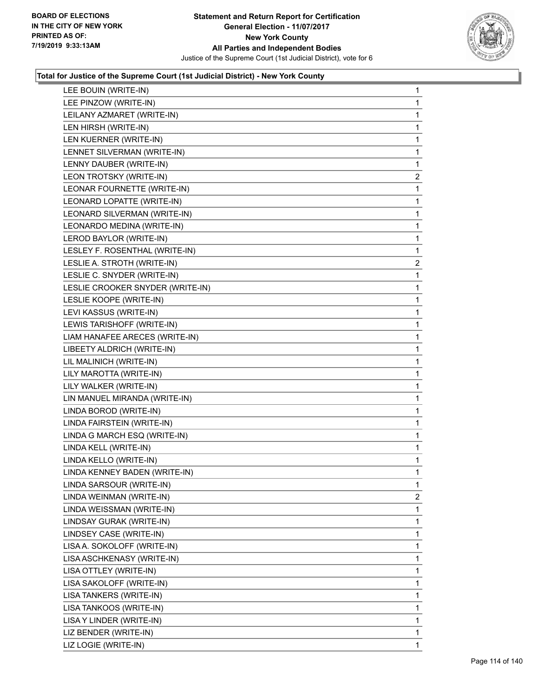

| LEE BOUIN (WRITE-IN)             | $\mathbf{1}$   |
|----------------------------------|----------------|
| LEE PINZOW (WRITE-IN)            | 1              |
| LEILANY AZMARET (WRITE-IN)       | 1              |
| LEN HIRSH (WRITE-IN)             | $\mathbf{1}$   |
| LEN KUERNER (WRITE-IN)           | 1              |
| LENNET SILVERMAN (WRITE-IN)      | 1              |
| LENNY DAUBER (WRITE-IN)          | $\mathbf{1}$   |
| LEON TROTSKY (WRITE-IN)          | $\overline{c}$ |
| LEONAR FOURNETTE (WRITE-IN)      | 1              |
| LEONARD LOPATTE (WRITE-IN)       | 1              |
| LEONARD SILVERMAN (WRITE-IN)     | 1              |
| LEONARDO MEDINA (WRITE-IN)       | 1              |
| LEROD BAYLOR (WRITE-IN)          | $\mathbf{1}$   |
| LESLEY F. ROSENTHAL (WRITE-IN)   | $\mathbf 1$    |
| LESLIE A. STROTH (WRITE-IN)      | 2              |
| LESLIE C. SNYDER (WRITE-IN)      | 1              |
| LESLIE CROOKER SNYDER (WRITE-IN) | 1              |
| LESLIE KOOPE (WRITE-IN)          | 1              |
| LEVI KASSUS (WRITE-IN)           | $\mathbf{1}$   |
| LEWIS TARISHOFF (WRITE-IN)       | 1              |
| LIAM HANAFEE ARECES (WRITE-IN)   | 1              |
| LIBEETY ALDRICH (WRITE-IN)       | $\mathbf{1}$   |
| LIL MALINICH (WRITE-IN)          | 1              |
| LILY MAROTTA (WRITE-IN)          | 1              |
| LILY WALKER (WRITE-IN)           | $\mathbf{1}$   |
| LIN MANUEL MIRANDA (WRITE-IN)    | 1              |
| LINDA BOROD (WRITE-IN)           | 1              |
| LINDA FAIRSTEIN (WRITE-IN)       | $\mathbf{1}$   |
| LINDA G MARCH ESQ (WRITE-IN)     | 1              |
| LINDA KELL (WRITE-IN)            | 1              |
| LINDA KELLO (WRITE-IN)           | $\mathbf{1}$   |
| LINDA KENNEY BADEN (WRITE-IN)    | 1              |
| LINDA SARSOUR (WRITE-IN)         | 1              |
| LINDA WEINMAN (WRITE-IN)         | $\overline{2}$ |
| LINDA WEISSMAN (WRITE-IN)        | 1              |
| LINDSAY GURAK (WRITE-IN)         | 1              |
| LINDSEY CASE (WRITE-IN)          | 1              |
| LISA A. SOKOLOFF (WRITE-IN)      | 1              |
| LISA ASCHKENASY (WRITE-IN)       | 1              |
| LISA OTTLEY (WRITE-IN)           | 1              |
| LISA SAKOLOFF (WRITE-IN)         | 1              |
| LISA TANKERS (WRITE-IN)          | 1              |
| LISA TANKOOS (WRITE-IN)          | 1              |
| LISA Y LINDER (WRITE-IN)         | 1              |
| LIZ BENDER (WRITE-IN)            | 1              |
| LIZ LOGIE (WRITE-IN)             | $\mathbf{1}$   |
|                                  |                |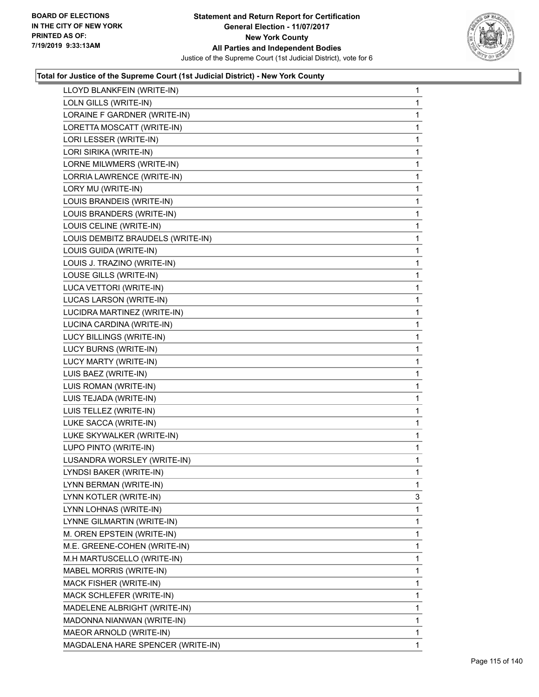

| LLOYD BLANKFEIN (WRITE-IN)        | 1            |
|-----------------------------------|--------------|
| LOLN GILLS (WRITE-IN)             | 1            |
| LORAINE F GARDNER (WRITE-IN)      | 1            |
| LORETTA MOSCATT (WRITE-IN)        | 1            |
| LORI LESSER (WRITE-IN)            | $\mathbf{1}$ |
| LORI SIRIKA (WRITE-IN)            | 1            |
| LORNE MILWMERS (WRITE-IN)         | 1            |
| LORRIA LAWRENCE (WRITE-IN)        | $\mathbf{1}$ |
| LORY MU (WRITE-IN)                | 1            |
| LOUIS BRANDEIS (WRITE-IN)         | 1            |
| LOUIS BRANDERS (WRITE-IN)         | 1            |
| LOUIS CELINE (WRITE-IN)           | 1            |
| LOUIS DEMBITZ BRAUDELS (WRITE-IN) | 1            |
| LOUIS GUIDA (WRITE-IN)            | $\mathbf{1}$ |
| LOUIS J. TRAZINO (WRITE-IN)       | 1            |
| LOUSE GILLS (WRITE-IN)            | 1            |
| LUCA VETTORI (WRITE-IN)           | 1            |
| LUCAS LARSON (WRITE-IN)           | 1            |
| LUCIDRA MARTINEZ (WRITE-IN)       | 1            |
| LUCINA CARDINA (WRITE-IN)         | $\mathbf{1}$ |
| LUCY BILLINGS (WRITE-IN)          | 1            |
| LUCY BURNS (WRITE-IN)             | 1            |
| LUCY MARTY (WRITE-IN)             | 1            |
| LUIS BAEZ (WRITE-IN)              | 1            |
| LUIS ROMAN (WRITE-IN)             | 1            |
| LUIS TEJADA (WRITE-IN)            | $\mathbf{1}$ |
| LUIS TELLEZ (WRITE-IN)            | 1            |
| LUKE SACCA (WRITE-IN)             | 1            |
| LUKE SKYWALKER (WRITE-IN)         | 1            |
| LUPO PINTO (WRITE-IN)             | 1            |
| LUSANDRA WORSLEY (WRITE-IN)       | 1            |
| LYNDSI BAKER (WRITE-IN)           | 1            |
| LYNN BERMAN (WRITE-IN)            | $\mathbf{1}$ |
| LYNN KOTLER (WRITE-IN)            | 3            |
| LYNN LOHNAS (WRITE-IN)            | 1            |
| LYNNE GILMARTIN (WRITE-IN)        | 1            |
| M. OREN EPSTEIN (WRITE-IN)        | 1            |
| M.E. GREENE-COHEN (WRITE-IN)      | 1            |
| M.H MARTUSCELLO (WRITE-IN)        | 1            |
| MABEL MORRIS (WRITE-IN)           | 1            |
| <b>MACK FISHER (WRITE-IN)</b>     | 1            |
| MACK SCHLEFER (WRITE-IN)          | 1            |
| MADELENE ALBRIGHT (WRITE-IN)      | 1            |
| MADONNA NIANWAN (WRITE-IN)        | 1            |
| MAEOR ARNOLD (WRITE-IN)           | 1            |
|                                   |              |
| MAGDALENA HARE SPENCER (WRITE-IN) | 1            |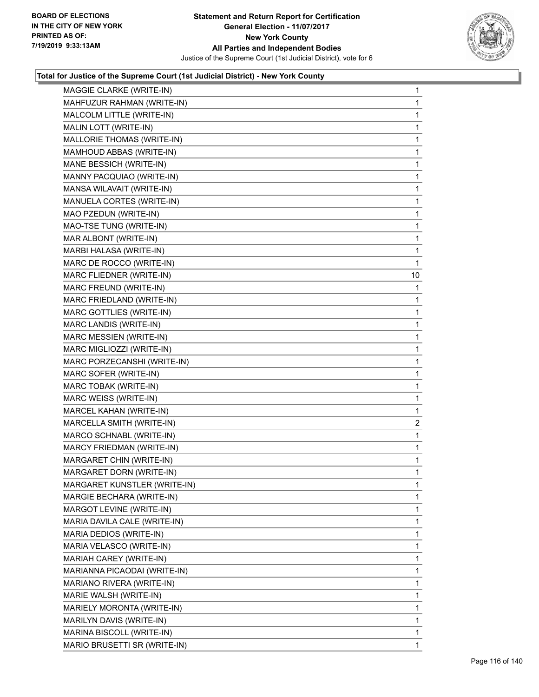

| MAGGIE CLARKE (WRITE-IN)        | 1              |
|---------------------------------|----------------|
| MAHFUZUR RAHMAN (WRITE-IN)      | 1              |
| MALCOLM LITTLE (WRITE-IN)       | 1              |
| MALIN LOTT (WRITE-IN)           | 1              |
| MALLORIE THOMAS (WRITE-IN)      | 1              |
| MAMHOUD ABBAS (WRITE-IN)        | 1              |
| MANE BESSICH (WRITE-IN)         | $\mathbf{1}$   |
| MANNY PACQUIAO (WRITE-IN)       | 1              |
| MANSA WILAVAIT (WRITE-IN)       | 1              |
| MANUELA CORTES (WRITE-IN)       | 1              |
| MAO PZEDUN (WRITE-IN)           | 1              |
| MAO-TSE TUNG (WRITE-IN)         | 1              |
| MAR ALBONT (WRITE-IN)           | $\mathbf{1}$   |
| MARBI HALASA (WRITE-IN)         | 1              |
| MARC DE ROCCO (WRITE-IN)        | 1              |
| MARC FLIEDNER (WRITE-IN)        | 10             |
| MARC FREUND (WRITE-IN)          | 1              |
| MARC FRIEDLAND (WRITE-IN)       | 1              |
| <b>MARC GOTTLIES (WRITE-IN)</b> | $\mathbf{1}$   |
| MARC LANDIS (WRITE-IN)          | 1              |
| MARC MESSIEN (WRITE-IN)         | 1              |
| MARC MIGLIOZZI (WRITE-IN)       | 1              |
| MARC PORZECANSHI (WRITE-IN)     | 1              |
| MARC SOFER (WRITE-IN)           | 1              |
| MARC TOBAK (WRITE-IN)           | 1              |
| MARC WEISS (WRITE-IN)           | 1              |
| MARCEL KAHAN (WRITE-IN)         | 1              |
| MARCELLA SMITH (WRITE-IN)       | $\overline{c}$ |
| MARCO SCHNABL (WRITE-IN)        | 1              |
| MARCY FRIEDMAN (WRITE-IN)       | 1              |
| MARGARET CHIN (WRITE-IN)        | 1              |
| MARGARET DORN (WRITE-IN)        | 1              |
| MARGARET KUNSTLER (WRITE-IN)    | 1              |
| MARGIE BECHARA (WRITE-IN)       | 1              |
| MARGOT LEVINE (WRITE-IN)        | 1              |
| MARIA DAVILA CALE (WRITE-IN)    | 1              |
| MARIA DEDIOS (WRITE-IN)         | 1              |
| MARIA VELASCO (WRITE-IN)        | 1              |
| MARIAH CAREY (WRITE-IN)         | 1              |
| MARIANNA PICAODAI (WRITE-IN)    | 1              |
| MARIANO RIVERA (WRITE-IN)       | 1              |
| MARIE WALSH (WRITE-IN)          | 1              |
| MARIELY MORONTA (WRITE-IN)      | 1              |
| MARILYN DAVIS (WRITE-IN)        | 1              |
| MARINA BISCOLL (WRITE-IN)       | 1              |
| MARIO BRUSETTI SR (WRITE-IN)    | 1              |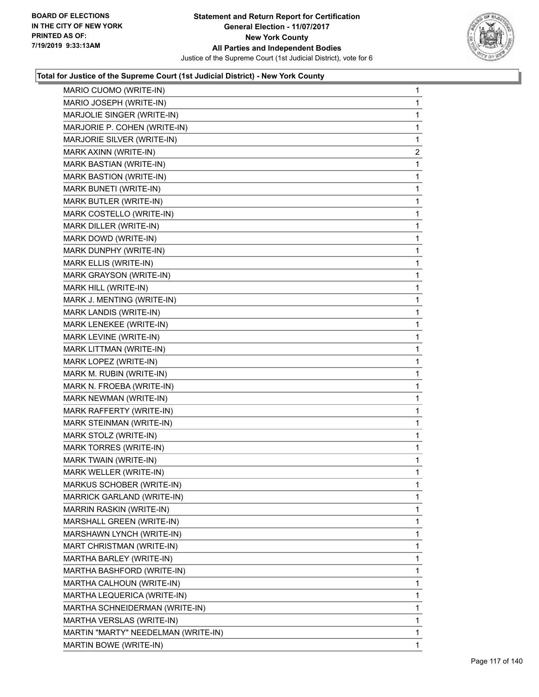

| MARIO CUOMO (WRITE-IN)              | 1            |
|-------------------------------------|--------------|
| MARIO JOSEPH (WRITE-IN)             | $\mathbf{1}$ |
| MARJOLIE SINGER (WRITE-IN)          | 1            |
| MARJORIE P. COHEN (WRITE-IN)        | 1            |
| MARJORIE SILVER (WRITE-IN)          | 1            |
| MARK AXINN (WRITE-IN)               | 2            |
| MARK BASTIAN (WRITE-IN)             | 1            |
| MARK BASTION (WRITE-IN)             | 1            |
| MARK BUNETI (WRITE-IN)              | 1            |
| MARK BUTLER (WRITE-IN)              | 1            |
| MARK COSTELLO (WRITE-IN)            | 1            |
| MARK DILLER (WRITE-IN)              | 1            |
| MARK DOWD (WRITE-IN)                | 1            |
| MARK DUNPHY (WRITE-IN)              | 1            |
| MARK ELLIS (WRITE-IN)               | 1            |
| MARK GRAYSON (WRITE-IN)             | 1            |
| MARK HILL (WRITE-IN)                | 1            |
| MARK J. MENTING (WRITE-IN)          | 1            |
| MARK LANDIS (WRITE-IN)              | 1            |
| MARK LENEKEE (WRITE-IN)             | 1            |
| MARK LEVINE (WRITE-IN)              | 1            |
| MARK LITTMAN (WRITE-IN)             | 1            |
| MARK LOPEZ (WRITE-IN)               | 1            |
| MARK M. RUBIN (WRITE-IN)            | 1            |
| MARK N. FROEBA (WRITE-IN)           | 1            |
| MARK NEWMAN (WRITE-IN)              | 1            |
| MARK RAFFERTY (WRITE-IN)            | 1            |
| MARK STEINMAN (WRITE-IN)            | 1            |
| MARK STOLZ (WRITE-IN)               | 1            |
| MARK TORRES (WRITE-IN)              | 1            |
| MARK TWAIN (WRITE-IN)               | 1            |
| MARK WELLER (WRITE-IN)              | 1            |
| MARKUS SCHOBER (WRITE-IN)           | 1            |
| MARRICK GARLAND (WRITE-IN)          | 1            |
| MARRIN RASKIN (WRITE-IN)            | 1            |
| MARSHALL GREEN (WRITE-IN)           | 1            |
| MARSHAWN LYNCH (WRITE-IN)           | 1            |
| MART CHRISTMAN (WRITE-IN)           | 1            |
| MARTHA BARLEY (WRITE-IN)            | 1            |
| MARTHA BASHFORD (WRITE-IN)          | 1            |
| MARTHA CALHOUN (WRITE-IN)           | 1            |
| MARTHA LEQUERICA (WRITE-IN)         | 1            |
| MARTHA SCHNEIDERMAN (WRITE-IN)      | 1            |
| MARTHA VERSLAS (WRITE-IN)           | 1            |
| MARTIN "MARTY" NEEDELMAN (WRITE-IN) | 1            |
| MARTIN BOWE (WRITE-IN)              | 1            |
|                                     |              |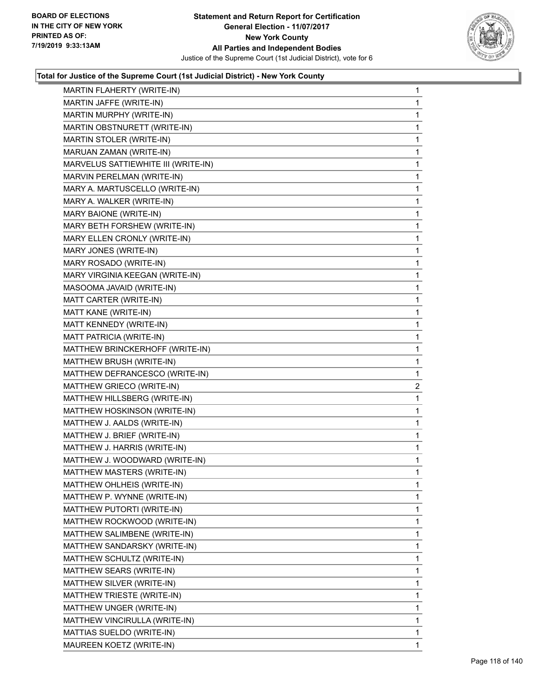

| MARTIN FLAHERTY (WRITE-IN)     | 1                                                                                                                                                                                                                                                                                                                                                                                                                                                                                                                                                                                                                                                                          |
|--------------------------------|----------------------------------------------------------------------------------------------------------------------------------------------------------------------------------------------------------------------------------------------------------------------------------------------------------------------------------------------------------------------------------------------------------------------------------------------------------------------------------------------------------------------------------------------------------------------------------------------------------------------------------------------------------------------------|
| MARTIN JAFFE (WRITE-IN)        | 1                                                                                                                                                                                                                                                                                                                                                                                                                                                                                                                                                                                                                                                                          |
|                                | 1                                                                                                                                                                                                                                                                                                                                                                                                                                                                                                                                                                                                                                                                          |
|                                | 1                                                                                                                                                                                                                                                                                                                                                                                                                                                                                                                                                                                                                                                                          |
|                                | 1                                                                                                                                                                                                                                                                                                                                                                                                                                                                                                                                                                                                                                                                          |
|                                | 1                                                                                                                                                                                                                                                                                                                                                                                                                                                                                                                                                                                                                                                                          |
|                                | 1                                                                                                                                                                                                                                                                                                                                                                                                                                                                                                                                                                                                                                                                          |
|                                | 1                                                                                                                                                                                                                                                                                                                                                                                                                                                                                                                                                                                                                                                                          |
|                                | 1                                                                                                                                                                                                                                                                                                                                                                                                                                                                                                                                                                                                                                                                          |
|                                | 1                                                                                                                                                                                                                                                                                                                                                                                                                                                                                                                                                                                                                                                                          |
|                                | 1                                                                                                                                                                                                                                                                                                                                                                                                                                                                                                                                                                                                                                                                          |
|                                | 1                                                                                                                                                                                                                                                                                                                                                                                                                                                                                                                                                                                                                                                                          |
|                                | 1                                                                                                                                                                                                                                                                                                                                                                                                                                                                                                                                                                                                                                                                          |
|                                | 1                                                                                                                                                                                                                                                                                                                                                                                                                                                                                                                                                                                                                                                                          |
|                                | 1                                                                                                                                                                                                                                                                                                                                                                                                                                                                                                                                                                                                                                                                          |
|                                | 1                                                                                                                                                                                                                                                                                                                                                                                                                                                                                                                                                                                                                                                                          |
|                                | 1                                                                                                                                                                                                                                                                                                                                                                                                                                                                                                                                                                                                                                                                          |
|                                | 1                                                                                                                                                                                                                                                                                                                                                                                                                                                                                                                                                                                                                                                                          |
|                                | 1                                                                                                                                                                                                                                                                                                                                                                                                                                                                                                                                                                                                                                                                          |
|                                | 1                                                                                                                                                                                                                                                                                                                                                                                                                                                                                                                                                                                                                                                                          |
|                                | 1                                                                                                                                                                                                                                                                                                                                                                                                                                                                                                                                                                                                                                                                          |
|                                | 1                                                                                                                                                                                                                                                                                                                                                                                                                                                                                                                                                                                                                                                                          |
|                                | 1                                                                                                                                                                                                                                                                                                                                                                                                                                                                                                                                                                                                                                                                          |
|                                | 1                                                                                                                                                                                                                                                                                                                                                                                                                                                                                                                                                                                                                                                                          |
| MATTHEW GRIECO (WRITE-IN)      | $\overline{2}$                                                                                                                                                                                                                                                                                                                                                                                                                                                                                                                                                                                                                                                             |
|                                |                                                                                                                                                                                                                                                                                                                                                                                                                                                                                                                                                                                                                                                                            |
| MATTHEW HILLSBERG (WRITE-IN)   | 1                                                                                                                                                                                                                                                                                                                                                                                                                                                                                                                                                                                                                                                                          |
| MATTHEW HOSKINSON (WRITE-IN)   | 1                                                                                                                                                                                                                                                                                                                                                                                                                                                                                                                                                                                                                                                                          |
| MATTHEW J. AALDS (WRITE-IN)    | 1                                                                                                                                                                                                                                                                                                                                                                                                                                                                                                                                                                                                                                                                          |
| MATTHEW J. BRIEF (WRITE-IN)    | 1                                                                                                                                                                                                                                                                                                                                                                                                                                                                                                                                                                                                                                                                          |
| MATTHEW J. HARRIS (WRITE-IN)   | 1                                                                                                                                                                                                                                                                                                                                                                                                                                                                                                                                                                                                                                                                          |
| MATTHEW J. WOODWARD (WRITE-IN) | 1                                                                                                                                                                                                                                                                                                                                                                                                                                                                                                                                                                                                                                                                          |
| MATTHEW MASTERS (WRITE-IN)     | $\mathbf{1}$                                                                                                                                                                                                                                                                                                                                                                                                                                                                                                                                                                                                                                                               |
| MATTHEW OHLHEIS (WRITE-IN)     | 1                                                                                                                                                                                                                                                                                                                                                                                                                                                                                                                                                                                                                                                                          |
| MATTHEW P. WYNNE (WRITE-IN)    | 1                                                                                                                                                                                                                                                                                                                                                                                                                                                                                                                                                                                                                                                                          |
| MATTHEW PUTORTI (WRITE-IN)     | 1                                                                                                                                                                                                                                                                                                                                                                                                                                                                                                                                                                                                                                                                          |
| MATTHEW ROCKWOOD (WRITE-IN)    | 1                                                                                                                                                                                                                                                                                                                                                                                                                                                                                                                                                                                                                                                                          |
| MATTHEW SALIMBENE (WRITE-IN)   | 1                                                                                                                                                                                                                                                                                                                                                                                                                                                                                                                                                                                                                                                                          |
| MATTHEW SANDARSKY (WRITE-IN)   | 1                                                                                                                                                                                                                                                                                                                                                                                                                                                                                                                                                                                                                                                                          |
| MATTHEW SCHULTZ (WRITE-IN)     | 1                                                                                                                                                                                                                                                                                                                                                                                                                                                                                                                                                                                                                                                                          |
| MATTHEW SEARS (WRITE-IN)       | 1                                                                                                                                                                                                                                                                                                                                                                                                                                                                                                                                                                                                                                                                          |
| MATTHEW SILVER (WRITE-IN)      | 1                                                                                                                                                                                                                                                                                                                                                                                                                                                                                                                                                                                                                                                                          |
| MATTHEW TRIESTE (WRITE-IN)     | 1                                                                                                                                                                                                                                                                                                                                                                                                                                                                                                                                                                                                                                                                          |
| MATTHEW UNGER (WRITE-IN)       | 1                                                                                                                                                                                                                                                                                                                                                                                                                                                                                                                                                                                                                                                                          |
| MATTHEW VINCIRULLA (WRITE-IN)  | 1                                                                                                                                                                                                                                                                                                                                                                                                                                                                                                                                                                                                                                                                          |
| MATTIAS SUELDO (WRITE-IN)      | 1                                                                                                                                                                                                                                                                                                                                                                                                                                                                                                                                                                                                                                                                          |
|                                | MARTIN MURPHY (WRITE-IN)<br>MARTIN OBSTNURETT (WRITE-IN)<br>MARTIN STOLER (WRITE-IN)<br>MARUAN ZAMAN (WRITE-IN)<br>MARVELUS SATTIEWHITE III (WRITE-IN)<br>MARVIN PERELMAN (WRITE-IN)<br>MARY A. MARTUSCELLO (WRITE-IN)<br>MARY A. WALKER (WRITE-IN)<br>MARY BAIONE (WRITE-IN)<br>MARY BETH FORSHEW (WRITE-IN)<br>MARY ELLEN CRONLY (WRITE-IN)<br>MARY JONES (WRITE-IN)<br>MARY ROSADO (WRITE-IN)<br>MARY VIRGINIA KEEGAN (WRITE-IN)<br>MASOOMA JAVAID (WRITE-IN)<br>MATT CARTER (WRITE-IN)<br>MATT KANE (WRITE-IN)<br>MATT KENNEDY (WRITE-IN)<br>MATT PATRICIA (WRITE-IN)<br>MATTHEW BRINCKERHOFF (WRITE-IN)<br>MATTHEW BRUSH (WRITE-IN)<br>MATTHEW DEFRANCESCO (WRITE-IN) |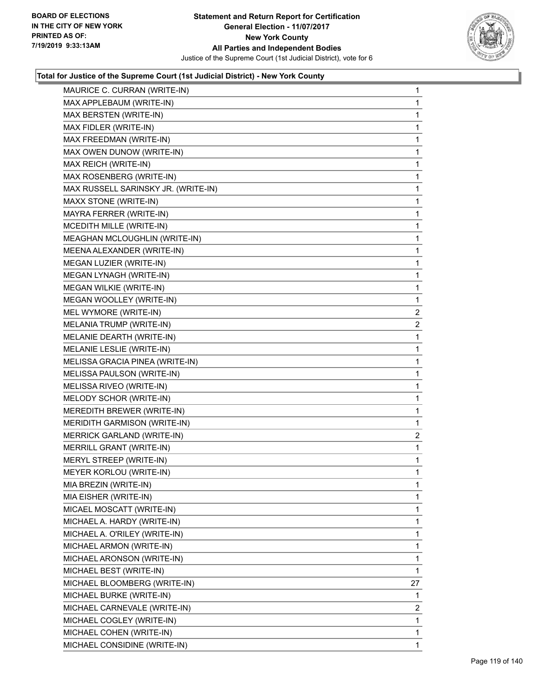

| MAURICE C. CURRAN (WRITE-IN)        | $\mathbf{1}$   |
|-------------------------------------|----------------|
| MAX APPLEBAUM (WRITE-IN)            | 1              |
| MAX BERSTEN (WRITE-IN)              | 1              |
| MAX FIDLER (WRITE-IN)               | 1              |
| MAX FREEDMAN (WRITE-IN)             | 1              |
| MAX OWEN DUNOW (WRITE-IN)           | 1              |
| MAX REICH (WRITE-IN)                | 1              |
| MAX ROSENBERG (WRITE-IN)            | 1              |
| MAX RUSSELL SARINSKY JR. (WRITE-IN) | 1              |
| MAXX STONE (WRITE-IN)               | 1              |
| MAYRA FERRER (WRITE-IN)             | 1              |
| MCEDITH MILLE (WRITE-IN)            | 1              |
| MEAGHAN MCLOUGHLIN (WRITE-IN)       | 1              |
| MEENA ALEXANDER (WRITE-IN)          | 1              |
| MEGAN LUZIER (WRITE-IN)             | 1              |
| MEGAN LYNAGH (WRITE-IN)             | 1              |
| MEGAN WILKIE (WRITE-IN)             | 1              |
| MEGAN WOOLLEY (WRITE-IN)            | 1              |
| MEL WYMORE (WRITE-IN)               | $\overline{2}$ |
| MELANIA TRUMP (WRITE-IN)            | $\overline{2}$ |
| MELANIE DEARTH (WRITE-IN)           | 1              |
| MELANIE LESLIE (WRITE-IN)           | 1              |
| MELISSA GRACIA PINEA (WRITE-IN)     | 1              |
| MELISSA PAULSON (WRITE-IN)          | 1              |
| MELISSA RIVEO (WRITE-IN)            | 1              |
| MELODY SCHOR (WRITE-IN)             | 1              |
| MEREDITH BREWER (WRITE-IN)          | 1              |
| MERIDITH GARMISON (WRITE-IN)        | 1              |
| <b>MERRICK GARLAND (WRITE-IN)</b>   | 2              |
| MERRILL GRANT (WRITE-IN)            | 1              |
| MERYL STREEP (WRITE-IN)             | 1              |
| MEYER KORLOU (WRITE-IN)             | 1              |
| MIA BREZIN (WRITE-IN)               | 1              |
| MIA EISHER (WRITE-IN)               | 1              |
| MICAEL MOSCATT (WRITE-IN)           | 1              |
| MICHAEL A. HARDY (WRITE-IN)         | 1              |
| MICHAEL A. O'RILEY (WRITE-IN)       | 1              |
| MICHAEL ARMON (WRITE-IN)            | 1              |
| MICHAEL ARONSON (WRITE-IN)          | 1              |
| MICHAEL BEST (WRITE-IN)             | 1              |
| MICHAEL BLOOMBERG (WRITE-IN)        | 27             |
| MICHAEL BURKE (WRITE-IN)            | 1              |
| MICHAEL CARNEVALE (WRITE-IN)        | 2              |
| MICHAEL COGLEY (WRITE-IN)           | 1              |
| MICHAEL COHEN (WRITE-IN)            | 1              |
| MICHAEL CONSIDINE (WRITE-IN)        | 1              |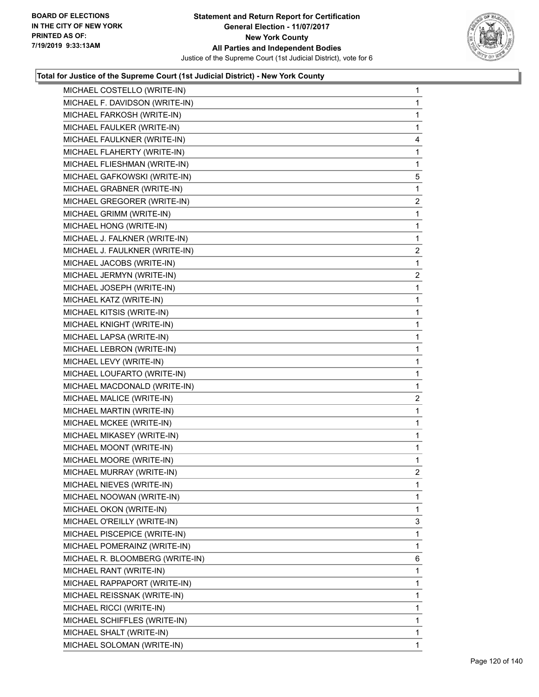

| MICHAEL COSTELLO (WRITE-IN)     | 1               |
|---------------------------------|-----------------|
| MICHAEL F. DAVIDSON (WRITE-IN)  | 1               |
| MICHAEL FARKOSH (WRITE-IN)      | 1               |
| MICHAEL FAULKER (WRITE-IN)      | 1               |
| MICHAEL FAULKNER (WRITE-IN)     | 4               |
| MICHAEL FLAHERTY (WRITE-IN)     | 1               |
| MICHAEL FLIESHMAN (WRITE-IN)    | 1               |
| MICHAEL GAFKOWSKI (WRITE-IN)    | $5\phantom{.0}$ |
| MICHAEL GRABNER (WRITE-IN)      | 1               |
| MICHAEL GREGORER (WRITE-IN)     | $\overline{a}$  |
| MICHAEL GRIMM (WRITE-IN)        | 1               |
| MICHAEL HONG (WRITE-IN)         | $\mathbf{1}$    |
| MICHAEL J. FALKNER (WRITE-IN)   | 1               |
| MICHAEL J. FAULKNER (WRITE-IN)  | $\overline{c}$  |
| MICHAEL JACOBS (WRITE-IN)       | 1               |
| MICHAEL JERMYN (WRITE-IN)       | $\overline{a}$  |
| MICHAEL JOSEPH (WRITE-IN)       | 1               |
| MICHAEL KATZ (WRITE-IN)         | $\mathbf{1}$    |
| MICHAEL KITSIS (WRITE-IN)       | 1               |
| MICHAEL KNIGHT (WRITE-IN)       | 1               |
| MICHAEL LAPSA (WRITE-IN)        | 1               |
| MICHAEL LEBRON (WRITE-IN)       | 1               |
| MICHAEL LEVY (WRITE-IN)         | 1               |
| MICHAEL LOUFARTO (WRITE-IN)     | 1               |
| MICHAEL MACDONALD (WRITE-IN)    | 1               |
| MICHAEL MALICE (WRITE-IN)       | $\overline{c}$  |
| MICHAEL MARTIN (WRITE-IN)       | 1               |
| MICHAEL MCKEE (WRITE-IN)        | 1               |
| MICHAEL MIKASEY (WRITE-IN)      | 1               |
| MICHAEL MOONT (WRITE-IN)        | $\mathbf{1}$    |
| MICHAEL MOORE (WRITE-IN)        | 1               |
| MICHAEL MURRAY (WRITE-IN)       | $\overline{2}$  |
| MICHAEL NIEVES (WRITE-IN)       | 1               |
| MICHAEL NOOWAN (WRITE-IN)       | 1               |
| MICHAEL OKON (WRITE-IN)         | 1               |
| MICHAEL O'REILLY (WRITE-IN)     | 3               |
| MICHAEL PISCEPICE (WRITE-IN)    | 1               |
| MICHAEL POMERAINZ (WRITE-IN)    | 1               |
| MICHAEL R. BLOOMBERG (WRITE-IN) | 6               |
| MICHAEL RANT (WRITE-IN)         | 1               |
| MICHAEL RAPPAPORT (WRITE-IN)    | 1               |
| MICHAEL REISSNAK (WRITE-IN)     | 1               |
| MICHAEL RICCI (WRITE-IN)        | 1               |
| MICHAEL SCHIFFLES (WRITE-IN)    | 1               |
| MICHAEL SHALT (WRITE-IN)        | 1               |
| MICHAEL SOLOMAN (WRITE-IN)      | 1               |
|                                 |                 |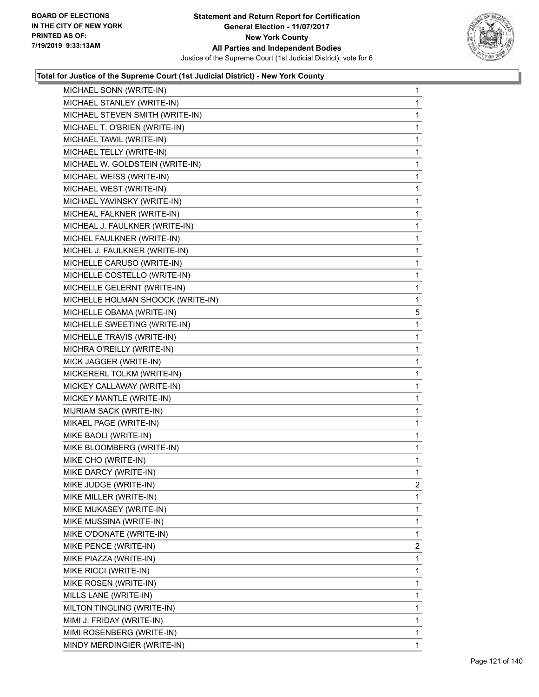

| MICHAEL SONN (WRITE-IN)           | $\mathbf{1}$ |
|-----------------------------------|--------------|
| MICHAEL STANLEY (WRITE-IN)        | $\mathbf{1}$ |
| MICHAEL STEVEN SMITH (WRITE-IN)   | 1            |
| MICHAEL T. O'BRIEN (WRITE-IN)     | $\mathbf{1}$ |
| MICHAEL TAWIL (WRITE-IN)          | $\mathbf{1}$ |
| MICHAEL TELLY (WRITE-IN)          | 1            |
| MICHAEL W. GOLDSTEIN (WRITE-IN)   | $\mathbf{1}$ |
| MICHAEL WEISS (WRITE-IN)          | $\mathbf{1}$ |
| MICHAEL WEST (WRITE-IN)           | 1            |
| MICHAEL YAVINSKY (WRITE-IN)       | $\mathbf{1}$ |
| MICHEAL FALKNER (WRITE-IN)        | $\mathbf{1}$ |
| MICHEAL J. FAULKNER (WRITE-IN)    | 1            |
| MICHEL FAULKNER (WRITE-IN)        | $\mathbf{1}$ |
| MICHEL J. FAULKNER (WRITE-IN)     | $\mathbf{1}$ |
| MICHELLE CARUSO (WRITE-IN)        | 1            |
| MICHELLE COSTELLO (WRITE-IN)      | $\mathbf{1}$ |
| MICHELLE GELERNT (WRITE-IN)       | $\mathbf{1}$ |
| MICHELLE HOLMAN SHOOCK (WRITE-IN) | 1            |
| MICHELLE OBAMA (WRITE-IN)         | 5            |
| MICHELLE SWEETING (WRITE-IN)      | $\mathbf{1}$ |
| MICHELLE TRAVIS (WRITE-IN)        | 1            |
| MICHRA O'REILLY (WRITE-IN)        | $\mathbf{1}$ |
| MICK JAGGER (WRITE-IN)            | $\mathbf 1$  |
| MICKERERL TOLKM (WRITE-IN)        | 1            |
| MICKEY CALLAWAY (WRITE-IN)        | $\mathbf{1}$ |
| MICKEY MANTLE (WRITE-IN)          | $\mathbf{1}$ |
| MIJRIAM SACK (WRITE-IN)           | 1            |
| MIKAEL PAGE (WRITE-IN)            | $\mathbf{1}$ |
| MIKE BAOLI (WRITE-IN)             | $\mathbf 1$  |
| MIKE BLOOMBERG (WRITE-IN)         | 1            |
| MIKE CHO (WRITE-IN)               | $\mathbf{1}$ |
| MIKE DARCY (WRITE-IN)             | $\mathbf 1$  |
| MIKE JUDGE (WRITE-IN)             | 2            |
| MIKE MILLER (WRITE-IN)            | 1            |
| MIKE MUKASEY (WRITE-IN)           | 1            |
| MIKE MUSSINA (WRITE-IN)           | 1            |
| MIKE O'DONATE (WRITE-IN)          | 1            |
| MIKE PENCE (WRITE-IN)             | 2            |
| MIKE PIAZZA (WRITE-IN)            | 1            |
| MIKE RICCI (WRITE-IN)             | 1            |
| MIKE ROSEN (WRITE-IN)             | 1            |
| MILLS LANE (WRITE-IN)             | 1            |
| MILTON TINGLING (WRITE-IN)        | 1            |
| MIMI J. FRIDAY (WRITE-IN)         | 1            |
| MIMI ROSENBERG (WRITE-IN)         | 1            |
| MINDY MERDINGIER (WRITE-IN)       | 1            |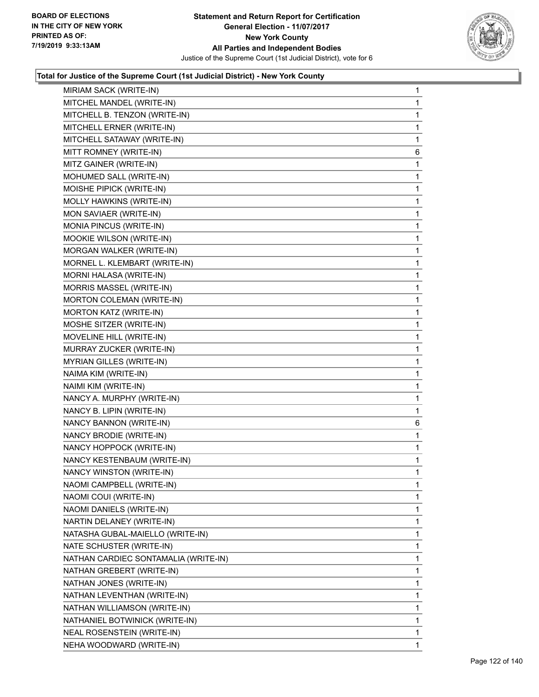

| MIRIAM SACK (WRITE-IN)               | 1            |
|--------------------------------------|--------------|
| MITCHEL MANDEL (WRITE-IN)            | $\mathbf{1}$ |
| MITCHELL B. TENZON (WRITE-IN)        | 1            |
| MITCHELL ERNER (WRITE-IN)            | 1            |
| MITCHELL SATAWAY (WRITE-IN)          | 1            |
| MITT ROMNEY (WRITE-IN)               | 6            |
| MITZ GAINER (WRITE-IN)               | 1            |
| MOHUMED SALL (WRITE-IN)              | 1            |
| MOISHE PIPICK (WRITE-IN)             | 1            |
| MOLLY HAWKINS (WRITE-IN)             | 1            |
| MON SAVIAER (WRITE-IN)               | 1            |
| MONIA PINCUS (WRITE-IN)              | 1            |
| MOOKIE WILSON (WRITE-IN)             | 1            |
| MORGAN WALKER (WRITE-IN)             | 1            |
| MORNEL L. KLEMBART (WRITE-IN)        | 1            |
| MORNI HALASA (WRITE-IN)              | 1            |
| MORRIS MASSEL (WRITE-IN)             | 1            |
| MORTON COLEMAN (WRITE-IN)            | 1            |
| <b>MORTON KATZ (WRITE-IN)</b>        | 1            |
| MOSHE SITZER (WRITE-IN)              | 1            |
| MOVELINE HILL (WRITE-IN)             | 1            |
| MURRAY ZUCKER (WRITE-IN)             | 1            |
| MYRIAN GILLES (WRITE-IN)             | 1            |
| NAIMA KIM (WRITE-IN)                 | 1            |
| NAIMI KIM (WRITE-IN)                 | 1            |
| NANCY A. MURPHY (WRITE-IN)           | 1            |
| NANCY B. LIPIN (WRITE-IN)            | 1            |
| NANCY BANNON (WRITE-IN)              | 6            |
| NANCY BRODIE (WRITE-IN)              | $\mathbf{1}$ |
| NANCY HOPPOCK (WRITE-IN)             | 1            |
| NANCY KESTENBAUM (WRITE-IN)          | 1            |
| NANCY WINSTON (WRITE-IN)             | 1            |
| NAOMI CAMPBELL (WRITE-IN)            | 1            |
| NAOMI COUI (WRITE-IN)                | 1            |
| NAOMI DANIELS (WRITE-IN)             | 1            |
| NARTIN DELANEY (WRITE-IN)            | 1            |
| NATASHA GUBAL-MAIELLO (WRITE-IN)     | 1            |
| NATE SCHUSTER (WRITE-IN)             | 1            |
| NATHAN CARDIEC SONTAMALIA (WRITE-IN) | 1            |
| NATHAN GREBERT (WRITE-IN)            | 1            |
| NATHAN JONES (WRITE-IN)              | 1            |
| NATHAN LEVENTHAN (WRITE-IN)          | 1            |
| NATHAN WILLIAMSON (WRITE-IN)         | 1            |
| NATHANIEL BOTWINICK (WRITE-IN)       | 1            |
| NEAL ROSENSTEIN (WRITE-IN)           | 1            |
|                                      |              |
| NEHA WOODWARD (WRITE-IN)             | $\mathbf{1}$ |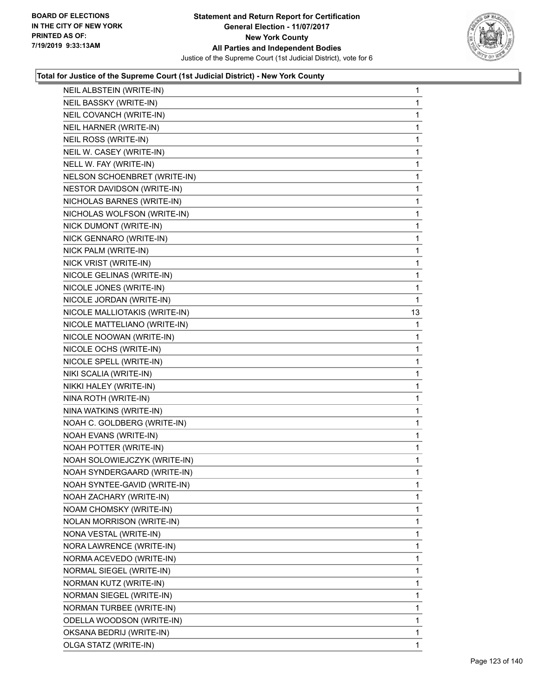

| NEIL ALBSTEIN (WRITE-IN)      | $\mathbf{1}$ |
|-------------------------------|--------------|
| NEIL BASSKY (WRITE-IN)        | 1            |
| NEIL COVANCH (WRITE-IN)       | 1            |
| NEIL HARNER (WRITE-IN)        | 1            |
| NEIL ROSS (WRITE-IN)          | 1            |
| NEIL W. CASEY (WRITE-IN)      | 1            |
| NELL W. FAY (WRITE-IN)        | 1            |
| NELSON SCHOENBRET (WRITE-IN)  | 1            |
| NESTOR DAVIDSON (WRITE-IN)    | 1            |
| NICHOLAS BARNES (WRITE-IN)    | 1            |
| NICHOLAS WOLFSON (WRITE-IN)   | 1            |
| NICK DUMONT (WRITE-IN)        | 1            |
| NICK GENNARO (WRITE-IN)       | 1            |
| NICK PALM (WRITE-IN)          | 1            |
| NICK VRIST (WRITE-IN)         | 1            |
| NICOLE GELINAS (WRITE-IN)     | 1            |
| NICOLE JONES (WRITE-IN)       | 1            |
| NICOLE JORDAN (WRITE-IN)      | 1            |
| NICOLE MALLIOTAKIS (WRITE-IN) | 13           |
| NICOLE MATTELIANO (WRITE-IN)  | 1            |
| NICOLE NOOWAN (WRITE-IN)      | 1            |
| NICOLE OCHS (WRITE-IN)        | 1            |
| NICOLE SPELL (WRITE-IN)       | 1            |
| NIKI SCALIA (WRITE-IN)        | 1            |
| NIKKI HALEY (WRITE-IN)        | 1            |
| NINA ROTH (WRITE-IN)          | 1            |
| NINA WATKINS (WRITE-IN)       | 1            |
| NOAH C. GOLDBERG (WRITE-IN)   | 1            |
| NOAH EVANS (WRITE-IN)         | 1            |
| NOAH POTTER (WRITE-IN)        | 1            |
| NOAH SOLOWIEJCZYK (WRITE-IN)  | 1            |
| NOAH SYNDERGAARD (WRITE-IN)   | 1            |
| NOAH SYNTEE-GAVID (WRITE-IN)  | 1            |
| NOAH ZACHARY (WRITE-IN)       | 1            |
| NOAM CHOMSKY (WRITE-IN)       | 1            |
| NOLAN MORRISON (WRITE-IN)     | 1            |
| NONA VESTAL (WRITE-IN)        | 1            |
| NORA LAWRENCE (WRITE-IN)      | 1            |
| NORMA ACEVEDO (WRITE-IN)      | 1            |
| NORMAL SIEGEL (WRITE-IN)      | 1            |
| NORMAN KUTZ (WRITE-IN)        | 1            |
| NORMAN SIEGEL (WRITE-IN)      | 1            |
| NORMAN TURBEE (WRITE-IN)      | 1            |
| ODELLA WOODSON (WRITE-IN)     | 1            |
| OKSANA BEDRIJ (WRITE-IN)      | 1            |
| OLGA STATZ (WRITE-IN)         | 1            |
|                               |              |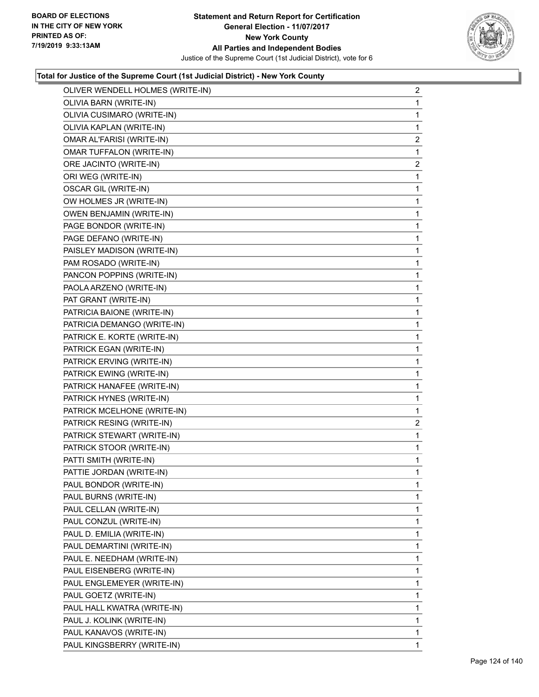

| OLIVER WENDELL HOLMES (WRITE-IN) | $\overline{c}$ |
|----------------------------------|----------------|
| OLIVIA BARN (WRITE-IN)           | 1              |
| OLIVIA CUSIMARO (WRITE-IN)       | 1              |
| OLIVIA KAPLAN (WRITE-IN)         | 1              |
| OMAR AL'FARISI (WRITE-IN)        | $\overline{c}$ |
| <b>OMAR TUFFALON (WRITE-IN)</b>  | $\mathbf{1}$   |
| ORE JACINTO (WRITE-IN)           | $\overline{c}$ |
| ORI WEG (WRITE-IN)               | 1              |
| OSCAR GIL (WRITE-IN)             | 1              |
| OW HOLMES JR (WRITE-IN)          | 1              |
| OWEN BENJAMIN (WRITE-IN)         | $\mathbf{1}$   |
| PAGE BONDOR (WRITE-IN)           | 1              |
| PAGE DEFANO (WRITE-IN)           | 1              |
| PAISLEY MADISON (WRITE-IN)       | $\mathbf{1}$   |
| PAM ROSADO (WRITE-IN)            | 1              |
| PANCON POPPINS (WRITE-IN)        | 1              |
| PAOLA ARZENO (WRITE-IN)          | $\mathbf{1}$   |
| PAT GRANT (WRITE-IN)             | 1              |
| PATRICIA BAIONE (WRITE-IN)       | 1              |
| PATRICIA DEMANGO (WRITE-IN)      | $\mathbf{1}$   |
| PATRICK E. KORTE (WRITE-IN)      | 1              |
| PATRICK EGAN (WRITE-IN)          | 1              |
| PATRICK ERVING (WRITE-IN)        | $\mathbf{1}$   |
| PATRICK EWING (WRITE-IN)         | 1              |
| PATRICK HANAFEE (WRITE-IN)       | 1              |
| PATRICK HYNES (WRITE-IN)         | $\mathbf{1}$   |
| PATRICK MCELHONE (WRITE-IN)      | 1              |
| PATRICK RESING (WRITE-IN)        | 2              |
| PATRICK STEWART (WRITE-IN)       | $\mathbf{1}$   |
| PATRICK STOOR (WRITE-IN)         | 1              |
| PATTI SMITH (WRITE-IN)           | 1              |
| PATTIE JORDAN (WRITE-IN)         | $\mathbf{1}$   |
| PAUL BONDOR (WRITE-IN)           | 1              |
| PAUL BURNS (WRITE-IN)            | 1              |
| PAUL CELLAN (WRITE-IN)           | 1              |
| PAUL CONZUL (WRITE-IN)           | 1              |
| PAUL D. EMILIA (WRITE-IN)        | 1              |
| PAUL DEMARTINI (WRITE-IN)        | 1              |
| PAUL E. NEEDHAM (WRITE-IN)       | 1              |
| PAUL EISENBERG (WRITE-IN)        | 1              |
| PAUL ENGLEMEYER (WRITE-IN)       | 1              |
| PAUL GOETZ (WRITE-IN)            | 1              |
| PAUL HALL KWATRA (WRITE-IN)      | 1              |
| PAUL J. KOLINK (WRITE-IN)        | 1              |
| PAUL KANAVOS (WRITE-IN)          | 1              |
| PAUL KINGSBERRY (WRITE-IN)       | 1              |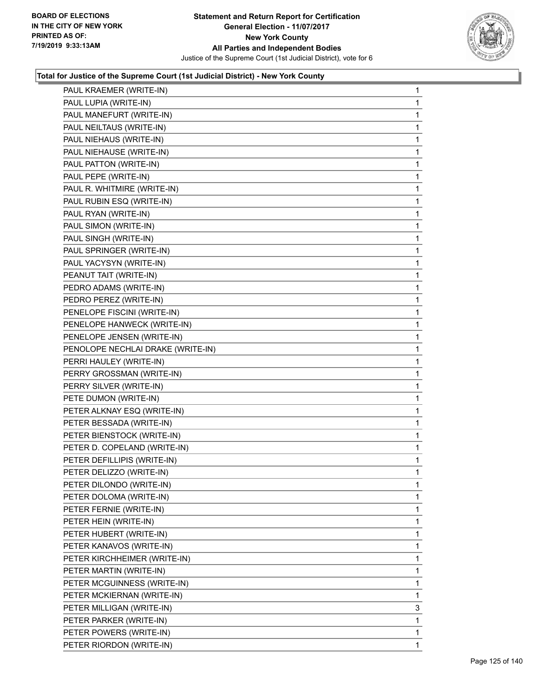

| PAUL KRAEMER (WRITE-IN)           | 1           |
|-----------------------------------|-------------|
| PAUL LUPIA (WRITE-IN)             | 1           |
| PAUL MANEFURT (WRITE-IN)          | 1           |
| PAUL NEILTAUS (WRITE-IN)          | 1           |
| PAUL NIEHAUS (WRITE-IN)           | 1           |
| PAUL NIEHAUSE (WRITE-IN)          | 1           |
| PAUL PATTON (WRITE-IN)            | 1           |
| PAUL PEPE (WRITE-IN)              | 1           |
| PAUL R. WHITMIRE (WRITE-IN)       | 1           |
| PAUL RUBIN ESQ (WRITE-IN)         | 1           |
| PAUL RYAN (WRITE-IN)              | 1           |
| PAUL SIMON (WRITE-IN)             | 1           |
| PAUL SINGH (WRITE-IN)             | 1           |
| PAUL SPRINGER (WRITE-IN)          | 1           |
| PAUL YACYSYN (WRITE-IN)           | 1           |
| PEANUT TAIT (WRITE-IN)            | 1           |
| PEDRO ADAMS (WRITE-IN)            | 1           |
| PEDRO PEREZ (WRITE-IN)            | 1           |
| PENELOPE FISCINI (WRITE-IN)       | 1           |
| PENELOPE HANWECK (WRITE-IN)       | 1           |
| PENELOPE JENSEN (WRITE-IN)        | 1           |
| PENOLOPE NECHLAI DRAKE (WRITE-IN) | $\mathbf 1$ |
| PERRI HAULEY (WRITE-IN)           | 1           |
| PERRY GROSSMAN (WRITE-IN)         | 1           |
| PERRY SILVER (WRITE-IN)           | 1           |
| PETE DUMON (WRITE-IN)             | 1           |
| PETER ALKNAY ESQ (WRITE-IN)       | 1           |
| PETER BESSADA (WRITE-IN)          | 1           |
| PETER BIENSTOCK (WRITE-IN)        | 1           |
| PETER D. COPELAND (WRITE-IN)      | 1           |
| PETER DEFILLIPIS (WRITE-IN)       | 1           |
| PETER DELIZZO (WRITE-IN)          | 1           |
| PETER DILONDO (WRITE-IN)          | 1           |
| PETER DOLOMA (WRITE-IN)           | 1           |
| PETER FERNIE (WRITE-IN)           | 1           |
| PETER HEIN (WRITE-IN)             | 1           |
| PETER HUBERT (WRITE-IN)           | 1           |
| PETER KANAVOS (WRITE-IN)          | 1           |
| PETER KIRCHHEIMER (WRITE-IN)      | 1           |
| PETER MARTIN (WRITE-IN)           | 1           |
| PETER MCGUINNESS (WRITE-IN)       | 1           |
| PETER MCKIERNAN (WRITE-IN)        | 1           |
| PETER MILLIGAN (WRITE-IN)         | 3           |
| PETER PARKER (WRITE-IN)           | 1           |
| PETER POWERS (WRITE-IN)           | 1           |
| PETER RIORDON (WRITE-IN)          | 1           |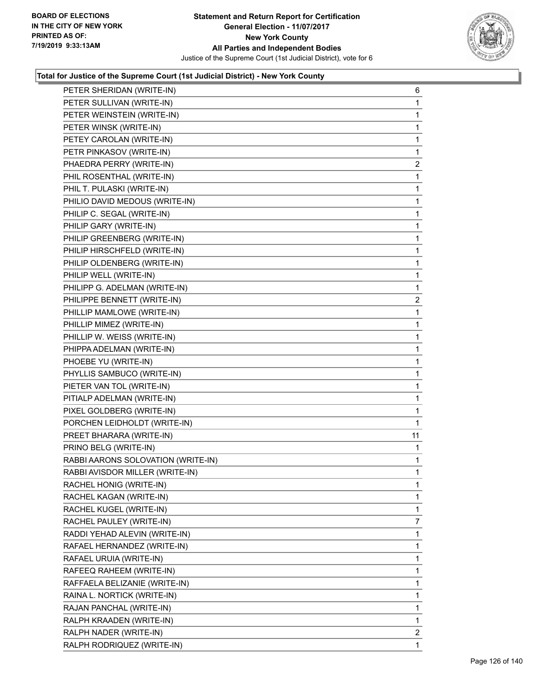

| PETER SHERIDAN (WRITE-IN)          | 6              |
|------------------------------------|----------------|
| PETER SULLIVAN (WRITE-IN)          | 1              |
| PETER WEINSTEIN (WRITE-IN)         | 1              |
| PETER WINSK (WRITE-IN)             | 1              |
| PETEY CAROLAN (WRITE-IN)           | 1              |
| PETR PINKASOV (WRITE-IN)           | $\mathbf{1}$   |
| PHAEDRA PERRY (WRITE-IN)           | $\overline{2}$ |
| PHIL ROSENTHAL (WRITE-IN)          | 1              |
| PHIL T. PULASKI (WRITE-IN)         | 1              |
| PHILIO DAVID MEDOUS (WRITE-IN)     | 1              |
| PHILIP C. SEGAL (WRITE-IN)         | 1              |
| PHILIP GARY (WRITE-IN)             | 1              |
| PHILIP GREENBERG (WRITE-IN)        | 1              |
| PHILIP HIRSCHFELD (WRITE-IN)       | 1              |
| PHILIP OLDENBERG (WRITE-IN)        | 1              |
| PHILIP WELL (WRITE-IN)             | 1              |
| PHILIPP G. ADELMAN (WRITE-IN)      | 1              |
| PHILIPPE BENNETT (WRITE-IN)        | $\overline{2}$ |
| PHILLIP MAMLOWE (WRITE-IN)         | 1              |
| PHILLIP MIMEZ (WRITE-IN)           | 1              |
| PHILLIP W. WEISS (WRITE-IN)        | 1              |
| PHIPPA ADELMAN (WRITE-IN)          | 1              |
| PHOEBE YU (WRITE-IN)               | 1              |
| PHYLLIS SAMBUCO (WRITE-IN)         | 1              |
| PIETER VAN TOL (WRITE-IN)          | 1              |
| PITIALP ADELMAN (WRITE-IN)         | 1              |
| PIXEL GOLDBERG (WRITE-IN)          | 1              |
| PORCHEN LEIDHOLDT (WRITE-IN)       | 1              |
| PREET BHARARA (WRITE-IN)           | 11             |
| PRINO BELG (WRITE-IN)              | 1              |
| RABBI AARONS SOLOVATION (WRITE-IN) | 1              |
| RABBI AVISDOR MILLER (WRITE-IN)    | 1              |
| RACHEL HONIG (WRITE-IN)            | 1              |
| RACHEL KAGAN (WRITE-IN)            | 1              |
| RACHEL KUGEL (WRITE-IN)            | 1              |
| RACHEL PAULEY (WRITE-IN)           | 7              |
| RADDI YEHAD ALEVIN (WRITE-IN)      | 1              |
| RAFAEL HERNANDEZ (WRITE-IN)        | 1              |
| RAFAEL URUIA (WRITE-IN)            | 1              |
| RAFEEQ RAHEEM (WRITE-IN)           | 1              |
| RAFFAELA BELIZANIE (WRITE-IN)      | 1              |
| RAINA L. NORTICK (WRITE-IN)        | 1              |
| RAJAN PANCHAL (WRITE-IN)           | 1              |
| RALPH KRAADEN (WRITE-IN)           | 1              |
| RALPH NADER (WRITE-IN)             | 2              |
| RALPH RODRIQUEZ (WRITE-IN)         | 1              |
|                                    |                |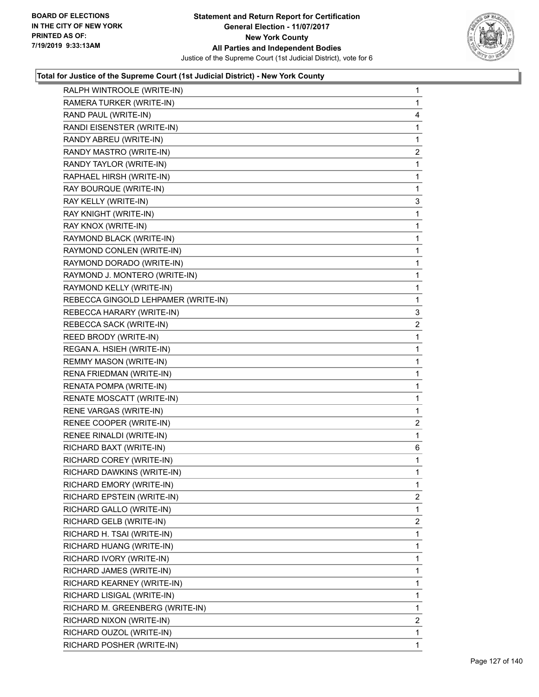

| RALPH WINTROOLE (WRITE-IN)          | 1              |
|-------------------------------------|----------------|
| RAMERA TURKER (WRITE-IN)            | 1              |
| RAND PAUL (WRITE-IN)                | 4              |
| RANDI EISENSTER (WRITE-IN)          | 1              |
| RANDY ABREU (WRITE-IN)              | 1              |
| RANDY MASTRO (WRITE-IN)             | $\overline{2}$ |
| RANDY TAYLOR (WRITE-IN)             | 1              |
| RAPHAEL HIRSH (WRITE-IN)            | 1              |
| RAY BOURQUE (WRITE-IN)              | 1              |
| RAY KELLY (WRITE-IN)                | 3              |
| RAY KNIGHT (WRITE-IN)               | 1              |
| RAY KNOX (WRITE-IN)                 | 1              |
| RAYMOND BLACK (WRITE-IN)            | 1              |
| RAYMOND CONLEN (WRITE-IN)           | 1              |
| RAYMOND DORADO (WRITE-IN)           | 1              |
| RAYMOND J. MONTERO (WRITE-IN)       | 1              |
| RAYMOND KELLY (WRITE-IN)            | 1              |
| REBECCA GINGOLD LEHPAMER (WRITE-IN) | 1              |
| REBECCA HARARY (WRITE-IN)           | 3              |
| REBECCA SACK (WRITE-IN)             | $\overline{c}$ |
| REED BRODY (WRITE-IN)               | 1              |
| REGAN A. HSIEH (WRITE-IN)           | 1              |
| REMMY MASON (WRITE-IN)              | 1              |
| RENA FRIEDMAN (WRITE-IN)            | 1              |
| RENATA POMPA (WRITE-IN)             | 1              |
| RENATE MOSCATT (WRITE-IN)           | 1              |
| RENE VARGAS (WRITE-IN)              | 1              |
| RENEE COOPER (WRITE-IN)             | $\overline{c}$ |
| RENEE RINALDI (WRITE-IN)            | 1              |
| RICHARD BAXT (WRITE-IN)             | 6              |
| RICHARD COREY (WRITE-IN)            | 1              |
| RICHARD DAWKINS (WRITE-IN)          | $\mathbf 1$    |
| RICHARD EMORY (WRITE-IN)            | 1              |
| RICHARD EPSTEIN (WRITE-IN)          | $\mathbf{2}$   |
| RICHARD GALLO (WRITE-IN)            | 1              |
| RICHARD GELB (WRITE-IN)             | $\overline{2}$ |
| RICHARD H. TSAI (WRITE-IN)          | 1              |
| RICHARD HUANG (WRITE-IN)            | 1              |
| RICHARD IVORY (WRITE-IN)            | 1              |
| RICHARD JAMES (WRITE-IN)            | 1              |
| RICHARD KEARNEY (WRITE-IN)          | 1              |
| RICHARD LISIGAL (WRITE-IN)          | 1              |
| RICHARD M. GREENBERG (WRITE-IN)     | 1              |
| RICHARD NIXON (WRITE-IN)            | $\overline{2}$ |
| RICHARD OUZOL (WRITE-IN)            | 1              |
| RICHARD POSHER (WRITE-IN)           | 1              |
|                                     |                |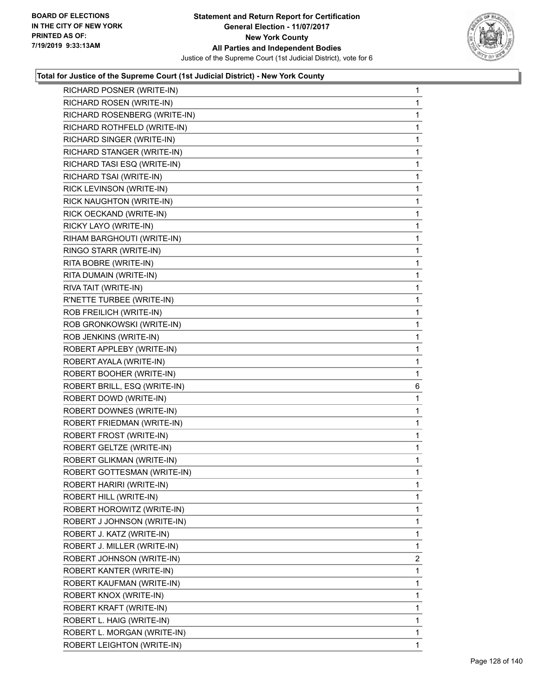

| RICHARD ROSEN (WRITE-IN)<br>1<br>RICHARD ROSENBERG (WRITE-IN)<br>1<br>RICHARD ROTHFELD (WRITE-IN)<br>1<br>RICHARD SINGER (WRITE-IN)<br>1<br>RICHARD STANGER (WRITE-IN)<br>1<br>RICHARD TASI ESQ (WRITE-IN)<br>1<br>RICHARD TSAI (WRITE-IN)<br>1<br>RICK LEVINSON (WRITE-IN)<br>1<br>RICK NAUGHTON (WRITE-IN)<br>1<br>RICK OECKAND (WRITE-IN)<br>1<br>RICKY LAYO (WRITE-IN)<br>1<br>RIHAM BARGHOUTI (WRITE-IN)<br>1<br>RINGO STARR (WRITE-IN)<br>1<br>RITA BOBRE (WRITE-IN)<br>1<br>RITA DUMAIN (WRITE-IN)<br>1<br>RIVA TAIT (WRITE-IN)<br>1<br>R'NETTE TURBEE (WRITE-IN)<br>1<br>ROB FREILICH (WRITE-IN)<br>1<br>ROB GRONKOWSKI (WRITE-IN)<br>1<br>ROB JENKINS (WRITE-IN)<br>1<br>ROBERT APPLEBY (WRITE-IN)<br>1<br>ROBERT AYALA (WRITE-IN)<br>1<br>ROBERT BOOHER (WRITE-IN)<br>1<br>ROBERT BRILL, ESQ (WRITE-IN)<br>6<br>ROBERT DOWD (WRITE-IN)<br>1<br>ROBERT DOWNES (WRITE-IN)<br>1<br>ROBERT FRIEDMAN (WRITE-IN)<br>1<br>ROBERT FROST (WRITE-IN)<br>1<br>ROBERT GELTZE (WRITE-IN)<br>1<br>ROBERT GLIKMAN (WRITE-IN)<br>1<br>ROBERT GOTTESMAN (WRITE-IN)<br>1<br>1<br>ROBERT HARIRI (WRITE-IN)<br>ROBERT HILL (WRITE-IN)<br>1.<br>ROBERT HOROWITZ (WRITE-IN)<br>1<br>1<br>ROBERT J JOHNSON (WRITE-IN)<br>ROBERT J. KATZ (WRITE-IN)<br>1<br>ROBERT J. MILLER (WRITE-IN)<br>1<br>ROBERT JOHNSON (WRITE-IN)<br>ROBERT KANTER (WRITE-IN)<br>1<br>ROBERT KAUFMAN (WRITE-IN)<br>1<br>1<br>ROBERT KNOX (WRITE-IN)<br>ROBERT KRAFT (WRITE-IN)<br>1<br>ROBERT L. HAIG (WRITE-IN)<br>1<br>$\mathbf{1}$<br>ROBERT L. MORGAN (WRITE-IN)<br>ROBERT LEIGHTON (WRITE-IN)<br>1 |                           |                |
|-------------------------------------------------------------------------------------------------------------------------------------------------------------------------------------------------------------------------------------------------------------------------------------------------------------------------------------------------------------------------------------------------------------------------------------------------------------------------------------------------------------------------------------------------------------------------------------------------------------------------------------------------------------------------------------------------------------------------------------------------------------------------------------------------------------------------------------------------------------------------------------------------------------------------------------------------------------------------------------------------------------------------------------------------------------------------------------------------------------------------------------------------------------------------------------------------------------------------------------------------------------------------------------------------------------------------------------------------------------------------------------------------------------------------------------------------------------------------------------------------------------------------------------------------------------------|---------------------------|----------------|
|                                                                                                                                                                                                                                                                                                                                                                                                                                                                                                                                                                                                                                                                                                                                                                                                                                                                                                                                                                                                                                                                                                                                                                                                                                                                                                                                                                                                                                                                                                                                                                   | RICHARD POSNER (WRITE-IN) | 1              |
|                                                                                                                                                                                                                                                                                                                                                                                                                                                                                                                                                                                                                                                                                                                                                                                                                                                                                                                                                                                                                                                                                                                                                                                                                                                                                                                                                                                                                                                                                                                                                                   |                           |                |
|                                                                                                                                                                                                                                                                                                                                                                                                                                                                                                                                                                                                                                                                                                                                                                                                                                                                                                                                                                                                                                                                                                                                                                                                                                                                                                                                                                                                                                                                                                                                                                   |                           |                |
|                                                                                                                                                                                                                                                                                                                                                                                                                                                                                                                                                                                                                                                                                                                                                                                                                                                                                                                                                                                                                                                                                                                                                                                                                                                                                                                                                                                                                                                                                                                                                                   |                           |                |
|                                                                                                                                                                                                                                                                                                                                                                                                                                                                                                                                                                                                                                                                                                                                                                                                                                                                                                                                                                                                                                                                                                                                                                                                                                                                                                                                                                                                                                                                                                                                                                   |                           |                |
|                                                                                                                                                                                                                                                                                                                                                                                                                                                                                                                                                                                                                                                                                                                                                                                                                                                                                                                                                                                                                                                                                                                                                                                                                                                                                                                                                                                                                                                                                                                                                                   |                           |                |
|                                                                                                                                                                                                                                                                                                                                                                                                                                                                                                                                                                                                                                                                                                                                                                                                                                                                                                                                                                                                                                                                                                                                                                                                                                                                                                                                                                                                                                                                                                                                                                   |                           |                |
|                                                                                                                                                                                                                                                                                                                                                                                                                                                                                                                                                                                                                                                                                                                                                                                                                                                                                                                                                                                                                                                                                                                                                                                                                                                                                                                                                                                                                                                                                                                                                                   |                           |                |
|                                                                                                                                                                                                                                                                                                                                                                                                                                                                                                                                                                                                                                                                                                                                                                                                                                                                                                                                                                                                                                                                                                                                                                                                                                                                                                                                                                                                                                                                                                                                                                   |                           |                |
|                                                                                                                                                                                                                                                                                                                                                                                                                                                                                                                                                                                                                                                                                                                                                                                                                                                                                                                                                                                                                                                                                                                                                                                                                                                                                                                                                                                                                                                                                                                                                                   |                           |                |
|                                                                                                                                                                                                                                                                                                                                                                                                                                                                                                                                                                                                                                                                                                                                                                                                                                                                                                                                                                                                                                                                                                                                                                                                                                                                                                                                                                                                                                                                                                                                                                   |                           |                |
|                                                                                                                                                                                                                                                                                                                                                                                                                                                                                                                                                                                                                                                                                                                                                                                                                                                                                                                                                                                                                                                                                                                                                                                                                                                                                                                                                                                                                                                                                                                                                                   |                           |                |
|                                                                                                                                                                                                                                                                                                                                                                                                                                                                                                                                                                                                                                                                                                                                                                                                                                                                                                                                                                                                                                                                                                                                                                                                                                                                                                                                                                                                                                                                                                                                                                   |                           |                |
|                                                                                                                                                                                                                                                                                                                                                                                                                                                                                                                                                                                                                                                                                                                                                                                                                                                                                                                                                                                                                                                                                                                                                                                                                                                                                                                                                                                                                                                                                                                                                                   |                           |                |
|                                                                                                                                                                                                                                                                                                                                                                                                                                                                                                                                                                                                                                                                                                                                                                                                                                                                                                                                                                                                                                                                                                                                                                                                                                                                                                                                                                                                                                                                                                                                                                   |                           |                |
|                                                                                                                                                                                                                                                                                                                                                                                                                                                                                                                                                                                                                                                                                                                                                                                                                                                                                                                                                                                                                                                                                                                                                                                                                                                                                                                                                                                                                                                                                                                                                                   |                           |                |
|                                                                                                                                                                                                                                                                                                                                                                                                                                                                                                                                                                                                                                                                                                                                                                                                                                                                                                                                                                                                                                                                                                                                                                                                                                                                                                                                                                                                                                                                                                                                                                   |                           |                |
|                                                                                                                                                                                                                                                                                                                                                                                                                                                                                                                                                                                                                                                                                                                                                                                                                                                                                                                                                                                                                                                                                                                                                                                                                                                                                                                                                                                                                                                                                                                                                                   |                           |                |
|                                                                                                                                                                                                                                                                                                                                                                                                                                                                                                                                                                                                                                                                                                                                                                                                                                                                                                                                                                                                                                                                                                                                                                                                                                                                                                                                                                                                                                                                                                                                                                   |                           |                |
|                                                                                                                                                                                                                                                                                                                                                                                                                                                                                                                                                                                                                                                                                                                                                                                                                                                                                                                                                                                                                                                                                                                                                                                                                                                                                                                                                                                                                                                                                                                                                                   |                           |                |
|                                                                                                                                                                                                                                                                                                                                                                                                                                                                                                                                                                                                                                                                                                                                                                                                                                                                                                                                                                                                                                                                                                                                                                                                                                                                                                                                                                                                                                                                                                                                                                   |                           |                |
|                                                                                                                                                                                                                                                                                                                                                                                                                                                                                                                                                                                                                                                                                                                                                                                                                                                                                                                                                                                                                                                                                                                                                                                                                                                                                                                                                                                                                                                                                                                                                                   |                           |                |
|                                                                                                                                                                                                                                                                                                                                                                                                                                                                                                                                                                                                                                                                                                                                                                                                                                                                                                                                                                                                                                                                                                                                                                                                                                                                                                                                                                                                                                                                                                                                                                   |                           |                |
|                                                                                                                                                                                                                                                                                                                                                                                                                                                                                                                                                                                                                                                                                                                                                                                                                                                                                                                                                                                                                                                                                                                                                                                                                                                                                                                                                                                                                                                                                                                                                                   |                           |                |
|                                                                                                                                                                                                                                                                                                                                                                                                                                                                                                                                                                                                                                                                                                                                                                                                                                                                                                                                                                                                                                                                                                                                                                                                                                                                                                                                                                                                                                                                                                                                                                   |                           |                |
|                                                                                                                                                                                                                                                                                                                                                                                                                                                                                                                                                                                                                                                                                                                                                                                                                                                                                                                                                                                                                                                                                                                                                                                                                                                                                                                                                                                                                                                                                                                                                                   |                           |                |
|                                                                                                                                                                                                                                                                                                                                                                                                                                                                                                                                                                                                                                                                                                                                                                                                                                                                                                                                                                                                                                                                                                                                                                                                                                                                                                                                                                                                                                                                                                                                                                   |                           |                |
|                                                                                                                                                                                                                                                                                                                                                                                                                                                                                                                                                                                                                                                                                                                                                                                                                                                                                                                                                                                                                                                                                                                                                                                                                                                                                                                                                                                                                                                                                                                                                                   |                           |                |
|                                                                                                                                                                                                                                                                                                                                                                                                                                                                                                                                                                                                                                                                                                                                                                                                                                                                                                                                                                                                                                                                                                                                                                                                                                                                                                                                                                                                                                                                                                                                                                   |                           |                |
|                                                                                                                                                                                                                                                                                                                                                                                                                                                                                                                                                                                                                                                                                                                                                                                                                                                                                                                                                                                                                                                                                                                                                                                                                                                                                                                                                                                                                                                                                                                                                                   |                           |                |
|                                                                                                                                                                                                                                                                                                                                                                                                                                                                                                                                                                                                                                                                                                                                                                                                                                                                                                                                                                                                                                                                                                                                                                                                                                                                                                                                                                                                                                                                                                                                                                   |                           |                |
|                                                                                                                                                                                                                                                                                                                                                                                                                                                                                                                                                                                                                                                                                                                                                                                                                                                                                                                                                                                                                                                                                                                                                                                                                                                                                                                                                                                                                                                                                                                                                                   |                           |                |
|                                                                                                                                                                                                                                                                                                                                                                                                                                                                                                                                                                                                                                                                                                                                                                                                                                                                                                                                                                                                                                                                                                                                                                                                                                                                                                                                                                                                                                                                                                                                                                   |                           |                |
|                                                                                                                                                                                                                                                                                                                                                                                                                                                                                                                                                                                                                                                                                                                                                                                                                                                                                                                                                                                                                                                                                                                                                                                                                                                                                                                                                                                                                                                                                                                                                                   |                           |                |
|                                                                                                                                                                                                                                                                                                                                                                                                                                                                                                                                                                                                                                                                                                                                                                                                                                                                                                                                                                                                                                                                                                                                                                                                                                                                                                                                                                                                                                                                                                                                                                   |                           |                |
|                                                                                                                                                                                                                                                                                                                                                                                                                                                                                                                                                                                                                                                                                                                                                                                                                                                                                                                                                                                                                                                                                                                                                                                                                                                                                                                                                                                                                                                                                                                                                                   |                           |                |
|                                                                                                                                                                                                                                                                                                                                                                                                                                                                                                                                                                                                                                                                                                                                                                                                                                                                                                                                                                                                                                                                                                                                                                                                                                                                                                                                                                                                                                                                                                                                                                   |                           |                |
|                                                                                                                                                                                                                                                                                                                                                                                                                                                                                                                                                                                                                                                                                                                                                                                                                                                                                                                                                                                                                                                                                                                                                                                                                                                                                                                                                                                                                                                                                                                                                                   |                           |                |
|                                                                                                                                                                                                                                                                                                                                                                                                                                                                                                                                                                                                                                                                                                                                                                                                                                                                                                                                                                                                                                                                                                                                                                                                                                                                                                                                                                                                                                                                                                                                                                   |                           | $\overline{2}$ |
|                                                                                                                                                                                                                                                                                                                                                                                                                                                                                                                                                                                                                                                                                                                                                                                                                                                                                                                                                                                                                                                                                                                                                                                                                                                                                                                                                                                                                                                                                                                                                                   |                           |                |
|                                                                                                                                                                                                                                                                                                                                                                                                                                                                                                                                                                                                                                                                                                                                                                                                                                                                                                                                                                                                                                                                                                                                                                                                                                                                                                                                                                                                                                                                                                                                                                   |                           |                |
|                                                                                                                                                                                                                                                                                                                                                                                                                                                                                                                                                                                                                                                                                                                                                                                                                                                                                                                                                                                                                                                                                                                                                                                                                                                                                                                                                                                                                                                                                                                                                                   |                           |                |
|                                                                                                                                                                                                                                                                                                                                                                                                                                                                                                                                                                                                                                                                                                                                                                                                                                                                                                                                                                                                                                                                                                                                                                                                                                                                                                                                                                                                                                                                                                                                                                   |                           |                |
|                                                                                                                                                                                                                                                                                                                                                                                                                                                                                                                                                                                                                                                                                                                                                                                                                                                                                                                                                                                                                                                                                                                                                                                                                                                                                                                                                                                                                                                                                                                                                                   |                           |                |
|                                                                                                                                                                                                                                                                                                                                                                                                                                                                                                                                                                                                                                                                                                                                                                                                                                                                                                                                                                                                                                                                                                                                                                                                                                                                                                                                                                                                                                                                                                                                                                   |                           |                |
|                                                                                                                                                                                                                                                                                                                                                                                                                                                                                                                                                                                                                                                                                                                                                                                                                                                                                                                                                                                                                                                                                                                                                                                                                                                                                                                                                                                                                                                                                                                                                                   |                           |                |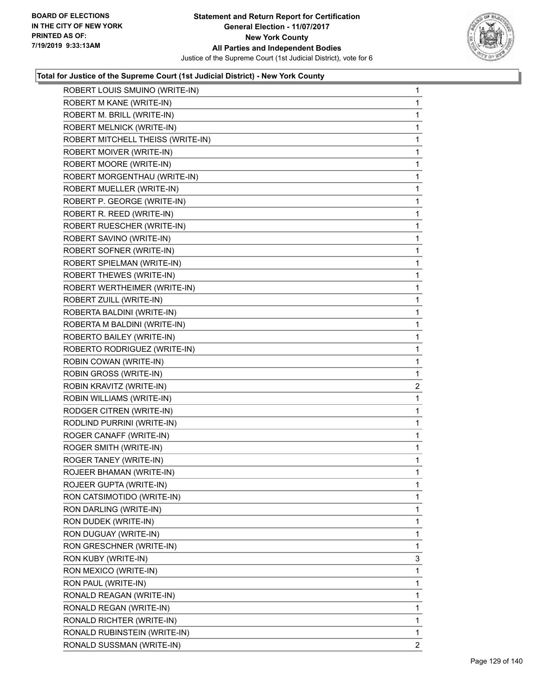

| ROBERT LOUIS SMUINO (WRITE-IN)    | $\mathbf{1}$   |
|-----------------------------------|----------------|
| ROBERT M KANE (WRITE-IN)          | 1              |
| ROBERT M. BRILL (WRITE-IN)        | 1              |
| ROBERT MELNICK (WRITE-IN)         | 1              |
| ROBERT MITCHELL THEISS (WRITE-IN) | 1              |
| ROBERT MOIVER (WRITE-IN)          | 1              |
| ROBERT MOORE (WRITE-IN)           | 1              |
| ROBERT MORGENTHAU (WRITE-IN)      | 1              |
| ROBERT MUELLER (WRITE-IN)         | 1              |
| ROBERT P. GEORGE (WRITE-IN)       | 1              |
| ROBERT R. REED (WRITE-IN)         | 1              |
| ROBERT RUESCHER (WRITE-IN)        | 1              |
| ROBERT SAVINO (WRITE-IN)          | 1              |
| ROBERT SOFNER (WRITE-IN)          | 1              |
| ROBERT SPIELMAN (WRITE-IN)        | 1              |
| <b>ROBERT THEWES (WRITE-IN)</b>   | 1              |
| ROBERT WERTHEIMER (WRITE-IN)      | 1              |
| ROBERT ZUILL (WRITE-IN)           | 1              |
| ROBERTA BALDINI (WRITE-IN)        | 1              |
| ROBERTA M BALDINI (WRITE-IN)      | 1              |
| ROBERTO BAILEY (WRITE-IN)         | 1              |
| ROBERTO RODRIGUEZ (WRITE-IN)      | 1              |
| ROBIN COWAN (WRITE-IN)            | 1              |
| ROBIN GROSS (WRITE-IN)            | 1              |
| ROBIN KRAVITZ (WRITE-IN)          | $\overline{a}$ |
| ROBIN WILLIAMS (WRITE-IN)         | 1              |
| RODGER CITREN (WRITE-IN)          | 1              |
| RODLIND PURRINI (WRITE-IN)        | 1              |
| ROGER CANAFF (WRITE-IN)           | 1              |
| ROGER SMITH (WRITE-IN)            | 1              |
| ROGER TANEY (WRITE-IN)            | 1              |
| ROJEER BHAMAN (WRITE-IN)          | 1              |
| ROJEER GUPTA (WRITE-IN)           | 1              |
| RON CATSIMOTIDO (WRITE-IN)        | 1              |
| RON DARLING (WRITE-IN)            | 1              |
| RON DUDEK (WRITE-IN)              | 1              |
| RON DUGUAY (WRITE-IN)             | 1              |
| RON GRESCHNER (WRITE-IN)          | 1              |
| RON KUBY (WRITE-IN)               | 3              |
| RON MEXICO (WRITE-IN)             | 1              |
| RON PAUL (WRITE-IN)               | 1              |
| RONALD REAGAN (WRITE-IN)          | 1              |
| RONALD REGAN (WRITE-IN)           | 1              |
| RONALD RICHTER (WRITE-IN)         | 1              |
| RONALD RUBINSTEIN (WRITE-IN)      | 1              |
| RONALD SUSSMAN (WRITE-IN)         | $\overline{2}$ |
|                                   |                |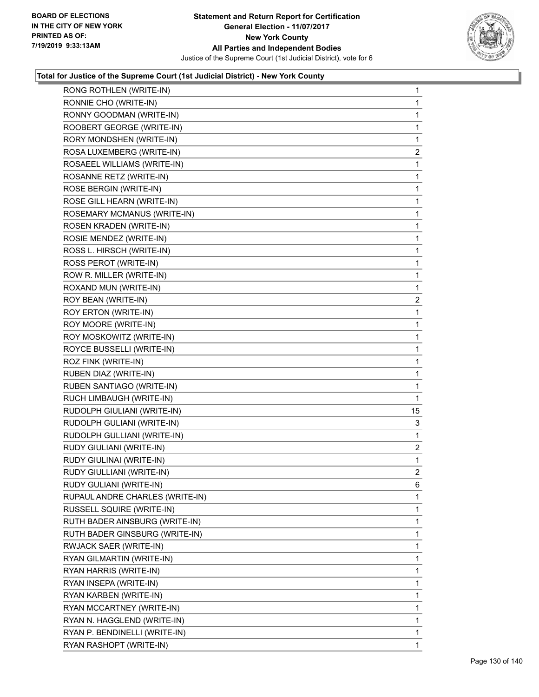

| RONG ROTHLEN (WRITE-IN)         | $\mathbf 1$    |
|---------------------------------|----------------|
| RONNIE CHO (WRITE-IN)           | 1              |
| RONNY GOODMAN (WRITE-IN)        | 1              |
| ROOBERT GEORGE (WRITE-IN)       | 1              |
| RORY MONDSHEN (WRITE-IN)        | 1              |
| ROSA LUXEMBERG (WRITE-IN)       | $\overline{a}$ |
| ROSAEEL WILLIAMS (WRITE-IN)     | 1              |
| ROSANNE RETZ (WRITE-IN)         | 1              |
| ROSE BERGIN (WRITE-IN)          | 1              |
| ROSE GILL HEARN (WRITE-IN)      | 1              |
| ROSEMARY MCMANUS (WRITE-IN)     | 1              |
| ROSEN KRADEN (WRITE-IN)         | 1              |
| ROSIE MENDEZ (WRITE-IN)         | 1              |
| ROSS L. HIRSCH (WRITE-IN)       | 1              |
| ROSS PEROT (WRITE-IN)           | 1              |
| ROW R. MILLER (WRITE-IN)        | 1              |
| ROXAND MUN (WRITE-IN)           | 1              |
| ROY BEAN (WRITE-IN)             | $\mathbf{2}$   |
| ROY ERTON (WRITE-IN)            | 1              |
| ROY MOORE (WRITE-IN)            | 1              |
| ROY MOSKOWITZ (WRITE-IN)        | 1              |
| ROYCE BUSSELLI (WRITE-IN)       | 1              |
| ROZ FINK (WRITE-IN)             | 1              |
|                                 |                |
| RUBEN DIAZ (WRITE-IN)           | 1              |
| RUBEN SANTIAGO (WRITE-IN)       | 1              |
| RUCH LIMBAUGH (WRITE-IN)        | 1              |
| RUDOLPH GIULIANI (WRITE-IN)     | 15             |
| RUDOLPH GULIANI (WRITE-IN)      | 3              |
| RUDOLPH GULLIANI (WRITE-IN)     | 1              |
| RUDY GIULIANI (WRITE-IN)        | $\mathbf{2}$   |
| RUDY GIULINAI (WRITE-IN)        | 1              |
| RUDY GIULLIANI (WRITE-IN)       | $\overline{2}$ |
| RUDY GULIANI (WRITE-IN)         | 6              |
| RUPAUL ANDRE CHARLES (WRITE-IN) | 1              |
| RUSSELL SQUIRE (WRITE-IN)       | 1              |
| RUTH BADER AINSBURG (WRITE-IN)  | 1              |
| RUTH BADER GINSBURG (WRITE-IN)  | 1              |
| RWJACK SAER (WRITE-IN)          | 1              |
| RYAN GILMARTIN (WRITE-IN)       | 1              |
| RYAN HARRIS (WRITE-IN)          | 1              |
| RYAN INSEPA (WRITE-IN)          | 1              |
| RYAN KARBEN (WRITE-IN)          | 1              |
| RYAN MCCARTNEY (WRITE-IN)       | 1              |
| RYAN N. HAGGLEND (WRITE-IN)     | 1              |
| RYAN P. BENDINELLI (WRITE-IN)   | 1              |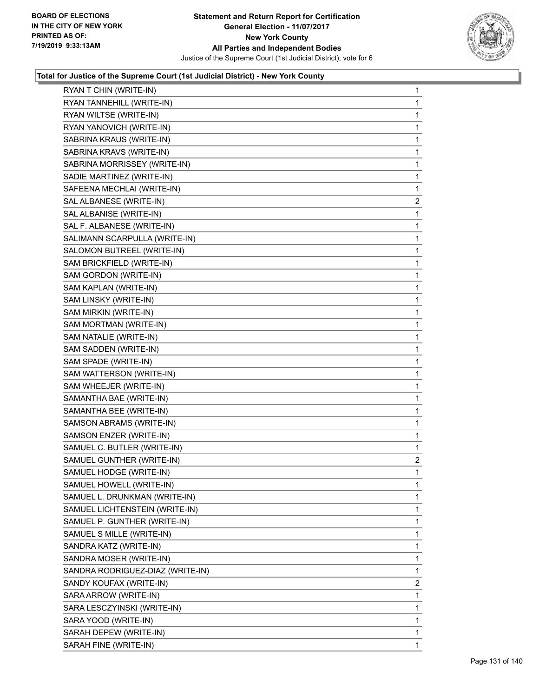

| RYAN T CHIN (WRITE-IN)           | $\mathbf{1}$   |
|----------------------------------|----------------|
| RYAN TANNEHILL (WRITE-IN)        | 1              |
| RYAN WILTSE (WRITE-IN)           | 1              |
| RYAN YANOVICH (WRITE-IN)         | 1              |
| SABRINA KRAUS (WRITE-IN)         | 1              |
| SABRINA KRAVS (WRITE-IN)         | 1              |
| SABRINA MORRISSEY (WRITE-IN)     | 1              |
| SADIE MARTINEZ (WRITE-IN)        | 1              |
| SAFEENA MECHLAI (WRITE-IN)       | 1              |
| SAL ALBANESE (WRITE-IN)          | $\overline{c}$ |
| SAL ALBANISE (WRITE-IN)          | 1              |
| SAL F. ALBANESE (WRITE-IN)       | 1              |
| SALIMANN SCARPULLA (WRITE-IN)    | 1              |
| SALOMON BUTREEL (WRITE-IN)       | 1              |
| SAM BRICKFIELD (WRITE-IN)        | 1              |
| SAM GORDON (WRITE-IN)            | 1              |
| SAM KAPLAN (WRITE-IN)            | 1              |
| SAM LINSKY (WRITE-IN)            | 1              |
| SAM MIRKIN (WRITE-IN)            | 1              |
| SAM MORTMAN (WRITE-IN)           | 1              |
| SAM NATALIE (WRITE-IN)           | 1              |
| SAM SADDEN (WRITE-IN)            | 1              |
| SAM SPADE (WRITE-IN)             | 1              |
| SAM WATTERSON (WRITE-IN)         | 1              |
| SAM WHEEJER (WRITE-IN)           | 1              |
| SAMANTHA BAE (WRITE-IN)          | 1              |
| SAMANTHA BEE (WRITE-IN)          | 1              |
| SAMSON ABRAMS (WRITE-IN)         | 1              |
| SAMSON ENZER (WRITE-IN)          | 1              |
| SAMUEL C. BUTLER (WRITE-IN)      | 1              |
| SAMUEL GUNTHER (WRITE-IN)        | $\overline{2}$ |
| SAMUEL HODGE (WRITE-IN)          | 1              |
| SAMUEL HOWELL (WRITE-IN)         | 1              |
| SAMUEL L. DRUNKMAN (WRITE-IN)    | 1              |
| SAMUEL LICHTENSTEIN (WRITE-IN)   | 1              |
| SAMUEL P. GUNTHER (WRITE-IN)     | 1              |
| SAMUEL S MILLE (WRITE-IN)        | 1              |
| SANDRA KATZ (WRITE-IN)           | 1              |
| SANDRA MOSER (WRITE-IN)          | 1              |
| SANDRA RODRIGUEZ-DIAZ (WRITE-IN) | 1              |
| SANDY KOUFAX (WRITE-IN)          | 2              |
| SARA ARROW (WRITE-IN)            | 1              |
| SARA LESCZYINSKI (WRITE-IN)      | 1              |
| SARA YOOD (WRITE-IN)             | 1              |
| SARAH DEPEW (WRITE-IN)           | 1              |
| SARAH FINE (WRITE-IN)            | 1              |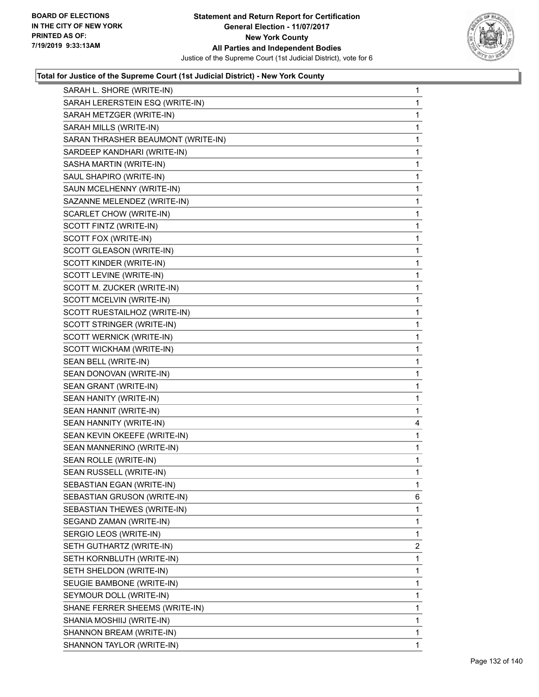

| SARAH L. SHORE (WRITE-IN)          | $\mathbf{1}$ |
|------------------------------------|--------------|
| SARAH LERERSTEIN ESQ (WRITE-IN)    | $\mathbf{1}$ |
| SARAH METZGER (WRITE-IN)           | 1            |
| SARAH MILLS (WRITE-IN)             | 1            |
| SARAN THRASHER BEAUMONT (WRITE-IN) | 1            |
| SARDEEP KANDHARI (WRITE-IN)        | 1            |
| SASHA MARTIN (WRITE-IN)            | 1            |
| SAUL SHAPIRO (WRITE-IN)            | $\mathbf{1}$ |
| SAUN MCELHENNY (WRITE-IN)          | 1            |
| SAZANNE MELENDEZ (WRITE-IN)        | $\mathbf 1$  |
| SCARLET CHOW (WRITE-IN)            | 1            |
| SCOTT FINTZ (WRITE-IN)             | 1            |
| SCOTT FOX (WRITE-IN)               | 1            |
| SCOTT GLEASON (WRITE-IN)           | $\mathbf{1}$ |
| SCOTT KINDER (WRITE-IN)            | 1            |
| SCOTT LEVINE (WRITE-IN)            | $\mathbf 1$  |
| SCOTT M. ZUCKER (WRITE-IN)         | 1            |
| SCOTT MCELVIN (WRITE-IN)           | 1            |
| SCOTT RUESTAILHOZ (WRITE-IN)       | 1            |
| SCOTT STRINGER (WRITE-IN)          | $\mathbf{1}$ |
| SCOTT WERNICK (WRITE-IN)           | 1            |
| SCOTT WICKHAM (WRITE-IN)           | $\mathbf 1$  |
| SEAN BELL (WRITE-IN)               | 1            |
| SEAN DONOVAN (WRITE-IN)            | 1            |
| SEAN GRANT (WRITE-IN)              | 1            |
| SEAN HANITY (WRITE-IN)             | $\mathbf 1$  |
| SEAN HANNIT (WRITE-IN)             | 1            |
| SEAN HANNITY (WRITE-IN)            | 4            |
| SEAN KEVIN OKEEFE (WRITE-IN)       | 1            |
| SEAN MANNERINO (WRITE-IN)          | 1            |
| SEAN ROLLE (WRITE-IN)              | 1            |
| SEAN RUSSELL (WRITE-IN)            | $\mathbf{1}$ |
| SEBASTIAN EGAN (WRITE-IN)          | 1            |
| SEBASTIAN GRUSON (WRITE-IN)        | 6            |
| SEBASTIAN THEWES (WRITE-IN)        | 1            |
| SEGAND ZAMAN (WRITE-IN)            | 1            |
| SERGIO LEOS (WRITE-IN)             | 1            |
| SETH GUTHARTZ (WRITE-IN)           | 2            |
| SETH KORNBLUTH (WRITE-IN)          | 1            |
| SETH SHELDON (WRITE-IN)            | 1            |
| SEUGIE BAMBONE (WRITE-IN)          | 1            |
| SEYMOUR DOLL (WRITE-IN)            | 1            |
| SHANE FERRER SHEEMS (WRITE-IN)     | 1            |
| SHANIA MOSHIIJ (WRITE-IN)          | 1            |
| SHANNON BREAM (WRITE-IN)           | 1            |
| SHANNON TAYLOR (WRITE-IN)          | 1            |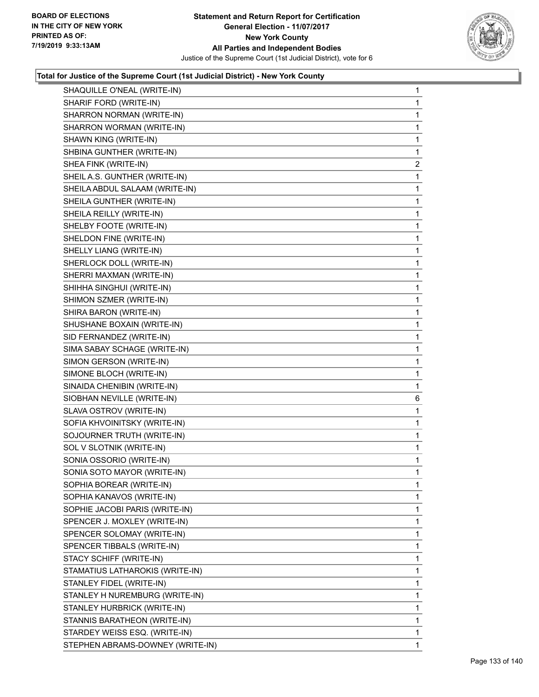

| SHAQUILLE O'NEAL (WRITE-IN)     | 1              |
|---------------------------------|----------------|
| SHARIF FORD (WRITE-IN)          | 1              |
| SHARRON NORMAN (WRITE-IN)       | 1              |
| SHARRON WORMAN (WRITE-IN)       | 1              |
| SHAWN KING (WRITE-IN)           | $\mathbf{1}$   |
| SHBINA GUNTHER (WRITE-IN)       | $\mathbf{1}$   |
| SHEA FINK (WRITE-IN)            | $\overline{2}$ |
| SHEIL A.S. GUNTHER (WRITE-IN)   | 1              |
| SHEILA ABDUL SALAAM (WRITE-IN)  | 1              |
| SHEILA GUNTHER (WRITE-IN)       | 1              |
| SHEILA REILLY (WRITE-IN)        | 1              |
| SHELBY FOOTE (WRITE-IN)         | 1              |
| SHELDON FINE (WRITE-IN)         | 1              |
| SHELLY LIANG (WRITE-IN)         | $\mathbf{1}$   |
| SHERLOCK DOLL (WRITE-IN)        | 1              |
| SHERRI MAXMAN (WRITE-IN)        | 1              |
| SHIHHA SINGHUI (WRITE-IN)       | 1              |
| SHIMON SZMER (WRITE-IN)         | 1              |
| SHIRA BARON (WRITE-IN)          | 1              |
| SHUSHANE BOXAIN (WRITE-IN)      | $\mathbf{1}$   |
| SID FERNANDEZ (WRITE-IN)        | 1              |
| SIMA SABAY SCHAGE (WRITE-IN)    | 1              |
| SIMON GERSON (WRITE-IN)         | 1              |
|                                 |                |
| SIMONE BLOCH (WRITE-IN)         | 1              |
| SINAIDA CHENIBIN (WRITE-IN)     | 1              |
| SIOBHAN NEVILLE (WRITE-IN)      | 6              |
| SLAVA OSTROV (WRITE-IN)         | 1              |
| SOFIA KHVOINITSKY (WRITE-IN)    | 1              |
| SOJOURNER TRUTH (WRITE-IN)      | 1              |
| SOL V SLOTNIK (WRITE-IN)        | 1              |
| SONIA OSSORIO (WRITE-IN)        | 1              |
| SONIA SOTO MAYOR (WRITE-IN)     | 1              |
| SOPHIA BOREAR (WRITE-IN)        | 1              |
| SOPHIA KANAVOS (WRITE-IN)       | 1              |
| SOPHIE JACOBI PARIS (WRITE-IN)  | 1              |
| SPENCER J. MOXLEY (WRITE-IN)    | 1              |
| SPENCER SOLOMAY (WRITE-IN)      | 1              |
| SPENCER TIBBALS (WRITE-IN)      | 1              |
| STACY SCHIFF (WRITE-IN)         | 1              |
| STAMATIUS LATHAROKIS (WRITE-IN) | 1              |
| STANLEY FIDEL (WRITE-IN)        | 1              |
| STANLEY H NUREMBURG (WRITE-IN)  | 1              |
| STANLEY HURBRICK (WRITE-IN)     | 1              |
| STANNIS BARATHEON (WRITE-IN)    | 1              |
| STARDEY WEISS ESQ. (WRITE-IN)   | 1              |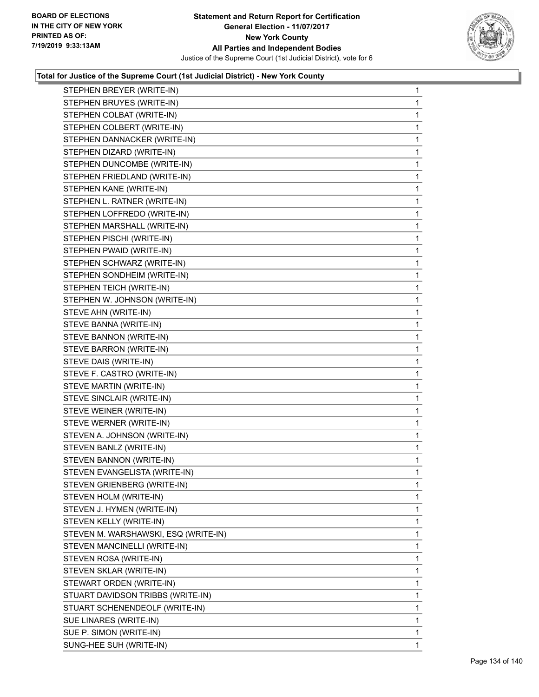

| STEPHEN BREYER (WRITE-IN)            | $\mathbf{1}$ |
|--------------------------------------|--------------|
| STEPHEN BRUYES (WRITE-IN)            | 1            |
| STEPHEN COLBAT (WRITE-IN)            | 1            |
| STEPHEN COLBERT (WRITE-IN)           | 1            |
| STEPHEN DANNACKER (WRITE-IN)         | 1            |
| STEPHEN DIZARD (WRITE-IN)            | $\mathbf{1}$ |
| STEPHEN DUNCOMBE (WRITE-IN)          | $\mathbf{1}$ |
| STEPHEN FRIEDLAND (WRITE-IN)         | 1            |
| STEPHEN KANE (WRITE-IN)              | 1            |
| STEPHEN L. RATNER (WRITE-IN)         | 1            |
| STEPHEN LOFFREDO (WRITE-IN)          | 1            |
| STEPHEN MARSHALL (WRITE-IN)          | $\mathbf{1}$ |
| STEPHEN PISCHI (WRITE-IN)            | 1            |
| STEPHEN PWAID (WRITE-IN)             | 1            |
| STEPHEN SCHWARZ (WRITE-IN)           | 1            |
| STEPHEN SONDHEIM (WRITE-IN)          | 1            |
| STEPHEN TEICH (WRITE-IN)             | 1            |
| STEPHEN W. JOHNSON (WRITE-IN)        | $\mathbf{1}$ |
| STEVE AHN (WRITE-IN)                 | 1            |
| STEVE BANNA (WRITE-IN)               | 1            |
| STEVE BANNON (WRITE-IN)              | 1            |
| STEVE BARRON (WRITE-IN)              | 1            |
| STEVE DAIS (WRITE-IN)                | 1            |
| STEVE F. CASTRO (WRITE-IN)           | $\mathbf{1}$ |
| STEVE MARTIN (WRITE-IN)              | 1            |
| STEVE SINCLAIR (WRITE-IN)            | 1            |
| STEVE WEINER (WRITE-IN)              | 1            |
| STEVE WERNER (WRITE-IN)              | 1            |
| STEVEN A. JOHNSON (WRITE-IN)         | 1            |
| STEVEN BANLZ (WRITE-IN)              | $\mathbf{1}$ |
| STEVEN BANNON (WRITE-IN)             | 1            |
| STEVEN EVANGELISTA (WRITE-IN)        | 1            |
| STEVEN GRIENBERG (WRITE-IN)          | 1            |
| STEVEN HOLM (WRITE-IN)               | 1            |
| STEVEN J. HYMEN (WRITE-IN)           | 1            |
| STEVEN KELLY (WRITE-IN)              | 1            |
| STEVEN M. WARSHAWSKI, ESQ (WRITE-IN) | 1            |
| STEVEN MANCINELLI (WRITE-IN)         | 1            |
| STEVEN ROSA (WRITE-IN)               | 1            |
| STEVEN SKLAR (WRITE-IN)              | 1            |
| STEWART ORDEN (WRITE-IN)             | 1            |
| STUART DAVIDSON TRIBBS (WRITE-IN)    | 1            |
| STUART SCHENENDEOLF (WRITE-IN)       | 1            |
| SUE LINARES (WRITE-IN)               | 1            |
| SUE P. SIMON (WRITE-IN)              | 1            |
| SUNG-HEE SUH (WRITE-IN)              | 1            |
|                                      |              |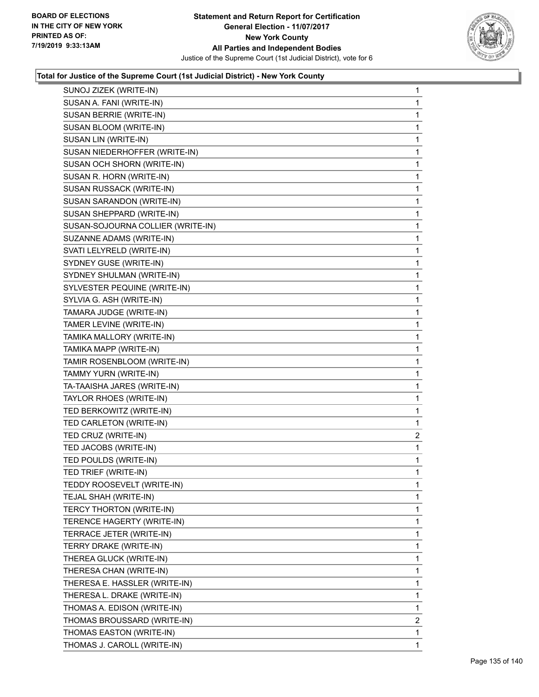

| SUNOJ ZIZEK (WRITE-IN)            | 1            |
|-----------------------------------|--------------|
| SUSAN A. FANI (WRITE-IN)          | 1            |
| SUSAN BERRIE (WRITE-IN)           | 1            |
| SUSAN BLOOM (WRITE-IN)            | 1            |
| SUSAN LIN (WRITE-IN)              | 1            |
| SUSAN NIEDERHOFFER (WRITE-IN)     | 1            |
| SUSAN OCH SHORN (WRITE-IN)        | 1            |
| SUSAN R. HORN (WRITE-IN)          | 1            |
| SUSAN RUSSACK (WRITE-IN)          | 1            |
| SUSAN SARANDON (WRITE-IN)         | 1            |
| SUSAN SHEPPARD (WRITE-IN)         | 1            |
| SUSAN-SOJOURNA COLLIER (WRITE-IN) | 1            |
| SUZANNE ADAMS (WRITE-IN)          | 1            |
| SVATI LELYRELD (WRITE-IN)         | 1            |
| SYDNEY GUSE (WRITE-IN)            | 1            |
| SYDNEY SHULMAN (WRITE-IN)         | 1            |
| SYLVESTER PEQUINE (WRITE-IN)      | 1            |
| SYLVIA G. ASH (WRITE-IN)          | 1            |
| TAMARA JUDGE (WRITE-IN)           | 1            |
| TAMER LEVINE (WRITE-IN)           | 1            |
| TAMIKA MALLORY (WRITE-IN)         | 1            |
| TAMIKA MAPP (WRITE-IN)            | 1            |
| TAMIR ROSENBLOOM (WRITE-IN)       | 1            |
| TAMMY YURN (WRITE-IN)             | 1            |
| TA-TAAISHA JARES (WRITE-IN)       | 1            |
| TAYLOR RHOES (WRITE-IN)           | 1            |
| TED BERKOWITZ (WRITE-IN)          | 1            |
| TED CARLETON (WRITE-IN)           | 1            |
| TED CRUZ (WRITE-IN)               | 2            |
| TED JACOBS (WRITE-IN)             | 1            |
| TED POULDS (WRITE-IN)             | 1            |
| TED TRIEF (WRITE-IN)              | 1            |
| TEDDY ROOSEVELT (WRITE-IN)        | 1            |
| TEJAL SHAH (WRITE-IN)             | 1            |
| TERCY THORTON (WRITE-IN)          | 1            |
| TERENCE HAGERTY (WRITE-IN)        | 1            |
| TERRACE JETER (WRITE-IN)          | 1            |
| TERRY DRAKE (WRITE-IN)            | 1            |
| THEREA GLUCK (WRITE-IN)           | 1            |
| THERESA CHAN (WRITE-IN)           | 1            |
| THERESA E. HASSLER (WRITE-IN)     | 1            |
| THERESA L. DRAKE (WRITE-IN)       | 1            |
| THOMAS A. EDISON (WRITE-IN)       | 1            |
| THOMAS BROUSSARD (WRITE-IN)       | 2            |
| THOMAS EASTON (WRITE-IN)          | 1            |
| THOMAS J. CAROLL (WRITE-IN)       | $\mathbf{1}$ |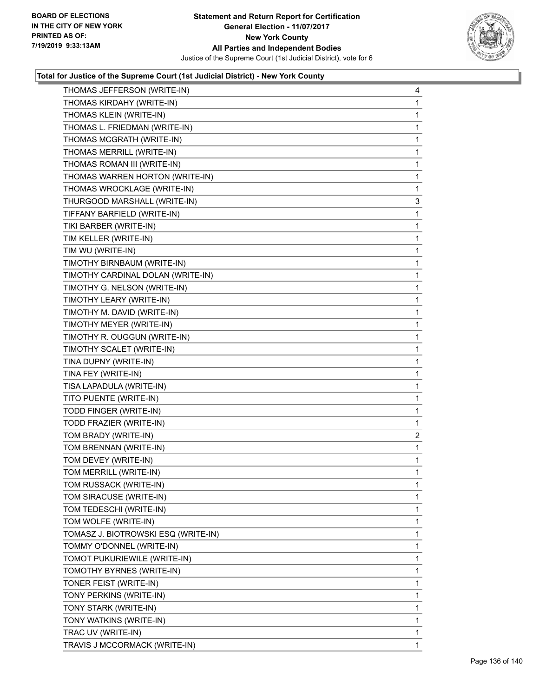

| THOMAS JEFFERSON (WRITE-IN)         | 4            |
|-------------------------------------|--------------|
| THOMAS KIRDAHY (WRITE-IN)           | 1            |
| THOMAS KLEIN (WRITE-IN)             | 1            |
| THOMAS L. FRIEDMAN (WRITE-IN)       | $\mathbf{1}$ |
| THOMAS MCGRATH (WRITE-IN)           | 1            |
| THOMAS MERRILL (WRITE-IN)           | 1            |
| THOMAS ROMAN III (WRITE-IN)         | $\mathbf{1}$ |
| THOMAS WARREN HORTON (WRITE-IN)     | 1            |
| THOMAS WROCKLAGE (WRITE-IN)         | 1            |
| THURGOOD MARSHALL (WRITE-IN)        | 3            |
| TIFFANY BARFIELD (WRITE-IN)         | 1            |
| TIKI BARBER (WRITE-IN)              | 1            |
| TIM KELLER (WRITE-IN)               | $\mathbf{1}$ |
| TIM WU (WRITE-IN)                   | 1            |
| TIMOTHY BIRNBAUM (WRITE-IN)         | 1            |
| TIMOTHY CARDINAL DOLAN (WRITE-IN)   | $\mathbf{1}$ |
| TIMOTHY G. NELSON (WRITE-IN)        | 1            |
| TIMOTHY LEARY (WRITE-IN)            | 1            |
| TIMOTHY M. DAVID (WRITE-IN)         | $\mathbf{1}$ |
| TIMOTHY MEYER (WRITE-IN)            | 1            |
| TIMOTHY R. OUGGUN (WRITE-IN)        | 1            |
| TIMOTHY SCALET (WRITE-IN)           | $\mathbf{1}$ |
| TINA DUPNY (WRITE-IN)               | 1            |
| TINA FEY (WRITE-IN)                 | 1            |
| TISA LAPADULA (WRITE-IN)            | $\mathbf{1}$ |
| TITO PUENTE (WRITE-IN)              | 1            |
| TODD FINGER (WRITE-IN)              | 1            |
| TODD FRAZIER (WRITE-IN)             | 1            |
| TOM BRADY (WRITE-IN)                | 2            |
| TOM BRENNAN (WRITE-IN)              | 1            |
| TOM DEVEY (WRITE-IN)                | $\mathbf 1$  |
| TOM MERRILL (WRITE-IN)              | 1            |
| TOM RUSSACK (WRITE-IN)              | $\mathbf{1}$ |
| TOM SIRACUSE (WRITE-IN)             | 1            |
| TOM TEDESCHI (WRITE-IN)             | 1            |
| TOM WOLFE (WRITE-IN)                | 1            |
| TOMASZ J. BIOTROWSKI ESQ (WRITE-IN) | 1            |
| TOMMY O'DONNEL (WRITE-IN)           | 1            |
| TOMOT PUKURIEWILE (WRITE-IN)        | 1            |
| TOMOTHY BYRNES (WRITE-IN)           | 1            |
| TONER FEIST (WRITE-IN)              | 1            |
| TONY PERKINS (WRITE-IN)             | 1            |
| TONY STARK (WRITE-IN)               | 1            |
| TONY WATKINS (WRITE-IN)             | 1            |
| TRAC UV (WRITE-IN)                  | 1            |
| TRAVIS J MCCORMACK (WRITE-IN)       | 1            |
|                                     |              |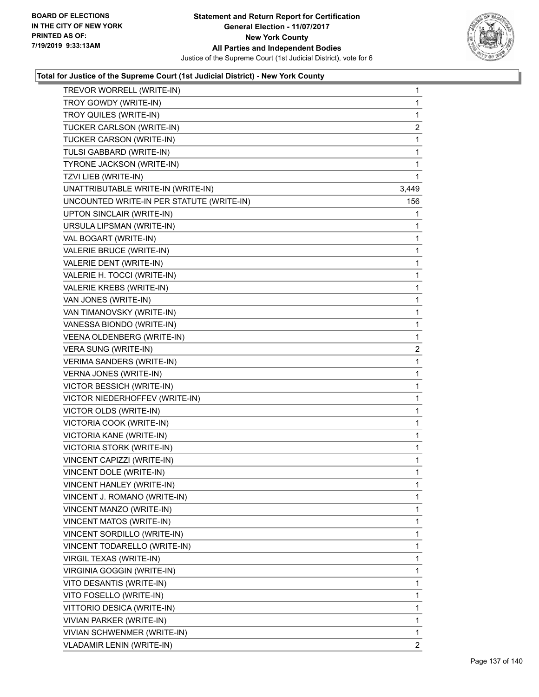

| TREVOR WORRELL (WRITE-IN)                 | $\mathbf{1}$ |
|-------------------------------------------|--------------|
| TROY GOWDY (WRITE-IN)                     | $\mathbf 1$  |
| TROY QUILES (WRITE-IN)                    | $\mathbf{1}$ |
| TUCKER CARLSON (WRITE-IN)                 | 2            |
| TUCKER CARSON (WRITE-IN)                  | 1            |
| TULSI GABBARD (WRITE-IN)                  | $\mathbf{1}$ |
| TYRONE JACKSON (WRITE-IN)                 | 1            |
| TZVI LIEB (WRITE-IN)                      | $\mathbf{1}$ |
| UNATTRIBUTABLE WRITE-IN (WRITE-IN)        | 3,449        |
| UNCOUNTED WRITE-IN PER STATUTE (WRITE-IN) | 156          |
| UPTON SINCLAIR (WRITE-IN)                 | 1            |
| URSULA LIPSMAN (WRITE-IN)                 | 1            |
| VAL BOGART (WRITE-IN)                     | 1            |
| VALERIE BRUCE (WRITE-IN)                  | $\mathbf{1}$ |
| VALERIE DENT (WRITE-IN)                   | 1            |
| VALERIE H. TOCCI (WRITE-IN)               | 1            |
| VALERIE KREBS (WRITE-IN)                  | $\mathbf{1}$ |
| VAN JONES (WRITE-IN)                      | $\mathbf{1}$ |
| VAN TIMANOVSKY (WRITE-IN)                 | 1            |
| VANESSA BIONDO (WRITE-IN)                 | $\mathbf{1}$ |
| VEENA OLDENBERG (WRITE-IN)                | 1            |
| VERA SUNG (WRITE-IN)                      | 2            |
| <b>VERIMA SANDERS (WRITE-IN)</b>          | 1            |
| VERNA JONES (WRITE-IN)                    | $\mathbf{1}$ |
| VICTOR BESSICH (WRITE-IN)                 | 1            |
| VICTOR NIEDERHOFFEV (WRITE-IN)            | $\mathbf{1}$ |
| VICTOR OLDS (WRITE-IN)                    | 1            |
| VICTORIA COOK (WRITE-IN)                  | 1            |
| VICTORIA KANE (WRITE-IN)                  | $\mathbf{1}$ |
| VICTORIA STORK (WRITE-IN)                 | $\mathbf{1}$ |
| VINCENT CAPIZZI (WRITE-IN)                | 1            |
| VINCENT DOLE (WRITE-IN)                   | $\mathbf{1}$ |
| VINCENT HANLEY (WRITE-IN)                 | 1            |
| VINCENT J. ROMANO (WRITE-IN)              | 1            |
| VINCENT MANZO (WRITE-IN)                  | $\mathbf{1}$ |
| <b>VINCENT MATOS (WRITE-IN)</b>           | 1            |
| VINCENT SORDILLO (WRITE-IN)               | 1            |
| VINCENT TODARELLO (WRITE-IN)              | $\mathbf{1}$ |
| VIRGIL TEXAS (WRITE-IN)                   | 1            |
| <b>VIRGINIA GOGGIN (WRITE-IN)</b>         | 1            |
| VITO DESANTIS (WRITE-IN)                  | $\mathbf{1}$ |
| VITO FOSELLO (WRITE-IN)                   | 1            |
| VITTORIO DESICA (WRITE-IN)                | 1            |
| VIVIAN PARKER (WRITE-IN)                  | $\mathbf{1}$ |
| VIVIAN SCHWENMER (WRITE-IN)               | $\mathbf{1}$ |
| VLADAMIR LENIN (WRITE-IN)                 | $\mathbf{2}$ |
|                                           |              |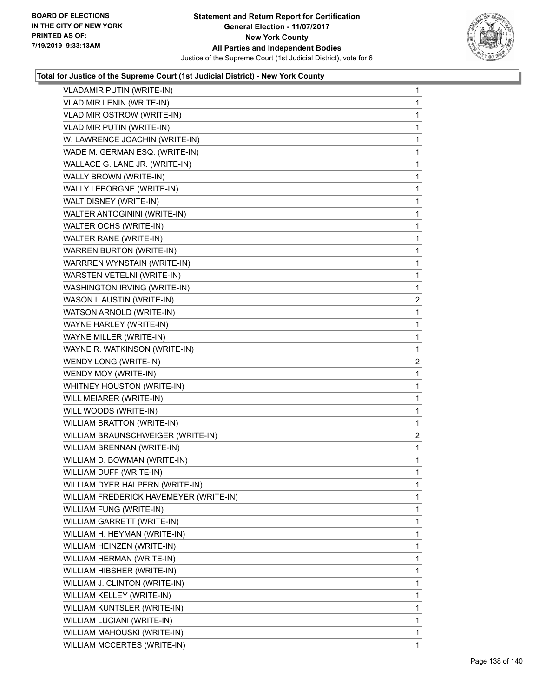

| VLADAMIR PUTIN (WRITE-IN)              | $\mathbf{1}$   |
|----------------------------------------|----------------|
| <b>VLADIMIR LENIN (WRITE-IN)</b>       | $\mathbf{1}$   |
| VLADIMIR OSTROW (WRITE-IN)             | 1              |
| <b>VLADIMIR PUTIN (WRITE-IN)</b>       | $\mathbf{1}$   |
| W. LAWRENCE JOACHIN (WRITE-IN)         | 1              |
| WADE M. GERMAN ESQ. (WRITE-IN)         | 1              |
| WALLACE G. LANE JR. (WRITE-IN)         | $\mathbf{1}$   |
| WALLY BROWN (WRITE-IN)                 | $\mathbf{1}$   |
| WALLY LEBORGNE (WRITE-IN)              | 1              |
| WALT DISNEY (WRITE-IN)                 | $\mathbf{1}$   |
| WALTER ANTOGININI (WRITE-IN)           | 1              |
| WALTER OCHS (WRITE-IN)                 | 1              |
| <b>WALTER RANE (WRITE-IN)</b>          | $\mathbf{1}$   |
| <b>WARREN BURTON (WRITE-IN)</b>        | $\mathbf{1}$   |
| WARRREN WYNSTAIN (WRITE-IN)            | 1              |
| WARSTEN VETELNI (WRITE-IN)             | $\mathbf{1}$   |
| WASHINGTON IRVING (WRITE-IN)           | 1              |
| WASON I. AUSTIN (WRITE-IN)             | $\overline{c}$ |
| WATSON ARNOLD (WRITE-IN)               | $\mathbf{1}$   |
| WAYNE HARLEY (WRITE-IN)                | $\mathbf{1}$   |
| WAYNE MILLER (WRITE-IN)                | 1              |
| WAYNE R. WATKINSON (WRITE-IN)          | 1              |
| WENDY LONG (WRITE-IN)                  | 2              |
| WENDY MOY (WRITE-IN)                   | 1              |
| WHITNEY HOUSTON (WRITE-IN)             | $\mathbf{1}$   |
| WILL MEIARER (WRITE-IN)                | $\mathbf 1$    |
| WILL WOODS (WRITE-IN)                  | 1              |
| <b>WILLIAM BRATTON (WRITE-IN)</b>      | 1              |
| WILLIAM BRAUNSCHWEIGER (WRITE-IN)      | 2              |
| WILLIAM BRENNAN (WRITE-IN)             | 1              |
| WILLIAM D. BOWMAN (WRITE-IN)           | $\mathbf{1}$   |
| WILLIAM DUFF (WRITE-IN)                | $\mathbf{1}$   |
| WILLIAM DYER HALPERN (WRITE-IN)        | 1              |
| WILLIAM FREDERICK HAVEMEYER (WRITE-IN) | 1              |
| WILLIAM FUNG (WRITE-IN)                | 1              |
| WILLIAM GARRETT (WRITE-IN)             | 1              |
| WILLIAM H. HEYMAN (WRITE-IN)           | 1              |
| WILLIAM HEINZEN (WRITE-IN)             | 1              |
| WILLIAM HERMAN (WRITE-IN)              | 1              |
| WILLIAM HIBSHER (WRITE-IN)             | 1              |
| WILLIAM J. CLINTON (WRITE-IN)          | 1              |
| WILLIAM KELLEY (WRITE-IN)              | 1              |
| WILLIAM KUNTSLER (WRITE-IN)            | 1              |
| WILLIAM LUCIANI (WRITE-IN)             | 1              |
| WILLIAM MAHOUSKI (WRITE-IN)            | 1              |
|                                        |                |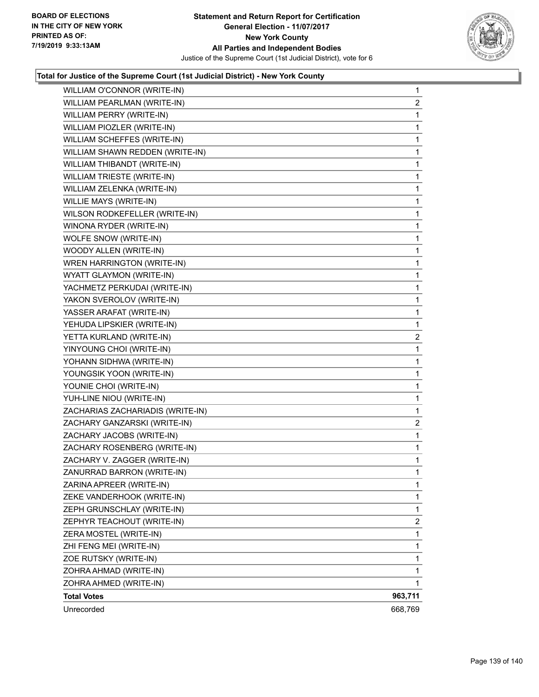

| WILLIAM O'CONNOR (WRITE-IN)      | $\mathbf{1}$            |
|----------------------------------|-------------------------|
| WILLIAM PEARLMAN (WRITE-IN)      | $\overline{2}$          |
| WILLIAM PERRY (WRITE-IN)         | $\mathbf{1}$            |
| WILLIAM PIOZLER (WRITE-IN)       | 1                       |
| WILLIAM SCHEFFES (WRITE-IN)      | $\mathbf 1$             |
| WILLIAM SHAWN REDDEN (WRITE-IN)  | 1                       |
| WILLIAM THIBANDT (WRITE-IN)      | $\mathbf{1}$            |
| WILLIAM TRIESTE (WRITE-IN)       | 1                       |
| WILLIAM ZELENKA (WRITE-IN)       | 1                       |
| WILLIE MAYS (WRITE-IN)           | $\mathbf 1$             |
| WILSON RODKEFELLER (WRITE-IN)    | 1                       |
| WINONA RYDER (WRITE-IN)          | $\mathbf 1$             |
| WOLFE SNOW (WRITE-IN)            | $\mathbf{1}$            |
| WOODY ALLEN (WRITE-IN)           | 1                       |
| WREN HARRINGTON (WRITE-IN)       | $\mathbf 1$             |
| WYATT GLAYMON (WRITE-IN)         | $\mathbf 1$             |
| YACHMETZ PERKUDAI (WRITE-IN)     | 1                       |
| YAKON SVEROLOV (WRITE-IN)        | $\mathbf 1$             |
| YASSER ARAFAT (WRITE-IN)         | $\mathbf{1}$            |
| YEHUDA LIPSKIER (WRITE-IN)       | 1                       |
| YETTA KURLAND (WRITE-IN)         | 2                       |
| YINYOUNG CHOI (WRITE-IN)         | 1                       |
| YOHANN SIDHWA (WRITE-IN)         | $\mathbf 1$             |
| YOUNGSIK YOON (WRITE-IN)         | $\mathbf 1$             |
| YOUNIE CHOI (WRITE-IN)           | $\mathbf{1}$            |
| YUH-LINE NIOU (WRITE-IN)         | 1                       |
| ZACHARIAS ZACHARIADIS (WRITE-IN) | 1                       |
| ZACHARY GANZARSKI (WRITE-IN)     | $\overline{2}$          |
| ZACHARY JACOBS (WRITE-IN)        | $\mathbf 1$             |
| ZACHARY ROSENBERG (WRITE-IN)     | $\mathbf 1$             |
| ZACHARY V. ZAGGER (WRITE-IN)     | $\mathbf{1}$            |
| ZANURRAD BARRON (WRITE-IN)       | $\mathbf{1}$            |
| ZARINA APREER (WRITE-IN)         | 1                       |
| ZEKE VANDERHOOK (WRITE-IN)       | 1                       |
| ZEPH GRUNSCHLAY (WRITE-IN)       | 1                       |
| ZEPHYR TEACHOUT (WRITE-IN)       | $\overline{\mathbf{c}}$ |
| ZERA MOSTEL (WRITE-IN)           | 1                       |
| ZHI FENG MEI (WRITE-IN)          | 1                       |
| ZOE RUTSKY (WRITE-IN)            | 1                       |
| ZOHRA AHMAD (WRITE-IN)           | 1                       |
| ZOHRA AHMED (WRITE-IN)           | 1                       |
| <b>Total Votes</b>               | 963,711                 |
| Unrecorded                       | 668,769                 |